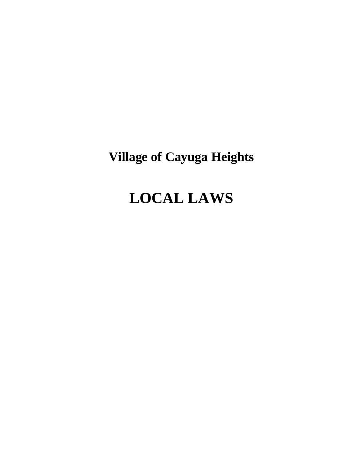# **Village of Cayuga Heights**

# **LOCAL LAWS**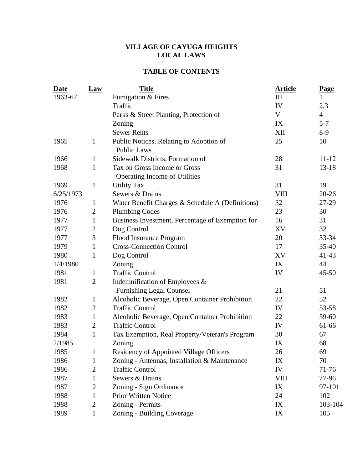# **VILLAGE OF CAYUGA HEIGHTS LOCAL LAWS**

# **TABLE OF CONTENTS**

| Date      | <b>Law</b>     | <b>Title</b>                                                  | <b>Article</b> | Page           |
|-----------|----------------|---------------------------------------------------------------|----------------|----------------|
| 1963-67   |                | Fumigation & Fires                                            | III            | $\mathbf 1$    |
|           |                | Traffic                                                       | IV             | 2,3            |
|           |                | Parks & Street Planting, Protection of                        | $\mathbf V$    | $\overline{4}$ |
|           |                | Zoning                                                        | IX             | $5 - 7$        |
|           |                | <b>Sewer Rents</b>                                            | XII            | $8-9$          |
| 1965      | $\mathbf{1}$   | Public Notices, Relating to Adoption of<br><b>Public Laws</b> | 25             | 10             |
| 1966      | $\mathbf{1}$   | Sidewalk Districts, Formation of                              | 28             | $11 - 12$      |
| 1968      | $\mathbf{1}$   | Tax on Gross Income or Gross                                  | 31             | $13 - 18$      |
|           |                | Operating Income of Utilities                                 |                |                |
| 1969      | $\mathbf{1}$   | <b>Utility Tax</b>                                            | 31             | 19             |
| 6/25/1973 |                | Sewers & Drains                                               | <b>VIII</b>    | $20 - 26$      |
| 1976      | $\mathbf{1}$   | Water Benefit Charges & Schedule A (Definitions)              | 32             | 27-29          |
| 1976      | $\mathfrak{2}$ | <b>Plumbing Codes</b>                                         | 23             | 30             |
| 1977      | $\mathbf{1}$   | Business Investment, Percentage of Exemption for              | 16             | 31             |
| 1977      | $\overline{c}$ | Dog Control                                                   | XV             | 32             |
| 1977      | 3              | Flood Insurance Program                                       | 20             | 33-34          |
| 1979      | $\mathbf{1}$   | <b>Cross-Connection Control</b>                               | 17             | $35 - 40$      |
| 1980      | 1              | Dog Control                                                   | XV             | $41 - 43$      |
| 1/4/1980  |                | Zoning                                                        | IX             | 44             |
| 1981      | $\mathbf{1}$   | <b>Traffic Control</b>                                        | IV             | $45 - 50$      |
| 1981      | $\overline{2}$ | Indemnification of Employees $\&$                             |                |                |
|           |                | <b>Furnishing Legal Counsel</b>                               | 21             | 51             |
| 1982      | $\mathbf{1}$   | Alcoholic Beverage, Open Container Prohibition                | 22             | 52             |
| 1982      | $\overline{2}$ | <b>Traffic Control</b>                                        | IV             | 53-58          |
| 1983      | $\mathbf{1}$   | Alcoholic Beverage, Open Container Prohibition                | 22             | 59-60          |
| 1983      | $\mathbf{2}$   | <b>Traffic Control</b>                                        | IV             | 61-66          |
| 1984      | $\mathbf{1}$   | Tax Exemption, Real Property/Veteran's Program                | 30             | 67             |
| 2/1985    |                | Zoning                                                        | IX             | 68             |
| 1985      | $\mathbf{1}$   | Residency of Appointed Village Officers                       | 26             | 69             |
| 1986      | 1              | Zoning - Antennas, Installation & Maintenance                 | IX             | 70             |
| 1986      | $\mathbf{2}$   | <b>Traffic Control</b>                                        | IV             | 71-76          |
| 1987      | 1              | Sewers & Drains                                               | <b>VIII</b>    | 77-96          |
| 1987      | $\mathbf{2}$   | Zoning - Sign Ordinance<br>IX                                 |                | 97-101         |
| 1988      | $\mathbf{1}$   | <b>Prior Written Notice</b>                                   | 24             | 102            |
| 1988      | $\mathbf{2}$   | Zoning - Permits<br>IX                                        |                | 103-104        |
| 1989      | $\mathbf{1}$   | Zoning - Building Coverage                                    | IX             | 105            |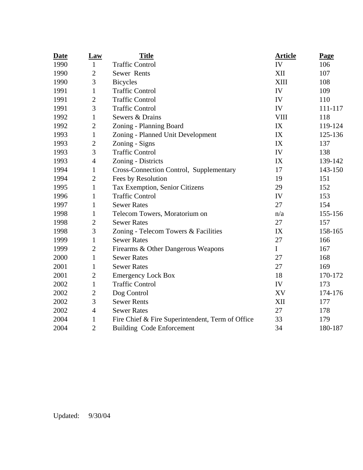| <b>Date</b> | <b>Law</b>       | <b>Title</b>                                     | <b>Article</b> | Page    |
|-------------|------------------|--------------------------------------------------|----------------|---------|
| 1990        | $\mathbf{1}$     | <b>Traffic Control</b>                           | IV             | 106     |
| 1990        | $\mathbf{2}$     | Sewer Rents                                      | XII            | 107     |
| 1990        | 3                | <b>Bicycles</b>                                  | XIII           | 108     |
| 1991        | $\mathbf{1}$     | <b>Traffic Control</b>                           | IV             | 109     |
| 1991        | $\mathbf{2}$     | <b>Traffic Control</b>                           | IV             | 110     |
| 1991        | 3                | <b>Traffic Control</b>                           | IV             | 111-117 |
| 1992        | 1                | Sewers & Drains                                  | <b>VIII</b>    | 118     |
| 1992        | $\overline{c}$   | Zoning - Planning Board                          | IX             | 119-124 |
| 1993        | $\mathbf{1}$     | Zoning - Planned Unit Development                | IX             | 125-136 |
| 1993        | $\boldsymbol{2}$ | Zoning - Signs                                   | IX             | 137     |
| 1993        | 3                | <b>Traffic Control</b>                           | IV             | 138     |
| 1993        | $\overline{4}$   | Zoning - Districts                               | IX             | 139-142 |
| 1994        | $\mathbf{1}$     | Cross-Connection Control, Supplementary          | 17             | 143-150 |
| 1994        | $\mathbf{2}$     | Fees by Resolution                               | 19             | 151     |
| 1995        | $\mathbf{1}$     | Tax Exemption, Senior Citizens                   | 29             | 152     |
| 1996        | $\mathbf{1}$     | <b>Traffic Control</b>                           | IV             | 153     |
| 1997        | $\mathbf{1}$     | <b>Sewer Rates</b>                               | 27             | 154     |
| 1998        | $\mathbf{1}$     | Telecom Towers, Moratorium on                    | n/a            | 155-156 |
| 1998        | $\overline{c}$   | <b>Sewer Rates</b>                               | 27             | 157     |
| 1998        | 3                | Zoning - Telecom Towers & Facilities             | IX             | 158-165 |
| 1999        | $\mathbf{1}$     | <b>Sewer Rates</b>                               | 27             | 166     |
| 1999        | $\mathbf{2}$     | Firearms & Other Dangerous Weapons               | $\mathbf I$    | 167     |
| 2000        | $\mathbf{1}$     | <b>Sewer Rates</b>                               | 27             | 168     |
| 2001        | 1                | <b>Sewer Rates</b>                               | 27             | 169     |
| 2001        | $\mathbf{2}$     | <b>Emergency Lock Box</b>                        | 18             | 170-172 |
| 2002        | $\mathbf{1}$     | <b>Traffic Control</b>                           | IV             | 173     |
| 2002        | $\mathbf{2}$     | Dog Control                                      | XV             | 174-176 |
| 2002        | 3                | <b>Sewer Rents</b>                               | XII            | 177     |
| 2002        | $\overline{4}$   | <b>Sewer Rates</b>                               | 27             | 178     |
| 2004        | $\mathbf{1}$     | Fire Chief & Fire Superintendent, Term of Office | 33             | 179     |
| 2004        | $\overline{2}$   | <b>Building Code Enforcement</b>                 | 34             | 180-187 |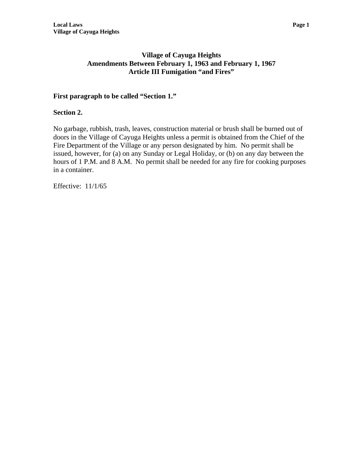# **Village of Cayuga Heights Amendments Between February 1, 1963 and February 1, 1967 Article III Fumigation "and Fires"**

# **First paragraph to be called "Section 1."**

# **Section 2.**

No garbage, rubbish, trash, leaves, construction material or brush shall be burned out of doors in the Village of Cayuga Heights unless a permit is obtained from the Chief of the Fire Department of the Village or any person designated by him. No permit shall be issued, however, for (a) on any Sunday or Legal Holiday, or (b) on any day between the hours of 1 P.M. and 8 A.M. No permit shall be needed for any fire for cooking purposes in a container.

Effective: 11/1/65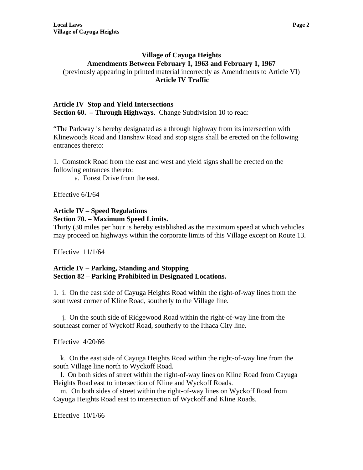# **Village of Cayuga Heights Amendments Between February 1, 1963 and February 1, 1967**  (previously appearing in printed material incorrectly as Amendments to Article VI)  **Article IV Traffic**

#### **Article IV Stop and Yield Intersections Section 60. – Through Highways**. Change Subdivision 10 to read:

"The Parkway is hereby designated as a through highway from its intersection with Klinewoods Road and Hanshaw Road and stop signs shall be erected on the following entrances thereto:

1. Comstock Road from the east and west and yield signs shall be erected on the following entrances thereto:

a. Forest Drive from the east.

Effective 6/1/64

#### **Article IV – Speed Regulations Section 70. – Maximum Speed Limits.**

Thirty (30 miles per hour is hereby established as the maximum speed at which vehicles may proceed on highways within the corporate limits of this Village except on Route 13.

Effective 11/1/64

# **Article IV – Parking, Standing and Stopping Section 82 – Parking Prohibited in Designated Locations.**

1. i. On the east side of Cayuga Heights Road within the right-of-way lines from the southwest corner of Kline Road, southerly to the Village line.

 j. On the south side of Ridgewood Road within the right-of-way line from the southeast corner of Wyckoff Road, southerly to the Ithaca City line.

Effective 4/20/66

 k. On the east side of Cayuga Heights Road within the right-of-way line from the south Village line north to Wyckoff Road.

 l. On both sides of street within the right-of-way lines on Kline Road from Cayuga Heights Road east to intersection of Kline and Wyckoff Roads.

 m. On both sides of street within the right-of-way lines on Wyckoff Road from Cayuga Heights Road east to intersection of Wyckoff and Kline Roads.

Effective 10/1/66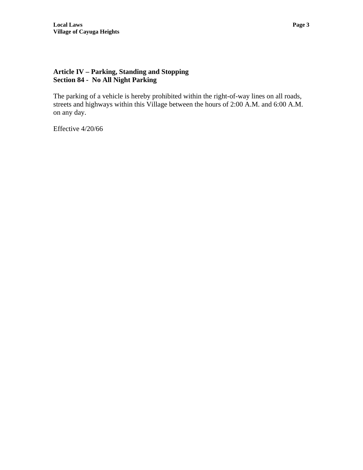# **Article IV – Parking, Standing and Stopping Section 84 - No All Night Parking**

The parking of a vehicle is hereby prohibited within the right-of-way lines on all roads, streets and highways within this Village between the hours of 2:00 A.M. and 6:00 A.M. on any day.

Effective 4/20/66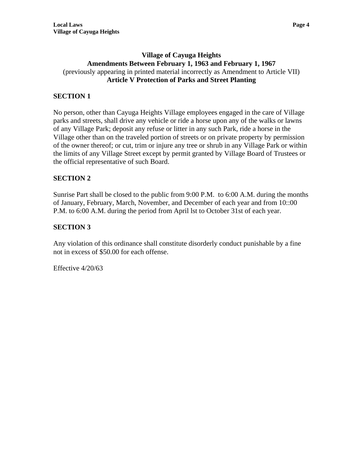# **Village of Cayuga Heights Amendments Between February 1, 1963 and February 1, 1967**  (previously appearing in printed material incorrectly as Amendment to Article VII) **Article V Protection of Parks and Street Planting**

# **SECTION 1**

No person, other than Cayuga Heights Village employees engaged in the care of Village parks and streets, shall drive any vehicle or ride a horse upon any of the walks or lawns of any Village Park; deposit any refuse or litter in any such Park, ride a horse in the Village other than on the traveled portion of streets or on private property by permission of the owner thereof; or cut, trim or injure any tree or shrub in any Village Park or within the limits of any Village Street except by permit granted by Village Board of Trustees or the official representative of such Board.

# **SECTION 2**

Sunrise Part shall be closed to the public from 9:00 P.M. to 6:00 A.M. during the months of January, February, March, November, and December of each year and from 10::00 P.M. to 6:00 A.M. during the period from April lst to October 31st of each year.

# **SECTION 3**

Any violation of this ordinance shall constitute disorderly conduct punishable by a fine not in excess of \$50.00 for each offense.

Effective 4/20/63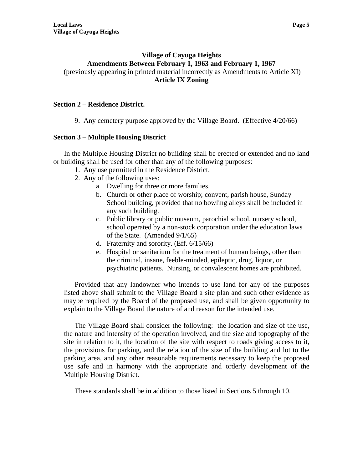# **Village of Cayuga Heights Amendments Between February 1, 1963 and February 1, 1967**  (previously appearing in printed material incorrectly as Amendments to Article XI) **Article IX Zoning**

# **Section 2 – Residence District.**

9. Any cemetery purpose approved by the Village Board. (Effective 4/20/66)

# **Section 3 – Multiple Housing District**

In the Multiple Housing District no building shall be erected or extended and no land or building shall be used for other than any of the following purposes:

- 1. Any use permitted in the Residence District.
- 2. Any of the following uses:
	- a. Dwelling for three or more families.
	- b. Church or other place of worship; convent, parish house, Sunday School building, provided that no bowling alleys shall be included in any such building.
	- c. Public library or public museum, parochial school, nursery school, school operated by a non-stock corporation under the education laws of the State. (Amended 9/1/65)
	- d. Fraternity and sorority. (Eff. 6/15/66)
	- e. Hospital or sanitarium for the treatment of human beings, other than the criminal, insane, feeble-minded, epileptic, drug, liquor, or psychiatric patients. Nursing, or convalescent homes are prohibited.

Provided that any landowner who intends to use land for any of the purposes listed above shall submit to the Village Board a site plan and such other evidence as maybe required by the Board of the proposed use, and shall be given opportunity to explain to the Village Board the nature of and reason for the intended use.

The Village Board shall consider the following: the location and size of the use, the nature and intensity of the operation involved, and the size and topography of the site in relation to it, the location of the site with respect to roads giving access to it, the provisions for parking, and the relation of the size of the building and lot to the parking area, and any other reasonable requirements necessary to keep the proposed use safe and in harmony with the appropriate and orderly development of the Multiple Housing District.

These standards shall be in addition to those listed in Sections 5 through 10.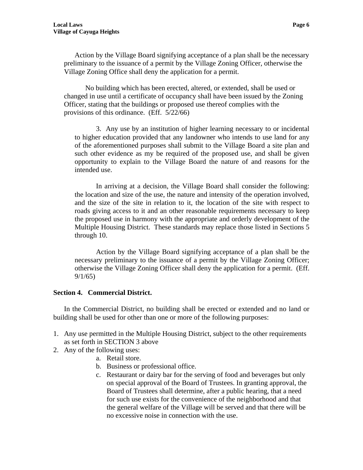Action by the Village Board signifying acceptance of a plan shall be the necessary preliminary to the issuance of a permit by the Village Zoning Officer, otherwise the Village Zoning Office shall deny the application for a permit.

No building which has been erected, altered, or extended, shall be used or changed in use until a certificate of occupancy shall have been issued by the Zoning Officer, stating that the buildings or proposed use thereof complies with the provisions of this ordinance. (Eff. 5/22/66)

3. Any use by an institution of higher learning necessary to or incidental to higher education provided that any landowner who intends to use land for any of the aforementioned purposes shall submit to the Village Board a site plan and such other evidence as my be required of the proposed use, and shall be given opportunity to explain to the Village Board the nature of and reasons for the intended use.

In arriving at a decision, the Village Board shall consider the following: the location and size of the use, the nature and intensity of the operation involved, and the size of the site in relation to it, the location of the site with respect to roads giving access to it and an other reasonable requirements necessary to keep the proposed use in harmony with the appropriate and orderly development of the Multiple Housing District. These standards may replace those listed in Sections 5 through 10.

Action by the Village Board signifying acceptance of a plan shall be the necessary preliminary to the issuance of a permit by the Village Zoning Officer; otherwise the Village Zoning Officer shall deny the application for a permit. (Eff. 9/1/65)

#### **Section 4. Commercial District.**

In the Commercial District, no building shall be erected or extended and no land or building shall be used for other than one or more of the following purposes:

- 1. Any use permitted in the Multiple Housing District, subject to the other requirements as set forth in SECTION 3 above
- 2. Any of the following uses:
	- a. Retail store.
	- b. Business or professional office.
	- c. Restaurant or dairy bar for the serving of food and beverages but only on special approval of the Board of Trustees. In granting approval, the Board of Trustees shall determine, after a public hearing, that a need for such use exists for the convenience of the neighborhood and that the general welfare of the Village will be served and that there will be no excessive noise in connection with the use.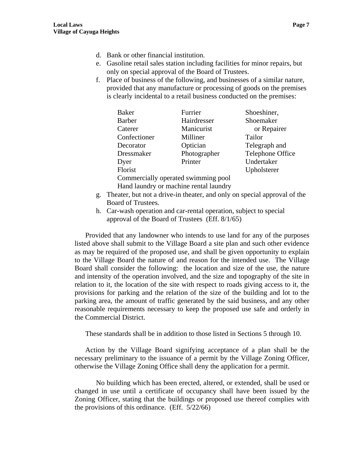- d. Bank or other financial institution.
- e. Gasoline retail sales station including facilities for minor repairs, but only on special approval of the Board of Trustees.
- f. Place of business of the following, and businesses of a similar nature, provided that any manufacture or processing of goods on the premises is clearly incidental to a retail business conducted on the premises:

| <b>Baker</b>                           | Furrier      | Shoeshiner,      |
|----------------------------------------|--------------|------------------|
| <b>Barber</b>                          | Hairdresser  | Shoemaker        |
| Caterer                                | Manicurist   | or Repairer      |
| Confectioner                           | Milliner     | Tailor           |
| Decorator                              | Optician     | Telegraph and    |
| Dressmaker                             | Photographer | Telephone Office |
| Dyer                                   | Printer      | Undertaker       |
| Florist                                |              | Upholsterer      |
| Commercially operated swimming pool    |              |                  |
| Hand laundry or machine rental laundry |              |                  |

- g. Theater, but not a drive-in theater, and only on special approval of the Board of Trustees.
- h. Car-wash operation and car-rental operation, subject to special approval of the Board of Trustees (Eff. 8/1/65)

Provided that any landowner who intends to use land for any of the purposes listed above shall submit to the Village Board a site plan and such other evidence as may be required of the proposed use, and shall be given opportunity to explain to the Village Board the nature of and reason for the intended use. The Village Board shall consider the following: the location and size of the use, the nature and intensity of the operation involved, and the size and topography of the site in relation to it, the location of the site with respect to roads giving access to it, the provisions for parking and the relation of the size of the building and lot to the parking area, the amount of traffic generated by the said business, and any other reasonable requirements necessary to keep the proposed use safe and orderly in the Commercial District.

These standards shall be in addition to those listed in Sections 5 through 10.

Action by the Village Board signifying acceptance of a plan shall be the necessary preliminary to the issuance of a permit by the Village Zoning Officer, otherwise the Village Zoning Office shall deny the application for a permit.

No building which has been erected, altered, or extended, shall be used or changed in use until a certificate of occupancy shall have been issued by the Zoning Officer, stating that the buildings or proposed use thereof complies with the provisions of this ordinance. (Eff. 5/22/66)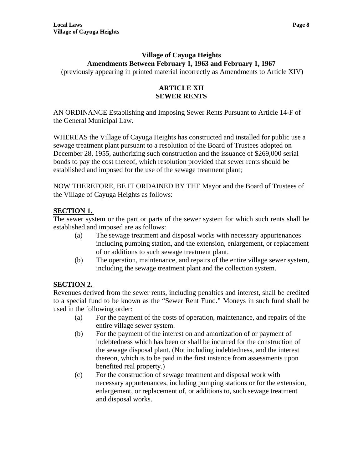# **Village of Cayuga Heights Amendments Between February 1, 1963 and February 1, 1967**

(previously appearing in printed material incorrectly as Amendments to Article XIV)

# **ARTICLE XII SEWER RENTS**

AN ORDINANCE Establishing and Imposing Sewer Rents Pursuant to Article 14-F of the General Municipal Law.

WHEREAS the Village of Cayuga Heights has constructed and installed for public use a sewage treatment plant pursuant to a resolution of the Board of Trustees adopted on December 28, 1955, authorizing such construction and the issuance of \$269,000 serial bonds to pay the cost thereof, which resolution provided that sewer rents should be established and imposed for the use of the sewage treatment plant;

NOW THEREFORE, BE IT ORDAINED BY THE Mayor and the Board of Trustees of the Village of Cayuga Heights as follows:

# **SECTION 1.**

The sewer system or the part or parts of the sewer system for which such rents shall be established and imposed are as follows:

- (a) The sewage treatment and disposal works with necessary appurtenances including pumping station, and the extension, enlargement, or replacement of or additions to such sewage treatment plant.
- (b) The operation, maintenance, and repairs of the entire village sewer system, including the sewage treatment plant and the collection system.

# **SECTION 2.**

Revenues derived from the sewer rents, including penalties and interest, shall be credited to a special fund to be known as the "Sewer Rent Fund." Moneys in such fund shall be used in the following order:

- (a) For the payment of the costs of operation, maintenance, and repairs of the entire village sewer system.
- (b) For the payment of the interest on and amortization of or payment of indebtedness which has been or shall be incurred for the construction of the sewage disposal plant. (Not including indebtedness, and the interest thereon, which is to be paid in the first instance from assessments upon benefited real property.)
- (c) For the construction of sewage treatment and disposal work with necessary appurtenances, including pumping stations or for the extension, enlargement, or replacement of, or additions to, such sewage treatment and disposal works.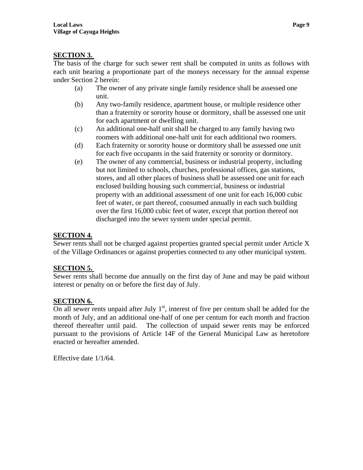# **SECTION 3.**

The basis of the charge for such sewer rent shall be computed in units as follows with each unit bearing a proportionate part of the moneys necessary for the annual expense under Section 2 herein:

- (a) The owner of any private single family residence shall be assessed one unit.
- (b) Any two-family residence, apartment house, or multiple residence other than a fraternity or sorority house or dormitory, shall be assessed one unit for each apartment or dwelling unit.
- (c) An additional one-half unit shall be charged to any family having two roomers with additional one-half unit for each additional two roomers.
- (d) Each fraternity or sorority house or dormitory shall be assessed one unit for each five occupants in the said fraternity or sorority or dormitory.
- (e) The owner of any commercial, business or industrial property, including but not limited to schools, churches, professional offices, gas stations, stores, and all other places of business shall be assessed one unit for each enclosed building housing such commercial, business or industrial property with an additional assessment of one unit for each 16,000 cubic feet of water, or part thereof, consumed annually in each such building over the first 16,000 cubic feet of water, except that portion thereof not discharged into the sewer system under special permit.

# **SECTION 4.**

Sewer rents shall not be charged against properties granted special permit under Article X of the Village Ordinances or against properties connected to any other municipal system.

# **SECTION 5.**

Sewer rents shall become due annually on the first day of June and may be paid without interest or penalty on or before the first day of July.

# **SECTION 6.**

On all sewer rents unpaid after July  $1<sup>st</sup>$ , interest of five per centum shall be added for the month of July, and an additional one-half of one per centum for each month and fraction thereof thereafter until paid. The collection of unpaid sewer rents may be enforced pursuant to the provisions of Article 14F of the General Municipal Law as heretofore enacted or hereafter amended.

Effective date 1/1/64.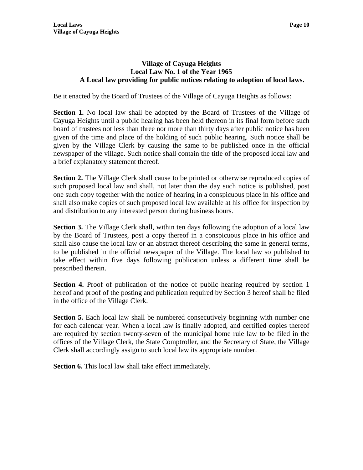# **Village of Cayuga Heights Local Law No. 1 of the Year 1965 A Local law providing for public notices relating to adoption of local laws.**

Be it enacted by the Board of Trustees of the Village of Cayuga Heights as follows:

**Section 1.** No local law shall be adopted by the Board of Trustees of the Village of Cayuga Heights until a public hearing has been held thereon in its final form before such board of trustees not less than three nor more than thirty days after public notice has been given of the time and place of the holding of such public hearing. Such notice shall be given by the Village Clerk by causing the same to be published once in the official newspaper of the village. Such notice shall contain the title of the proposed local law and a brief explanatory statement thereof.

**Section 2.** The Village Clerk shall cause to be printed or otherwise reproduced copies of such proposed local law and shall, not later than the day such notice is published, post one such copy together with the notice of hearing in a conspicuous place in his office and shall also make copies of such proposed local law available at his office for inspection by and distribution to any interested person during business hours.

**Section 3.** The Village Clerk shall, within ten days following the adoption of a local law by the Board of Trustees, post a copy thereof in a conspicuous place in his office and shall also cause the local law or an abstract thereof describing the same in general terms, to be published in the official newspaper of the Village. The local law so published to take effect within five days following publication unless a different time shall be prescribed therein.

**Section 4.** Proof of publication of the notice of public hearing required by section 1 hereof and proof of the posting and publication required by Section 3 hereof shall be filed in the office of the Village Clerk.

**Section 5.** Each local law shall be numbered consecutively beginning with number one for each calendar year. When a local law is finally adopted, and certified copies thereof are required by section twenty-seven of the municipal home rule law to be filed in the offices of the Village Clerk, the State Comptroller, and the Secretary of State, the Village Clerk shall accordingly assign to such local law its appropriate number.

**Section 6.** This local law shall take effect immediately.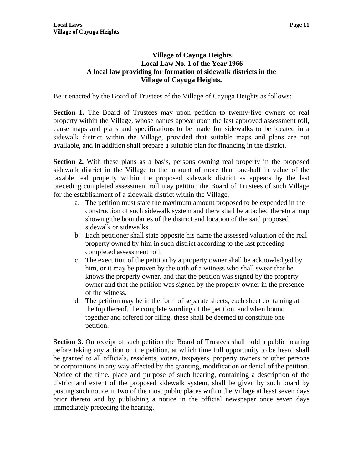# **Village of Cayuga Heights Local Law No. 1 of the Year 1966 A local law providing for formation of sidewalk districts in the Village of Cayuga Heights.**

Be it enacted by the Board of Trustees of the Village of Cayuga Heights as follows:

**Section 1.** The Board of Trustees may upon petition to twenty-five owners of real property within the Village, whose names appear upon the last approved assessment roll, cause maps and plans and specifications to be made for sidewalks to be located in a sidewalk district within the Village, provided that suitable maps and plans are not available, and in addition shall prepare a suitable plan for financing in the district.

**Section 2.** With these plans as a basis, persons owning real property in the proposed sidewalk district in the Village to the amount of more than one-half in value of the taxable real property within the proposed sidewalk district as appears by the last preceding completed assessment roll may petition the Board of Trustees of such Village for the establishment of a sidewalk district within the Village.

- a. The petition must state the maximum amount proposed to be expended in the construction of such sidewalk system and there shall be attached thereto a map showing the boundaries of the district and location of the said proposed sidewalk or sidewalks.
- b. Each petitioner shall state opposite his name the assessed valuation of the real property owned by him in such district according to the last preceding completed assessment roll.
- c. The execution of the petition by a property owner shall be acknowledged by him, or it may be proven by the oath of a witness who shall swear that he knows the property owner, and that the petition was signed by the property owner and that the petition was signed by the property owner in the presence of the witness.
- d. The petition may be in the form of separate sheets, each sheet containing at the top thereof, the complete wording of the petition, and when bound together and offered for filing, these shall be deemed to constitute one petition.

**Section 3.** On receipt of such petition the Board of Trustees shall hold a public hearing before taking any action on the petition, at which time full opportunity to be heard shall be granted to all officials, residents, voters, taxpayers, property owners or other persons or corporations in any way affected by the granting, modification or denial of the petition. Notice of the time, place and purpose of such hearing, containing a description of the district and extent of the proposed sidewalk system, shall be given by such board by posting such notice in two of the most public places within the Village at least seven days prior thereto and by publishing a notice in the official newspaper once seven days immediately preceding the hearing.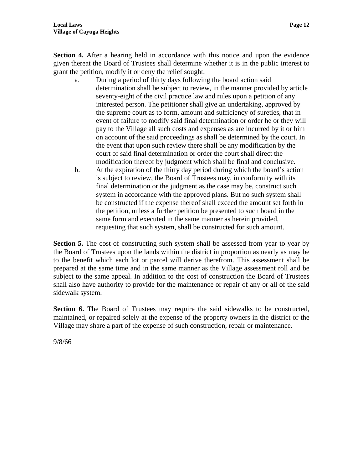**Section 4.** After a hearing held in accordance with this notice and upon the evidence given thereat the Board of Trustees shall determine whether it is in the public interest to grant the petition, modify it or deny the relief sought.

- a. During a period of thirty days following the board action said determination shall be subject to review, in the manner provided by article seventy-eight of the civil practice law and rules upon a petition of any interested person. The petitioner shall give an undertaking, approved by the supreme court as to form, amount and sufficiency of sureties, that in event of failure to modify said final determination or order he or they will pay to the Village all such costs and expenses as are incurred by it or him on account of the said proceedings as shall be determined by the court. In the event that upon such review there shall be any modification by the court of said final determination or order the court shall direct the modification thereof by judgment which shall be final and conclusive.
- b. At the expiration of the thirty day period during which the board's action is subject to review, the Board of Trustees may, in conformity with its final determination or the judgment as the case may be, construct such system in accordance with the approved plans. But no such system shall be constructed if the expense thereof shall exceed the amount set forth in the petition, unless a further petition be presented to such board in the same form and executed in the same manner as herein provided, requesting that such system, shall be constructed for such amount.

**Section 5.** The cost of constructing such system shall be assessed from year to year by the Board of Trustees upon the lands within the district in proportion as nearly as may be to the benefit which each lot or parcel will derive therefrom. This assessment shall be prepared at the same time and in the same manner as the Village assessment roll and be subject to the same appeal. In addition to the cost of construction the Board of Trustees shall also have authority to provide for the maintenance or repair of any or all of the said sidewalk system.

**Section 6.** The Board of Trustees may require the said sidewalks to be constructed, maintained, or repaired solely at the expense of the property owners in the district or the Village may share a part of the expense of such construction, repair or maintenance.

9/8/66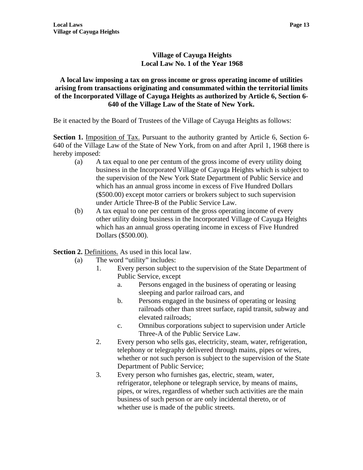# **Village of Cayuga Heights Local Law No. 1 of the Year 1968**

# **A local law imposing a tax on gross income or gross operating income of utilities arising from transactions originating and consummated within the territorial limits of the Incorporated Village of Cayuga Heights as authorized by Article 6, Section 6- 640 of the Village Law of the State of New York.**

Be it enacted by the Board of Trustees of the Village of Cayuga Heights as follows:

**Section 1.** Imposition of Tax. Pursuant to the authority granted by Article 6, Section 6-640 of the Village Law of the State of New York, from on and after April 1, 1968 there is hereby imposed:

- (a) A tax equal to one per centum of the gross income of every utility doing business in the Incorporated Village of Cayuga Heights which is subject to the supervision of the New York State Department of Public Service and which has an annual gross income in excess of Five Hundred Dollars (\$500.00) except motor carriers or brokers subject to such supervision under Article Three-B of the Public Service Law.
- (b) A tax equal to one per centum of the gross operating income of every other utility doing business in the Incorporated Village of Cayuga Heights which has an annual gross operating income in excess of Five Hundred Dollars (\$500.00).

**Section 2.** Definitions. As used in this local law.

- (a) The word "utility" includes:
	- 1. Every person subject to the supervision of the State Department of Public Service, except
		- a. Persons engaged in the business of operating or leasing sleeping and parlor railroad cars, and
		- b. Persons engaged in the business of operating or leasing railroads other than street surface, rapid transit, subway and elevated railroads;
		- c. Omnibus corporations subject to supervision under Article Three-A of the Public Service Law.
	- 2. Every person who sells gas, electricity, steam, water, refrigeration, telephony or telegraphy delivered through mains, pipes or wires, whether or not such person is subject to the supervision of the State Department of Public Service;
	- 3. Every person who furnishes gas, electric, steam, water, refrigerator, telephone or telegraph service, by means of mains, pipes, or wires, regardless of whether such activities are the main business of such person or are only incidental thereto, or of whether use is made of the public streets.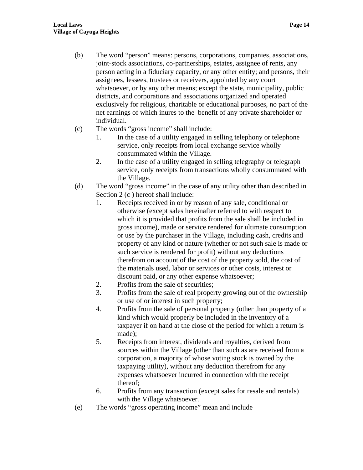- (b) The word "person" means: persons, corporations, companies, associations, joint-stock associations, co-partnerships, estates, assignee of rents, any person acting in a fiduciary capacity, or any other entity; and persons, their assignees, lessees, trustees or receivers, appointed by any court whatsoever, or by any other means; except the state, municipality, public districts, and corporations and associations organized and operated exclusively for religious, charitable or educational purposes, no part of the net earnings of which inures to the benefit of any private shareholder or individual.
- (c) The words "gross income" shall include:
	- 1. In the case of a utility engaged in selling telephony or telephone service, only receipts from local exchange service wholly consummated within the Village.
	- 2. In the case of a utility engaged in selling telegraphy or telegraph service, only receipts from transactions wholly consummated with the Village.
- (d) The word "gross income" in the case of any utility other than described in Section 2 (c) hereof shall include:
	- 1. Receipts received in or by reason of any sale, conditional or otherwise (except sales hereinafter referred to with respect to which it is provided that profits from the sale shall be included in gross income), made or service rendered for ultimate consumption or use by the purchaser in the Village, including cash, credits and property of any kind or nature (whether or not such sale is made or such service is rendered for profit) without any deductions therefrom on account of the cost of the property sold, the cost of the materials used, labor or services or other costs, interest or discount paid, or any other expense whatsoever;
	- 2. Profits from the sale of securities;
	- 3. Profits from the sale of real property growing out of the ownership or use of or interest in such property;
	- 4. Profits from the sale of personal property (other than property of a kind which would properly be included in the inventory of a taxpayer if on hand at the close of the period for which a return is made);
	- 5. Receipts from interest, dividends and royalties, derived from sources within the Village (other than such as are received from a corporation, a majority of whose voting stock is owned by the taxpaying utility), without any deduction therefrom for any expenses whatsoever incurred in connection with the receipt thereof;
	- 6. Profits from any transaction (except sales for resale and rentals) with the Village whatsoever.
- (e) The words "gross operating income" mean and include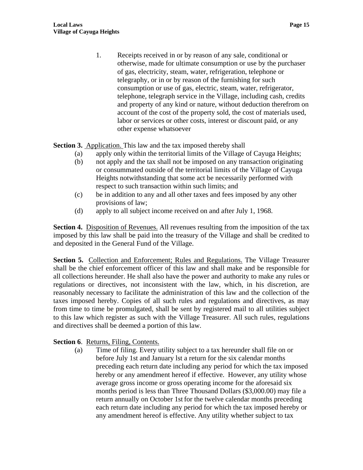1. Receipts received in or by reason of any sale, conditional or otherwise, made for ultimate consumption or use by the purchaser of gas, electricity, steam, water, refrigeration, telephone or telegraphy, or in or by reason of the furnishing for such consumption or use of gas, electric, steam, water, refrigerator, telephone, telegraph service in the Village, including cash, credits and property of any kind or nature, without deduction therefrom on account of the cost of the property sold, the cost of materials used, labor or services or other costs, interest or discount paid, or any other expense whatsoever

**Section 3.** Application. This law and the tax imposed thereby shall

- (a) apply only within the territorial limits of the Village of Cayuga Heights;
- (b) not apply and the tax shall not be imposed on any transaction originating or consummated outside of the territorial limits of the Village of Cayuga Heights notwithstanding that some act be necessarily performed with respect to such transaction within such limits; and
- (c) be in addition to any and all other taxes and fees imposed by any other provisions of law;
- (d) apply to all subject income received on and after July 1, 1968.

Section 4. Disposition of Revenues. All revenues resulting from the imposition of the tax imposed by this law shall be paid into the treasury of the Village and shall be credited to and deposited in the General Fund of the Village.

**Section 5.** Collection and Enforcement; Rules and Regulations. The Village Treasurer shall be the chief enforcement officer of this law and shall make and be responsible for all collections hereunder. He shall also have the power and authority to make any rules or regulations or directives, not inconsistent with the law, which, in his discretion, are reasonably necessary to facilitate the administration of this law and the collection of the taxes imposed hereby. Copies of all such rules and regulations and directives, as may from time to time be promulgated, shall be sent by registered mail to all utilities subject to this law which register as such with the Village Treasurer. All such rules, regulations and directives shall be deemed a portion of this law.

# **Section 6**. Returns, Filing, Contents.

(a) Time of filing. Every utility subject to a tax hereunder shall file on or before July 1st and January lst a return for the six calendar months preceding each return date including any period for which the tax imposed hereby or any amendment hereof if effective. However, any utility whose average gross income or gross operating income for the aforesaid six months period is less than Three Thousand Dollars (\$3,000.00) may file a return annually on October 1st for the twelve calendar months preceding each return date including any period for which the tax imposed hereby or any amendment hereof is effective. Any utility whether subject to tax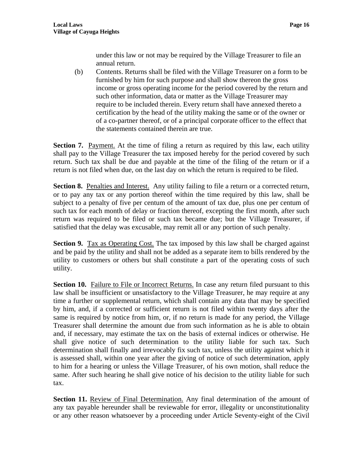under this law or not may be required by the Village Treasurer to file an annual return.

(b) Contents. Returns shall be filed with the Village Treasurer on a form to be furnished by him for such purpose and shall show thereon the gross income or gross operating income for the period covered by the return and such other information, data or matter as the Village Treasurer may require to be included therein. Every return shall have annexed thereto a certification by the head of the utility making the same or of the owner or of a co-partner thereof, or of a principal corporate officer to the effect that the statements contained therein are true.

**Section 7.** Payment. At the time of filing a return as required by this law, each utility shall pay to the Village Treasurer the tax imposed hereby for the period covered by such return. Such tax shall be due and payable at the time of the filing of the return or if a return is not filed when due, on the last day on which the return is required to be filed.

**Section 8.** Penalties and Interest. Any utility failing to file a return or a corrected return, or to pay any tax or any portion thereof within the time required by this law, shall be subject to a penalty of five per centum of the amount of tax due, plus one per centum of such tax for each month of delay or fraction thereof, excepting the first month, after such return was required to be filed or such tax became due; but the Village Treasurer, if satisfied that the delay was excusable, may remit all or any portion of such penalty.

**Section 9.** Tax as Operating Cost. The tax imposed by this law shall be charged against and be paid by the utility and shall not be added as a separate item to bills rendered by the utility to customers or others but shall constitute a part of the operating costs of such utility.

**Section 10.** Failure to File or Incorrect Returns. In case any return filed pursuant to this law shall be insufficient or unsatisfactory to the Village Treasurer, he may require at any time a further or supplemental return, which shall contain any data that may be specified by him, and, if a corrected or sufficient return is not filed within twenty days after the same is required by notice from him, or, if no return is made for any period, the Village Treasurer shall determine the amount due from such information as he is able to obtain and, if necessary, may estimate the tax on the basis of external indices or otherwise. He shall give notice of such determination to the utility liable for such tax. Such determination shall finally and irrevocably fix such tax, unless the utility against which it is assessed shall, within one year after the giving of notice of such determination, apply to him for a hearing or unless the Village Treasurer, of his own motion, shall reduce the same. After such hearing he shall give notice of his decision to the utility liable for such tax.

**Section 11.** Review of Final Determination. Any final determination of the amount of any tax payable hereunder shall be reviewable for error, illegality or unconstitutionality or any other reason whatsoever by a proceeding under Article Seventy-eight of the Civil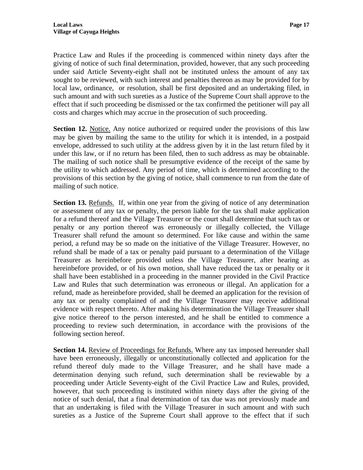Practice Law and Rules if the proceeding is commenced within ninety days after the giving of notice of such final determination, provided, however, that any such proceeding under said Article Seventy-eight shall not be instituted unless the amount of any tax sought to be reviewed, with such interest and penalties thereon as may be provided for by local law, ordinance, or resolution, shall be first deposited and an undertaking filed, in such amount and with such sureties as a Justice of the Supreme Court shall approve to the effect that if such proceeding be dismissed or the tax confirmed the petitioner will pay all costs and charges which may accrue in the prosecution of such proceeding.

**Section 12.** Notice. Any notice authorized or required under the provisions of this law may be given by mailing the same to the utility for which it is intended, in a postpaid envelope, addressed to such utility at the address given by it in the last return filed by it under this law, or if no return has been filed, then to such address as may be obtainable. The mailing of such notice shall be presumptive evidence of the receipt of the same by the utility to which addressed. Any period of time, which is determined according to the provisions of this section by the giving of notice, shall commence to run from the date of mailing of such notice.

**Section 13.** Refunds. If, within one year from the giving of notice of any determination or assessment of any tax or penalty, the person liable for the tax shall make application for a refund thereof and the Village Treasurer or the court shall determine that such tax or penalty or any portion thereof was erroneously or illegally collected, the Village Treasurer shall refund the amount so determined. For like cause and within the same period, a refund may be so made on the initiative of the Village Treasurer. However, no refund shall be made of a tax or penalty paid pursuant to a determination of the Village Treasurer as hereinbefore provided unless the Village Treasurer, after hearing as hereinbefore provided, or of his own motion, shall have reduced the tax or penalty or it shall have been established in a proceeding in the manner provided in the Civil Practice Law and Rules that such determination was erroneous or illegal. An application for a refund, made as hereinbefore provided, shall be deemed an application for the revision of any tax or penalty complained of and the Village Treasurer may receive additional evidence with respect thereto. After making his determination the Village Treasurer shall give notice thereof to the person interested, and he shall be entitled to commence a proceeding to review such determination, in accordance with the provisions of the following section hereof.

**Section 14.** Review of Proceedings for Refunds. Where any tax imposed hereunder shall have been erroneously, illegally or unconstitutionally collected and application for the refund thereof duly made to the Village Treasurer, and he shall have made a determination denying such refund, such determination shall be reviewable by a proceeding under Article Seventy-eight of the Civil Practice Law and Rules, provided, however, that such proceeding is instituted within ninety days after the giving of the notice of such denial, that a final determination of tax due was not previously made and that an undertaking is filed with the Village Treasurer in such amount and with such sureties as a Justice of the Supreme Court shall approve to the effect that if such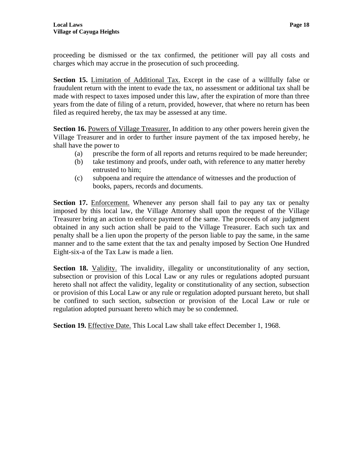proceeding be dismissed or the tax confirmed, the petitioner will pay all costs and charges which may accrue in the prosecution of such proceeding.

**Section 15.** Limitation of Additional Tax. Except in the case of a willfully false or fraudulent return with the intent to evade the tax, no assessment or additional tax shall be made with respect to taxes imposed under this law, after the expiration of more than three years from the date of filing of a return, provided, however, that where no return has been filed as required hereby, the tax may be assessed at any time.

**Section 16.** Powers of Village Treasurer. In addition to any other powers herein given the Village Treasurer and in order to further insure payment of the tax imposed hereby, he shall have the power to

- (a) prescribe the form of all reports and returns required to be made hereunder;
- (b) take testimony and proofs, under oath, with reference to any matter hereby entrusted to him;
- (c) subpoena and require the attendance of witnesses and the production of books, papers, records and documents.

**Section 17.** Enforcement. Whenever any person shall fail to pay any tax or penalty imposed by this local law, the Village Attorney shall upon the request of the Village Treasurer bring an action to enforce payment of the same. The proceeds of any judgment obtained in any such action shall be paid to the Village Treasurer. Each such tax and penalty shall be a lien upon the property of the person liable to pay the same, in the same manner and to the same extent that the tax and penalty imposed by Section One Hundred Eight-six-a of the Tax Law is made a lien.

**Section 18.** Validity. The invalidity, illegality or unconstitutionality of any section, subsection or provision of this Local Law or any rules or regulations adopted pursuant hereto shall not affect the validity, legality or constitutionality of any section, subsection or provision of this Local Law or any rule or regulation adopted pursuant hereto, but shall be confined to such section, subsection or provision of the Local Law or rule or regulation adopted pursuant hereto which may be so condemned.

**Section 19.** Effective Date. This Local Law shall take effect December 1, 1968.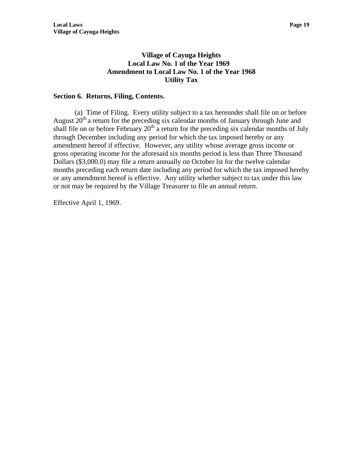# **Village of Cayuga Heights Local Law No. 1 of the Year 1969 Amendment to Local Law No. 1 of the Year 1968 Utility Tax**

# **Section 6. Returns, Filing, Contents.**

 (a) Time of Filing. Every utility subject to a tax hereunder shall file on or before August  $20<sup>th</sup>$  a return for the preceding six calendar months of January through June and shall file on or before February  $20<sup>th</sup>$  a return for the preceding six calendar months of July through December including any period for which the tax imposed hereby or any amendment hereof if effective. However, any utility whose average gross income or gross operating income for the aforesaid six months period is less than Three Thousand Dollars (\$3,000.0) may file a return annually on October lst for the twelve calendar months preceding each return date including any period for which the tax imposed hereby or any amendment hereof is effective. Any utility whether subject to tax under this law or not may be required by the Village Treasurer to file an annual return.

Effective April 1, 1969.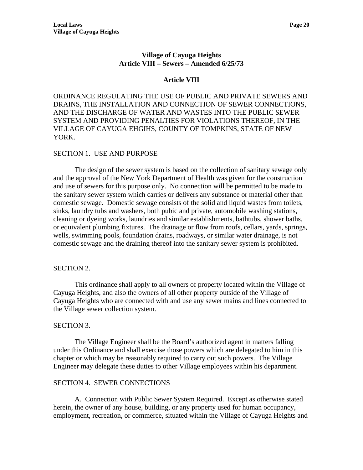#### **Village of Cayuga Heights Article VIII – Sewers – Amended 6/25/73**

#### **Article VIII**

ORDINANCE REGULATING THE USE OF PUBLIC AND PRIVATE SEWERS AND DRAINS, THE INSTALLATION AND CONNECTION OF SEWER CONNECTIONS, AND THE DISCHARGE OF WATER AND WASTES INTO THE PUBLIC SEWER SYSTEM AND PROVIDING PENALTIES FOR VIOLATIONS THEREOF, IN THE VILLAGE OF CAYUGA EHGIHS, COUNTY OF TOMPKINS, STATE OF NEW YORK.

#### SECTION 1. USE AND PURPOSE

 The design of the sewer system is based on the collection of sanitary sewage only and the approval of the New York Department of Health was given for the construction and use of sewers for this purpose only. No connection will be permitted to be made to the sanitary sewer system which carries or delivers any substance or material other than domestic sewage. Domestic sewage consists of the solid and liquid wastes from toilets, sinks, laundry tubs and washers, both pubic and private, automobile washing stations, cleaning or dyeing works, laundries and similar establishments, bathtubs, shower baths, or equivalent plumbing fixtures. The drainage or flow from roofs, cellars, yards, springs, wells, swimming pools, foundation drains, roadways, or similar water drainage, is not domestic sewage and the draining thereof into the sanitary sewer system is prohibited.

#### SECTION 2.

 This ordinance shall apply to all owners of property located within the Village of Cayuga Heights, and also the owners of all other property outside of the Village of Cayuga Heights who are connected with and use any sewer mains and lines connected to the Village sewer collection system.

#### SECTION 3.

 The Village Engineer shall be the Board's authorized agent in matters falling under this Ordinance and shall exercise those powers which are delegated to him in this chapter or which may be reasonably required to carry out such powers. The Village Engineer may delegate these duties to other Village employees within his department.

#### SECTION 4. SEWER CONNECTIONS

 A. Connection with Public Sewer System Required. Except as otherwise stated herein, the owner of any house, building, or any property used for human occupancy, employment, recreation, or commerce, situated within the Village of Cayuga Heights and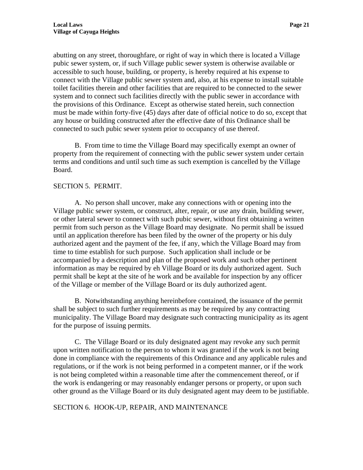abutting on any street, thoroughfare, or right of way in which there is located a Village pubic sewer system, or, if such Village public sewer system is otherwise available or accessible to such house, building, or property, is hereby required at his expense to connect with the Village public sewer system and, also, at his expense to install suitable toilet facilities therein and other facilities that are required to be connected to the sewer system and to connect such facilities directly with the public sewer in accordance with the provisions of this Ordinance. Except as otherwise stated herein, such connection must be made within forty-five (45) days after date of official notice to do so, except that any house or building constructed after the effective date of this Ordinance shall be connected to such pubic sewer system prior to occupancy of use thereof.

 B. From time to time the Village Board may specifically exempt an owner of property from the requirement of connecting with the public sewer system under certain terms and conditions and until such time as such exemption is cancelled by the Village Board.

#### SECTION 5. PERMIT.

 A. No person shall uncover, make any connections with or opening into the Village public sewer system, or construct, alter, repair, or use any drain, building sewer, or other lateral sewer to connect with such pubic sewer, without first obtaining a written permit from such person as the Village Board may designate. No permit shall be issued until an application therefore has been filed by the owner of the property or his duly authorized agent and the payment of the fee, if any, which the Village Board may from time to time establish for such purpose. Such application shall include or be accompanied by a description and plan of the proposed work and such other pertinent information as may be required by eh Village Board or its duly authorized agent. Such permit shall be kept at the site of he work and be available for inspection by any officer of the Village or member of the Village Board or its duly authorized agent.

 B. Notwithstanding anything hereinbefore contained, the issuance of the permit shall be subject to such further requirements as may be required by any contracting municipality. The Village Board may designate such contracting municipality as its agent for the purpose of issuing permits.

C. The Village Board or its duly designated agent may revoke any such permit upon written notification to the person to whom it was granted if the work is not being done in compliance with the requirements of this Ordinance and any applicable rules and regulations, or if the work is not being performed in a competent manner, or if the work is not being completed within a reasonable time after the commencement thereof, or if the work is endangering or may reasonably endanger persons or property, or upon such other ground as the Village Board or its duly designated agent may deem to be justifiable.

SECTION 6. HOOK-UP, REPAIR, AND MAINTENANCE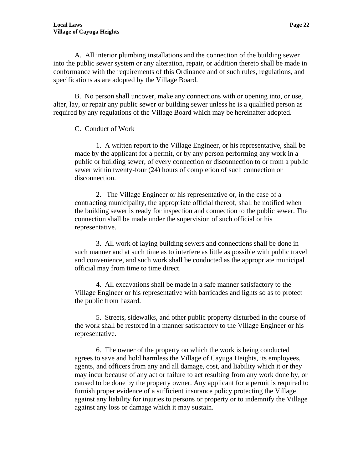A. All interior plumbing installations and the connection of the building sewer into the public sewer system or any alteration, repair, or addition thereto shall be made in conformance with the requirements of this Ordinance and of such rules, regulations, and specifications as are adopted by the Village Board.

B. No person shall uncover, make any connections with or opening into, or use, alter, lay, or repair any public sewer or building sewer unless he is a qualified person as required by any regulations of the Village Board which may be hereinafter adopted.

#### C. Conduct of Work

1. A written report to the Village Engineer, or his representative, shall be made by the applicant for a permit, or by any person performing any work in a public or building sewer, of every connection or disconnection to or from a public sewer within twenty-four (24) hours of completion of such connection or disconnection.

2. The Village Engineer or his representative or, in the case of a contracting municipality, the appropriate official thereof, shall be notified when the building sewer is ready for inspection and connection to the public sewer. The connection shall be made under the supervision of such official or his representative.

3. All work of laying building sewers and connections shall be done in such manner and at such time as to interfere as little as possible with public travel and convenience, and such work shall be conducted as the appropriate municipal official may from time to time direct.

4. All excavations shall be made in a safe manner satisfactory to the Village Engineer or his representative with barricades and lights so as to protect the public from hazard.

5. Streets, sidewalks, and other public property disturbed in the course of the work shall be restored in a manner satisfactory to the Village Engineer or his representative.

6. The owner of the property on which the work is being conducted agrees to save and hold harmless the Village of Cayuga Heights, its employees, agents, and officers from any and all damage, cost, and liability which it or they may incur because of any act or failure to act resulting from any work done by, or caused to be done by the property owner. Any applicant for a permit is required to furnish proper evidence of a sufficient insurance policy protecting the Village against any liability for injuries to persons or property or to indemnify the Village against any loss or damage which it may sustain.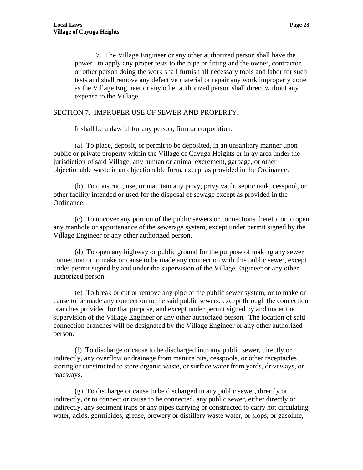7. The Village Engineer or any other authorized person shall have the power to apply any proper tests to the pipe or fitting and the owner, contractor, or other person doing the work shall furnish all necessary tools and labor for such tests and shall remove any defective material or repair any work improperly done as the Village Engineer or any other authorized person shall direct without any expense to the Village.

#### SECTION 7. IMPROPER USE OF SEWER AND PROPERTY.

It shall be unlawful for any person, firm or corporation:

(a) To place, deposit, or permit to be deposited, in an unsanitary manner upon public or private property within the Village of Cayuga Heights or in ay area under the jurisdiction of said Village, any human or animal excrement, garbage, or other objectionable waste in an objectionable form, except as provided in the Ordinance.

(b) To construct, use, or maintain any privy, privy vault, septic tank, cesspool, or other facility intended or used for the disposal of sewage except as provided in the Ordinance.

(c) To uncover any portion of the public sewers or connections thereto, or to open any manhole or appurtenance of the sewerage system, except under permit signed by the Village Engineer or any other authorized person.

(d) To open any highway or public ground for the purpose of making any sewer connection or to make or cause to be made any connection with this public sewer, except under permit signed by and under the supervision of the Village Engineer or any other authorized person.

(e) To break or cut or remove any pipe of the public sewer system, or to make or cause to be made any connection to the said public sewers, except through the connection branches provided for that purpose, and except under permit signed by and under the supervision of the Village Engineer or any other authorized person. The location of said connection branches will be designated by the Village Engineer or any other authorized person.

(f) To discharge or cause to be discharged into any public sewer, directly or indirectly, any overflow or drainage from manure pits, cesspools, or other receptacles storing or constructed to store organic waste, or surface water from yards, driveways, or roadways.

(g) To discharge or cause to be discharged in any public sewer, directly or indirectly, or to connect or cause to be connected, any public sewer, either directly or indirectly, any sediment traps or any pipes carrying or constructed to carry hot circulating water, acids, germicides, grease, brewery or distillery waste water, or slops, or gasoline,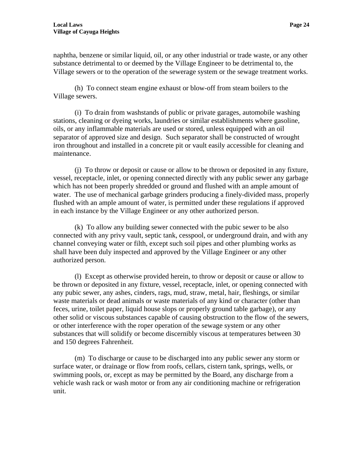naphtha, benzene or similar liquid, oil, or any other industrial or trade waste, or any other substance detrimental to or deemed by the Village Engineer to be detrimental to, the Village sewers or to the operation of the sewerage system or the sewage treatment works.

(h) To connect steam engine exhaust or blow-off from steam boilers to the Village sewers.

(i) To drain from washstands of public or private garages, automobile washing stations, cleaning or dyeing works, laundries or similar establishments where gasoline, oils, or any inflammable materials are used or stored, unless equipped with an oil separator of approved size and design. Such separator shall be constructed of wrought iron throughout and installed in a concrete pit or vault easily accessible for cleaning and maintenance.

(j) To throw or deposit or cause or allow to be thrown or deposited in any fixture, vessel, receptacle, inlet, or opening connected directly with any public sewer any garbage which has not been properly shredded or ground and flushed with an ample amount of water. The use of mechanical garbage grinders producing a finely-divided mass, properly flushed with an ample amount of water, is permitted under these regulations if approved in each instance by the Village Engineer or any other authorized person.

(k) To allow any building sewer connected with the pubic sewer to be also connected with any privy vault, septic tank, cesspool, or underground drain, and with any channel conveying water or filth, except such soil pipes and other plumbing works as shall have been duly inspected and approved by the Village Engineer or any other authorized person.

(l) Except as otherwise provided herein, to throw or deposit or cause or allow to be thrown or deposited in any fixture, vessel, receptacle, inlet, or opening connected with any pubic sewer, any ashes, cinders, rags, mud, straw, metal, hair, fleshings, or similar waste materials or dead animals or waste materials of any kind or character (other than feces, urine, toilet paper, liquid house slops or properly ground table garbage), or any other solid or viscous substances capable of causing obstruction to the flow of the sewers, or other interference with the roper operation of the sewage system or any other substances that will solidify or become discernibly viscous at temperatures between 30 and 150 degrees Fahrenheit.

(m) To discharge or cause to be discharged into any public sewer any storm or surface water, or drainage or flow from roofs, cellars, cistern tank, springs, wells, or swimming pools, or, except as may be permitted by the Board, any discharge from a vehicle wash rack or wash motor or from any air conditioning machine or refrigeration unit.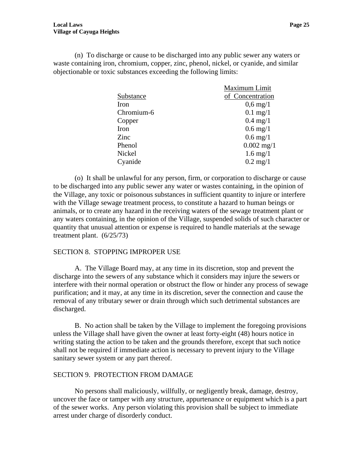(n) To discharge or cause to be discharged into any public sewer any waters or waste containing iron, chromium, copper, zinc, phenol, nickel, or cyanide, and similar objectionable or toxic substances exceeding the following limits:

|            | Maximum Limit         |
|------------|-----------------------|
| Substance  | of Concentration      |
| Iron       | $0,6 \,\mathrm{mg}/1$ |
| Chromium-6 | $0.1$ mg/1            |
| Copper     | $0.4 \text{ mg}/1$    |
| Iron       | $0.6 \,\mathrm{mg}/1$ |
| Zinc       | $0.6$ mg/1            |
| Phenol     | $0.002$ mg/1          |
| Nickel     | $1.6 \text{ mg}/1$    |
| Cyanide    | $0.2 \text{ mg}/1$    |
|            |                       |

(o) It shall be unlawful for any person, firm, or corporation to discharge or cause to be discharged into any public sewer any water or wastes containing, in the opinion of the Village, any toxic or poisonous substances in sufficient quantity to injure or interfere with the Village sewage treatment process, to constitute a hazard to human beings or animals, or to create any hazard in the receiving waters of the sewage treatment plant or any waters containing, in the opinion of the Village, suspended solids of such character or quantity that unusual attention or expense is required to handle materials at the sewage treatment plant. (6/25/73)

#### SECTION 8. STOPPING IMPROPER USE

 A. The Village Board may, at any time in its discretion, stop and prevent the discharge into the sewers of any substance which it considers may injure the sewers or interfere with their normal operation or obstruct the flow or hinder any process of sewage purification; and it may, at any time in its discretion, sever the connection and cause the removal of any tributary sewer or drain through which such detrimental substances are discharged.

 B. No action shall be taken by the Village to implement the foregoing provisions unless the Village shall have given the owner at least forty-eight (48) hours notice in writing stating the action to be taken and the grounds therefore, except that such notice shall not be required if immediate action is necessary to prevent injury to the Village sanitary sewer system or any part thereof.

#### SECTION 9. PROTECTION FROM DAMAGE

 No persons shall maliciously, willfully, or negligently break, damage, destroy, uncover the face or tamper with any structure, appurtenance or equipment which is a part of the sewer works. Any person violating this provision shall be subject to immediate arrest under charge of disorderly conduct.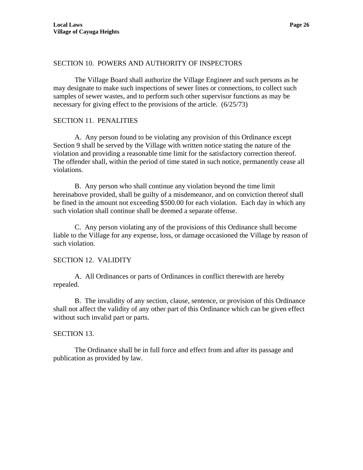# SECTION 10. POWERS AND AUTHORITY OF INSPECTORS

 The Village Board shall authorize the Village Engineer and such persons as he may designate to make such inspections of sewer lines or connections, to collect such samples of sewer wastes, and to perform such other supervisor functions as may be necessary for giving effect to the provisions of the article. (6/25/73)

# SECTION 11. PENALITIES

 A. Any person found to be violating any provision of this Ordinance except Section 9 shall be served by the Village with written notice stating the nature of the violation and providing a reasonable time limit for the satisfactory correction thereof. The offender shall, within the period of time stated in such notice, permanently cease all violations.

 B. Any person who shall continue any violation beyond the time limit hereinabove provided, shall be guilty of a misdemeanor, and on conviction thereof shall be fined in the amount not exceeding \$500.00 for each violation. Each day in which any such violation shall continue shall be deemed a separate offense.

 C. Any person violating any of the provisions of this Ordinance shall become liable to the Village for any expense, loss, or damage occasioned the Village by reason of such violation.

#### SECTION 12. VALIDITY

 A. All Ordinances or parts of Ordinances in conflict therewith are hereby repealed.

 B. The invalidity of any section, clause, sentence, or provision of this Ordinance shall not affect the validity of any other part of this Ordinance which can be given effect without such invalid part or parts.

#### SECTION 13.

 The Ordinance shall be in full force and effect from and after its passage and publication as provided by law.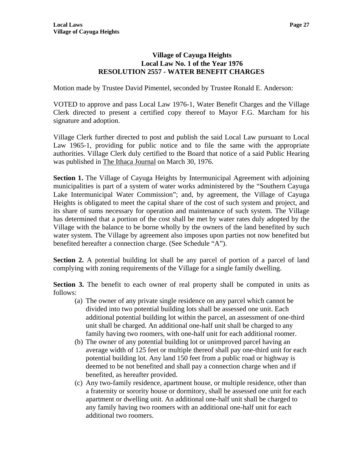# **Village of Cayuga Heights Local Law No. 1 of the Year 1976 RESOLUTION 2557 - WATER BENEFIT CHARGES**

Motion made by Trustee David Pimentel, seconded by Trustee Ronald E. Anderson:

VOTED to approve and pass Local Law 1976-1, Water Benefit Charges and the Village Clerk directed to present a certified copy thereof to Mayor F.G. Marcham for his signature and adoption.

Village Clerk further directed to post and publish the said Local Law pursuant to Local Law 1965-1, providing for public notice and to file the same with the appropriate authorities. Village Clerk duly certified to the Board that notice of a said Public Hearing was published in The Ithaca Journal on March 30, 1976.

**Section 1.** The Village of Cayuga Heights by Intermunicipal Agreement with adjoining municipalities is part of a system of water works administered by the "Southern Cayuga Lake Intermunicipal Water Commission"; and, by agreement, the Village of Cayuga Heights is obligated to meet the capital share of the cost of such system and project, and its share of sums necessary for operation and maintenance of such system. The Village has determined that a portion of the cost shall be met by water rates duly adopted by the Village with the balance to be borne wholly by the owners of the land benefited by such water system. The Village by agreement also imposes upon parties not now benefited but benefited hereafter a connection charge. (See Schedule "A").

**Section 2.** A potential building lot shall be any parcel of portion of a parcel of land complying with zoning requirements of the Village for a single family dwelling.

**Section 3.** The benefit to each owner of real property shall be computed in units as follows:

- (a) The owner of any private single residence on any parcel which cannot be divided into two potential building lots shall be assessed one unit. Each additional potential building lot within the parcel, an assessment of one-third unit shall be charged. An additional one-half unit shall be charged to any family having two roomers, with one-half unit for each additional roomer.
- (b) The owner of any potential building lot or unimproved parcel having an average width of 125 feet or multiple thereof shall pay one-third unit for each potential building lot. Any land 150 feet from a public road or highway is deemed to be not benefited and shall pay a connection charge when and if benefited, as hereafter provided.
- (c) Any two-family residence, apartment house, or multiple residence, other than a fraternity or sorority house or dormitory, shall be assessed one unit for each apartment or dwelling unit. An additional one-half unit shall be charged to any family having two roomers with an additional one-half unit for each additional two roomers.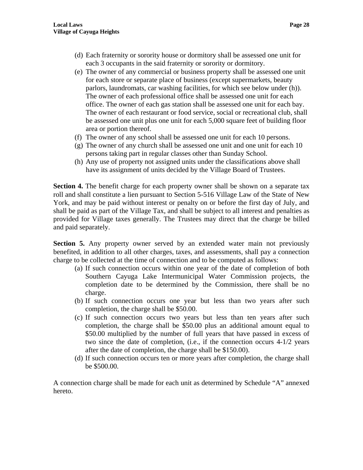- (d) Each fraternity or sorority house or dormitory shall be assessed one unit for each 3 occupants in the said fraternity or sorority or dormitory.
- (e) The owner of any commercial or business property shall be assessed one unit for each store or separate place of business (except supermarkets, beauty parlors, laundromats, car washing facilities, for which see below under (h)). The owner of each professional office shall be assessed one unit for each office. The owner of each gas station shall be assessed one unit for each bay. The owner of each restaurant or food service, social or recreational club, shall be assessed one unit plus one unit for each 5,000 square feet of building floor area or portion thereof.
- (f) The owner of any school shall be assessed one unit for each 10 persons.
- (g) The owner of any church shall be assessed one unit and one unit for each 10 persons taking part in regular classes other than Sunday School.
- (h) Any use of property not assigned units under the classifications above shall have its assignment of units decided by the Village Board of Trustees.

**Section 4.** The benefit charge for each property owner shall be shown on a separate tax roll and shall constitute a lien pursuant to Section 5-516 Village Law of the State of New York, and may be paid without interest or penalty on or before the first day of July, and shall be paid as part of the Village Tax, and shall be subject to all interest and penalties as provided for Village taxes generally. The Trustees may direct that the charge be billed and paid separately.

**Section 5.** Any property owner served by an extended water main not previously benefited, in addition to all other charges, taxes, and assessments, shall pay a connection charge to be collected at the time of connection and to be computed as follows:

- (a) If such connection occurs within one year of the date of completion of both Southern Cayuga Lake Intermunicipal Water Commission projects, the completion date to be determined by the Commission, there shall be no charge.
- (b) If such connection occurs one year but less than two years after such completion, the charge shall be \$50.00.
- (c) If such connection occurs two years but less than ten years after such completion, the charge shall be \$50.00 plus an additional amount equal to \$50.00 multiplied by the number of full years that have passed in excess of two since the date of completion, (i.e., if the connection occurs 4-1/2 years after the date of completion, the charge shall be \$150.00).
- (d) If such connection occurs ten or more years after completion, the charge shall be \$500.00.

A connection charge shall be made for each unit as determined by Schedule "A" annexed hereto.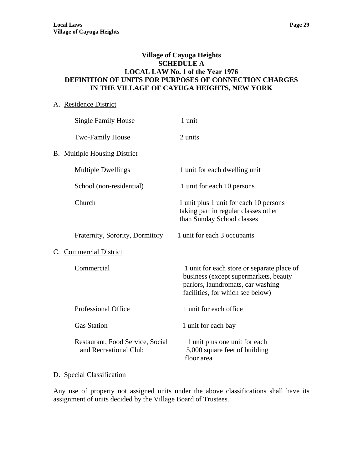## **Village of Cayuga Heights SCHEDULE A LOCAL LAW No. 1 of the Year 1976 DEFINITION OF UNITS FOR PURPOSES OF CONNECTION CHARGES IN THE VILLAGE OF CAYUGA HEIGHTS, NEW YORK**

# A. Residence District

|    | <b>Single Family House</b>                                | 1 unit                                                                                                                                                       |
|----|-----------------------------------------------------------|--------------------------------------------------------------------------------------------------------------------------------------------------------------|
|    | <b>Two-Family House</b>                                   | 2 units                                                                                                                                                      |
|    | <b>B.</b> Multiple Housing District                       |                                                                                                                                                              |
|    | <b>Multiple Dwellings</b>                                 | 1 unit for each dwelling unit                                                                                                                                |
|    | School (non-residential)                                  | 1 unit for each 10 persons                                                                                                                                   |
|    | Church                                                    | 1 unit plus 1 unit for each 10 persons<br>taking part in regular classes other<br>than Sunday School classes                                                 |
|    | Fraternity, Sorority, Dormitory                           | 1 unit for each 3 occupants                                                                                                                                  |
| C. | <b>Commercial District</b>                                |                                                                                                                                                              |
|    | Commercial                                                | 1 unit for each store or separate place of<br>business (except supermarkets, beauty<br>parlors, laundromats, car washing<br>facilities, for which see below) |
|    | Professional Office                                       | 1 unit for each office                                                                                                                                       |
|    | <b>Gas Station</b>                                        | 1 unit for each bay                                                                                                                                          |
|    | Restaurant, Food Service, Social<br>and Recreational Club | 1 unit plus one unit for each<br>5,000 square feet of building<br>floor area                                                                                 |

# D. Special Classification

Any use of property not assigned units under the above classifications shall have its assignment of units decided by the Village Board of Trustees.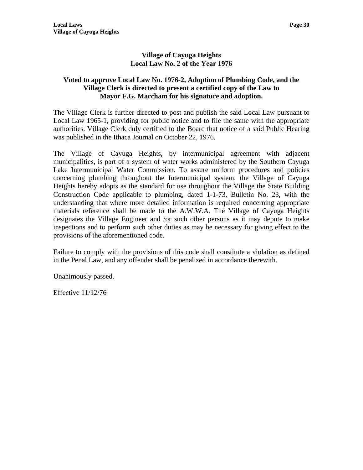# **Village of Cayuga Heights Local Law No. 2 of the Year 1976**

# **Voted to approve Local Law No. 1976-2, Adoption of Plumbing Code, and the Village Clerk is directed to present a certified copy of the Law to Mayor F.G. Marcham for his signature and adoption.**

The Village Clerk is further directed to post and publish the said Local Law pursuant to Local Law 1965-1, providing for public notice and to file the same with the appropriate authorities. Village Clerk duly certified to the Board that notice of a said Public Hearing was published in the Ithaca Journal on October 22, 1976.

The Village of Cayuga Heights, by intermunicipal agreement with adjacent municipalities, is part of a system of water works administered by the Southern Cayuga Lake Intermunicipal Water Commission. To assure uniform procedures and policies concerning plumbing throughout the Intermunicipal system, the Village of Cayuga Heights hereby adopts as the standard for use throughout the Village the State Building Construction Code applicable to plumbing, dated 1-1-73, Bulletin No. 23, with the understanding that where more detailed information is required concerning appropriate materials reference shall be made to the A.W.W.A. The Village of Cayuga Heights designates the Village Engineer and /or such other persons as it may depute to make inspections and to perform such other duties as may be necessary for giving effect to the provisions of the aforementioned code.

Failure to comply with the provisions of this code shall constitute a violation as defined in the Penal Law, and any offender shall be penalized in accordance therewith.

Unanimously passed.

Effective 11/12/76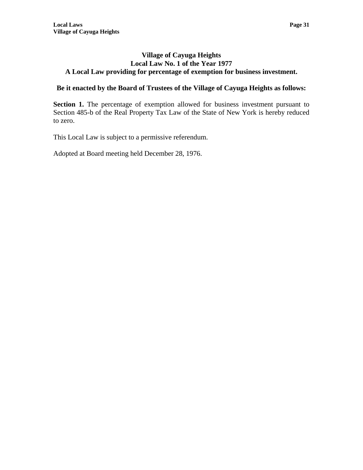#### **Village of Cayuga Heights Local Law No. 1 of the Year 1977 A Local Law providing for percentage of exemption for business investment.**

# **Be it enacted by the Board of Trustees of the Village of Cayuga Heights as follows:**

**Section 1.** The percentage of exemption allowed for business investment pursuant to Section 485-b of the Real Property Tax Law of the State of New York is hereby reduced to zero.

This Local Law is subject to a permissive referendum.

Adopted at Board meeting held December 28, 1976.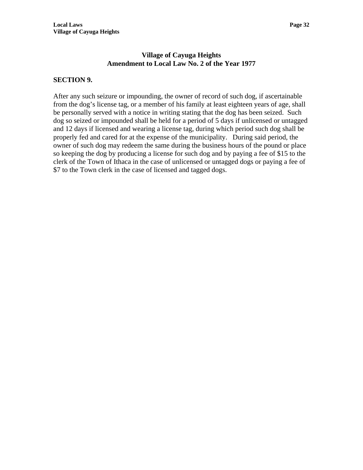# **Village of Cayuga Heights Amendment to Local Law No. 2 of the Year 1977**

# **SECTION 9.**

After any such seizure or impounding, the owner of record of such dog, if ascertainable from the dog's license tag, or a member of his family at least eighteen years of age, shall be personally served with a notice in writing stating that the dog has been seized. Such dog so seized or impounded shall be held for a period of 5 days if unlicensed or untagged and 12 days if licensed and wearing a license tag, during which period such dog shall be properly fed and cared for at the expense of the municipality. During said period, the owner of such dog may redeem the same during the business hours of the pound or place so keeping the dog by producing a license for such dog and by paying a fee of \$15 to the clerk of the Town of Ithaca in the case of unlicensed or untagged dogs or paying a fee of \$7 to the Town clerk in the case of licensed and tagged dogs.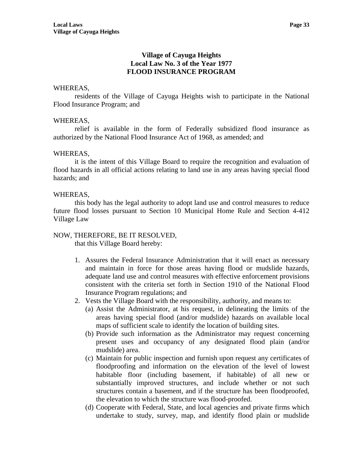# **Village of Cayuga Heights Local Law No. 3 of the Year 1977 FLOOD INSURANCE PROGRAM**

#### WHEREAS,

 residents of the Village of Cayuga Heights wish to participate in the National Flood Insurance Program; and

#### WHEREAS,

 relief is available in the form of Federally subsidized flood insurance as authorized by the National Flood Insurance Act of 1968, as amended; and

#### WHEREAS,

 it is the intent of this Village Board to require the recognition and evaluation of flood hazards in all official actions relating to land use in any areas having special flood hazards; and

#### WHEREAS,

 this body has the legal authority to adopt land use and control measures to reduce future flood losses pursuant to Section 10 Municipal Home Rule and Section 4-412 Village Law

#### NOW, THEREFORE, BE IT RESOLVED,

that this Village Board hereby:

- 1. Assures the Federal Insurance Administration that it will enact as necessary and maintain in force for those areas having flood or mudslide hazards, adequate land use and control measures with effective enforcement provisions consistent with the criteria set forth in Section 1910 of the National Flood Insurance Program regulations; and
- 2. Vests the Village Board with the responsibility, authority, and means to:
	- (a) Assist the Administrator, at his request, in delineating the limits of the areas having special flood (and/or mudslide) hazards on available local maps of sufficient scale to identify the location of building sites.
	- (b) Provide such information as the Administrator may request concerning present uses and occupancy of any designated flood plain (and/or mudslide) area.
	- (c) Maintain for public inspection and furnish upon request any certificates of floodproofing and information on the elevation of the level of lowest habitable floor (including basement, if habitable) of all new or substantially improved structures, and include whether or not such structures contain a basement, and if the structure has been floodproofed, the elevation to which the structure was flood-proofed.
	- (d) Cooperate with Federal, State, and local agencies and private firms which undertake to study, survey, map, and identify flood plain or mudslide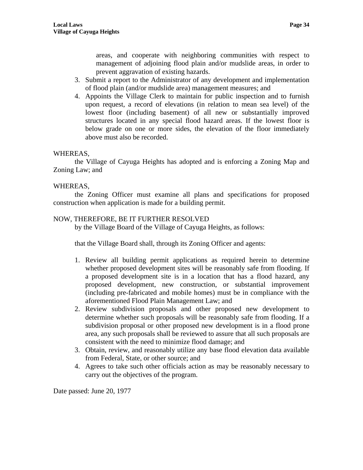areas, and cooperate with neighboring communities with respect to management of adjoining flood plain and/or mudslide areas, in order to prevent aggravation of existing hazards.

- 3. Submit a report to the Administrator of any development and implementation of flood plain (and/or mudslide area) management measures; and
- 4. Appoints the Village Clerk to maintain for public inspection and to furnish upon request, a record of elevations (in relation to mean sea level) of the lowest floor (including basement) of all new or substantially improved structures located in any special flood hazard areas. If the lowest floor is below grade on one or more sides, the elevation of the floor immediately above must also be recorded.

### WHEREAS,

 the Village of Cayuga Heights has adopted and is enforcing a Zoning Map and Zoning Law; and

### WHEREAS,

 the Zoning Officer must examine all plans and specifications for proposed construction when application is made for a building permit.

## NOW, THEREFORE, BE IT FURTHER RESOLVED

by the Village Board of the Village of Cayuga Heights, as follows:

that the Village Board shall, through its Zoning Officer and agents:

- 1. Review all building permit applications as required herein to determine whether proposed development sites will be reasonably safe from flooding. If a proposed development site is in a location that has a flood hazard, any proposed development, new construction, or substantial improvement (including pre-fabricated and mobile homes) must be in compliance with the aforementioned Flood Plain Management Law; and
- 2. Review subdivision proposals and other proposed new development to determine whether such proposals will be reasonably safe from flooding. If a subdivision proposal or other proposed new development is in a flood prone area, any such proposals shall be reviewed to assure that all such proposals are consistent with the need to minimize flood damage; and
- 3. Obtain, review, and reasonably utilize any base flood elevation data available from Federal, State, or other source; and
- 4. Agrees to take such other officials action as may be reasonably necessary to carry out the objectives of the program.

Date passed: June 20, 1977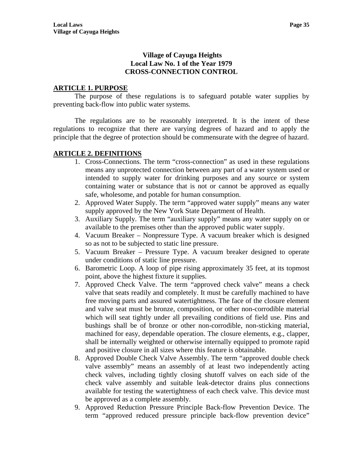## **Village of Cayuga Heights Local Law No. 1 of the Year 1979 CROSS-CONNECTION CONTROL**

### **ARTICLE 1. PURPOSE**

 The purpose of these regulations is to safeguard potable water supplies by preventing back-flow into public water systems.

 The regulations are to be reasonably interpreted. It is the intent of these regulations to recognize that there are varying degrees of hazard and to apply the principle that the degree of protection should be commensurate with the degree of hazard.

# **ARTICLE 2. DEFINITIONS**

- 1. Cross-Connections. The term "cross-connection" as used in these regulations means any unprotected connection between any part of a water system used or intended to supply water for drinking purposes and any source or system containing water or substance that is not or cannot be approved as equally safe, wholesome, and potable for human consumption.
- 2. Approved Water Supply. The term "approved water supply" means any water supply approved by the New York State Department of Health.
- 3. Auxiliary Supply. The term "auxiliary supply" means any water supply on or available to the premises other than the approved public water supply.
- 4. Vacuum Breaker Nonpressure Type. A vacuum breaker which is designed so as not to be subjected to static line pressure.
- 5. Vacuum Breaker Pressure Type. A vacuum breaker designed to operate under conditions of static line pressure.
- 6. Barometric Loop. A loop of pipe rising approximately 35 feet, at its topmost point, above the highest fixture it supplies.
- 7. Approved Check Valve. The term "approved check valve" means a check valve that seats readily and completely. It must be carefully machined to have free moving parts and assured watertightness. The face of the closure element and valve seat must be bronze, composition, or other non-corrodible material which will seat tightly under all prevailing conditions of field use. Pins and bushings shall be of bronze or other non-corrodible, non-sticking material, machined for easy, dependable operation. The closure elements, e.g., clapper, shall be internally weighted or otherwise internally equipped to promote rapid and positive closure in all sizes where this feature is obtainable.
- 8. Approved Double Check Valve Assembly. The term "approved double check valve assembly" means an assembly of at least two independently acting check valves, including tightly closing shutoff valves on each side of the check valve assembly and suitable leak-detector drains plus connections available for testing the watertightness of each check valve. This device must be approved as a complete assembly.
- 9. Approved Reduction Pressure Principle Back-flow Prevention Device. The term "approved reduced pressure principle back-flow prevention device"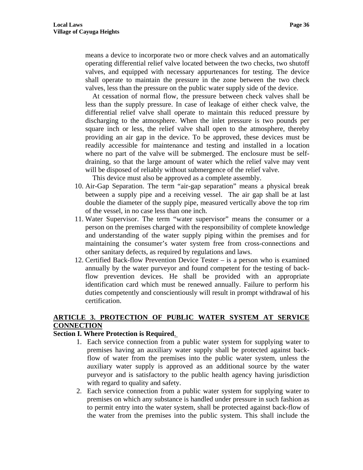means a device to incorporate two or more check valves and an automatically operating differential relief valve located between the two checks, two shutoff valves, and equipped with necessary appurtenances for testing. The device shall operate to maintain the pressure in the zone between the two check valves, less than the pressure on the public water supply side of the device.

 At cessation of normal flow, the pressure between check valves shall be less than the supply pressure. In case of leakage of either check valve, the differential relief valve shall operate to maintain this reduced pressure by discharging to the atmosphere. When the inlet pressure is two pounds per square inch or less, the relief valve shall open to the atmosphere, thereby providing an air gap in the device. To be approved, these devices must be readily accessible for maintenance and testing and installed in a location where no part of the valve will be submerged. The enclosure must be selfdraining, so that the large amount of water which the relief valve may vent will be disposed of reliably without submergence of the relief valve.

This device must also be approved as a complete assembly.

- 10. Air-Gap Separation. The term "air-gap separation" means a physical break between a supply pipe and a receiving vessel. The air gap shall be at last double the diameter of the supply pipe, measured vertically above the top rim of the vessel, in no case less than one inch.
- 11. Water Supervisor. The term "water supervisor" means the consumer or a person on the premises charged with the responsibility of complete knowledge and understanding of the water supply piping within the premises and for maintaining the consumer's water system free from cross-connections and other sanitary defects, as required by regulations and laws.
- 12. Certified Back-flow Prevention Device Tester is a person who is examined annually by the water purveyor and found competent for the testing of backflow prevention devices. He shall be provided with an appropriate identification card which must be renewed annually. Failure to perform his duties competently and conscientiously will result in prompt withdrawal of his certification.

# **ARTICLE 3. PROTECTION OF PUBLIC WATER SYSTEM AT SERVICE CONNECTION**

### **Section I. Where Protection is Required**.

- 1. Each service connection from a public water system for supplying water to premises having an auxiliary water supply shall be protected against backflow of water from the premises into the public water system, unless the auxiliary water supply is approved as an additional source by the water purveyor and is satisfactory to the public health agency having jurisdiction with regard to quality and safety.
- 2. Each service connection from a public water system for supplying water to premises on which any substance is handled under pressure in such fashion as to permit entry into the water system, shall be protected against back-flow of the water from the premises into the public system. This shall include the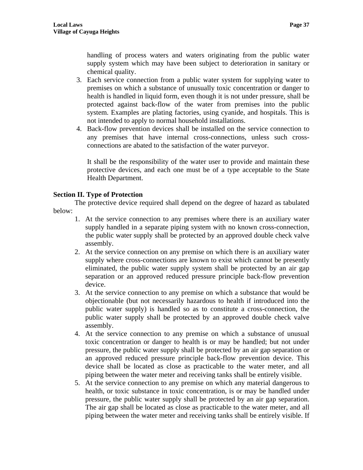handling of process waters and waters originating from the public water supply system which may have been subject to deterioration in sanitary or chemical quality.

- 3. Each service connection from a public water system for supplying water to premises on which a substance of unusually toxic concentration or danger to health is handled in liquid form, even though it is not under pressure, shall be protected against back-flow of the water from premises into the public system. Examples are plating factories, using cyanide, and hospitals. This is not intended to apply to normal household installations.
- 4. Back-flow prevention devices shall be installed on the service connection to any premises that have internal cross-connections, unless such crossconnections are abated to the satisfaction of the water purveyor.

It shall be the responsibility of the water user to provide and maintain these protective devices, and each one must be of a type acceptable to the State Health Department.

# **Section II. Type of Protection**

 The protective device required shall depend on the degree of hazard as tabulated below:

- 1. At the service connection to any premises where there is an auxiliary water supply handled in a separate piping system with no known cross-connection, the public water supply shall be protected by an approved double check valve assembly.
- 2. At the service connection on any premise on which there is an auxiliary water supply where cross-connections are known to exist which cannot be presently eliminated, the public water supply system shall be protected by an air gap separation or an approved reduced pressure principle back-flow prevention device.
- 3. At the service connection to any premise on which a substance that would be objectionable (but not necessarily hazardous to health if introduced into the public water supply) is handled so as to constitute a cross-connection, the public water supply shall be protected by an approved double check valve assembly.
- 4. At the service connection to any premise on which a substance of unusual toxic concentration or danger to health is or may be handled; but not under pressure, the public water supply shall be protected by an air gap separation or an approved reduced pressure principle back-flow prevention device. This device shall be located as close as practicable to the water meter, and all piping between the water meter and receiving tanks shall be entirely visible.
- 5. At the service connection to any premise on which any material dangerous to health, or toxic substance in toxic concentration, is or may be handled under pressure, the public water supply shall be protected by an air gap separation. The air gap shall be located as close as practicable to the water meter, and all piping between the water meter and receiving tanks shall be entirely visible. If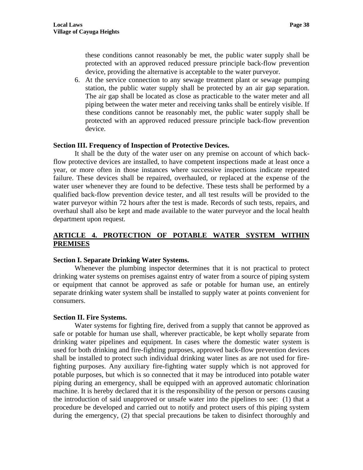these conditions cannot reasonably be met, the public water supply shall be protected with an approved reduced pressure principle back-flow prevention device, providing the alternative is acceptable to the water purveyor.

6. At the service connection to any sewage treatment plant or sewage pumping station, the public water supply shall be protected by an air gap separation. The air gap shall be located as close as practicable to the water meter and all piping between the water meter and receiving tanks shall be entirely visible. If these conditions cannot be reasonably met, the public water supply shall be protected with an approved reduced pressure principle back-flow prevention device.

#### **Section III. Frequency of Inspection of Protective Devices.**

 It shall be the duty of the water user on any premise on account of which backflow protective devices are installed, to have competent inspections made at least once a year, or more often in those instances where successive inspections indicate repeated failure. These devices shall be repaired, overhauled, or replaced at the expense of the water user whenever they are found to be defective. These tests shall be performed by a qualified back-flow prevention device tester, and all test results will be provided to the water purveyor within 72 hours after the test is made. Records of such tests, repairs, and overhaul shall also be kept and made available to the water purveyor and the local health department upon request.

## **ARTICLE 4. PROTECTION OF POTABLE WATER SYSTEM WITHIN PREMISES**

#### **Section I. Separate Drinking Water Systems.**

 Whenever the plumbing inspector determines that it is not practical to protect drinking water systems on premises against entry of water from a source of piping system or equipment that cannot be approved as safe or potable for human use, an entirely separate drinking water system shall be installed to supply water at points convenient for consumers.

### **Section II. Fire Systems.**

 Water systems for fighting fire, derived from a supply that cannot be approved as safe or potable for human use shall, wherever practicable, be kept wholly separate from drinking water pipelines and equipment. In cases where the domestic water system is used for both drinking and fire-fighting purposes, approved back-flow prevention devices shall be installed to protect such individual drinking water lines as are not used for firefighting purposes. Any auxiliary fire-fighting water supply which is not approved for potable purposes, but which is so connected that it may be introduced into potable water piping during an emergency, shall be equipped with an approved automatic chlorination machine. It is hereby declared that it is the responsibility of the person or persons causing the introduction of said unapproved or unsafe water into the pipelines to see: (1) that a procedure be developed and carried out to notify and protect users of this piping system during the emergency, (2) that special precautions be taken to disinfect thoroughly and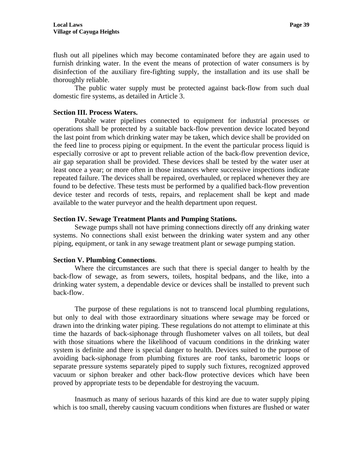flush out all pipelines which may become contaminated before they are again used to furnish drinking water. In the event the means of protection of water consumers is by disinfection of the auxiliary fire-fighting supply, the installation and its use shall be thoroughly reliable.

 The public water supply must be protected against back-flow from such dual domestic fire systems, as detailed in Article 3.

#### **Section III. Process Waters.**

 Potable water pipelines connected to equipment for industrial processes or operations shall be protected by a suitable back-flow prevention device located beyond the last point from which drinking water may be taken, which device shall be provided on the feed line to process piping or equipment. In the event the particular process liquid is especially corrosive or apt to prevent reliable action of the back-flow prevention device, air gap separation shall be provided. These devices shall be tested by the water user at least once a year; or more often in those instances where successive inspections indicate repeated failure. The devices shall be repaired, overhauled, or replaced whenever they are found to be defective. These tests must be performed by a qualified back-flow prevention device tester and records of tests, repairs, and replacement shall be kept and made available to the water purveyor and the health department upon request.

#### **Section IV. Sewage Treatment Plants and Pumping Stations.**

 Sewage pumps shall not have priming connections directly off any drinking water systems. No connections shall exist between the drinking water system and any other piping, equipment, or tank in any sewage treatment plant or sewage pumping station.

#### **Section V. Plumbing Connections**.

 Where the circumstances are such that there is special danger to health by the back-flow of sewage, as from sewers, toilets, hospital bedpans, and the like, into a drinking water system, a dependable device or devices shall be installed to prevent such back-flow.

 The purpose of these regulations is not to transcend local plumbing regulations, but only to deal with those extraordinary situations where sewage may be forced or drawn into the drinking water piping. These regulations do not attempt to eliminate at this time the hazards of back-siphonage through flushometer valves on all toilets, but deal with those situations where the likelihood of vacuum conditions in the drinking water system is definite and there is special danger to health. Devices suited to the purpose of avoiding back-siphonage from plumbing fixtures are roof tanks, barometric loops or separate pressure systems separately piped to supply such fixtures, recognized approved vacuum or siphon breaker and other back-flow protective devices which have been proved by appropriate tests to be dependable for destroying the vacuum.

 Inasmuch as many of serious hazards of this kind are due to water supply piping which is too small, thereby causing vacuum conditions when fixtures are flushed or water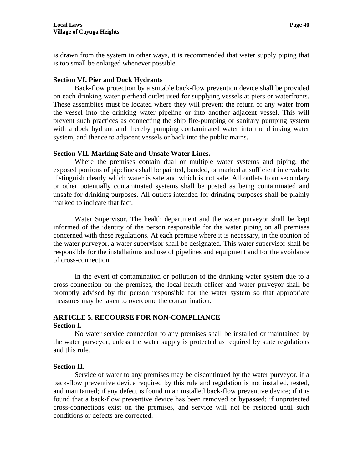is drawn from the system in other ways, it is recommended that water supply piping that is too small be enlarged whenever possible.

## **Section VI. Pier and Dock Hydrants**

 Back-flow protection by a suitable back-flow prevention device shall be provided on each drinking water pierhead outlet used for supplying vessels at piers or waterfronts. These assemblies must be located where they will prevent the return of any water from the vessel into the drinking water pipeline or into another adjacent vessel. This will prevent such practices as connecting the ship fire-pumping or sanitary pumping system with a dock hydrant and thereby pumping contaminated water into the drinking water system, and thence to adjacent vessels or back into the public mains.

## **Section VII. Marking Safe and Unsafe Water Lines.**

 Where the premises contain dual or multiple water systems and piping, the exposed portions of pipelines shall be painted, banded, or marked at sufficient intervals to distinguish clearly which water is safe and which is not safe. All outlets from secondary or other potentially contaminated systems shall be posted as being contaminated and unsafe for drinking purposes. All outlets intended for drinking purposes shall be plainly marked to indicate that fact.

 Water Supervisor. The health department and the water purveyor shall be kept informed of the identity of the person responsible for the water piping on all premises concerned with these regulations. At each premise where it is necessary, in the opinion of the water purveyor, a water supervisor shall be designated. This water supervisor shall be responsible for the installations and use of pipelines and equipment and for the avoidance of cross-connection.

 In the event of contamination or pollution of the drinking water system due to a cross-connection on the premises, the local health officer and water purveyor shall be promptly advised by the person responsible for the water system so that appropriate measures may be taken to overcome the contamination.

## **ARTICLE 5. RECOURSE FOR NON-COMPLIANCE Section I.**

 No water service connection to any premises shall be installed or maintained by the water purveyor, unless the water supply is protected as required by state regulations and this rule.

### **Section II.**

 Service of water to any premises may be discontinued by the water purveyor, if a back-flow preventive device required by this rule and regulation is not installed, tested, and maintained; if any defect is found in an installed back-flow preventive device; if it is found that a back-flow preventive device has been removed or bypassed; if unprotected cross-connections exist on the premises, and service will not be restored until such conditions or defects are corrected.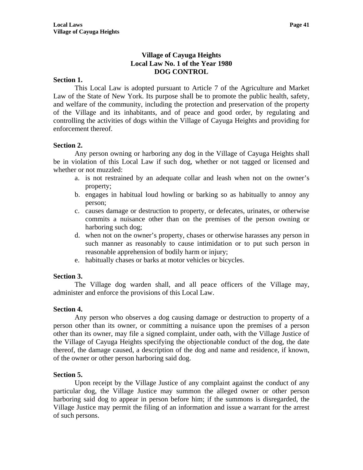# **Village of Cayuga Heights Local Law No. 1 of the Year 1980 DOG CONTROL**

### **Section 1.**

 This Local Law is adopted pursuant to Article 7 of the Agriculture and Market Law of the State of New York. Its purpose shall be to promote the public health, safety, and welfare of the community, including the protection and preservation of the property of the Village and its inhabitants, and of peace and good order, by regulating and controlling the activities of dogs within the Village of Cayuga Heights and providing for enforcement thereof.

### **Section 2.**

 Any person owning or harboring any dog in the Village of Cayuga Heights shall be in violation of this Local Law if such dog, whether or not tagged or licensed and whether or not muzzled:

- a. is not restrained by an adequate collar and leash when not on the owner's property;
- b. engages in habitual loud howling or barking so as habitually to annoy any person;
- c. causes damage or destruction to property, or defecates, urinates, or otherwise commits a nuisance other than on the premises of the person owning or harboring such dog;
- d. when not on the owner's property, chases or otherwise harasses any person in such manner as reasonably to cause intimidation or to put such person in reasonable apprehension of bodily harm or injury;
- e. habitually chases or barks at motor vehicles or bicycles.

#### **Section 3.**

 The Village dog warden shall, and all peace officers of the Village may, administer and enforce the provisions of this Local Law.

### **Section 4.**

 Any person who observes a dog causing damage or destruction to property of a person other than its owner, or committing a nuisance upon the premises of a person other than its owner, may file a signed complaint, under oath, with the Village Justice of the Village of Cayuga Heights specifying the objectionable conduct of the dog, the date thereof, the damage caused, a description of the dog and name and residence, if known, of the owner or other person harboring said dog.

#### **Section 5.**

 Upon receipt by the Village Justice of any complaint against the conduct of any particular dog, the Village Justice may summon the alleged owner or other person harboring said dog to appear in person before him; if the summons is disregarded, the Village Justice may permit the filing of an information and issue a warrant for the arrest of such persons.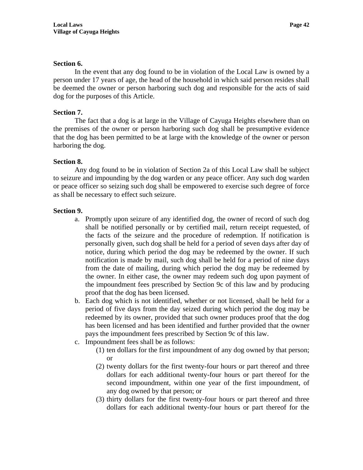#### **Section 6.**

 In the event that any dog found to be in violation of the Local Law is owned by a person under 17 years of age, the head of the household in which said person resides shall be deemed the owner or person harboring such dog and responsible for the acts of said dog for the purposes of this Article.

### **Section 7.**

 The fact that a dog is at large in the Village of Cayuga Heights elsewhere than on the premises of the owner or person harboring such dog shall be presumptive evidence that the dog has been permitted to be at large with the knowledge of the owner or person harboring the dog.

#### **Section 8.**

 Any dog found to be in violation of Section 2a of this Local Law shall be subject to seizure and impounding by the dog warden or any peace officer. Any such dog warden or peace officer so seizing such dog shall be empowered to exercise such degree of force as shall be necessary to effect such seizure.

#### **Section 9.**

- a. Promptly upon seizure of any identified dog, the owner of record of such dog shall be notified personally or by certified mail, return receipt requested, of the facts of the seizure and the procedure of redemption. If notification is personally given, such dog shall be held for a period of seven days after day of notice, during which period the dog may be redeemed by the owner. If such notification is made by mail, such dog shall be held for a period of nine days from the date of mailing, during which period the dog may be redeemed by the owner. In either case, the owner may redeem such dog upon payment of the impoundment fees prescribed by Section 9c of this law and by producing proof that the dog has been licensed.
- b. Each dog which is not identified, whether or not licensed, shall be held for a period of five days from the day seized during which period the dog may be redeemed by its owner, provided that such owner produces proof that the dog has been licensed and has been identified and further provided that the owner pays the impoundment fees prescribed by Section 9c of this law.
- c. Impoundment fees shall be as follows:
	- (1) ten dollars for the first impoundment of any dog owned by that person; or
	- (2) twenty dollars for the first twenty-four hours or part thereof and three dollars for each additional twenty-four hours or part thereof for the second impoundment, within one year of the first impoundment, of any dog owned by that person; or
	- (3) thirty dollars for the first twenty-four hours or part thereof and three dollars for each additional twenty-four hours or part thereof for the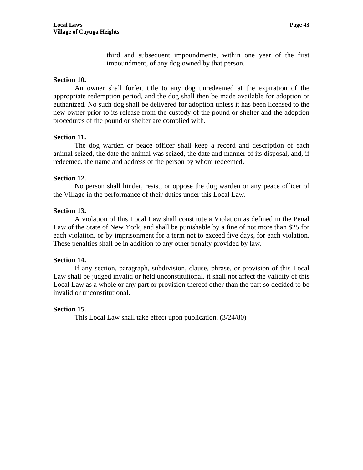third and subsequent impoundments, within one year of the first impoundment, of any dog owned by that person.

### **Section 10.**

 An owner shall forfeit title to any dog unredeemed at the expiration of the appropriate redemption period, and the dog shall then be made available for adoption or euthanized. No such dog shall be delivered for adoption unless it has been licensed to the new owner prior to its release from the custody of the pound or shelter and the adoption procedures of the pound or shelter are complied with.

### **Section 11.**

 The dog warden or peace officer shall keep a record and description of each animal seized, the date the animal was seized, the date and manner of its disposal, and, if redeemed, the name and address of the person by whom redeemed**.** 

#### **Section 12.**

 No person shall hinder, resist, or oppose the dog warden or any peace officer of the Village in the performance of their duties under this Local Law.

#### **Section 13.**

 A violation of this Local Law shall constitute a Violation as defined in the Penal Law of the State of New York, and shall be punishable by a fine of not more than \$25 for each violation, or by imprisonment for a term not to exceed five days, for each violation. These penalties shall be in addition to any other penalty provided by law.

#### **Section 14.**

 If any section, paragraph, subdivision, clause, phrase, or provision of this Local Law shall be judged invalid or held unconstitutional, it shall not affect the validity of this Local Law as a whole or any part or provision thereof other than the part so decided to be invalid or unconstitutional.

### **Section 15.**

This Local Law shall take effect upon publication. (3/24/80)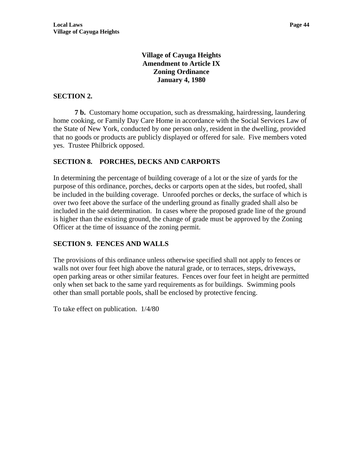# **Village of Cayuga Heights Amendment to Article IX Zoning Ordinance January 4, 1980**

## **SECTION 2.**

 **7 b.** Customary home occupation, such as dressmaking, hairdressing, laundering home cooking, or Family Day Care Home in accordance with the Social Services Law of the State of New York, conducted by one person only, resident in the dwelling, provided that no goods or products are publicly displayed or offered for sale. Five members voted yes. Trustee Philbrick opposed.

# **SECTION 8. PORCHES, DECKS AND CARPORTS**

In determining the percentage of building coverage of a lot or the size of yards for the purpose of this ordinance, porches, decks or carports open at the sides, but roofed, shall be included in the building coverage. Unroofed porches or decks, the surface of which is over two feet above the surface of the underling ground as finally graded shall also be included in the said determination. In cases where the proposed grade line of the ground is higher than the existing ground, the change of grade must be approved by the Zoning Officer at the time of issuance of the zoning permit.

# **SECTION 9. FENCES AND WALLS**

The provisions of this ordinance unless otherwise specified shall not apply to fences or walls not over four feet high above the natural grade, or to terraces, steps, driveways, open parking areas or other similar features. Fences over four feet in height are permitted only when set back to the same yard requirements as for buildings. Swimming pools other than small portable pools, shall be enclosed by protective fencing.

To take effect on publication. 1/4/80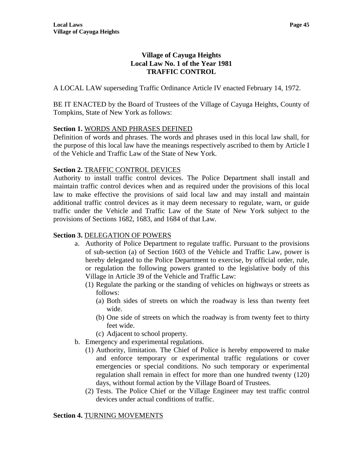# **Village of Cayuga Heights Local Law No. 1 of the Year 1981 TRAFFIC CONTROL**

A LOCAL LAW superseding Traffic Ordinance Article IV enacted February 14, 1972.

BE IT ENACTED by the Board of Trustees of the Village of Cayuga Heights, County of Tompkins, State of New York as follows:

# **Section 1.** WORDS AND PHRASES DEFINED

Definition of words and phrases. The words and phrases used in this local law shall, for the purpose of this local law have the meanings respectively ascribed to them by Article I of the Vehicle and Traffic Law of the State of New York.

# **Section 2. TRAFFIC CONTROL DEVICES**

Authority to install traffic control devices. The Police Department shall install and maintain traffic control devices when and as required under the provisions of this local law to make effective the provisions of said local law and may install and maintain additional traffic control devices as it may deem necessary to regulate, warn, or guide traffic under the Vehicle and Traffic Law of the State of New York subject to the provisions of Sections 1682, 1683, and 1684 of that Law.

# **Section 3.** DELEGATION OF POWERS

- a. Authority of Police Department to regulate traffic. Pursuant to the provisions of sub-section (a) of Section 1603 of the Vehicle and Traffic Law, power is hereby delegated to the Police Department to exercise, by official order, rule, or regulation the following powers granted to the legislative body of this Village in Article 39 of the Vehicle and Traffic Law:
	- (1) Regulate the parking or the standing of vehicles on highways or streets as follows:
		- (a) Both sides of streets on which the roadway is less than twenty feet wide.
		- (b) One side of streets on which the roadway is from twenty feet to thirty feet wide.
		- (c) Adjacent to school property.
- b. Emergency and experimental regulations.
	- (1) Authority, limitation. The Chief of Police is hereby empowered to make and enforce temporary or experimental traffic regulations or cover emergencies or special conditions. No such temporary or experimental regulation shall remain in effect for more than one hundred twenty (120) days, without formal action by the Village Board of Trustees.
	- (2) Tests. The Police Chief or the Village Engineer may test traffic control devices under actual conditions of traffic.

# **Section 4.** TURNING MOVEMENTS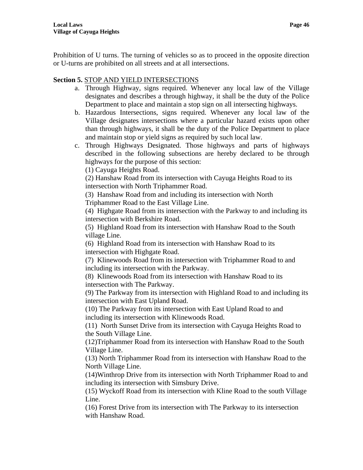Prohibition of U turns. The turning of vehicles so as to proceed in the opposite direction or U-turns are prohibited on all streets and at all intersections.

## **Section 5.** STOP AND YIELD INTERSECTIONS

- a. Through Highway, signs required. Whenever any local law of the Village designates and describes a through highway, it shall be the duty of the Police Department to place and maintain a stop sign on all intersecting highways.
- b. Hazardous Intersections, signs required. Whenever any local law of the Village designates intersections where a particular hazard exists upon other than through highways, it shall be the duty of the Police Department to place and maintain stop or yield signs as required by such local law.
- c. Through Highways Designated. Those highways and parts of highways described in the following subsections are hereby declared to be through highways for the purpose of this section:

(1) Cayuga Heights Road.

(2) Hanshaw Road from its intersection with Cayuga Heights Road to its intersection with North Triphammer Road.

(3) Hanshaw Road from and including its intersection with North

Triphammer Road to the East Village Line.

(4) Highgate Road from its intersection with the Parkway to and including its intersection with Berkshire Road.

(5) Highland Road from its intersection with Hanshaw Road to the South village Line.

(6) Highland Road from its intersection with Hanshaw Road to its intersection with Highgate Road.

(7) Klinewoods Road from its intersection with Triphammer Road to and including its intersection with the Parkway.

(8) Klinewoods Road from its intersection with Hanshaw Road to its intersection with The Parkway.

(9) The Parkway from its intersection with Highland Road to and including its intersection with East Upland Road.

(10) The Parkway from its intersection with East Upland Road to and including its intersection with Klinewoods Road.

(11) North Sunset Drive from its intersection with Cayuga Heights Road to the South Village Line.

(12)Triphammer Road from its intersection with Hanshaw Road to the South Village Line.

(13) North Triphammer Road from its intersection with Hanshaw Road to the North Village Line.

(14)Winthrop Drive from its intersection with North Triphammer Road to and including its intersection with Simsbury Drive.

(15) Wyckoff Road from its intersection with Kline Road to the south Village Line.

(16) Forest Drive from its intersection with The Parkway to its intersection with Hanshaw Road.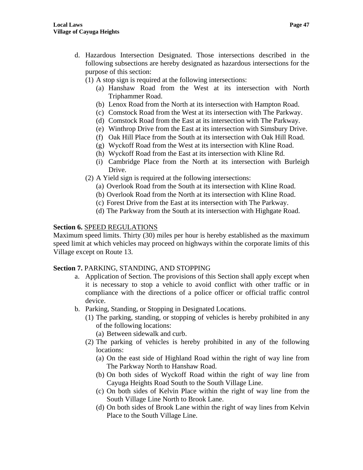- (1) A stop sign is required at the following intersections:
	- (a) Hanshaw Road from the West at its intersection with North Triphammer Road.
	- (b) Lenox Road from the North at its intersection with Hampton Road.
	- (c) Comstock Road from the West at its intersection with The Parkway.
	- (d) Comstock Road from the East at its intersection with The Parkway.
	- (e) Winthrop Drive from the East at its intersection with Simsbury Drive.
	- (f) Oak Hill Place from the South at its intersection with Oak Hill Road.
	- (g) Wyckoff Road from the West at its intersection with Kline Road.
	- (h) Wyckoff Road from the East at its intersection with Kline Rd.
	- (i) Cambridge Place from the North at its intersection with Burleigh Drive.
- (2) A Yield sign is required at the following intersections:
	- (a) Overlook Road from the South at its intersection with Kline Road.
	- (b) Overlook Road from the North at its intersection with Kline Road.
	- (c) Forest Drive from the East at its intersection with The Parkway.
	- (d) The Parkway from the South at its intersection with Highgate Road.

### **Section 6.** SPEED REGULATIONS

Maximum speed limits. Thirty (30) miles per hour is hereby established as the maximum speed limit at which vehicles may proceed on highways within the corporate limits of this Village except on Route 13.

# **Section 7.** PARKING, STANDING, AND STOPPING

- a. Application of Section. The provisions of this Section shall apply except when it is necessary to stop a vehicle to avoid conflict with other traffic or in compliance with the directions of a police officer or official traffic control device.
- b. Parking, Standing, or Stopping in Designated Locations.
	- (1) The parking, standing, or stopping of vehicles is hereby prohibited in any of the following locations:
		- (a) Between sidewalk and curb.
	- (2) The parking of vehicles is hereby prohibited in any of the following locations:
		- (a) On the east side of Highland Road within the right of way line from The Parkway North to Hanshaw Road.
		- (b) On both sides of Wyckoff Road within the right of way line from Cayuga Heights Road South to the South Village Line.
		- (c) On both sides of Kelvin Place within the right of way line from the South Village Line North to Brook Lane.
		- (d) On both sides of Brook Lane within the right of way lines from Kelvin Place to the South Village Line.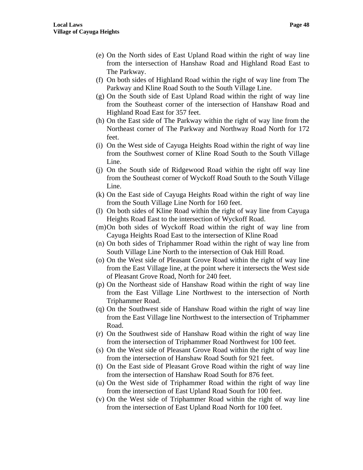- (e) On the North sides of East Upland Road within the right of way line from the intersection of Hanshaw Road and Highland Road East to The Parkway.
- (f) On both sides of Highland Road within the right of way line from The Parkway and Kline Road South to the South Village Line.
- (g) On the South side of East Upland Road within the right of way line from the Southeast corner of the intersection of Hanshaw Road and Highland Road East for 357 feet.
- (h) On the East side of The Parkway within the right of way line from the Northeast corner of The Parkway and Northway Road North for 172 feet.
- (i) On the West side of Cayuga Heights Road within the right of way line from the Southwest corner of Kline Road South to the South Village Line.
- (j) On the South side of Ridgewood Road within the right off way line from the Southeast corner of Wyckoff Road South to the South Village Line.
- (k) On the East side of Cayuga Heights Road within the right of way line from the South Village Line North for 160 feet.
- (l) On both sides of Kline Road within the right of way line from Cayuga Heights Road East to the intersection of Wyckoff Road.
- (m)On both sides of Wyckoff Road within the right of way line from Cayuga Heights Road East to the intersection of Kline Road
- (n) On both sides of Triphammer Road within the right of way line from South Village Line North to the intersection of Oak Hill Road.
- (o) On the West side of Pleasant Grove Road within the right of way line from the East Village line, at the point where it intersects the West side of Pleasant Grove Road, North for 240 feet.
- (p) On the Northeast side of Hanshaw Road within the right of way line from the East Village Line Northwest to the intersection of North Triphammer Road.
- (q) On the Southwest side of Hanshaw Road within the right of way line from the East Village line Northwest to the intersection of Triphammer Road.
- (r) On the Southwest side of Hanshaw Road within the right of way line from the intersection of Triphammer Road Northwest for 100 feet.
- (s) On the West side of Pleasant Grove Road within the right of way line from the intersection of Hanshaw Road South for 921 feet.
- (t) On the East side of Pleasant Grove Road within the right of way line from the intersection of Hanshaw Road South for 876 feet.
- (u) On the West side of Triphammer Road within the right of way line from the intersection of East Upland Road South for 100 feet.
- (v) On the West side of Triphammer Road within the right of way line from the intersection of East Upland Road North for 100 feet.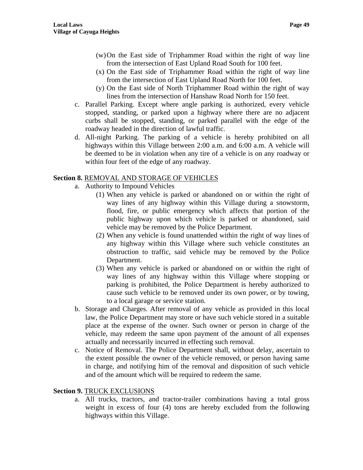- (w)On the East side of Triphammer Road within the right of way line from the intersection of East Upland Road South for 100 feet.
- (x) On the East side of Triphammer Road within the right of way line from the intersection of East Upland Road North for 100 feet.
- (y) On the East side of North Triphammer Road within the right of way lines from the intersection of Hanshaw Road North for 150 feet.
- c. Parallel Parking. Except where angle parking is authorized, every vehicle stopped, standing, or parked upon a highway where there are no adjacent curbs shall be stopped, standing, or parked parallel with the edge of the roadway headed in the direction of lawful traffic.
- d. All-night Parking. The parking of a vehicle is hereby prohibited on all highways within this Village between 2:00 a.m. and 6:00 a.m. A vehicle will be deemed to be in violation when any tire of a vehicle is on any roadway or within four feet of the edge of any roadway.

## **Section 8.** REMOVAL AND STORAGE OF VEHICLES

- a. Authority to Impound Vehicles
	- (1) When any vehicle is parked or abandoned on or within the right of way lines of any highway within this Village during a snowstorm, flood, fire, or public emergency which affects that portion of the public highway upon which vehicle is parked or abandoned, said vehicle may be removed by the Police Department.
	- (2) When any vehicle is found unattended within the right of way lines of any highway within this Village where such vehicle constitutes an obstruction to traffic, said vehicle may be removed by the Police Department.
	- (3) When any vehicle is parked or abandoned on or within the right of way lines of any highway within this Village where stopping or parking is prohibited, the Police Department is hereby authorized to cause such vehicle to be removed under its own power, or by towing, to a local garage or service station.
- b. Storage and Charges. After removal of any vehicle as provided in this local law, the Police Department may store or have such vehicle stored in a suitable place at the expense of the owner. Such owner or person in charge of the vehicle, may redeem the same upon payment of the amount of all expenses actually and necessarily incurred in effecting such removal.
- c. Notice of Removal. The Police Department shall, without delay, ascertain to the extent possible the owner of the vehicle removed, or person having same in charge, and notifying him of the removal and disposition of such vehicle and of the amount which will be required to redeem the same.

# **Section 9. TRUCK EXCLUSIONS**

a. All trucks, tractors, and tractor-trailer combinations having a total gross weight in excess of four (4) tons are hereby excluded from the following highways within this Village.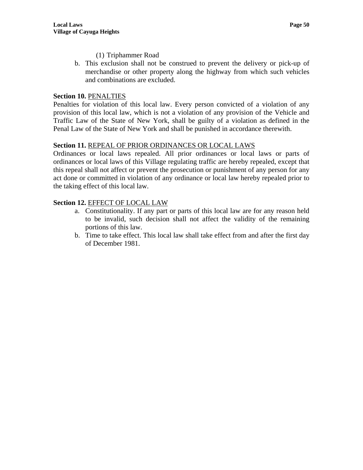- (1) Triphammer Road
- b. This exclusion shall not be construed to prevent the delivery or pick-up of merchandise or other property along the highway from which such vehicles and combinations are excluded.

### **Section 10.** PENALTIES

Penalties for violation of this local law. Every person convicted of a violation of any provision of this local law, which is not a violation of any provision of the Vehicle and Traffic Law of the State of New York, shall be guilty of a violation as defined in the Penal Law of the State of New York and shall be punished in accordance therewith.

#### **Section 11.** REPEAL OF PRIOR ORDINANCES OR LOCAL LAWS

Ordinances or local laws repealed. All prior ordinances or local laws or parts of ordinances or local laws of this Village regulating traffic are hereby repealed, except that this repeal shall not affect or prevent the prosecution or punishment of any person for any act done or committed in violation of any ordinance or local law hereby repealed prior to the taking effect of this local law.

### **Section 12.** EFFECT OF LOCAL LAW

- a. Constitutionality. If any part or parts of this local law are for any reason held to be invalid, such decision shall not affect the validity of the remaining portions of this law.
- b. Time to take effect. This local law shall take effect from and after the first day of December 1981.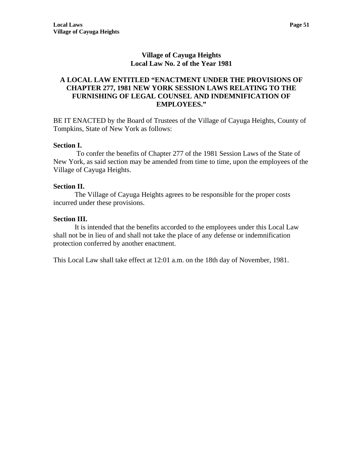# **Village of Cayuga Heights Local Law No. 2 of the Year 1981**

## **A LOCAL LAW ENTITLED "ENACTMENT UNDER THE PROVISIONS OF CHAPTER 277, 1981 NEW YORK SESSION LAWS RELATING TO THE FURNISHING OF LEGAL COUNSEL AND INDEMNIFICATION OF EMPLOYEES."**

BE IT ENACTED by the Board of Trustees of the Village of Cayuga Heights, County of Tompkins, State of New York as follows:

#### **Section I.**

 To confer the benefits of Chapter 277 of the 1981 Session Laws of the State of New York, as said section may be amended from time to time, upon the employees of the Village of Cayuga Heights.

#### **Section II.**

The Village of Cayuga Heights agrees to be responsible for the proper costs incurred under these provisions.

#### **Section III.**

It is intended that the benefits accorded to the employees under this Local Law shall not be in lieu of and shall not take the place of any defense or indemnification protection conferred by another enactment.

This Local Law shall take effect at 12:01 a.m. on the 18th day of November, 1981.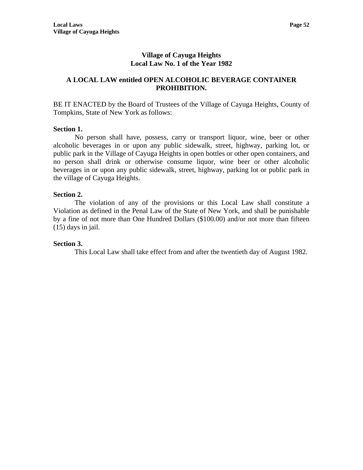## **Village of Cayuga Heights Local Law No. 1 of the Year 1982**

## **A LOCAL LAW entitled OPEN ALCOHOLIC BEVERAGE CONTAINER PROHIBITION.**

BE IT ENACTED by the Board of Trustees of the Village of Cayuga Heights, County of Tompkins, State of New York as follows:

### **Section 1.**

No person shall have, possess, carry or transport liquor, wine, beer or other alcoholic beverages in or upon any public sidewalk, street, highway, parking lot, or public park in the Village of Cayuga Heights in open bottles or other open containers, and no person shall drink or otherwise consume liquor, wine beer or other alcoholic beverages in or upon any public sidewalk, street, highway, parking lot or public park in the village of Cayuga Heights.

### **Section 2.**

The violation of any of the provisions or this Local Law shall constitute a Violation as defined in the Penal Law of the State of New York, and shall be punishable by a fine of not more than One Hundred Dollars (\$100.00) and/or not more than fifteen (15) days in jail.

### **Section 3.**

This Local Law shall take effect from and after the twentieth day of August 1982.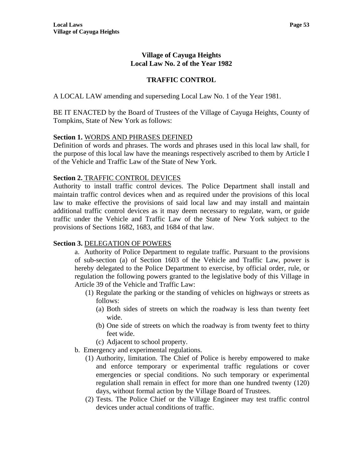## **Village of Cayuga Heights Local Law No. 2 of the Year 1982**

# **TRAFFIC CONTROL**

A LOCAL LAW amending and superseding Local Law No. 1 of the Year 1981.

BE IT ENACTED by the Board of Trustees of the Village of Cayuga Heights, County of Tompkins, State of New York as follows:

#### **Section 1.** WORDS AND PHRASES DEFINED

Definition of words and phrases. The words and phrases used in this local law shall, for the purpose of this local law have the meanings respectively ascribed to them by Article I of the Vehicle and Traffic Law of the State of New York.

#### **Section 2.** TRAFFIC CONTROL DEVICES

Authority to install traffic control devices. The Police Department shall install and maintain traffic control devices when and as required under the provisions of this local law to make effective the provisions of said local law and may install and maintain additional traffic control devices as it may deem necessary to regulate, warn, or guide traffic under the Vehicle and Traffic Law of the State of New York subject to the provisions of Sections 1682, 1683, and 1684 of that law.

### **Section 3.** DELEGATION OF POWERS

a. Authority of Police Department to regulate traffic. Pursuant to the provisions of sub-section (a) of Section 1603 of the Vehicle and Traffic Law, power is hereby delegated to the Police Department to exercise, by official order, rule, or regulation the following powers granted to the legislative body of this Village in Article 39 of the Vehicle and Traffic Law:

- (1) Regulate the parking or the standing of vehicles on highways or streets as follows:
	- (a) Both sides of streets on which the roadway is less than twenty feet wide.
	- (b) One side of streets on which the roadway is from twenty feet to thirty feet wide.
	- (c) Adjacent to school property.
- b. Emergency and experimental regulations.
	- (1) Authority, limitation. The Chief of Police is hereby empowered to make and enforce temporary or experimental traffic regulations or cover emergencies or special conditions. No such temporary or experimental regulation shall remain in effect for more than one hundred twenty (120) days, without formal action by the Village Board of Trustees.
	- (2) Tests. The Police Chief or the Village Engineer may test traffic control devices under actual conditions of traffic.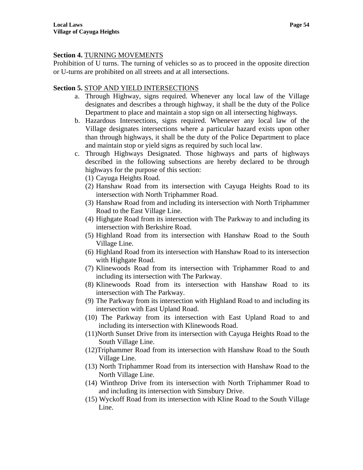## **Section 4.** TURNING MOVEMENTS

Prohibition of U turns. The turning of vehicles so as to proceed in the opposite direction or U-turns are prohibited on all streets and at all intersections.

## **Section 5.** STOP AND YIELD INTERSECTIONS

- a. Through Highway, signs required. Whenever any local law of the Village designates and describes a through highway, it shall be the duty of the Police Department to place and maintain a stop sign on all intersecting highways.
- b. Hazardous Intersections, signs required. Whenever any local law of the Village designates intersections where a particular hazard exists upon other than through highways, it shall be the duty of the Police Department to place and maintain stop or yield signs as required by such local law.
- c. Through Highways Designated. Those highways and parts of highways described in the following subsections are hereby declared to be through highways for the purpose of this section:
	- (1) Cayuga Heights Road.
	- (2) Hanshaw Road from its intersection with Cayuga Heights Road to its intersection with North Triphammer Road.
	- (3) Hanshaw Road from and including its intersection with North Triphammer Road to the East Village Line.
	- (4) Highgate Road from its intersection with The Parkway to and including its intersection with Berkshire Road.
	- (5) Highland Road from its intersection with Hanshaw Road to the South Village Line.
	- (6) Highland Road from its intersection with Hanshaw Road to its intersection with Highgate Road.
	- (7) Klinewoods Road from its intersection with Triphammer Road to and including its intersection with The Parkway.
	- (8) Klinewoods Road from its intersection with Hanshaw Road to its intersection with The Parkway.
	- (9) The Parkway from its intersection with Highland Road to and including its intersection with East Upland Road.
	- (10) The Parkway from its intersection with East Upland Road to and including its intersection with Klinewoods Road.
	- (11)North Sunset Drive from its intersection with Cayuga Heights Road to the South Village Line.
	- (12)Triphammer Road from its intersection with Hanshaw Road to the South Village Line.
	- (13) North Triphammer Road from its intersection with Hanshaw Road to the North Village Line.
	- (14) Winthrop Drive from its intersection with North Triphammer Road to and including its intersection with Simsbury Drive.
	- (15) Wyckoff Road from its intersection with Kline Road to the South Village Line.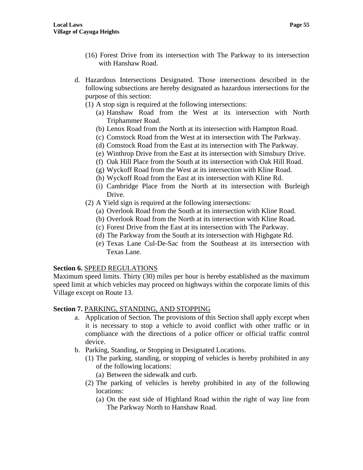- (16) Forest Drive from its intersection with The Parkway to its intersection with Hanshaw Road.
- d. Hazardous Intersections Designated. Those intersections described in the following subsections are hereby designated as hazardous intersections for the purpose of this section:
	- (1) A stop sign is required at the following intersections:
		- (a) Hanshaw Road from the West at its intersection with North Triphammer Road.
		- (b) Lenox Road from the North at its intersection with Hampton Road.
		- (c) Comstock Road from the West at its intersection with The Parkway.
		- (d) Comstock Road from the East at its intersection with The Parkway.
		- (e) Winthrop Drive from the East at its intersection with Simsbury Drive.
		- (f) Oak Hill Place from the South at its intersection with Oak Hill Road.
		- (g) Wyckoff Road from the West at its intersection with Kline Road.
		- (h) Wyckoff Road from the East at its intersection with Kline Rd.
		- (i) Cambridge Place from the North at its intersection with Burleigh Drive.
	- (2) A Yield sign is required at the following intersections:
		- (a) Overlook Road from the South at its intersection with Kline Road.
		- (b) Overlook Road from the North at its intersection with Kline Road.
		- (c) Forest Drive from the East at its intersection with The Parkway.
		- (d) The Parkway from the South at its intersection with Highgate Rd.
		- (e) Texas Lane Cul-De-Sac from the Southeast at its intersection with Texas Lane.

#### **Section 6.** SPEED REGULATIONS

Maximum speed limits. Thirty (30) miles per hour is hereby established as the maximum speed limit at which vehicles may proceed on highways within the corporate limits of this Village except on Route 13.

#### **Section 7.** PARKING, STANDING, AND STOPPING

- a. Application of Section. The provisions of this Section shall apply except when it is necessary to stop a vehicle to avoid conflict with other traffic or in compliance with the directions of a police officer or official traffic control device.
- b. Parking, Standing, or Stopping in Designated Locations.
	- (1) The parking, standing, or stopping of vehicles is hereby prohibited in any of the following locations:
		- (a) Between the sidewalk and curb.
	- (2) The parking of vehicles is hereby prohibited in any of the following locations:
		- (a) On the east side of Highland Road within the right of way line from The Parkway North to Hanshaw Road.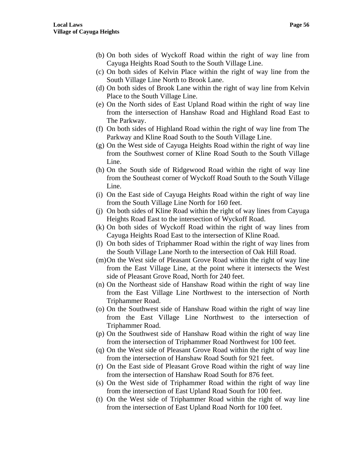- (b) On both sides of Wyckoff Road within the right of way line from Cayuga Heights Road South to the South Village Line.
- (c) On both sides of Kelvin Place within the right of way line from the South Village Line North to Brook Lane.
- (d) On both sides of Brook Lane within the right of way line from Kelvin Place to the South Village Line.
- (e) On the North sides of East Upland Road within the right of way line from the intersection of Hanshaw Road and Highland Road East to The Parkway.
- (f) On both sides of Highland Road within the right of way line from The Parkway and Kline Road South to the South Village Line.
- (g) On the West side of Cayuga Heights Road within the right of way line from the Southwest corner of Kline Road South to the South Village Line.
- (h) On the South side of Ridgewood Road within the right of way line from the Southeast corner of Wyckoff Road South to the South Village Line.
- (i) On the East side of Cayuga Heights Road within the right of way line from the South Village Line North for 160 feet.
- (j) On both sides of Kline Road within the right of way lines from Cayuga Heights Road East to the intersection of Wyckoff Road.
- (k) On both sides of Wyckoff Road within the right of way lines from Cayuga Heights Road East to the intersection of Kline Road.
- (l) On both sides of Triphammer Road within the right of way lines from the South Village Lane North to the intersection of Oak Hill Road.
- (m)On the West side of Pleasant Grove Road within the right of way line from the East Village Line, at the point where it intersects the West side of Pleasant Grove Road, North for 240 feet.
- (n) On the Northeast side of Hanshaw Road within the right of way line from the East Village Line Northwest to the intersection of North Triphammer Road.
- (o) On the Southwest side of Hanshaw Road within the right of way line from the East Village Line Northwest to the intersection of Triphammer Road.
- (p) On the Southwest side of Hanshaw Road within the right of way line from the intersection of Triphammer Road Northwest for 100 feet.
- (q) On the West side of Pleasant Grove Road within the right of way line from the intersection of Hanshaw Road South for 921 feet.
- (r) On the East side of Pleasant Grove Road within the right of way line from the intersection of Hanshaw Road South for 876 feet.
- (s) On the West side of Triphammer Road within the right of way line from the intersection of East Upland Road South for 100 feet.
- (t) On the West side of Triphammer Road within the right of way line from the intersection of East Upland Road North for 100 feet.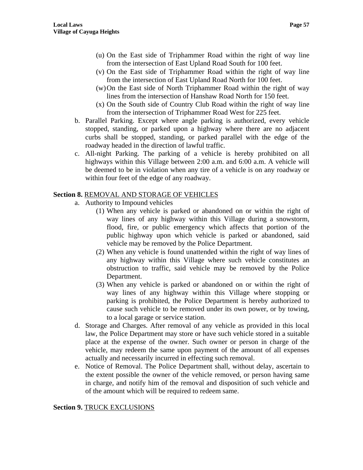- (u) On the East side of Triphammer Road within the right of way line from the intersection of East Upland Road South for 100 feet.
- (v) On the East side of Triphammer Road within the right of way line from the intersection of East Upland Road North for 100 feet.
- (w)On the East side of North Triphammer Road within the right of way lines from the intersection of Hanshaw Road North for 150 feet.
- (x) On the South side of Country Club Road within the right of way line from the intersection of Triphammer Road West for 225 feet.
- b. Parallel Parking. Except where angle parking is authorized, every vehicle stopped, standing, or parked upon a highway where there are no adjacent curbs shall be stopped, standing, or parked parallel with the edge of the roadway headed in the direction of lawful traffic.
- c. All-night Parking. The parking of a vehicle is hereby prohibited on all highways within this Village between 2:00 a.m. and 6:00 a.m. A vehicle will be deemed to be in violation when any tire of a vehicle is on any roadway or within four feet of the edge of any roadway.

## **Section 8.** REMOVAL AND STORAGE OF VEHICLES

- a. Authority to Impound vehicles
	- (1) When any vehicle is parked or abandoned on or within the right of way lines of any highway within this Village during a snowstorm, flood, fire, or public emergency which affects that portion of the public highway upon which vehicle is parked or abandoned, said vehicle may be removed by the Police Department.
	- (2) When any vehicle is found unattended within the right of way lines of any highway within this Village where such vehicle constitutes an obstruction to traffic, said vehicle may be removed by the Police Department.
	- (3) When any vehicle is parked or abandoned on or within the right of way lines of any highway within this Village where stopping or parking is prohibited, the Police Department is hereby authorized to cause such vehicle to be removed under its own power, or by towing, to a local garage or service station.
- d. Storage and Charges. After removal of any vehicle as provided in this local law, the Police Department may store or have such vehicle stored in a suitable place at the expense of the owner. Such owner or person in charge of the vehicle, may redeem the same upon payment of the amount of all expenses actually and necessarily incurred in effecting such removal.
- e. Notice of Removal. The Police Department shall, without delay, ascertain to the extent possible the owner of the vehicle removed, or person having same in charge, and notify him of the removal and disposition of such vehicle and of the amount which will be required to redeem same.

### **Section 9.** TRUCK EXCLUSIONS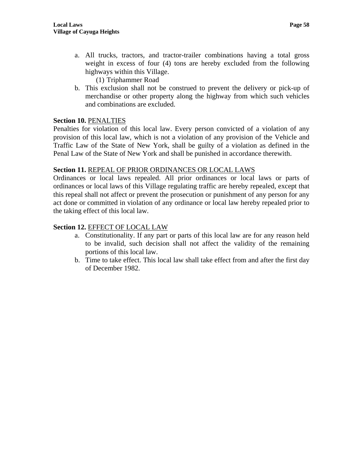a. All trucks, tractors, and tractor-trailer combinations having a total gross weight in excess of four (4) tons are hereby excluded from the following highways within this Village.

(1) Triphammer Road

b. This exclusion shall not be construed to prevent the delivery or pick-up of merchandise or other property along the highway from which such vehicles and combinations are excluded.

## **Section 10.** PENALTIES

Penalties for violation of this local law. Every person convicted of a violation of any provision of this local law, which is not a violation of any provision of the Vehicle and Traffic Law of the State of New York, shall be guilty of a violation as defined in the Penal Law of the State of New York and shall be punished in accordance therewith.

## **Section 11.** REPEAL OF PRIOR ORDINANCES OR LOCAL LAWS

Ordinances or local laws repealed. All prior ordinances or local laws or parts of ordinances or local laws of this Village regulating traffic are hereby repealed, except that this repeal shall not affect or prevent the prosecution or punishment of any person for any act done or committed in violation of any ordinance or local law hereby repealed prior to the taking effect of this local law.

## **Section 12.** EFFECT OF LOCAL LAW

- a. Constitutionality. If any part or parts of this local law are for any reason held to be invalid, such decision shall not affect the validity of the remaining portions of this local law.
- b. Time to take effect. This local law shall take effect from and after the first day of December 1982.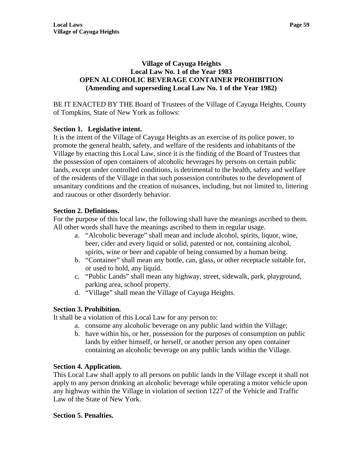## **Village of Cayuga Heights Local Law No. 1 of the Year 1983 OPEN ALCOHOLIC BEVERAGE CONTAINER PROHIBITION (Amending and superseding Local Law No. 1 of the Year 1982)**

BE IT ENACTED BY THE Board of Trustees of the Village of Cayuga Heights, County of Tompkins, State of New York as follows:

# **Section 1. Legislative intent.**

It is the intent of the Village of Cayuga Heights as an exercise of its police power, to promote the general health, safety, and welfare of the residents and inhabitants of the Village by enacting this Local Law, since it is the finding of the Board of Trustees that the possession of open containers of alcoholic beverages by persons on certain public lands, except under controlled conditions, is detrimental to the health, safety and welfare of the residents of the Village in that such possession contributes to the development of unsanitary conditions and the creation of nuisances, including, but not limited to, littering and raucous or other disorderly behavior.

# **Section 2. Definitions.**

For the purpose of this local law, the following shall have the meanings ascribed to them. All other words shall have the meanings ascribed to them in regular usage.

- a. "Alcoholic beverage" shall mean and include alcohol, spirits, liquor, wine, beer, cider and every liquid or solid, patented or not, containing alcohol, spirits, wine or beer and capable of being consumed by a human being.
- b. "Container" shall mean any bottle, can, glass, or other receptacle suitable for, or used to hold, any liquid.
- c. "Public Lands" shall mean any highway, street, sidewalk, park, playground, parking area, school property.
- d. "Village" shall mean the Village of Cayuga Heights.

# **Section 3. Prohibition.**

It shall be a violation of this Local Law for any person to:

- a. consume any alcoholic beverage on any public land within the Village;
- b. have within his, or her, possession for the purposes of consumption on public lands by either himself, or herself, or another person any open container containing an alcoholic beverage on any public lands within the Village.

# **Section 4. Application.**

This Local Law shall apply to all persons on public lands in the Village except it shall not apply to any person drinking an alcoholic beverage while operating a motor vehicle upon any highway within the Village in violation of section 1227 of the Vehicle and Traffic Law of the State of New York.

# **Section 5. Penalties.**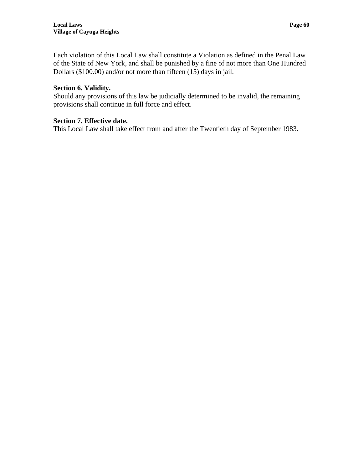Each violation of this Local Law shall constitute a Violation as defined in the Penal Law of the State of New York, and shall be punished by a fine of not more than One Hundred Dollars (\$100.00) and/or not more than fifteen (15) days in jail.

## **Section 6. Validity.**

Should any provisions of this law be judicially determined to be invalid, the remaining provisions shall continue in full force and effect.

## **Section 7. Effective date.**

This Local Law shall take effect from and after the Twentieth day of September 1983.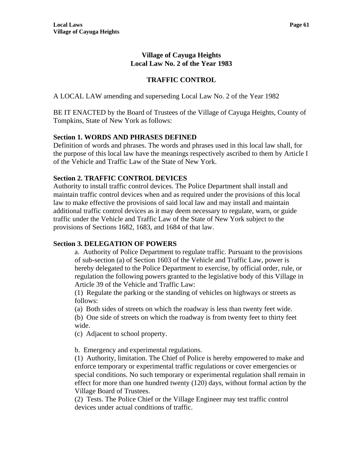# **Village of Cayuga Heights Local Law No. 2 of the Year 1983**

# **TRAFFIC CONTROL**

A LOCAL LAW amending and superseding Local Law No. 2 of the Year 1982

BE IT ENACTED by the Board of Trustees of the Village of Cayuga Heights, County of Tompkins, State of New York as follows:

## **Section 1. WORDS AND PHRASES DEFINED**

Definition of words and phrases. The words and phrases used in this local law shall, for the purpose of this local law have the meanings respectively ascribed to them by Article I of the Vehicle and Traffic Law of the State of New York.

### **Section 2. TRAFFIC CONTROL DEVICES**

Authority to install traffic control devices. The Police Department shall install and maintain traffic control devices when and as required under the provisions of this local law to make effective the provisions of said local law and may install and maintain additional traffic control devices as it may deem necessary to regulate, warn, or guide traffic under the Vehicle and Traffic Law of the State of New York subject to the provisions of Sections 1682, 1683, and 1684 of that law.

### **Section 3. DELEGATION OF POWERS**

a. Authority of Police Department to regulate traffic. Pursuant to the provisions of sub-section (a) of Section 1603 of the Vehicle and Traffic Law, power is hereby delegated to the Police Department to exercise, by official order, rule, or regulation the following powers granted to the legislative body of this Village in Article 39 of the Vehicle and Traffic Law:

(1) Regulate the parking or the standing of vehicles on highways or streets as follows:

(a) Both sides of streets on which the roadway is less than twenty feet wide.

(b) One side of streets on which the roadway is from twenty feet to thirty feet wide.

(c) Adjacent to school property.

b. Emergency and experimental regulations.

(1) Authority, limitation. The Chief of Police is hereby empowered to make and enforce temporary or experimental traffic regulations or cover emergencies or special conditions. No such temporary or experimental regulation shall remain in effect for more than one hundred twenty (120) days, without formal action by the Village Board of Trustees.

(2) Tests. The Police Chief or the Village Engineer may test traffic control devices under actual conditions of traffic.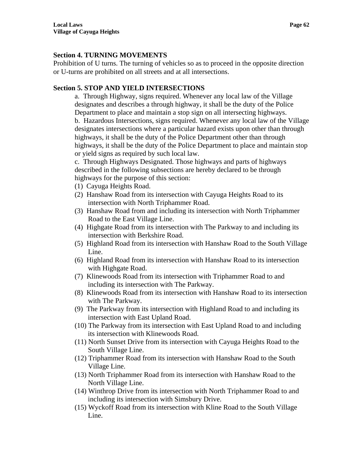## **Section 4. TURNING MOVEMENTS**

Prohibition of U turns. The turning of vehicles so as to proceed in the opposite direction or U-turns are prohibited on all streets and at all intersections.

# **Section 5. STOP AND YIELD INTERSECTIONS**

a. Through Highway, signs required. Whenever any local law of the Village designates and describes a through highway, it shall be the duty of the Police Department to place and maintain a stop sign on all intersecting highways.

b. Hazardous Intersections, signs required. Whenever any local law of the Village designates intersections where a particular hazard exists upon other than through highways, it shall be the duty of the Police Department other than through highways, it shall be the duty of the Police Department to place and maintain stop or yield signs as required by such local law.

c. Through Highways Designated. Those highways and parts of highways described in the following subsections are hereby declared to be through highways for the purpose of this section:

- (1) Cayuga Heights Road.
- (2) Hanshaw Road from its intersection with Cayuga Heights Road to its intersection with North Triphammer Road.
- (3) Hanshaw Road from and including its intersection with North Triphammer Road to the East Village Line.
- (4) Highgate Road from its intersection with The Parkway to and including its intersection with Berkshire Road.
- (5) Highland Road from its intersection with Hanshaw Road to the South Village Line.
- (6) Highland Road from its intersection with Hanshaw Road to its intersection with Highgate Road.
- (7) Klinewoods Road from its intersection with Triphammer Road to and including its intersection with The Parkway.
- (8) Klinewoods Road from its intersection with Hanshaw Road to its intersection with The Parkway.
- (9) The Parkway from its intersection with Highland Road to and including its intersection with East Upland Road.
- (10) The Parkway from its intersection with East Upland Road to and including its intersection with Klinewoods Road.
- (11) North Sunset Drive from its intersection with Cayuga Heights Road to the South Village Line.
- (12) Triphammer Road from its intersection with Hanshaw Road to the South Village Line.
- (13) North Triphammer Road from its intersection with Hanshaw Road to the North Village Line.
- (14) Winthrop Drive from its intersection with North Triphammer Road to and including its intersection with Simsbury Drive.
- (15) Wyckoff Road from its intersection with Kline Road to the South Village Line.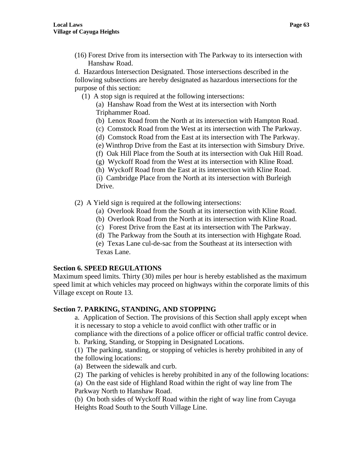(16) Forest Drive from its intersection with The Parkway to its intersection with Hanshaw Road.

d. Hazardous Intersection Designated. Those intersections described in the following subsections are hereby designated as hazardous intersections for the purpose of this section:

(1) A stop sign is required at the following intersections:

 (a) Hanshaw Road from the West at its intersection with North Triphammer Road.

- (b) Lenox Road from the North at its intersection with Hampton Road.
- (c) Comstock Road from the West at its intersection with The Parkway.
- (d) Comstock Road from the East at its intersection with The Parkway.
- (e) Winthrop Drive from the East at its intersection with Simsbury Drive.
- (f) Oak Hill Place from the South at its intersection with Oak Hill Road.
- (g) Wyckoff Road from the West at its intersection with Kline Road.
- (h) Wyckoff Road from the East at its intersection with Kline Road.

(i) Cambridge Place from the North at its intersection with Burleigh Drive.

- (2) A Yield sign is required at the following intersections:
	- (a) Overlook Road from the South at its intersection with Kline Road.
	- (b) Overlook Road from the North at its intersection with Kline Road.
	- (c) Forest Drive from the East at its intersection with The Parkway.
	- (d) The Parkway from the South at its intersection with Highgate Road.

(e) Texas Lane cul-de-sac from the Southeast at its intersection with Texas Lane.

# **Section 6. SPEED REGULATIONS**

Maximum speed limits. Thirty (30) miles per hour is hereby established as the maximum speed limit at which vehicles may proceed on highways within the corporate limits of this Village except on Route 13.

# **Section 7. PARKING, STANDING, AND STOPPING**

a. Application of Section. The provisions of this Section shall apply except when it is necessary to stop a vehicle to avoid conflict with other traffic or in compliance with the directions of a police officer or official traffic control device. b. Parking, Standing, or Stopping in Designated Locations.

(1) The parking, standing, or stopping of vehicles is hereby prohibited in any of the following locations:

- (a) Between the sidewalk and curb.
- (2) The parking of vehicles is hereby prohibited in any of the following locations:
- (a) On the east side of Highland Road within the right of way line from The
- Parkway North to Hanshaw Road.
- (b) On both sides of Wyckoff Road within the right of way line from Cayuga Heights Road South to the South Village Line.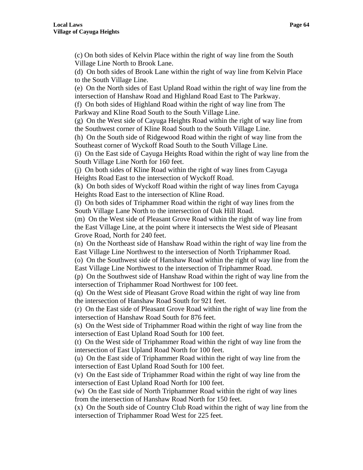(c) On both sides of Kelvin Place within the right of way line from the South Village Line North to Brook Lane.

(d) On both sides of Brook Lane within the right of way line from Kelvin Place to the South Village Line.

(e) On the North sides of East Upland Road within the right of way line from the intersection of Hanshaw Road and Highland Road East to The Parkway.

(f) On both sides of Highland Road within the right of way line from The Parkway and Kline Road South to the South Village Line.

(g) On the West side of Cayuga Heights Road within the right of way line from the Southwest corner of Kline Road South to the South Village Line.

(h) On the South side of Ridgewood Road within the right of way line from the Southeast corner of Wyckoff Road South to the South Village Line.

(i) On the East side of Cayuga Heights Road within the right of way line from the South Village Line North for 160 feet.

(j) On both sides of Kline Road within the right of way lines from Cayuga Heights Road East to the intersection of Wyckoff Road.

(k) On both sides of Wyckoff Road within the right of way lines from Cayuga Heights Road East to the intersection of Kline Road.

(l) On both sides of Triphammer Road within the right of way lines from the South Village Lane North to the intersection of Oak Hill Road.

(m) On the West side of Pleasant Grove Road within the right of way line from the East Village Line, at the point where it intersects the West side of Pleasant Grove Road, North for 240 feet.

(n) On the Northeast side of Hanshaw Road within the right of way line from the East Village Line Northwest to the intersection of North Triphammer Road.

(o) On the Southwest side of Hanshaw Road within the right of way line from the East Village Line Northwest to the intersection of Triphammer Road.

(p) On the Southwest side of Hanshaw Road within the right of way line from the intersection of Triphammer Road Northwest for 100 feet.

(q) On the West side of Pleasant Grove Road within the right of way line from the intersection of Hanshaw Road South for 921 feet.

(r) On the East side of Pleasant Grove Road within the right of way line from the intersection of Hanshaw Road South for 876 feet.

(s) On the West side of Triphammer Road within the right of way line from the intersection of East Upland Road South for 100 feet.

(t) On the West side of Triphammer Road within the right of way line from the intersection of East Upland Road North for 100 feet.

(u) On the East side of Triphammer Road within the right of way line from the intersection of East Upland Road South for 100 feet.

(v) On the East side of Triphammer Road within the right of way line from the intersection of East Upland Road North for 100 feet.

(w) On the East side of North Triphammer Road within the right of way lines from the intersection of Hanshaw Road North for 150 feet.

(x) On the South side of Country Club Road within the right of way line from the intersection of Triphammer Road West for 225 feet.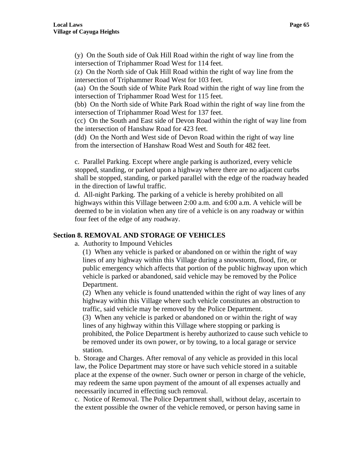(y) On the South side of Oak Hill Road within the right of way line from the intersection of Triphammer Road West for 114 feet.

(z) On the North side of Oak Hill Road within the right of way line from the intersection of Triphammer Road West for 103 feet.

(aa) On the South side of White Park Road within the right of way line from the intersection of Triphammer Road West for 115 feet.

(bb) On the North side of White Park Road within the right of way line from the intersection of Triphammer Road West for 137 feet.

(cc) On the South and East side of Devon Road within the right of way line from the intersection of Hanshaw Road for 423 feet.

(dd) On the North and West side of Devon Road within the right of way line from the intersection of Hanshaw Road West and South for 482 feet.

c. Parallel Parking. Except where angle parking is authorized, every vehicle stopped, standing, or parked upon a highway where there are no adjacent curbs shall be stopped, standing, or parked parallel with the edge of the roadway headed in the direction of lawful traffic.

d. All-night Parking. The parking of a vehicle is hereby prohibited on all highways within this Village between 2:00 a.m. and 6:00 a.m. A vehicle will be deemed to be in violation when any tire of a vehicle is on any roadway or within four feet of the edge of any roadway.

## **Section 8. REMOVAL AND STORAGE OF VEHICLES**

a. Authority to Impound Vehicles

(1) When any vehicle is parked or abandoned on or within the right of way lines of any highway within this Village during a snowstorm, flood, fire, or public emergency which affects that portion of the public highway upon which vehicle is parked or abandoned, said vehicle may be removed by the Police Department.

(2) When any vehicle is found unattended within the right of way lines of any highway within this Village where such vehicle constitutes an obstruction to traffic, said vehicle may be removed by the Police Department.

(3) When any vehicle is parked or abandoned on or within the right of way lines of any highway within this Village where stopping or parking is prohibited, the Police Department is hereby authorized to cause such vehicle to be removed under its own power, or by towing, to a local garage or service station.

b. Storage and Charges. After removal of any vehicle as provided in this local law, the Police Department may store or have such vehicle stored in a suitable place at the expense of the owner. Such owner or person in charge of the vehicle, may redeem the same upon payment of the amount of all expenses actually and necessarily incurred in effecting such removal.

c. Notice of Removal. The Police Department shall, without delay, ascertain to the extent possible the owner of the vehicle removed, or person having same in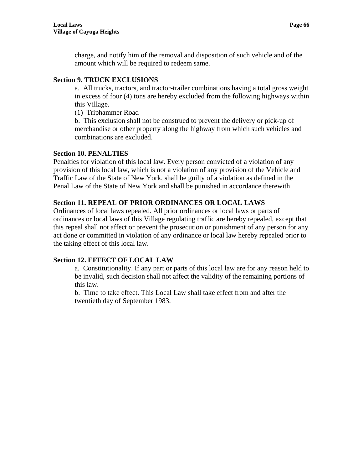charge, and notify him of the removal and disposition of such vehicle and of the amount which will be required to redeem same.

## **Section 9. TRUCK EXCLUSIONS**

a. All trucks, tractors, and tractor-trailer combinations having a total gross weight in excess of four (4) tons are hereby excluded from the following highways within this Village.

(1) Triphammer Road

b. This exclusion shall not be construed to prevent the delivery or pick-up of merchandise or other property along the highway from which such vehicles and combinations are excluded.

## **Section 10. PENALTIES**

Penalties for violation of this local law. Every person convicted of a violation of any provision of this local law, which is not a violation of any provision of the Vehicle and Traffic Law of the State of New York, shall be guilty of a violation as defined in the Penal Law of the State of New York and shall be punished in accordance therewith.

# **Section 11. REPEAL OF PRIOR ORDINANCES OR LOCAL LAWS**

Ordinances of local laws repealed. All prior ordinances or local laws or parts of ordinances or local laws of this Village regulating traffic are hereby repealed, except that this repeal shall not affect or prevent the prosecution or punishment of any person for any act done or committed in violation of any ordinance or local law hereby repealed prior to the taking effect of this local law.

# **Section 12. EFFECT OF LOCAL LAW**

a. Constitutionality. If any part or parts of this local law are for any reason held to be invalid, such decision shall not affect the validity of the remaining portions of this law.

b. Time to take effect. This Local Law shall take effect from and after the twentieth day of September 1983.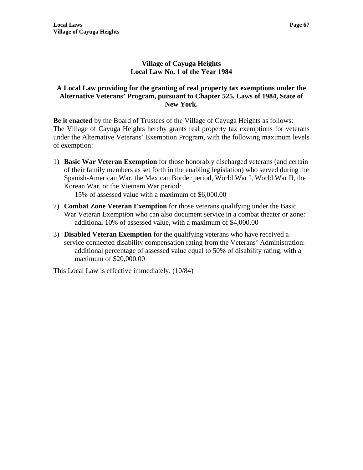## **Village of Cayuga Heights Local Law No. 1 of the Year 1984**

## **A Local Law providing for the granting of real property tax exemptions under the Alternative Veterans' Program, pursuant to Chapter 525, Laws of 1984, State of New York.**

**Be it enacted** by the Board of Trustees of the Village of Cayuga Heights as follows: The Village of Cayuga Heights hereby grants real property tax exemptions for veterans under the Alternative Veterans' Exemption Program, with the following maximum levels of exemption:

1) **Basic War Veteran Exemption** for those honorably discharged veterans (and certain of their family members as set forth in the enabling legislation) who served during the Spanish-American War, the Mexican Border period, World War I, World War II, the Korean War, or the Vietnam War period:

15% of assessed value with a maximum of \$6,000.00

- 2) **Combat Zone Veteran Exemption** for those veterans qualifying under the Basic War Veteran Exemption who can also document service in a combat theater or zone: additional 10% of assessed value, with a maximum of \$4,000.00
- 3) **Disabled Veteran Exemption** for the qualifying veterans who have received a service connected disability compensation rating from the Veterans' Administration: additional percentage of assessed value equal to 50% of disability rating, with a maximum of \$20,000.00

This Local Law is effective immediately. (10/84)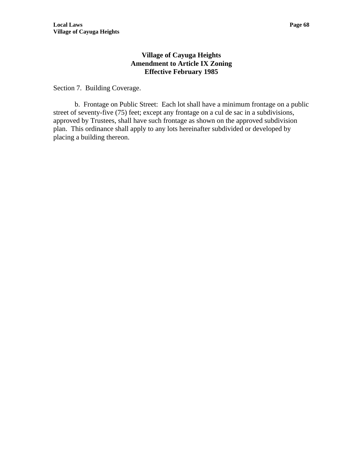## **Village of Cayuga Heights Amendment to Article IX Zoning Effective February 1985**

Section 7. Building Coverage.

b. Frontage on Public Street: Each lot shall have a minimum frontage on a public street of seventy-five (75) feet; except any frontage on a cul de sac in a subdivisions, approved by Trustees, shall have such frontage as shown on the approved subdivision plan. This ordinance shall apply to any lots hereinafter subdivided or developed by placing a building thereon.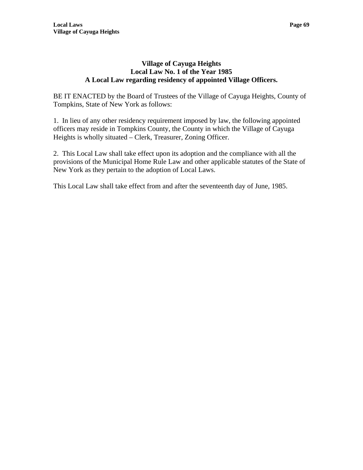## **Village of Cayuga Heights Local Law No. 1 of the Year 1985 A Local Law regarding residency of appointed Village Officers.**

BE IT ENACTED by the Board of Trustees of the Village of Cayuga Heights, County of Tompkins, State of New York as follows:

1. In lieu of any other residency requirement imposed by law, the following appointed officers may reside in Tompkins County, the County in which the Village of Cayuga Heights is wholly situated – Clerk, Treasurer, Zoning Officer.

2. This Local Law shall take effect upon its adoption and the compliance with all the provisions of the Municipal Home Rule Law and other applicable statutes of the State of New York as they pertain to the adoption of Local Laws.

This Local Law shall take effect from and after the seventeenth day of June, 1985.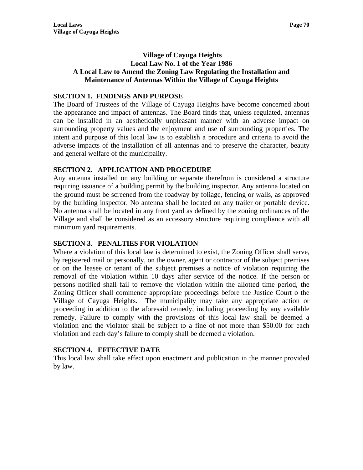# **Village of Cayuga Heights Local Law No. 1 of the Year 1986 A Local Law to Amend the Zoning Law Regulating the Installation and Maintenance of Antennas Within the Village of Cayuga Heights**

## **SECTION 1. FINDINGS AND PURPOSE**

The Board of Trustees of the Village of Cayuga Heights have become concerned about the appearance and impact of antennas. The Board finds that, unless regulated, antennas can be installed in an aesthetically unpleasant manner with an adverse impact on surrounding property values and the enjoyment and use of surrounding properties. The intent and purpose of this local law is to establish a procedure and criteria to avoid the adverse impacts of the installation of all antennas and to preserve the character, beauty and general welfare of the municipality.

## **SECTION 2. APPLICATION AND PROCEDURE**

Any antenna installed on any building or separate therefrom is considered a structure requiring issuance of a building permit by the building inspector. Any antenna located on the ground must be screened from the roadway by foliage, fencing or walls, as approved by the building inspector. No antenna shall be located on any trailer or portable device. No antenna shall be located in any front yard as defined by the zoning ordinances of the Village and shall be considered as an accessory structure requiring compliance with all minimum yard requirements.

### **SECTION 3**. **PENALTIES FOR VIOLATION**

Where a violation of this local law is determined to exist, the Zoning Officer shall serve, by registered mail or personally, on the owner, agent or contractor of the subject premises or on the leasee or tenant of the subject premises a notice of violation requiring the removal of the violation within 10 days after service of the notice. If the person or persons notified shall fail to remove the violation within the allotted time period, the Zoning Officer shall commence appropriate proceedings before the Justice Court o the Village of Cayuga Heights. The municipality may take any appropriate action or proceeding in addition to the aforesaid remedy, including proceeding by any available remedy. Failure to comply with the provisions of this local law shall be deemed a violation and the violator shall be subject to a fine of not more than \$50.00 for each violation and each day's failure to comply shall be deemed a violation.

# **SECTION 4. EFFECTIVE DATE**

This local law shall take effect upon enactment and publication in the manner provided by law.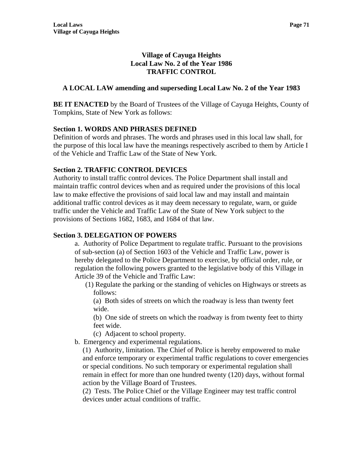# **Village of Cayuga Heights Local Law No. 2 of the Year 1986 TRAFFIC CONTROL**

# **A LOCAL LAW amending and superseding Local Law No. 2 of the Year 1983**

**BE IT ENACTED** by the Board of Trustees of the Village of Cayuga Heights, County of Tompkins, State of New York as follows:

# **Section 1. WORDS AND PHRASES DEFINED**

Definition of words and phrases. The words and phrases used in this local law shall, for the purpose of this local law have the meanings respectively ascribed to them by Article I of the Vehicle and Traffic Law of the State of New York.

## **Section 2. TRAFFIC CONTROL DEVICES**

Authority to install traffic control devices. The Police Department shall install and maintain traffic control devices when and as required under the provisions of this local law to make effective the provisions of said local law and may install and maintain additional traffic control devices as it may deem necessary to regulate, warn, or guide traffic under the Vehicle and Traffic Law of the State of New York subject to the provisions of Sections 1682, 1683, and 1684 of that law.

## **Section 3. DELEGATION OF POWERS**

a. Authority of Police Department to regulate traffic. Pursuant to the provisions of sub-section (a) of Section 1603 of the Vehicle and Traffic Law, power is hereby delegated to the Police Department to exercise, by official order, rule, or regulation the following powers granted to the legislative body of this Village in Article 39 of the Vehicle and Traffic Law:

(1) Regulate the parking or the standing of vehicles on Highways or streets as follows:

 (a) Both sides of streets on which the roadway is less than twenty feet wide.

(b) One side of streets on which the roadway is from twenty feet to thirty feet wide.

- (c) Adjacent to school property.
- b. Emergency and experimental regulations.

(1) Authority, limitation. The Chief of Police is hereby empowered to make and enforce temporary or experimental traffic regulations to cover emergencies or special conditions. No such temporary or experimental regulation shall remain in effect for more than one hundred twenty (120) days, without formal action by the Village Board of Trustees.

(2) Tests. The Police Chief or the Village Engineer may test traffic control devices under actual conditions of traffic.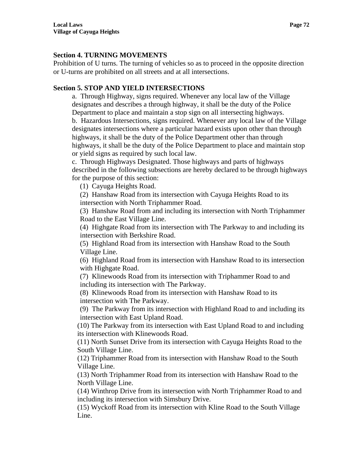## **Section 4. TURNING MOVEMENTS**

Prohibition of U turns. The turning of vehicles so as to proceed in the opposite direction or U-turns are prohibited on all streets and at all intersections.

# **Section 5. STOP AND YIELD INTERSECTIONS**

a. Through Highway, signs required. Whenever any local law of the Village designates and describes a through highway, it shall be the duty of the Police Department to place and maintain a stop sign on all intersecting highways.

b. Hazardous Intersections, signs required. Whenever any local law of the Village designates intersections where a particular hazard exists upon other than through highways, it shall be the duty of the Police Department other than through highways, it shall be the duty of the Police Department to place and maintain stop or yield signs as required by such local law.

c. Through Highways Designated. Those highways and parts of highways described in the following subsections are hereby declared to be through highways for the purpose of this section:

(1) Cayuga Heights Road.

(2) Hanshaw Road from its intersection with Cayuga Heights Road to its intersection with North Triphammer Road.

(3) Hanshaw Road from and including its intersection with North Triphammer Road to the East Village Line.

(4) Highgate Road from its intersection with The Parkway to and including its intersection with Berkshire Road.

(5) Highland Road from its intersection with Hanshaw Road to the South Village Line.

(6) Highland Road from its intersection with Hanshaw Road to its intersection with Highgate Road.

(7) Klinewoods Road from its intersection with Triphammer Road to and including its intersection with The Parkway.

(8) Klinewoods Road from its intersection with Hanshaw Road to its intersection with The Parkway.

(9) The Parkway from its intersection with Highland Road to and including its intersection with East Upland Road.

(10) The Parkway from its intersection with East Upland Road to and including its intersection with Klinewoods Road.

(11) North Sunset Drive from its intersection with Cayuga Heights Road to the South Village Line.

(12) Triphammer Road from its intersection with Hanshaw Road to the South Village Line.

(13) North Triphammer Road from its intersection with Hanshaw Road to the North Village Line.

(14) Winthrop Drive from its intersection with North Triphammer Road to and including its intersection with Simsbury Drive.

(15) Wyckoff Road from its intersection with Kline Road to the South Village Line.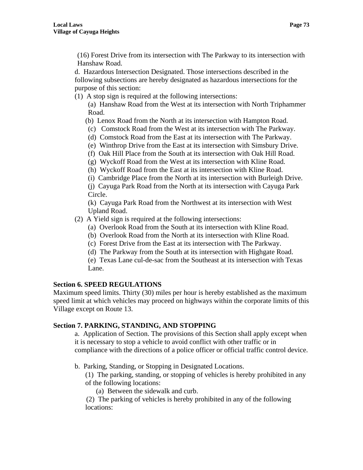(16) Forest Drive from its intersection with The Parkway to its intersection with Hanshaw Road.

d. Hazardous Intersection Designated. Those intersections described in the following subsections are hereby designated as hazardous intersections for the purpose of this section:

(1) A stop sign is required at the following intersections:

(a) Hanshaw Road from the West at its intersection with North Triphammer Road.

- (b) Lenox Road from the North at its intersection with Hampton Road.
- (c) Comstock Road from the West at its intersection with The Parkway.
- (d) Comstock Road from the East at its intersection with The Parkway.
- (e) Winthrop Drive from the East at its intersection with Simsbury Drive.
- (f) Oak Hill Place from the South at its intersection with Oak Hill Road.
- (g) Wyckoff Road from the West at its intersection with Kline Road.
- (h) Wyckoff Road from the East at its intersection with Kline Road.
- (i) Cambridge Place from the North at its intersection with Burleigh Drive.

(j) Cayuga Park Road from the North at its intersection with Cayuga Park Circle.

(k) Cayuga Park Road from the Northwest at its intersection with West Upland Road.

- (2) A Yield sign is required at the following intersections:
	- (a) Overlook Road from the South at its intersection with Kline Road.
	- (b) Overlook Road from the North at its intersection with Kline Road.
	- (c) Forest Drive from the East at its intersection with The Parkway.
	- (d) The Parkway from the South at its intersection with Highgate Road.
	- (e) Texas Lane cul-de-sac from the Southeast at its intersection with Texas Lane.

# **Section 6. SPEED REGULATIONS**

Maximum speed limits. Thirty (30) miles per hour is hereby established as the maximum speed limit at which vehicles may proceed on highways within the corporate limits of this Village except on Route 13.

# **Section 7. PARKING, STANDING, AND STOPPING**

a. Application of Section. The provisions of this Section shall apply except when it is necessary to stop a vehicle to avoid conflict with other traffic or in compliance with the directions of a police officer or official traffic control device.

b. Parking, Standing, or Stopping in Designated Locations.

(1) The parking, standing, or stopping of vehicles is hereby prohibited in any of the following locations:

(a) Between the sidewalk and curb.

 (2) The parking of vehicles is hereby prohibited in any of the following locations: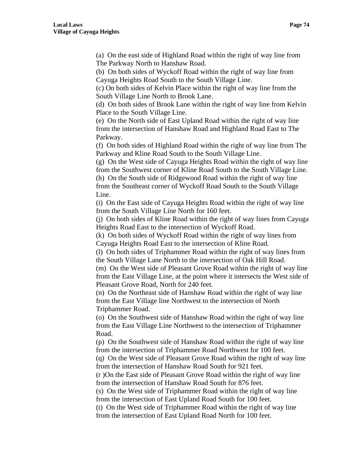(a) On the east side of Highland Road within the right of way line from The Parkway North to Hanshaw Road.

(b) On both sides of Wyckoff Road within the right of way line from Cayuga Heights Road South to the South Village Line.

(c) On both sides of Kelvin Place within the right of way line from the South Village Line North to Brook Lane.

(d) On both sides of Brook Lane within the right of way line from Kelvin Place to the South Village Line.

(e) On the North side of East Upland Road within the right of way line from the intersection of Hanshaw Road and Highland Road East to The Parkway.

(f) On both sides of Highland Road within the right of way line from The Parkway and Kline Road South to the South Village Line.

(g) On the West side of Cayuga Heights Road within the right of way line from the Southwest corner of Kline Road South to the South Village Line.

(h) On the South side of Ridgewood Road within the right of way line from the Southeast corner of Wyckoff Road South to the South Village Line.

(i) On the East side of Cayuga Heights Road within the right of way line from the South Village Line North for 160 feet.

(j) On both sides of Kline Road within the right of way lines from Cayuga Heights Road East to the intersection of Wyckoff Road.

(k) On both sides of Wyckoff Road within the right of way lines from Cayuga Heights Road East to the intersection of Kline Road.

(l) On both sides of Triphammer Road within the right of way lines from the South Village Lane North to the intersection of Oak Hill Road.

(m) On the West side of Pleasant Grove Road within the right of way line from the East Village Line, at the point where it intersects the West side of Pleasant Grove Road, North for 240 feet.

(n) On the Northeast side of Hanshaw Road within the right of way line from the East Village line Northwest to the intersection of North Triphammer Road.

(o) On the Southwest side of Hanshaw Road within the right of way line from the East Village Line Northwest to the intersection of Triphammer Road.

(p) On the Southwest side of Hanshaw Road within the right of way line from the intersection of Triphammer Road Northwest for 100 feet.

(q) On the West side of Pleasant Grove Road within the right of way line from the intersection of Hanshaw Road South for 921 feet.

(r )On the East side of Pleasant Grove Road within the right of way line from the intersection of Hanshaw Road South for 876 feet.

(s) On the West side of Triphammer Road within the right of way line from the intersection of East Upland Road South for 100 feet.

(t) On the West side of Triphammer Road within the right of way line from the intersection of East Upland Road North for 100 feet.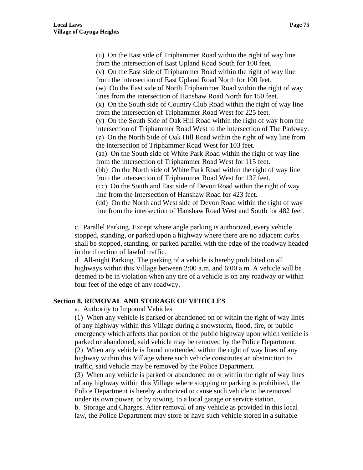(u) On the East side of Triphammer Road within the right of way line from the intersection of East Upland Road South for 100 feet. (v) On the East side of Triphammer Road within the right of way line from the intersection of East Upland Road North for 100 feet. (w) On the East side of North Triphammer Road within the right of way lines from the intersection of Hanshaw Road North for 150 feet. (x) On the South side of Country Club Road within the right of way line from the intersection of Triphammer Road West for 225 feet. (y) On the South Side of Oak Hill Road within the right of way from the intersection of Triphammer Road West to the intersection of The Parkway. (z) On the North Side of Oak Hill Road within the right of way line from the intersection of Triphammer Road West for 103 feet. (aa) On the South side of White Park Road within the right of way line from the intersection of Triphammer Road West for 115 feet. (bb) On the North side of White Park Road within the right of way line from the intersection of Triphammer Road West for 137 feet. (cc) On the South and East side of Devon Road within the right of way line from the Intersection of Hanshaw Road for 423 feet. (dd) On the North and West side of Devon Road within the right of way line from the intersection of Hanshaw Road West and South for 482 feet.

c. Parallel Parking. Except where angle parking is authorized, every vehicle stopped, standing, or parked upon a highway where there are no adjacent curbs shall be stopped, standing, or parked parallel with the edge of the roadway headed in the direction of lawful traffic.

d. All-night Parking. The parking of a vehicle is hereby prohibited on all highways within this Village between 2:00 a.m. and 6:00 a.m. A vehicle will be deemed to be in violation when any tire of a vehicle is on any roadway or within four feet of the edge of any roadway.

#### **Section 8. REMOVAL AND STORAGE OF VEHICLES**

a. Authority to Impound Vehicles

(1) When any vehicle is parked or abandoned on or within the right of way lines of any highway within this Village during a snowstorm, flood, fire, or public emergency which affects that portion of the public highway upon which vehicle is parked or abandoned, said vehicle may be removed by the Police Department. (2) When any vehicle is found unattended within the right of way lines of any highway within this Village where such vehicle constitutes an obstruction to traffic, said vehicle may be removed by the Police Department.

(3) When any vehicle is parked or abandoned on or within the right of way lines of any highway within this Village where stopping or parking is prohibited, the Police Department is hereby authorized to cause such vehicle to be removed under its own power, or by towing, to a local garage or service station. b. Storage and Charges. After removal of any vehicle as provided in this local law, the Police Department may store or have such vehicle stored in a suitable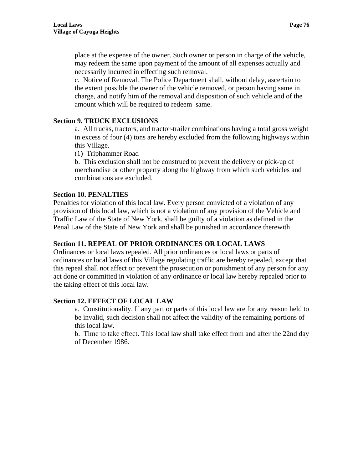place at the expense of the owner. Such owner or person in charge of the vehicle, may redeem the same upon payment of the amount of all expenses actually and necessarily incurred in effecting such removal.

c. Notice of Removal. The Police Department shall, without delay, ascertain to the extent possible the owner of the vehicle removed, or person having same in charge, and notify him of the removal and disposition of such vehicle and of the amount which will be required to redeem same.

## **Section 9. TRUCK EXCLUSIONS**

a. All trucks, tractors, and tractor-trailer combinations having a total gross weight in excess of four (4) tons are hereby excluded from the following highways within this Village.

(1) Triphammer Road

b. This exclusion shall not be construed to prevent the delivery or pick-up of merchandise or other property along the highway from which such vehicles and combinations are excluded.

### **Section 10. PENALTIES**

Penalties for violation of this local law. Every person convicted of a violation of any provision of this local law, which is not a violation of any provision of the Vehicle and Traffic Law of the State of New York, shall be guilty of a violation as defined in the Penal Law of the State of New York and shall be punished in accordance therewith.

# **Section 11. REPEAL OF PRIOR ORDINANCES OR LOCAL LAWS**

Ordinances or local laws repealed. All prior ordinances or local laws or parts of ordinances or local laws of this Village regulating traffic are hereby repealed, except that this repeal shall not affect or prevent the prosecution or punishment of any person for any act done or committed in violation of any ordinance or local law hereby repealed prior to the taking effect of this local law.

## **Section 12. EFFECT OF LOCAL LAW**

a. Constitutionality. If any part or parts of this local law are for any reason held to be invalid, such decision shall not affect the validity of the remaining portions of this local law.

b. Time to take effect. This local law shall take effect from and after the 22nd day of December 1986.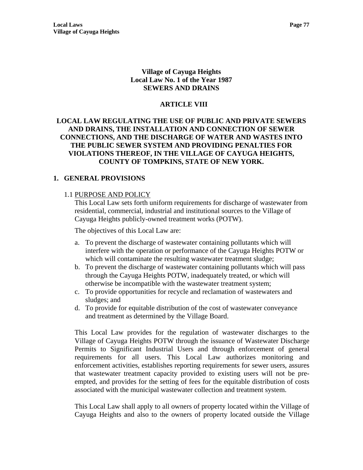## **Village of Cayuga Heights Local Law No. 1 of the Year 1987 SEWERS AND DRAINS**

# **ARTICLE VIII**

# **LOCAL LAW REGULATING THE USE OF PUBLIC AND PRIVATE SEWERS AND DRAINS, THE INSTALLATION AND CONNECTION OF SEWER CONNECTIONS, AND THE DISCHARGE OF WATER AND WASTES INTO THE PUBLIC SEWER SYSTEM AND PROVIDING PENALTIES FOR VIOLATIONS THEREOF, IN THE VILLAGE OF CAYUGA HEIGHTS, COUNTY OF TOMPKINS, STATE OF NEW YORK.**

## **1. GENERAL PROVISIONS**

## 1.1 PURPOSE AND POLICY

This Local Law sets forth uniform requirements for discharge of wastewater from residential, commercial, industrial and institutional sources to the Village of Cayuga Heights publicly-owned treatment works (POTW).

The objectives of this Local Law are:

- a. To prevent the discharge of wastewater containing pollutants which will interfere with the operation or performance of the Cayuga Heights POTW or which will contaminate the resulting wastewater treatment sludge;
- b. To prevent the discharge of wastewater containing pollutants which will pass through the Cayuga Heights POTW, inadequately treated, or which will otherwise be incompatible with the wastewater treatment system;
- c. To provide opportunities for recycle and reclamation of wastewaters and sludges; and
- d. To provide for equitable distribution of the cost of wastewater conveyance and treatment as determined by the Village Board.

This Local Law provides for the regulation of wastewater discharges to the Village of Cayuga Heights POTW through the issuance of Wastewater Discharge Permits to Significant Industrial Users and through enforcement of general requirements for all users. This Local Law authorizes monitoring and enforcement activities, establishes reporting requirements for sewer users, assures that wastewater treatment capacity provided to existing users will not be preempted, and provides for the setting of fees for the equitable distribution of costs associated with the municipal wastewater collection and treatment system.

This Local Law shall apply to all owners of property located within the Village of Cayuga Heights and also to the owners of property located outside the Village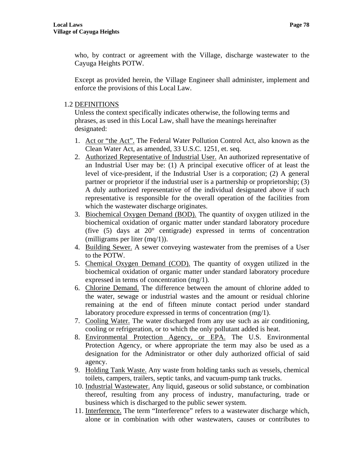who, by contract or agreement with the Village, discharge wastewater to the Cayuga Heights POTW.

Except as provided herein, the Village Engineer shall administer, implement and enforce the provisions of this Local Law.

# 1.2 DEFINITIONS

Unless the context specifically indicates otherwise, the following terms and phrases, as used in this Local Law, shall have the meanings hereinafter designated:

- 1. Act or "the Act". The Federal Water Pollution Control Act, also known as the Clean Water Act, as amended, 33 U.S.C. 1251, et. seq.
- 2. Authorized Representative of Industrial User. An authorized representative of an Industrial User may be: (1) A principal executive officer of at least the level of vice-president, if the Industrial User is a corporation; (2) A general partner or proprietor if the industrial user is a partnership or proprietorship; (3) A duly authorized representative of the individual designated above if such representative is responsible for the overall operation of the facilities from which the wastewater discharge originates.
- 3. Biochemical Oxygen Demand (BOD). The quantity of oxygen utilized in the biochemical oxidation of organic matter under standard laboratory procedure (five (5) days at 20° centigrade) expressed in terms of concentration (milligrams per liter (mq/1)).
- 4. Building Sewer. A sewer conveying wastewater from the premises of a User to the POTW.
- 5. Chemical Oxygen Demand (COD). The quantity of oxygen utilized in the biochemical oxidation of organic matter under standard laboratory procedure expressed in terms of concentration (mg/1).
- 6. Chlorine Demand. The difference between the amount of chlorine added to the water, sewage or industrial wastes and the amount or residual chlorine remaining at the end of fifteen minute contact period under standard laboratory procedure expressed in terms of concentration (mg/1).
- 7. Cooling Water. The water discharged from any use such as air conditioning, cooling or refrigeration, or to which the only pollutant added is heat.
- 8. Environmental Protection Agency, or EPA. The U.S. Environmental Protection Agency, or where appropriate the term may also be used as a designation for the Administrator or other duly authorized official of said agency.
- 9. Holding Tank Waste. Any waste from holding tanks such as vessels, chemical toilets, campers, trailers, septic tanks, and vacuum-pump tank trucks.
- 10. Industrial Wastewater. Any liquid, gaseous or solid substance, or combination thereof, resulting from any process of industry, manufacturing, trade or business which is discharged to the public sewer system.
- 11. Interference. The term "Interference" refers to a wastewater discharge which, alone or in combination with other wastewaters, causes or contributes to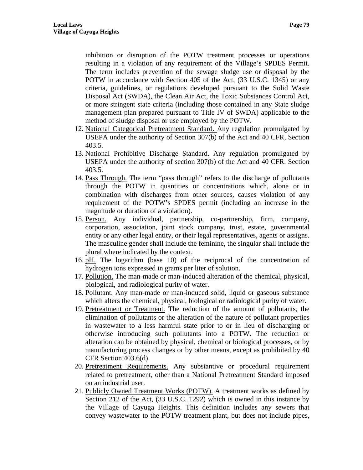inhibition or disruption of the POTW treatment processes or operations resulting in a violation of any requirement of the Village's SPDES Permit. The term includes prevention of the sewage sludge use or disposal by the POTW in accordance with Section 405 of the Act, (33 U.S.C. 1345) or any criteria, guidelines, or regulations developed pursuant to the Solid Waste Disposal Act (SWDA), the Clean Air Act, the Toxic Substances Control Act, or more stringent state criteria (including those contained in any State sludge management plan prepared pursuant to Title IV of SWDA) applicable to the method of sludge disposal or use employed by the POTW.

- 12. National Categorical Pretreatment Standard. Any regulation promulgated by USEPA under the authority of Section 307(b) of the Act and 40 CFR, Section 403.5.
- 13. National Prohibitive Discharge Standard. Any regulation promulgated by USEPA under the authority of section 307(b) of the Act and 40 CFR. Section 403.5.
- 14. Pass Through. The term "pass through" refers to the discharge of pollutants through the POTW in quantities or concentrations which, alone or in combination with discharges from other sources, causes violation of any requirement of the POTW's SPDES permit (including an increase in the magnitude or duration of a violation).
- 15. Person. Any individual, partnership, co-partnership, firm, company, corporation, association, joint stock company, trust, estate, governmental entity or any other legal entity, or their legal representatives, agents or assigns. The masculine gender shall include the feminine, the singular shall include the plural where indicated by the context.
- 16. pH. The logarithm (base 10) of the reciprocal of the concentration of hydrogen ions expressed in grams per liter of solution.
- 17. Pollution. The man-made or man-induced alteration of the chemical, physical, biological, and radiological purity of water.
- 18. Pollutant. Any man-made or man-induced solid, liquid or gaseous substance which alters the chemical, physical, biological or radiological purity of water.
- 19. Pretreatment or Treatment. The reduction of the amount of pollutants, the elimination of pollutants or the alteration of the nature of pollutant properties in wastewater to a less harmful state prior to or in lieu of discharging or otherwise introducing such pollutants into a POTW. The reduction or alteration can be obtained by physical, chemical or biological processes, or by manufacturing process changes or by other means, except as prohibited by 40 CFR Section 403.6(d).
- 20. Pretreatment Requirements. Any substantive or procedural requirement related to pretreatment, other than a National Pretreatment Standard imposed on an industrial user.
- 21. Publicly Owned Treatment Works (POTW). A treatment works as defined by Section 212 of the Act, (33 U.S.C. 1292) which is owned in this instance by the Village of Cayuga Heights. This definition includes any sewers that convey wastewater to the POTW treatment plant, but does not include pipes,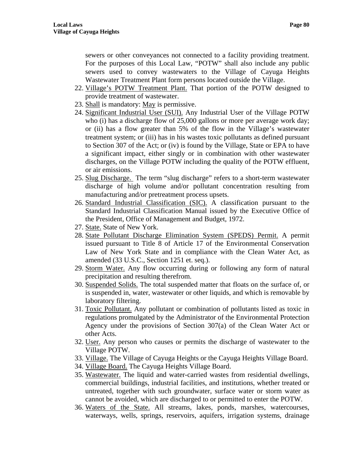sewers or other conveyances not connected to a facility providing treatment. For the purposes of this Local Law, "POTW" shall also include any public sewers used to convey wastewaters to the Village of Cayuga Heights Wastewater Treatment Plant form persons located outside the Village.

- 22. Village's POTW Treatment Plant. That portion of the POTW designed to provide treatment of wastewater.
- 23. Shall is mandatory: May is permissive.
- 24. Significant Industrial User (SUI). Any Industrial User of the Village POTW who (i) has a discharge flow of 25,000 gallons or more per average work day; or (ii) has a flow greater than 5% of the flow in the Village's wastewater treatment system; or (iii) has in his wastes toxic pollutants as defined pursuant to Section 307 of the Act; or (iv) is found by the Village, State or EPA to have a significant impact, either singly or in combination with other wastewater discharges, on the Village POTW including the quality of the POTW effluent, or air emissions.
- 25. Slug Discharge. The term "slug discharge" refers to a short-term wastewater discharge of high volume and/or pollutant concentration resulting from manufacturing and/or pretreatment process upsets.
- 26. Standard Industrial Classification (SIC). A classification pursuant to the Standard Industrial Classification Manual issued by the Executive Office of the President, Office of Management and Budget, 1972.
- 27. State. State of New York.
- 28. State Pollutant Discharge Elimination System (SPEDS) Permit. A permit issued pursuant to Title 8 of Article 17 of the Environmental Conservation Law of New York State and in compliance with the Clean Water Act, as amended (33 U.S.C., Section 1251 et. seq.).
- 29. Storm Water. Any flow occurring during or following any form of natural precipitation and resulting therefrom.
- 30. Suspended Solids. The total suspended matter that floats on the surface of, or is suspended in, water, wastewater or other liquids, and which is removable by laboratory filtering.
- 31. Toxic Pollutant. Any pollutant or combination of pollutants listed as toxic in regulations promulgated by the Administrator of the Environmental Protection Agency under the provisions of Section 307(a) of the Clean Water Act or other Acts.
- 32. User. Any person who causes or permits the discharge of wastewater to the Village POTW.
- 33. Village. The Village of Cayuga Heights or the Cayuga Heights Village Board.
- 34. Village Board. The Cayuga Heights Village Board.
- 35. Wastewater. The liquid and water-carried wastes from residential dwellings, commercial buildings, industrial facilities, and institutions, whether treated or untreated, together with such groundwater, surface water or storm water as cannot be avoided, which are discharged to or permitted to enter the POTW.
- 36. Waters of the State. All streams, lakes, ponds, marshes, watercourses, waterways, wells, springs, reservoirs, aquifers, irrigation systems, drainage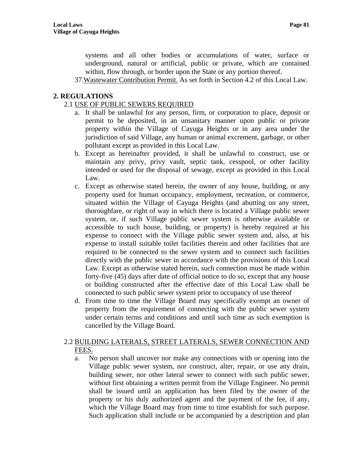systems and all other bodies or accumulations of water, surface or underground, natural or artificial, public or private, which are contained within, flow through, or border upon the State or any portion thereof.

37.Wastewater Contribution Permit. As set forth in Section 4.2 of this Local Law.

## **2. REGULATIONS**

### 2.1 USE OF PUBLIC SEWERS REQUIRED

- a. It shall be unlawful for any person, firm, or corporation to place, deposit or permit to be deposited, in an unsanitary manner upon public or private property within the Village of Cayuga Heights or in any area under the jurisdiction of said Village, any human or animal excrement, garbage, or other pollutant except as provided in this Local Law.
- b. Except as hereinafter provided, it shall be unlawful to construct, use or maintain any privy, privy vault, septic tank, cesspool, or other facility intended or used for the disposal of sewage, except as provided in this Local Law.
- c. Except as otherwise stated herein, the owner of any house, building, or any property used for human occupancy, employment, recreation, or commerce, situated within the Village of Cayuga Heights (and abutting on any street, thoroughfare, or right of way in which there is located a Village public sewer system, or, if such Village public sewer system is otherwise available or accessible to such house, building, or property) is hereby required at his expense to connect with the Village public sewer system and, also, at his expense to install suitable toilet facilities therein and other facilities that are required to be connected to the sewer system and to connect such facilities directly with the public sewer in accordance with the provisions of this Local Law. Except as otherwise stated herein, such connection must be made within forty-five (45) days after date of official notice to do so, except that any house or building constructed after the effective date of this Local Law shall be connected to such public sewer system prior to occupancy of use thereof
- d. From time to time the Village Board may specifically exempt an owner of property from the requirement of connecting with the public sewer system under certain terms and conditions and until such time as such exemption is cancelled by the Village Board.

### 2.2 BUILDING LATERALS, STREET LATERALS, SEWER CONNECTION AND FEES.

a. No person shall uncover nor make any connections with or opening into the Village public sewer system, nor construct, alter, repair, or use any drain, building sewer, nor other lateral sewer to connect with such public sewer, without first obtaining a written permit from the Village Engineer. No permit shall be issued until an application has been filed by the owner of the property or his duly authorized agent and the payment of the fee, if any, which the Village Board may from time to time establish for such purpose. Such application shall include or be accompanied by a description and plan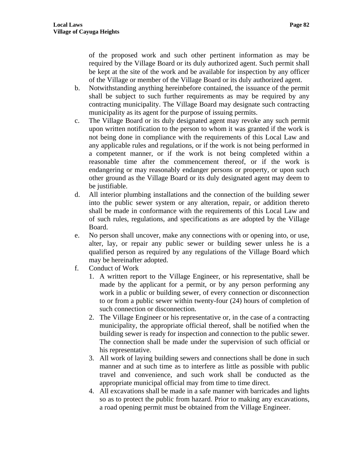of the proposed work and such other pertinent information as may be required by the Village Board or its duly authorized agent. Such permit shall be kept at the site of the work and be available for inspection by any officer of the Village or member of the Village Board or its duly authorized agent.

- b. Notwithstanding anything hereinbefore contained, the issuance of the permit shall be subject to such further requirements as may be required by any contracting municipality. The Village Board may designate such contracting municipality as its agent for the purpose of issuing permits.
- c. The Village Board or its duly designated agent may revoke any such permit upon written notification to the person to whom it was granted if the work is not being done in compliance with the requirements of this Local Law and any applicable rules and regulations, or if the work is not being performed in a competent manner, or if the work is not being completed within a reasonable time after the commencement thereof, or if the work is endangering or may reasonably endanger persons or property, or upon such other ground as the Village Board or its duly designated agent may deem to be justifiable.
- d. All interior plumbing installations and the connection of the building sewer into the public sewer system or any alteration, repair, or addition thereto shall be made in conformance with the requirements of this Local Law and of such rules, regulations, and specifications as are adopted by the Village Board.
- e. No person shall uncover, make any connections with or opening into, or use, alter, lay, or repair any public sewer or building sewer unless he is a qualified person as required by any regulations of the Village Board which may be hereinafter adopted.
- f. Conduct of Work
	- 1. A written report to the Village Engineer, or his representative, shall be made by the applicant for a permit, or by any person performing any work in a public or building sewer, of every connection or disconnection to or from a public sewer within twenty-four (24) hours of completion of such connection or disconnection.
	- 2. The Village Engineer or his representative or, in the case of a contracting municipality, the appropriate official thereof, shall be notified when the building sewer is ready for inspection and connection to the public sewer. The connection shall be made under the supervision of such official or his representative.
	- 3. All work of laying building sewers and connections shall be done in such manner and at such time as to interfere as little as possible with public travel and convenience, and such work shall be conducted as the appropriate municipal official may from time to time direct.
	- 4. All excavations shall be made in a safe manner with barricades and lights so as to protect the public from hazard. Prior to making any excavations, a road opening permit must be obtained from the Village Engineer.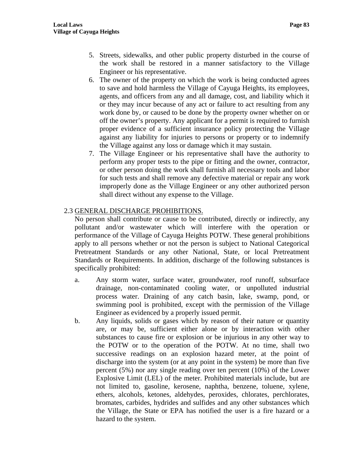- 5. Streets, sidewalks, and other public property disturbed in the course of the work shall be restored in a manner satisfactory to the Village Engineer or his representative.
- 6. The owner of the property on which the work is being conducted agrees to save and hold harmless the Village of Cayuga Heights, its employees, agents, and officers from any and all damage, cost, and liability which it or they may incur because of any act or failure to act resulting from any work done by, or caused to be done by the property owner whether on or off the owner's property. Any applicant for a permit is required to furnish proper evidence of a sufficient insurance policy protecting the Village against any liability for injuries to persons or property or to indemnify the Village against any loss or damage which it may sustain.
- 7. The Village Engineer or his representative shall have the authority to perform any proper tests to the pipe or fitting and the owner, contractor, or other person doing the work shall furnish all necessary tools and labor for such tests and shall remove any defective material or repair any work improperly done as the Village Engineer or any other authorized person shall direct without any expense to the Village.

# 2.3 GENERAL DISCHARGE PROHIBITIONS.

No person shall contribute or cause to be contributed, directly or indirectly, any pollutant and/or wastewater which will interfere with the operation or performance of the Village of Cayuga Heights POTW. These general prohibitions apply to all persons whether or not the person is subject to National Categorical Pretreatment Standards or any other National, State, or local Pretreatment Standards or Requirements. In addition, discharge of the following substances is specifically prohibited:

- a. Any storm water, surface water, groundwater, roof runoff, subsurface drainage, non-contaminated cooling water, or unpolluted industrial process water. Draining of any catch basin, lake, swamp, pond, or swimming pool is prohibited, except with the permission of the Village Engineer as evidenced by a properly issued permit.
- b. Any liquids, solids or gases which by reason of their nature or quantity are, or may be, sufficient either alone or by interaction with other substances to cause fire or explosion or be injurious in any other way to the POTW or to the operation of the POTW. At no time, shall two successive readings on an explosion hazard meter, at the point of discharge into the system (or at any point in the system) be more than five percent (5%) nor any single reading over ten percent (10%) of the Lower Explosive Limit (LEL) of the meter. Prohibited materials include, but are not limited to, gasoline, kerosene, naphtha, benzene, toluene, xylene, ethers, alcohols, ketones, aldehydes, peroxides, chlorates, perchlorates, bromates, carbides, hydrides and sulfides and any other substances which the Village, the State or EPA has notified the user is a fire hazard or a hazard to the system.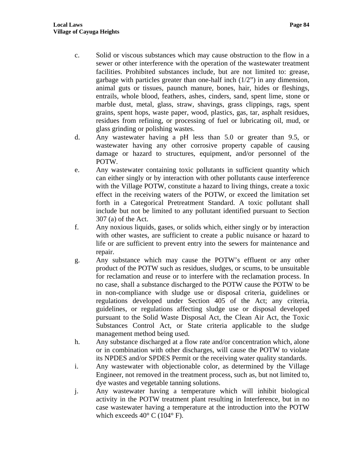- c. Solid or viscous substances which may cause obstruction to the flow in a sewer or other interference with the operation of the wastewater treatment facilities. Prohibited substances include, but are not limited to: grease, garbage with particles greater than one-half inch  $(1/2)$  in any dimension, animal guts or tissues, paunch manure, bones, hair, hides or fleshings, entrails, whole blood, feathers, ashes, cinders, sand, spent lime, stone or marble dust, metal, glass, straw, shavings, grass clippings, rags, spent grains, spent hops, waste paper, wood, plastics, gas, tar, asphalt residues, residues from refining, or processing of fuel or lubricating oil, mud, or glass grinding or polishing wastes.
- d. Any wastewater having a pH less than 5.0 or greater than 9.5, or wastewater having any other corrosive property capable of causing damage or hazard to structures, equipment, and/or personnel of the POTW.
- e. Any wastewater containing toxic pollutants in sufficient quantity which can either singly or by interaction with other pollutants cause interference with the Village POTW, constitute a hazard to living things, create a toxic effect in the receiving waters of the POTW, or exceed the limitation set forth in a Categorical Pretreatment Standard. A toxic pollutant shall include but not be limited to any pollutant identified pursuant to Section 307 (a) of the Act.
- f. Any noxious liquids, gases, or solids which, either singly or by interaction with other wastes, are sufficient to create a public nuisance or hazard to life or are sufficient to prevent entry into the sewers for maintenance and repair.
- g. Any substance which may cause the POTW's effluent or any other product of the POTW such as residues, sludges, or scums, to be unsuitable for reclamation and reuse or to interfere with the reclamation process. In no case, shall a substance discharged to the POTW cause the POTW to be in non-compliance with sludge use or disposal criteria, guidelines or regulations developed under Section 405 of the Act; any criteria, guidelines, or regulations affecting sludge use or disposal developed pursuant to the Solid Waste Disposal Act, the Clean Air Act, the Toxic Substances Control Act, or State criteria applicable to the sludge management method being used.
- h. Any substance discharged at a flow rate and/or concentration which, alone or in combination with other discharges, will cause the POTW to violate its NPDES and/or SPDES Permit or the receiving water quality standards.
- i. Any wastewater with objectionable color, as determined by the Village Engineer, not removed in the treatment process, such as, but not limited to, dye wastes and vegetable tanning solutions.
- j. Any wastewater having a temperature which will inhibit biological activity in the POTW treatment plant resulting in Interference, but in no case wastewater having a temperature at the introduction into the POTW which exceeds  $40^{\circ}$  C (104 $^{\circ}$  F).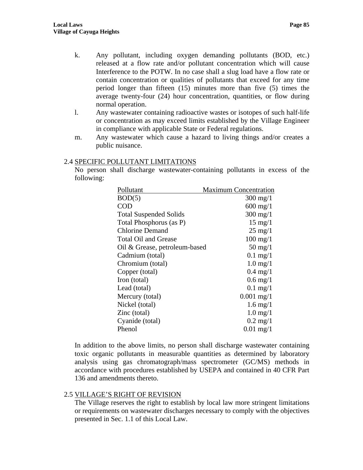- k. Any pollutant, including oxygen demanding pollutants (BOD, etc.) released at a flow rate and/or pollutant concentration which will cause Interference to the POTW. In no case shall a slug load have a flow rate or contain concentration or qualities of pollutants that exceed for any time period longer than fifteen (15) minutes more than five (5) times the average twenty-four (24) hour concentration, quantities, or flow during normal operation.
- l. Any wastewater containing radioactive wastes or isotopes of such half-life or concentration as may exceed limits established by the Village Engineer in compliance with applicable State or Federal regulations.
- m. Any wastewater which cause a hazard to living things and/or creates a public nuisance.

#### 2.4 SPECIFIC POLLUTANT LIMITATIONS

No person shall discharge wastewater-containing pollutants in excess of the following:

| Pollutant                     | <b>Maximum Concentration</b> |
|-------------------------------|------------------------------|
| BOD(5)                        | $300 \text{ mg}/1$           |
| COD                           | $600 \text{ mg}/1$           |
| <b>Total Suspended Solids</b> | $300$ mg/1                   |
| Total Phosphorus (as P)       | $15 \text{ mg}/1$            |
| <b>Chlorine Demand</b>        | $25 \text{ mg}/1$            |
| <b>Total Oil and Grease</b>   | $100 \text{ mg}/1$           |
| Oil & Grease, petroleum-based | $50 \text{ mg}/1$            |
| Cadmium (total)               | $0.1 \text{ mg}/1$           |
| Chromium (total)              | $1.0 \,\mathrm{mg}/1$        |
| Copper (total)                | $0.4 \text{ mg}/1$           |
| Iron (total)                  | $0.6 \,\mathrm{mg}/1$        |
| Lead (total)                  | $0.1 \text{ mg}/1$           |
| Mercury (total)               | $0.001$ mg/1                 |
| Nickel (total)                | $1.6 \,\mathrm{mg}/1$        |
| Zinc (total)                  | $1.0$ mg/1                   |
| Cyanide (total)               | $0.2 \text{ mg}/1$           |
| Phenol                        | $0.01 \text{ mg}/1$          |

In addition to the above limits, no person shall discharge wastewater containing toxic organic pollutants in measurable quantities as determined by laboratory analysis using gas chromatograph/mass spectrometer (GC/MS) methods in accordance with procedures established by USEPA and contained in 40 CFR Part 136 and amendments thereto.

### 2.5 VILLAGE'S RIGHT OF REVISION

The Village reserves the right to establish by local law more stringent limitations or requirements on wastewater discharges necessary to comply with the objectives presented in Sec. 1.1 of this Local Law.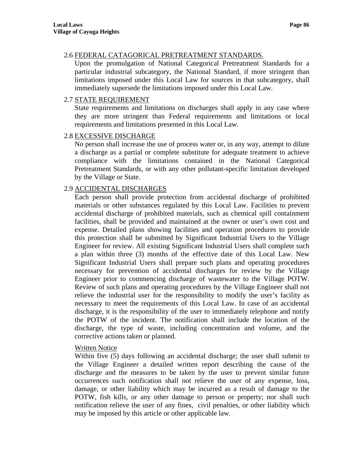### 2.6 FEDERAL CATAGORICAL PRETREATMENT STANDARDS.

Upon the promulgation of National Categorical Pretreatment Standards for a particular industrial subcategory, the National Standard, if more stringent than limitations imposed under this Local Law for sources in that subcategory, shall immediately supersede the limitations imposed under this Local Law.

### 2.7 STATE REQUIREMENT

State requirements and limitations on discharges shall apply in any case where they are more stringent than Federal requirements and limitations or local requirements and limitations presented in this Local Law.

### 2.8 EXCESSIVE DISCHARGE

No person shall increase the use of process water or, in any way, attempt to dilute a discharge as a partial or complete substitute for adequate treatment to achieve compliance with the limitations contained in the National Categorical Pretreatment Standards, or with any other pollutant-specific limitation developed by the Village or State.

### 2.9 ACCIDENTAL DISCHARGES

Each person shall provide protection from accidental discharge of prohibited materials or other substances regulated by this Local Law. Facilities to prevent accidental discharge of prohibited materials, such as chemical spill containment facilities, shall be provided and maintained at the owner or user's own cost and expense. Detailed plans showing facilities and operation procedures to provide this protection shall be submitted by Significant Industrial Users to the Village Engineer for review. All existing Significant Industrial Users shall complete such a plan within three (3) months of the effective date of this Local Law. New Significant Industrial Users shall prepare such plans and operating procedures necessary for prevention of accidental discharges for review by the Village Engineer prior to commencing discharge of wastewater to the Village POTW. Review of such plans and operating procedures by the Village Engineer shall not relieve the industrial user for the responsibility to modify the user's facility as necessary to meet the requirements of this Local Law. In case of an accidental discharge, it is the responsibility of the user to immediately telephone and notify the POTW of the incident. The notification shall include the location of the discharge, the type of waste, including concentration and volume, and the corrective actions taken or planned.

### Written Notice

Within five (5) days following an accidental discharge; the user shall submit to the Village Engineer a detailed written report describing the cause of the discharge and the measures to be taken by the user to prevent similar future occurrences such notification shall not relieve the user of any expense, loss, damage, or other liability which may be incurred as a result of damage to the POTW, fish kills, or any other damage to person or property; nor shall such notification relieve the user of any fines, civil penalties, or other liability which may be imposed by this article or other applicable law.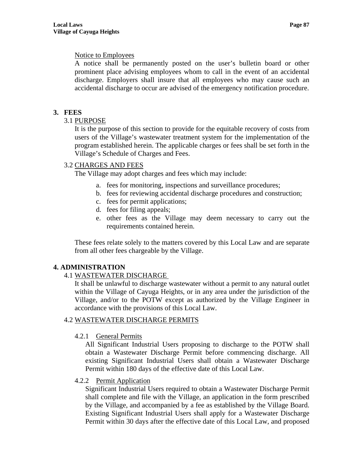## Notice to Employees

A notice shall be permanently posted on the user's bulletin board or other prominent place advising employees whom to call in the event of an accidental discharge. Employers shall insure that all employees who may cause such an accidental discharge to occur are advised of the emergency notification procedure.

# **3. FEES**

## 3.1 PURPOSE

It is the purpose of this section to provide for the equitable recovery of costs from users of the Village's wastewater treatment system for the implementation of the program established herein. The applicable charges or fees shall be set forth in the Village's Schedule of Charges and Fees.

## 3.2 CHARGES AND FEES

The Village may adopt charges and fees which may include:

- a. fees for monitoring, inspections and surveillance procedures;
- b. fees for reviewing accidental discharge procedures and construction;
- c. fees for permit applications;
- d. fees for filing appeals;
- e. other fees as the Village may deem necessary to carry out the requirements contained herein.

These fees relate solely to the matters covered by this Local Law and are separate from all other fees chargeable by the Village.

# **4. ADMINISTRATION**

# 4.1 WASTEWATER DISCHARGE

It shall be unlawful to discharge wastewater without a permit to any natural outlet within the Village of Cayuga Heights, or in any area under the jurisdiction of the Village, and/or to the POTW except as authorized by the Village Engineer in accordance with the provisions of this Local Law.

### 4.2 WASTEWATER DISCHARGE PERMITS

### 4.2.1 General Permits

All Significant Industrial Users proposing to discharge to the POTW shall obtain a Wastewater Discharge Permit before commencing discharge. All existing Significant Industrial Users shall obtain a Wastewater Discharge Permit within 180 days of the effective date of this Local Law.

4.2.2 Permit Application

Significant Industrial Users required to obtain a Wastewater Discharge Permit shall complete and file with the Village, an application in the form prescribed by the Village, and accompanied by a fee as established by the Village Board. Existing Significant Industrial Users shall apply for a Wastewater Discharge Permit within 30 days after the effective date of this Local Law, and proposed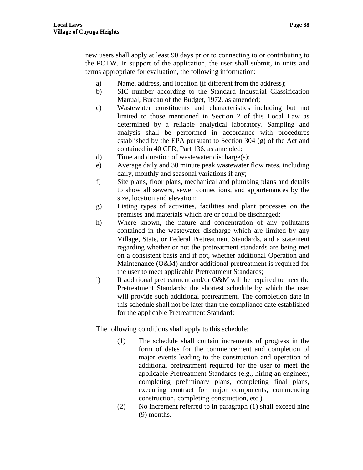new users shall apply at least 90 days prior to connecting to or contributing to the POTW. In support of the application, the user shall submit, in units and terms appropriate for evaluation, the following information:

- a) Name, address, and location (if different from the address);
- b) SIC number according to the Standard Industrial Classification Manual, Bureau of the Budget, 1972, as amended;
- c) Wastewater constituents and characteristics including but not limited to those mentioned in Section 2 of this Local Law as determined by a reliable analytical laboratory. Sampling and analysis shall be performed in accordance with procedures established by the EPA pursuant to Section 304 (g) of the Act and contained in 40 CFR, Part 136, as amended;
- d) Time and duration of wastewater discharge(s);
- e) Average daily and 30 minute peak wastewater flow rates, including daily, monthly and seasonal variations if any;
- f) Site plans, floor plans, mechanical and plumbing plans and details to show all sewers, sewer connections, and appurtenances by the size, location and elevation;
- g) Listing types of activities, facilities and plant processes on the premises and materials which are or could be discharged;
- h) Where known, the nature and concentration of any pollutants contained in the wastewater discharge which are limited by any Village, State, or Federal Pretreatment Standards, and a statement regarding whether or not the pretreatment standards are being met on a consistent basis and if not, whether additional Operation and Maintenance (O&M) and/or additional pretreatment is required for the user to meet applicable Pretreatment Standards;
- i) If additional pretreatment and/or O&M will be required to meet the Pretreatment Standards; the shortest schedule by which the user will provide such additional pretreatment. The completion date in this schedule shall not be later than the compliance date established for the applicable Pretreatment Standard:

The following conditions shall apply to this schedule:

- (1) The schedule shall contain increments of progress in the form of dates for the commencement and completion of major events leading to the construction and operation of additional pretreatment required for the user to meet the applicable Pretreatment Standards (e.g., hiring an engineer, completing preliminary plans, completing final plans, executing contract for major components, commencing construction, completing construction, etc.).
- (2) No increment referred to in paragraph (1) shall exceed nine (9) months.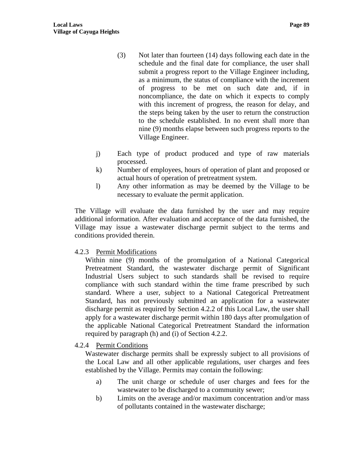- (3) Not later than fourteen (14) days following each date in the schedule and the final date for compliance, the user shall submit a progress report to the Village Engineer including, as a minimum, the status of compliance with the increment of progress to be met on such date and, if in noncompliance, the date on which it expects to comply with this increment of progress, the reason for delay, and the steps being taken by the user to return the construction to the schedule established. In no event shall more than nine (9) months elapse between such progress reports to the Village Engineer.
- j) Each type of product produced and type of raw materials processed.
- k) Number of employees, hours of operation of plant and proposed or actual hours of operation of pretreatment system.
- l) Any other information as may be deemed by the Village to be necessary to evaluate the permit application.

The Village will evaluate the data furnished by the user and may require additional information. After evaluation and acceptance of the data furnished, the Village may issue a wastewater discharge permit subject to the terms and conditions provided therein.

### 4.2.3 Permit Modifications

Within nine (9) months of the promulgation of a National Categorical Pretreatment Standard, the wastewater discharge permit of Significant Industrial Users subject to such standards shall be revised to require compliance with such standard within the time frame prescribed by such standard. Where a user, subject to a National Categorical Pretreatment Standard, has not previously submitted an application for a wastewater discharge permit as required by Section 4.2.2 of this Local Law, the user shall apply for a wastewater discharge permit within 180 days after promulgation of the applicable National Categorical Pretreatment Standard the information required by paragraph (h) and (i) of Section 4.2.2.

4.2.4 Permit Conditions

Wastewater discharge permits shall be expressly subject to all provisions of the Local Law and all other applicable regulations, user charges and fees established by the Village. Permits may contain the following:

- a) The unit charge or schedule of user charges and fees for the wastewater to be discharged to a community sewer;
- b) Limits on the average and/or maximum concentration and/or mass of pollutants contained in the wastewater discharge;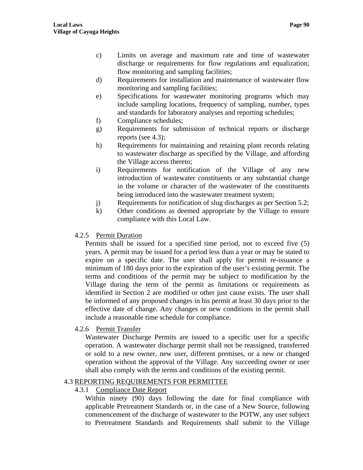- d) Requirements for installation and maintenance of wastewater flow monitoring and sampling facilities;
- e) Specifications for wastewater monitoring programs which may include sampling locations, frequency of sampling, number, types and standards for laboratory analyses and reporting schedules;
- f) Compliance schedules;
- g) Requirements for submission of technical reports or discharge reports (see 4.3);
- h) Requirements for maintaining and retaining plant records relating to wastewater discharge as specified by the Village, and affording the Village access thereto;
- i) Requirements for notification of the Village of any new introduction of wastewater constituents or any substantial change in the volume or character of the wastewater of the constituents being introduced into the wastewater treatment system;
- j) Requirements for notification of slug discharges as per Section 5.2;
- k) Other conditions as deemed appropriate by the Village to ensure compliance with this Local Law.
- 4.2.5 Permit Duration

Permits shall be issued for a specified time period, not to exceed five (5) years. A permit may be issued for a period less than a year or may be stated to expire on a specific date. The user shall apply for permit re-issuance a minimum of 180 days prior to the expiration of the user's existing permit. The terms and conditions of the permit may be subject to modification by the Village during the term of the permit as limitations or requirements as identified in Section 2 are modified or other just cause exists. The user shall be informed of any proposed changes in his permit at least 30 days prior to the effective date of change. Any changes or new conditions in the permit shall include a reasonable time schedule for compliance.

4.2.6 Permit Transfer

Wastewater Discharge Permits are issued to a specific user for a specific operation. A wastewater discharge permit shall not be reassigned, transferred or sold to a new owner, new user, different premises, or a new or changed operation without the approval of the Village. Any succeeding owner or user shall also comply with the terms and conditions of the existing permit.

# 4.3 REPORTING REQUIREMENTS FOR PERMITTEE

# 4.3.1 Compliance Date Report

Within ninety (90) days following the date for final compliance with applicable Pretreatment Standards or, in the case of a New Source, following commencement of the discharge of wastewater to the POTW, any user subject to Pretreatment Standards and Requirements shall submit to the Village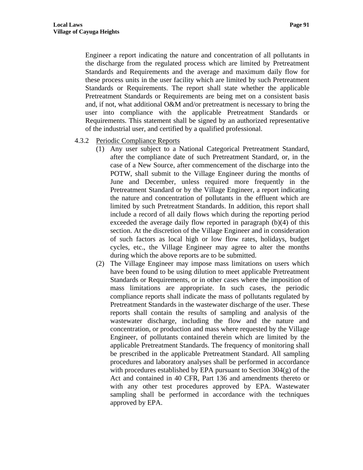Engineer a report indicating the nature and concentration of all pollutants in the discharge from the regulated process which are limited by Pretreatment Standards and Requirements and the average and maximum daily flow for these process units in the user facility which are limited by such Pretreatment Standards or Requirements. The report shall state whether the applicable Pretreatment Standards or Requirements are being met on a consistent basis and, if not, what additional O&M and/or pretreatment is necessary to bring the user into compliance with the applicable Pretreatment Standards or Requirements. This statement shall be signed by an authorized representative of the industrial user, and certified by a qualified professional.

- 4.3.2 Periodic Compliance Reports
	- (1) Any user subject to a National Categorical Pretreatment Standard, after the compliance date of such Pretreatment Standard, or, in the case of a New Source, after commencement of the discharge into the POTW, shall submit to the Village Engineer during the months of June and December, unless required more frequently in the Pretreatment Standard or by the Village Engineer, a report indicating the nature and concentration of pollutants in the effluent which are limited by such Pretreatment Standards. In addition, this report shall include a record of all daily flows which during the reporting period exceeded the average daily flow reported in paragraph (b)(4) of this section. At the discretion of the Village Engineer and in consideration of such factors as local high or low flow rates, holidays, budget cycles, etc., the Village Engineer may agree to alter the months during which the above reports are to be submitted.
	- (2) The Village Engineer may impose mass limitations on users which have been found to be using dilution to meet applicable Pretreatment Standards or Requirements, or in other cases where the imposition of mass limitations are appropriate. In such cases, the periodic compliance reports shall indicate the mass of pollutants regulated by Pretreatment Standards in the wastewater discharge of the user. These reports shall contain the results of sampling and analysis of the wastewater discharge, including the flow and the nature and concentration, or production and mass where requested by the Village Engineer, of pollutants contained therein which are limited by the applicable Pretreatment Standards. The frequency of monitoring shall be prescribed in the applicable Pretreatment Standard. All sampling procedures and laboratory analyses shall be performed in accordance with procedures established by EPA pursuant to Section 304(g) of the Act and contained in 40 CFR, Part 136 and amendments thereto or with any other test procedures approved by EPA. Wastewater sampling shall be performed in accordance with the techniques approved by EPA.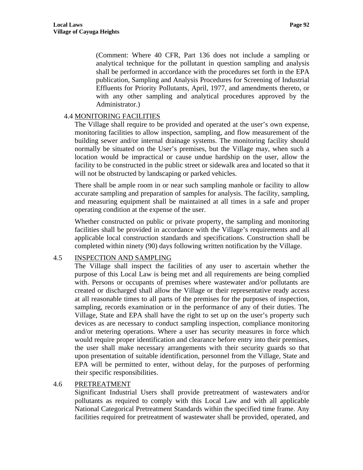(Comment: Where 40 CFR, Part 136 does not include a sampling or analytical technique for the pollutant in question sampling and analysis shall be performed in accordance with the procedures set forth in the EPA publication, Sampling and Analysis Procedures for Screening of Industrial Effluents for Priority Pollutants, April, 1977, and amendments thereto, or with any other sampling and analytical procedures approved by the Administrator.)

## 4.4 MONITORING FACILITIES

The Village shall require to be provided and operated at the user's own expense, monitoring facilities to allow inspection, sampling, and flow measurement of the building sewer and/or internal drainage systems. The monitoring facility should normally be situated on the User's premises, but the Village may, when such a location would be impractical or cause undue hardship on the user, allow the facility to be constructed in the public street or sidewalk area and located so that it will not be obstructed by landscaping or parked vehicles.

There shall be ample room in or near such sampling manhole or facility to allow accurate sampling and preparation of samples for analysis. The facility, sampling, and measuring equipment shall be maintained at all times in a safe and proper operating condition at the expense of the user.

Whether constructed on public or private property, the sampling and monitoring facilities shall be provided in accordance with the Village's requirements and all applicable local construction standards and specifications. Construction shall be completed within ninety (90) days following written notification by the Village.

### 4.5 INSPECTION AND SAMPLING

The Village shall inspect the facilities of any user to ascertain whether the purpose of this Local Law is being met and all requirements are being complied with. Persons or occupants of premises where wastewater and/or pollutants are created or discharged shall allow the Village or their representative ready access at all reasonable times to all parts of the premises for the purposes of inspection, sampling, records examination or in the performance of any of their duties. The Village, State and EPA shall have the right to set up on the user's property such devices as are necessary to conduct sampling inspection, compliance monitoring and/or metering operations. Where a user has security measures in force which would require proper identification and clearance before entry into their premises, the user shall make necessary arrangements with their security guards so that upon presentation of suitable identification, personnel from the Village, State and EPA will be permitted to enter, without delay, for the purposes of performing their specific responsibilities.

### 4.6 PRETREATMENT

Significant Industrial Users shall provide pretreatment of wastewaters and/or pollutants as required to comply with this Local Law and with all applicable National Categorical Pretreatment Standards within the specified time frame. Any facilities required for pretreatment of wastewater shall be provided, operated, and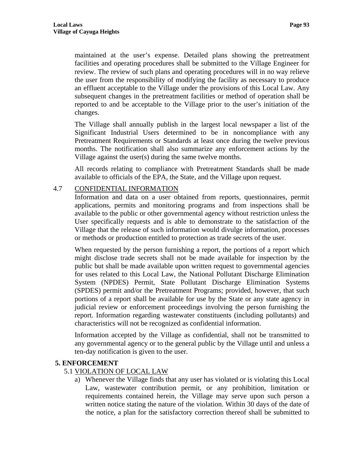maintained at the user's expense. Detailed plans showing the pretreatment facilities and operating procedures shall be submitted to the Village Engineer for review. The review of such plans and operating procedures will in no way relieve the user from the responsibility of modifying the facility as necessary to produce an effluent acceptable to the Village under the provisions of this Local Law. Any subsequent changes in the pretreatment facilities or method of operation shall be reported to and be acceptable to the Village prior to the user's initiation of the changes.

The Village shall annually publish in the largest local newspaper a list of the Significant Industrial Users determined to be in noncompliance with any Pretreatment Requirements or Standards at least once during the twelve previous months. The notification shall also summarize any enforcement actions by the Village against the user(s) during the same twelve months.

All records relating to compliance with Pretreatment Standards shall be made available to officials of the EPA, the State, and the Village upon request.

### 4.7 CONFIDENTIAL INFORMATION

Information and data on a user obtained from reports, questionnaires, permit applications, permits and monitoring programs and from inspections shall be available to the public or other governmental agency without restriction unless the User specifically requests and is able to demonstrate to the satisfaction of the Village that the release of such information would divulge information, processes or methods or production entitled to protection as trade secrets of the user.

When requested by the person furnishing a report, the portions of a report which might disclose trade secrets shall not be made available for inspection by the public but shall be made available upon written request to governmental agencies for uses related to this Local Law, the National Pollutant Discharge Elimination System (NPDES) Permit, State Pollutant Discharge Elimination Systems (SPDES) permit and/or the Pretreatment Programs; provided, however, that such portions of a report shall be available for use by the State or any state agency in judicial review or enforcement proceedings involving the person furnishing the report. Information regarding wastewater constituents (including pollutants) and characteristics will not be recognized as confidential information.

Information accepted by the Village as confidential, shall not be transmitted to any governmental agency or to the general public by the Village until and unless a ten-day notification is given to the user.

### **5. ENFORCEMENT**

### 5.1 VIOLATION OF LOCAL LAW

a) Whenever the Village finds that any user has violated or is violating this Local Law, wastewater contribution permit, or any prohibition, limitation or requirements contained herein, the Village may serve upon such person a written notice stating the nature of the violation. Within 30 days of the date of the notice, a plan for the satisfactory correction thereof shall be submitted to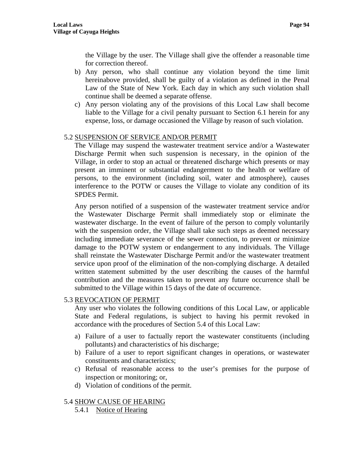the Village by the user. The Village shall give the offender a reasonable time for correction thereof.

- b) Any person, who shall continue any violation beyond the time limit hereinabove provided, shall be guilty of a violation as defined in the Penal Law of the State of New York. Each day in which any such violation shall continue shall be deemed a separate offense.
- c) Any person violating any of the provisions of this Local Law shall become liable to the Village for a civil penalty pursuant to Section 6.1 herein for any expense, loss, or damage occasioned the Village by reason of such violation.

## 5.2 SUSPENSION OF SERVICE AND/OR PERMIT

The Village may suspend the wastewater treatment service and/or a Wastewater Discharge Permit when such suspension is necessary, in the opinion of the Village, in order to stop an actual or threatened discharge which presents or may present an imminent or substantial endangerment to the health or welfare of persons, to the environment (including soil, water and atmosphere), causes interference to the POTW or causes the Village to violate any condition of its SPDES Permit.

Any person notified of a suspension of the wastewater treatment service and/or the Wastewater Discharge Permit shall immediately stop or eliminate the wastewater discharge. In the event of failure of the person to comply voluntarily with the suspension order, the Village shall take such steps as deemed necessary including immediate severance of the sewer connection, to prevent or minimize damage to the POTW system or endangerment to any individuals. The Village shall reinstate the Wastewater Discharge Permit and/or the wastewater treatment service upon proof of the elimination of the non-complying discharge. A detailed written statement submitted by the user describing the causes of the harmful contribution and the measures taken to prevent any future occurrence shall be submitted to the Village within 15 days of the date of occurrence.

5.3 REVOCATION OF PERMIT

Any user who violates the following conditions of this Local Law, or applicable State and Federal regulations, is subject to having his permit revoked in accordance with the procedures of Section 5.4 of this Local Law:

- a) Failure of a user to factually report the wastewater constituents (including pollutants) and characteristics of his discharge;
- b) Failure of a user to report significant changes in operations, or wastewater constituents and characteristics;
- c) Refusal of reasonable access to the user's premises for the purpose of inspection or monitoring; or,
- d) Violation of conditions of the permit.

### 5.4 SHOW CAUSE OF HEARING

5.4.1 Notice of Hearing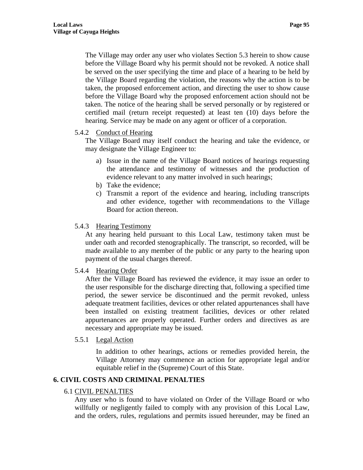The Village may order any user who violates Section 5.3 herein to show cause before the Village Board why his permit should not be revoked. A notice shall be served on the user specifying the time and place of a hearing to be held by the Village Board regarding the violation, the reasons why the action is to be taken, the proposed enforcement action, and directing the user to show cause before the Village Board why the proposed enforcement action should not be taken. The notice of the hearing shall be served personally or by registered or certified mail (return receipt requested) at least ten (10) days before the hearing. Service may be made on any agent or officer of a corporation.

### 5.4.2 Conduct of Hearing

The Village Board may itself conduct the hearing and take the evidence, or may designate the Village Engineer to:

- a) Issue in the name of the Village Board notices of hearings requesting the attendance and testimony of witnesses and the production of evidence relevant to any matter involved in such hearings;
- b) Take the evidence;
- c) Transmit a report of the evidence and hearing, including transcripts and other evidence, together with recommendations to the Village Board for action thereon.

#### 5.4.3 Hearing Testimony

At any hearing held pursuant to this Local Law, testimony taken must be under oath and recorded stenographically. The transcript, so recorded, will be made available to any member of the public or any party to the hearing upon payment of the usual charges thereof.

#### 5.4.4 Hearing Order

After the Village Board has reviewed the evidence, it may issue an order to the user responsible for the discharge directing that, following a specified time period, the sewer service be discontinued and the permit revoked, unless adequate treatment facilities, devices or other related appurtenances shall have been installed on existing treatment facilities, devices or other related appurtenances are properly operated. Further orders and directives as are necessary and appropriate may be issued.

#### 5.5.1 Legal Action

In addition to other hearings, actions or remedies provided herein, the Village Attorney may commence an action for appropriate legal and/or equitable relief in the (Supreme) Court of this State.

## **6. CIVIL COSTS AND CRIMINAL PENALTIES**

#### 6.1 CIVIL PENALTIES

Any user who is found to have violated on Order of the Village Board or who willfully or negligently failed to comply with any provision of this Local Law, and the orders, rules, regulations and permits issued hereunder, may be fined an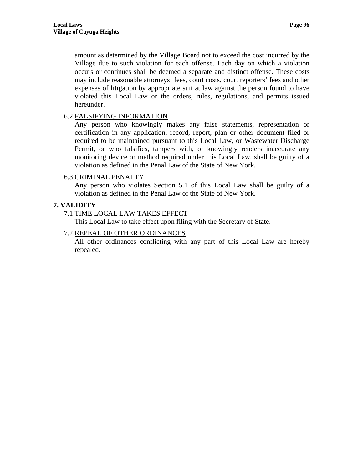amount as determined by the Village Board not to exceed the cost incurred by the Village due to such violation for each offense. Each day on which a violation occurs or continues shall be deemed a separate and distinct offense. These costs may include reasonable attorneys' fees, court costs, court reporters' fees and other expenses of litigation by appropriate suit at law against the person found to have violated this Local Law or the orders, rules, regulations, and permits issued hereunder.

### 6.2 FALSIFYING INFORMATION

Any person who knowingly makes any false statements, representation or certification in any application, record, report, plan or other document filed or required to be maintained pursuant to this Local Law, or Wastewater Discharge Permit, or who falsifies, tampers with, or knowingly renders inaccurate any monitoring device or method required under this Local Law, shall be guilty of a violation as defined in the Penal Law of the State of New York.

### 6.3 CRIMINAL PENALTY

Any person who violates Section 5.1 of this Local Law shall be guilty of a violation as defined in the Penal Law of the State of New York.

# **7. VALIDITY**

## 7.1 TIME LOCAL LAW TAKES EFFECT

This Local Law to take effect upon filing with the Secretary of State.

## 7.2 REPEAL OF OTHER ORDINANCES

All other ordinances conflicting with any part of this Local Law are hereby repealed.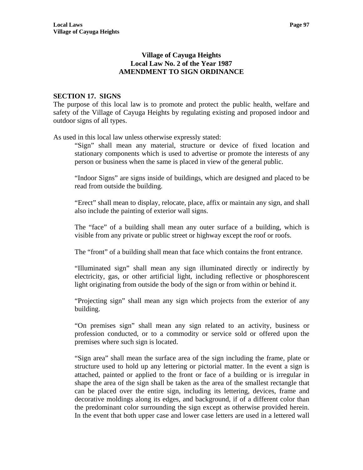## **Village of Cayuga Heights Local Law No. 2 of the Year 1987 AMENDMENT TO SIGN ORDINANCE**

## **SECTION 17. SIGNS**

The purpose of this local law is to promote and protect the public health, welfare and safety of the Village of Cayuga Heights by regulating existing and proposed indoor and outdoor signs of all types.

As used in this local law unless otherwise expressly stated:

"Sign" shall mean any material, structure or device of fixed location and stationary components which is used to advertise or promote the interests of any person or business when the same is placed in view of the general public.

"Indoor Signs" are signs inside of buildings, which are designed and placed to be read from outside the building.

"Erect" shall mean to display, relocate, place, affix or maintain any sign, and shall also include the painting of exterior wall signs.

The "face" of a building shall mean any outer surface of a building, which is visible from any private or public street or highway except the roof or roofs.

The "front" of a building shall mean that face which contains the front entrance.

"Illuminated sign" shall mean any sign illuminated directly or indirectly by electricity, gas, or other artificial light, including reflective or phosphorescent light originating from outside the body of the sign or from within or behind it.

"Projecting sign" shall mean any sign which projects from the exterior of any building.

"On premises sign" shall mean any sign related to an activity, business or profession conducted, or to a commodity or service sold or offered upon the premises where such sign is located.

"Sign area" shall mean the surface area of the sign including the frame, plate or structure used to hold up any lettering or pictorial matter. In the event a sign is attached, painted or applied to the front or face of a building or is irregular in shape the area of the sign shall be taken as the area of the smallest rectangle that can be placed over the entire sign, including its lettering, devices, frame and decorative moldings along its edges, and background, if of a different color than the predominant color surrounding the sign except as otherwise provided herein. In the event that both upper case and lower case letters are used in a lettered wall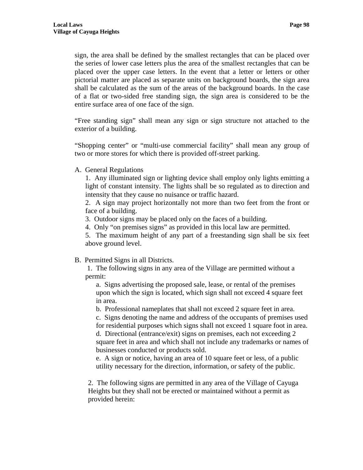sign, the area shall be defined by the smallest rectangles that can be placed over the series of lower case letters plus the area of the smallest rectangles that can be placed over the upper case letters. In the event that a letter or letters or other pictorial matter are placed as separate units on background boards, the sign area shall be calculated as the sum of the areas of the background boards. In the case of a flat or two-sided free standing sign, the sign area is considered to be the entire surface area of one face of the sign.

"Free standing sign" shall mean any sign or sign structure not attached to the exterior of a building.

"Shopping center" or "multi-use commercial facility" shall mean any group of two or more stores for which there is provided off-street parking.

A. General Regulations

1. Any illuminated sign or lighting device shall employ only lights emitting a light of constant intensity. The lights shall be so regulated as to direction and intensity that they cause no nuisance or traffic hazard.

2. A sign may project horizontally not more than two feet from the front or face of a building.

3. Outdoor signs may be placed only on the faces of a building.

4. Only "on premises signs" as provided in this local law are permitted.

5. The maximum height of any part of a freestanding sign shall be six feet above ground level.

### B. Permitted Signs in all Districts.

 1. The following signs in any area of the Village are permitted without a permit:

a. Signs advertising the proposed sale, lease, or rental of the premises upon which the sign is located, which sign shall not exceed 4 square feet in area.

b. Professional nameplates that shall not exceed 2 square feet in area.

c. Signs denoting the name and address of the occupants of premises used for residential purposes which signs shall not exceed 1 square foot in area. d. Directional (entrance/exit) signs on premises, each not exceeding 2 square feet in area and which shall not include any trademarks or names of businesses conducted or products sold.

e. A sign or notice, having an area of 10 square feet or less, of a public utility necessary for the direction, information, or safety of the public.

2. The following signs are permitted in any area of the Village of Cayuga Heights but they shall not be erected or maintained without a permit as provided herein: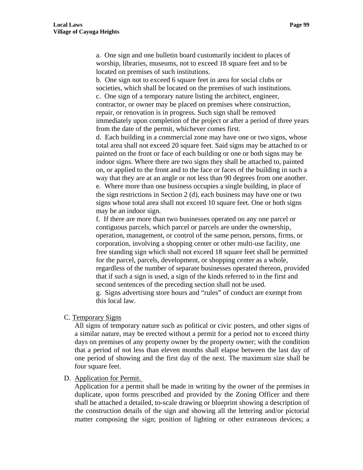a. One sign and one bulletin board customarily incident to places of worship, libraries, museums, not to exceed 18 square feet and to be located on premises of such institutions.

b. One sign not to exceed 6 square feet in area for social clubs or societies, which shall be located on the premises of such institutions. c. One sign of a temporary nature listing the architect, engineer, contractor, or owner may be placed on premises where construction, repair, or renovation is in progress. Such sign shall be removed immediately upon completion of the project or after a period of three years from the date of the permit, whichever comes first.

d. Each building in a commercial zone may have one or two signs, whose total area shall not exceed 20 square feet. Said signs may be attached to or painted on the front or face of each building or one or both signs may be indoor signs. Where there are two signs they shall be attached to, painted on, or applied to the front and to the face or faces of the building in such a way that they are at an angle or not less than 90 degrees from one another. e. Where more than one business occupies a single building, in place of the sign restrictions in Section 2 (d), each business may have one or two signs whose total area shall not exceed 10 square feet. One or both signs may be an indoor sign.

f. If there are more than two businesses operated on any one parcel or contiguous parcels, which parcel or parcels are under the ownership, operation, management, or control of the same person, persons, firms, or corporation, involving a shopping center or other multi-use facility, one free standing sign which shall not exceed 18 square feet shall be permitted for the parcel, parcels, development, or shopping center as a whole, regardless of the number of separate businesses operated thereon, provided that if such a sign is used, a sign of the kinds referred to in the first and second sentences of the preceding section shall not be used.

g. Signs advertising store hours and "rules" of conduct are exempt from this local law.

#### C. Temporary Signs

All signs of temporary nature such as political or civic posters, and other signs of a similar nature, may be erected without a permit for a period not to exceed thirty days on premises of any property owner by the property owner; with the condition that a period of not less than eleven months shall elapse between the last day of one period of showing and the first day of the next. The maximum size shall be four square feet.

#### D. Application for Permit.

Application for a permit shall be made in writing by the owner of the premises in duplicate, upon forms prescribed and provided by the Zoning Officer and there shall be attached a detailed, to-scale drawing or blueprint showing a description of the construction details of the sign and showing all the lettering and/or pictorial matter composing the sign; position of lighting or other extraneous devices; a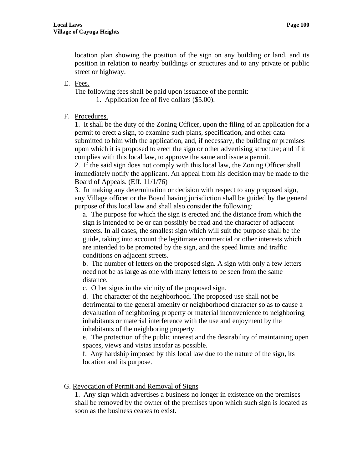location plan showing the position of the sign on any building or land, and its position in relation to nearby buildings or structures and to any private or public street or highway.

#### E. Fees.

The following fees shall be paid upon issuance of the permit:

1. Application fee of five dollars (\$5.00).

## F. Procedures.

1. It shall be the duty of the Zoning Officer, upon the filing of an application for a permit to erect a sign, to examine such plans, specification, and other data submitted to him with the application, and, if necessary, the building or premises upon which it is proposed to erect the sign or other advertising structure; and if it complies with this local law, to approve the same and issue a permit.

2. If the said sign does not comply with this local law, the Zoning Officer shall immediately notify the applicant. An appeal from his decision may be made to the Board of Appeals. (Eff. 11/1/76)

3. In making any determination or decision with respect to any proposed sign, any Village officer or the Board having jurisdiction shall be guided by the general purpose of this local law and shall also consider the following:

a. The purpose for which the sign is erected and the distance from which the sign is intended to be or can possibly be read and the character of adjacent streets. In all cases, the smallest sign which will suit the purpose shall be the guide, taking into account the legitimate commercial or other interests which are intended to be promoted by the sign, and the speed limits and traffic conditions on adjacent streets.

b. The number of letters on the proposed sign. A sign with only a few letters need not be as large as one with many letters to be seen from the same distance.

c. Other signs in the vicinity of the proposed sign.

d. The character of the neighborhood. The proposed use shall not be detrimental to the general amenity or neighborhood character so as to cause a devaluation of neighboring property or material inconvenience to neighboring inhabitants or material interference with the use and enjoyment by the inhabitants of the neighboring property.

e. The protection of the public interest and the desirability of maintaining open spaces, views and vistas insofar as possible.

f. Any hardship imposed by this local law due to the nature of the sign, its location and its purpose.

### G. Revocation of Permit and Removal of Signs

1. Any sign which advertises a business no longer in existence on the premises shall be removed by the owner of the premises upon which such sign is located as soon as the business ceases to exist.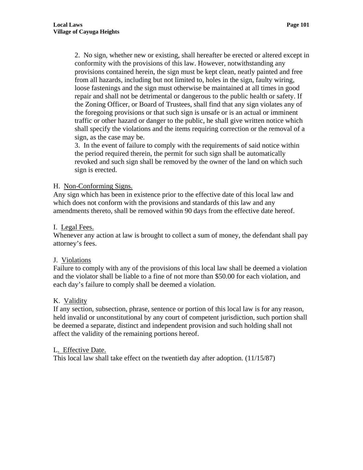2. No sign, whether new or existing, shall hereafter be erected or altered except in conformity with the provisions of this law. However, notwithstanding any provisions contained herein, the sign must be kept clean, neatly painted and free from all hazards, including but not limited to, holes in the sign, faulty wiring, loose fastenings and the sign must otherwise be maintained at all times in good repair and shall not be detrimental or dangerous to the public health or safety. If the Zoning Officer, or Board of Trustees, shall find that any sign violates any of the foregoing provisions or that such sign is unsafe or is an actual or imminent traffic or other hazard or danger to the public, he shall give written notice which shall specify the violations and the items requiring correction or the removal of a sign, as the case may be.

3. In the event of failure to comply with the requirements of said notice within the period required therein, the permit for such sign shall be automatically revoked and such sign shall be removed by the owner of the land on which such sign is erected.

#### H. Non-Conforming Signs.

Any sign which has been in existence prior to the effective date of this local law and which does not conform with the provisions and standards of this law and any amendments thereto, shall be removed within 90 days from the effective date hereof.

### I. Legal Fees.

Whenever any action at law is brought to collect a sum of money, the defendant shall pay attorney's fees.

### J. Violations

Failure to comply with any of the provisions of this local law shall be deemed a violation and the violator shall be liable to a fine of not more than \$50.00 for each violation, and each day's failure to comply shall be deemed a violation.

### K. Validity

If any section, subsection, phrase, sentence or portion of this local law is for any reason, held invalid or unconstitutional by any court of competent jurisdiction, such portion shall be deemed a separate, distinct and independent provision and such holding shall not affect the validity of the remaining portions hereof.

#### L. Effective Date.

This local law shall take effect on the twentieth day after adoption. (11/15/87)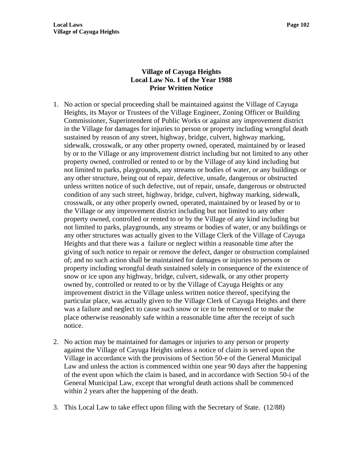# **Village of Cayuga Heights Local Law No. 1 of the Year 1988 Prior Written Notice**

- 1. No action or special proceeding shall be maintained against the Village of Cayuga Heights, its Mayor or Trustees of the Village Engineer, Zoning Officer or Building Commissioner, Superintendent of Public Works or against any improvement district in the Village for damages for injuries to person or property including wrongful death sustained by reason of any street, highway, bridge, culvert, highway marking, sidewalk, crosswalk, or any other property owned, operated, maintained by or leased by or to the Village or any improvement district including but not limited to any other property owned, controlled or rented to or by the Village of any kind including but not limited to parks, playgrounds, any streams or bodies of water, or any buildings or any other structure, being out of repair, defective, unsafe, dangerous or obstructed unless written notice of such defective, out of repair, unsafe, dangerous or obstructed condition of any such street, highway, bridge, culvert, highway marking, sidewalk, crosswalk, or any other properly owned, operated, maintained by or leased by or to the Village or any improvement district including but not limited to any other property owned, controlled or rented to or by the Village of any kind including but not limited to parks, playgrounds, any streams or bodies of water, or any buildings or any other structures was actually given to the Village Clerk of the Village of Cayuga Heights and that there was a failure or neglect within a reasonable time after the giving of such notice to repair or remove the defect, danger or obstruction complained of; and no such action shall be maintained for damages or injuries to persons or property including wrongful death sustained solely in consequence of the existence of snow or ice upon any highway, bridge, culvert, sidewalk, or any other property owned by, controlled or rented to or by the Village of Cayuga Heights or any improvement district in the Village unless written notice thereof, specifying the particular place, was actually given to the Village Clerk of Cayuga Heights and there was a failure and neglect to cause such snow or ice to be removed or to make the place otherwise reasonably safe within a reasonable time after the receipt of such notice.
- 2. No action may be maintained for damages or injuries to any person or property against the Village of Cayuga Heights unless a notice of claim is served upon the Village in accordance with the provisions of Section 50-e of the General Municipal Law and unless the action is commenced within one year 90 days after the happening of the event upon which the claim is based, and in accordance with Section 50-i of the General Municipal Law, except that wrongful death actions shall be commenced within 2 years after the happening of the death.
- 3. This Local Law to take effect upon filing with the Secretary of State. (12/88)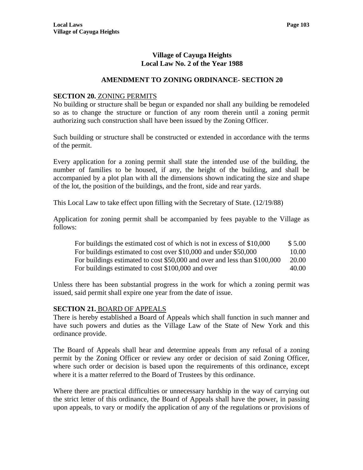## **Village of Cayuga Heights Local Law No. 2 of the Year 1988**

## **AMENDMENT TO ZONING ORDINANCE- SECTION 20**

#### **SECTION 20.** ZONING PERMITS

No building or structure shall be begun or expanded nor shall any building be remodeled so as to change the structure or function of any room therein until a zoning permit authorizing such construction shall have been issued by the Zoning Officer.

Such building or structure shall be constructed or extended in accordance with the terms of the permit.

Every application for a zoning permit shall state the intended use of the building, the number of families to be housed, if any, the height of the building, and shall be accompanied by a plot plan with all the dimensions shown indicating the size and shape of the lot, the position of the buildings, and the front, side and rear yards.

This Local Law to take effect upon filling with the Secretary of State. (12/19/88)

Application for zoning permit shall be accompanied by fees payable to the Village as follows:

| For buildings the estimated cost of which is not in excess of \$10,000    | \$5.00 |
|---------------------------------------------------------------------------|--------|
| For buildings estimated to cost over \$10,000 and under \$50,000          | 10.00  |
| For buildings estimated to cost \$50,000 and over and less than \$100,000 | 20.00  |
| For buildings estimated to cost \$100,000 and over                        | 40.00  |

Unless there has been substantial progress in the work for which a zoning permit was issued, said permit shall expire one year from the date of issue.

### **SECTION 21.** BOARD OF APPEALS

There is hereby established a Board of Appeals which shall function in such manner and have such powers and duties as the Village Law of the State of New York and this ordinance provide.

The Board of Appeals shall hear and determine appeals from any refusal of a zoning permit by the Zoning Officer or review any order or decision of said Zoning Officer, where such order or decision is based upon the requirements of this ordinance, except where it is a matter referred to the Board of Trustees by this ordinance.

Where there are practical difficulties or unnecessary hardship in the way of carrying out the strict letter of this ordinance, the Board of Appeals shall have the power, in passing upon appeals, to vary or modify the application of any of the regulations or provisions of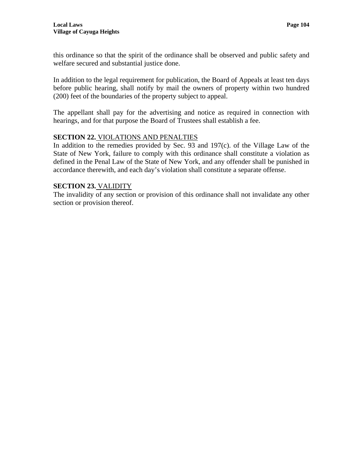this ordinance so that the spirit of the ordinance shall be observed and public safety and welfare secured and substantial justice done.

In addition to the legal requirement for publication, the Board of Appeals at least ten days before public hearing, shall notify by mail the owners of property within two hundred (200) feet of the boundaries of the property subject to appeal.

The appellant shall pay for the advertising and notice as required in connection with hearings, and for that purpose the Board of Trustees shall establish a fee.

# **SECTION 22.** VIOLATIONS AND PENALTIES

In addition to the remedies provided by Sec. 93 and 197(c). of the Village Law of the State of New York, failure to comply with this ordinance shall constitute a violation as defined in the Penal Law of the State of New York, and any offender shall be punished in accordance therewith, and each day's violation shall constitute a separate offense.

### **SECTION 23.** VALIDITY

The invalidity of any section or provision of this ordinance shall not invalidate any other section or provision thereof.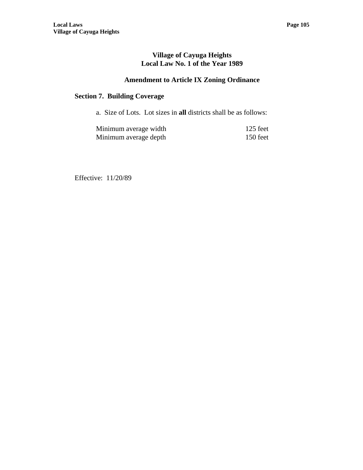## **Village of Cayuga Heights Local Law No. 1 of the Year 1989**

# **Amendment to Article IX Zoning Ordinance**

# **Section 7. Building Coverage**

a. Size of Lots. Lot sizes in **all** districts shall be as follows:

| Minimum average width | $125$ feet |
|-----------------------|------------|
| Minimum average depth | 150 feet   |

Effective: 11/20/89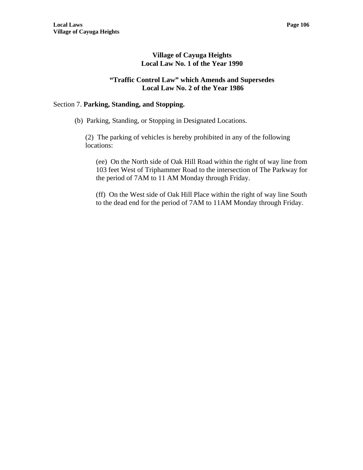### **Village of Cayuga Heights Local Law No. 1 of the Year 1990**

#### **"Traffic Control Law" which Amends and Supersedes Local Law No. 2 of the Year 1986**

### Section 7. **Parking, Standing, and Stopping.**

(b) Parking, Standing, or Stopping in Designated Locations.

(2) The parking of vehicles is hereby prohibited in any of the following locations:

(ee) On the North side of Oak Hill Road within the right of way line from 103 feet West of Triphammer Road to the intersection of The Parkway for the period of 7AM to 11 AM Monday through Friday.

(ff) On the West side of Oak Hill Place within the right of way line South to the dead end for the period of 7AM to 11AM Monday through Friday.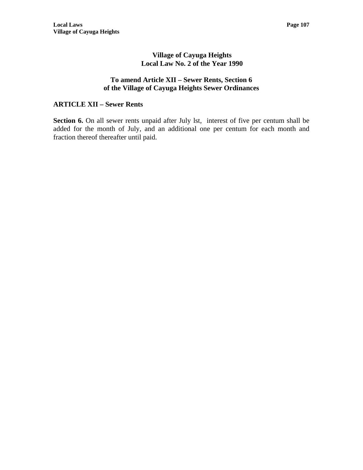### **Village of Cayuga Heights Local Law No. 2 of the Year 1990**

#### **To amend Article XII – Sewer Rents, Section 6 of the Village of Cayuga Heights Sewer Ordinances**

### **ARTICLE XII – Sewer Rents**

Section 6. On all sewer rents unpaid after July 1st, interest of five per centum shall be added for the month of July, and an additional one per centum for each month and fraction thereof thereafter until paid.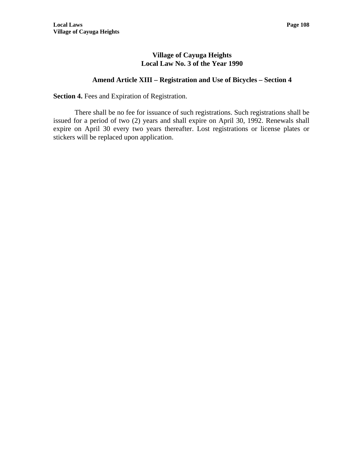### **Village of Cayuga Heights Local Law No. 3 of the Year 1990**

### **Amend Article XIII – Registration and Use of Bicycles – Section 4**

**Section 4.** Fees and Expiration of Registration.

There shall be no fee for issuance of such registrations. Such registrations shall be issued for a period of two (2) years and shall expire on April 30, 1992. Renewals shall expire on April 30 every two years thereafter. Lost registrations or license plates or stickers will be replaced upon application.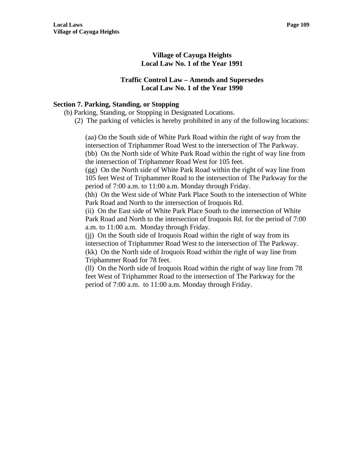### **Village of Cayuga Heights Local Law No. 1 of the Year 1991**

#### **Traffic Control Law – Amends and Supersedes Local Law No. 1 of the Year 1990**

#### **Section 7. Parking, Standing, or Stopping**

- (b) Parking, Standing, or Stopping in Designated Locations.
	- (2) The parking of vehicles is hereby prohibited in any of the following locations:

(aa) On the South side of White Park Road within the right of way from the intersection of Triphammer Road West to the intersection of The Parkway. (bb) On the North side of White Park Road within the right of way line from the intersection of Triphammer Road West for 105 feet.

(gg) On the North side of White Park Road within the right of way line from 105 feet West of Triphammer Road to the intersection of The Parkway for the period of 7:00 a.m. to 11:00 a.m. Monday through Friday.

(hh) On the West side of White Park Place South to the intersection of White Park Road and North to the intersection of Iroquois Rd.

(ii) On the East side of White Park Place South to the intersection of White Park Road and North to the intersection of Iroquois Rd. for the period of 7:00 a.m. to 11:00 a.m. Monday through Friday.

(jj) On the South side of Iroquois Road within the right of way from its intersection of Triphammer Road West to the intersection of The Parkway. (kk) On the North side of Iroquois Road within the right of way line from Triphammer Road for 78 feet.

(ll) On the North side of Iroquois Road within the right of way line from 78 feet West of Triphammer Road to the intersection of The Parkway for the period of 7:00 a.m. to 11:00 a.m. Monday through Friday.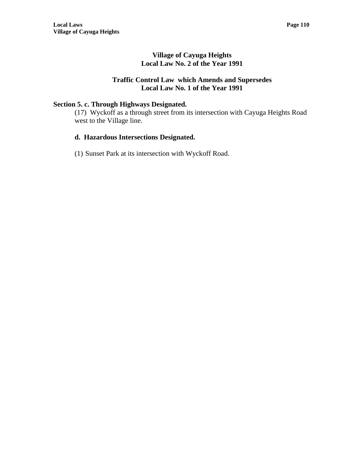# **Village of Cayuga Heights Local Law No. 2 of the Year 1991**

### **Traffic Control Law which Amends and Supersedes Local Law No. 1 of the Year 1991**

# **Section 5. c. Through Highways Designated.**

(17) Wyckoff as a through street from its intersection with Cayuga Heights Road west to the Village line.

## **d. Hazardous Intersections Designated.**

(1) Sunset Park at its intersection with Wyckoff Road.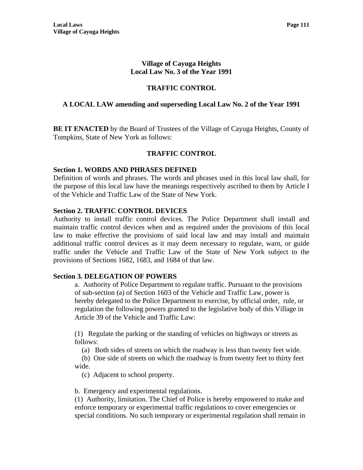### **Village of Cayuga Heights Local Law No. 3 of the Year 1991**

# **TRAFFIC CONTROL**

### **A LOCAL LAW amending and superseding Local Law No. 2 of the Year 1991**

**BE IT ENACTED** by the Board of Trustees of the Village of Cayuga Heights, County of Tompkins, State of New York as follows:

### **TRAFFIC CONTROL**

#### **Section 1. WORDS AND PHRASES DEFINED**

Definition of words and phrases. The words and phrases used in this local law shall, for the purpose of this local law have the meanings respectively ascribed to them by Article I of the Vehicle and Traffic Law of the State of New York.

#### **Section 2. TRAFFIC CONTROL DEVICES**

Authority to install traffic control devices. The Police Department shall install and maintain traffic control devices when and as required under the provisions of this local law to make effective the provisions of said local law and may install and maintain additional traffic control devices as it may deem necessary to regulate, warn, or guide traffic under the Vehicle and Traffic Law of the State of New York subject to the provisions of Sections 1682, 1683, and 1684 of that law.

#### **Section 3. DELEGATION OF POWERS**

a. Authority of Police Department to regulate traffic. Pursuant to the provisions of sub-section (a) of Section 1603 of the Vehicle and Traffic Law, power is hereby delegated to the Police Department to exercise, by official order, rule, or regulation the following powers granted to the legislative body of this Village in Article 39 of the Vehicle and Traffic Law:

(1) Regulate the parking or the standing of vehicles on highways or streets as follows:

(a) Both sides of streets on which the roadway is less than twenty feet wide.

 (b) One side of streets on which the roadway is from twenty feet to thirty feet wide.

(c) Adjacent to school property.

b. Emergency and experimental regulations.

(1) Authority, limitation. The Chief of Police is hereby empowered to make and enforce temporary or experimental traffic regulations to cover emergencies or special conditions. No such temporary or experimental regulation shall remain in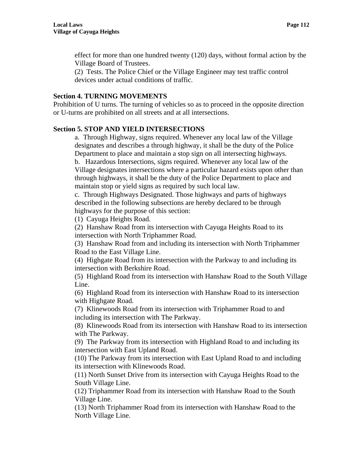effect for more than one hundred twenty (120) days, without formal action by the Village Board of Trustees.

(2) Tests. The Police Chief or the Village Engineer may test traffic control devices under actual conditions of traffic.

### **Section 4. TURNING MOVEMENTS**

Prohibition of U turns. The turning of vehicles so as to proceed in the opposite direction or U-turns are prohibited on all streets and at all intersections.

# **Section 5. STOP AND YIELD INTERSECTIONS**

a. Through Highway, signs required. Whenever any local law of the Village designates and describes a through highway, it shall be the duty of the Police Department to place and maintain a stop sign on all intersecting highways.

b. Hazardous Intersections, signs required. Whenever any local law of the Village designates intersections where a particular hazard exists upon other than through highways, it shall be the duty of the Police Department to place and maintain stop or yield signs as required by such local law.

c. Through Highways Designated. Those highways and parts of highways described in the following subsections are hereby declared to be through highways for the purpose of this section:

(1) Cayuga Heights Road.

(2) Hanshaw Road from its intersection with Cayuga Heights Road to its intersection with North Triphammer Road.

(3) Hanshaw Road from and including its intersection with North Triphammer Road to the East Village Line.

(4) Highgate Road from its intersection with the Parkway to and including its intersection with Berkshire Road.

(5) Highland Road from its intersection with Hanshaw Road to the South Village Line.

(6) Highland Road from its intersection with Hanshaw Road to its intersection with Highgate Road.

(7) Klinewoods Road from its intersection with Triphammer Road to and including its intersection with The Parkway.

(8) Klinewoods Road from its intersection with Hanshaw Road to its intersection with The Parkway.

(9) The Parkway from its intersection with Highland Road to and including its intersection with East Upland Road.

(10) The Parkway from its intersection with East Upland Road to and including its intersection with Klinewoods Road.

(11) North Sunset Drive from its intersection with Cayuga Heights Road to the South Village Line.

(12) Triphammer Road from its intersection with Hanshaw Road to the South Village Line.

(13) North Triphammer Road from its intersection with Hanshaw Road to the North Village Line.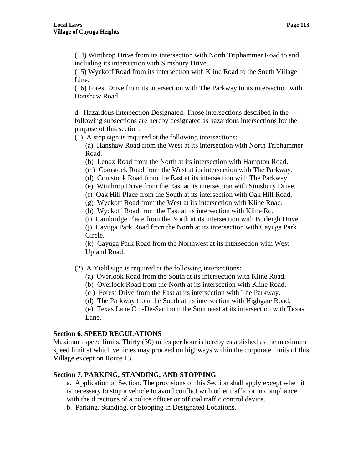(14) Winthrop Drive from its intersection with North Triphammer Road to and including its intersection with Simsbury Drive.

(15) Wyckoff Road from its intersection with Kline Road to the South Village Line.

(16) Forest Drive from its intersection with The Parkway to its intersection with Hanshaw Road.

d. Hazardous Intersection Designated. Those intersections described in the following subsections are hereby designated as hazardous intersections for the purpose of this section:

(1) A stop sign is required at the following intersections:

(a) Hanshaw Road from the West at its intersection with North Triphammer Road.

(b) Lenox Road from the North at its intersection with Hampton Road.

(c ) Comstock Road from the West at its intersection with The Parkway.

(d) Comstock Road from the East at its intersection with The Parkway.

(e) Winthrop Drive from the East at its intersection with Simsbury Drive.

(f) Oak Hill Place from the South at its intersection with Oak Hill Road.

(g) Wyckoff Road from the West at its intersection with Kline Road.

(h) Wyckoff Road from the East at its intersection with Kline Rd.

(i) Cambridge Place from the North at its intersection with Burleigh Drive.

(j) Cayuga Park Road from the North at its intersection with Cayuga Park Circle.

(k) Cayuga Park Road from the Northwest at its intersection with West Upland Road.

(2) A Yield sign is required at the following intersections:

(a) Overlook Road from the South at its intersection with Kline Road.

(b) Overlook Road from the North at its intersection with Kline Road.

(c ) Forest Drive from the East at its intersection with The Parkway.

(d) The Parkway from the South at its intersection with Highgate Road.

(e) Texas Lane Cul-De-Sac from the Southeast at its intersection with Texas Lane.

#### **Section 6. SPEED REGULATIONS**

Maximum speed limits. Thirty (30) miles per hour is hereby established as the maximum speed limit at which vehicles may proceed on highways within the corporate limits of this Village except on Route 13.

# **Section 7. PARKING, STANDING, AND STOPPING**

a. Application of Section. The provisions of this Section shall apply except when it is necessary to stop a vehicle to avoid conflict with other traffic or in compliance with the directions of a police officer or official traffic control device.

b. Parking, Standing, or Stopping in Designated Locations.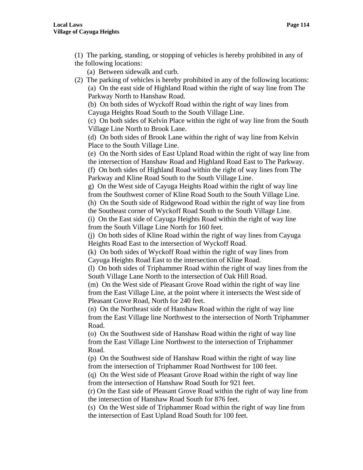(1) The parking, standing, or stopping of vehicles is hereby prohibited in any of the following locations:

- (a) Between sidewalk and curb.
- (2) The parking of vehicles is hereby prohibited in any of the following locations: (a) On the east side of Highland Road within the right of way line from The Parkway North to Hanshaw Road.

(b) On both sides of Wyckoff Road within the right of way lines from Cayuga Heights Road South to the South Village Line.

(c) On both sides of Kelvin Place within the right of way line from the South Village Line North to Brook Lane.

(d) On both sides of Brook Lane within the right of way line from Kelvin Place to the South Village Line.

(e) On the North sides of East Upland Road within the right of way line from the intersection of Hanshaw Road and Highland Road East to The Parkway.

(f) On both sides of Highland Road within the right of way lines from The Parkway and Kline Road South to the South Village Line.

g) On the West side of Cayuga Heights Road within the right of way line from the Southwest corner of Kline Road South to the South Village Line.

(h) On the South side of Ridgewood Road within the right of way line from

the Southeast corner of Wyckoff Road South to the South Village Line.

(i) On the East side of Cayuga Heights Road within the right of way line from the South Village Line North for 160 feet.

(j) On both sides of Kline Road within the right of way lines from Cayuga Heights Road East to the intersection of Wyckoff Road.

(k) On both sides of Wyckoff Road within the right of way lines from Cayuga Heights Road East to the intersection of Kline Road.

(l) On both sides of Triphammer Road within the right of way lines from the South Village Lane North to the intersection of Oak Hill Road.

(m) On the West side of Pleasant Grove Road within the right of way line from the East Village Line, at the point where it intersects the West side of Pleasant Grove Road, North for 240 feet.

(n) On the Northeast side of Hanshaw Road within the right of way line from the East Village line Northwest to the intersection of North Triphammer Road.

(o) On the Southwest side of Hanshaw Road within the right of way line from the East Village Line Northwest to the intersection of Triphammer Road.

(p) On the Southwest side of Hanshaw Road within the right of way line from the intersection of Triphammer Road Northwest for 100 feet.

(q) On the West side of Pleasant Grove Road within the right of way line from the intersection of Hanshaw Road South for 921 feet.

(r) On the East side of Pleasant Grove Road within the right of way line from the intersection of Hanshaw Road South for 876 feet.

(s) On the West side of Triphammer Road within the right of way line from the intersection of East Upland Road South for 100 feet.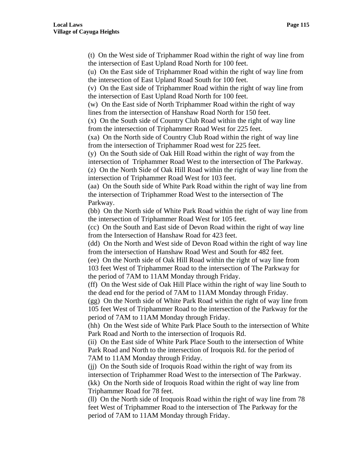(t) On the West side of Triphammer Road within the right of way line from the intersection of East Upland Road North for 100 feet.

(u) On the East side of Triphammer Road within the right of way line from the intersection of East Upland Road South for 100 feet.

(v) On the East side of Triphammer Road within the right of way line from the intersection of East Upland Road North for 100 feet.

(w) On the East side of North Triphammer Road within the right of way lines from the intersection of Hanshaw Road North for 150 feet.

(x) On the South side of Country Club Road within the right of way line from the intersection of Triphammer Road West for 225 feet.

(xa) On the North side of Country Club Road within the right of way line from the intersection of Triphammer Road west for 225 feet.

(y) On the South side of Oak Hill Road within the right of way from the intersection of Triphammer Road West to the intersection of The Parkway.

(z) On the North Side of Oak Hill Road within the right of way line from the intersection of Triphammer Road West for 103 feet.

(aa) On the South side of White Park Road within the right of way line from the intersection of Triphammer Road West to the intersection of The Parkway.

(bb) On the North side of White Park Road within the right of way line from the intersection of Triphammer Road West for 105 feet.

(cc) On the South and East side of Devon Road within the right of way line from the Intersection of Hanshaw Road for 423 feet.

(dd) On the North and West side of Devon Road within the right of way line from the intersection of Hanshaw Road West and South for 482 feet.

(ee) On the North side of Oak Hill Road within the right of way line from 103 feet West of Triphammer Road to the intersection of The Parkway for the period of 7AM to 11AM Monday through Friday.

(ff) On the West side of Oak Hill Place within the right of way line South to the dead end for the period of 7AM to 11AM Monday through Friday.

(gg) On the North side of White Park Road within the right of way line from 105 feet West of Triphammer Road to the intersection of the Parkway for the period of 7AM to 11AM Monday through Friday.

(hh) On the West side of White Park Place South to the intersection of White Park Road and North to the intersection of Iroquois Rd.

(ii) On the East side of White Park Place South to the intersection of White Park Road and North to the intersection of Iroquois Rd. for the period of 7AM to 11AM Monday through Friday.

(jj) On the South side of Iroquois Road within the right of way from its intersection of Triphammer Road West to the intersection of The Parkway. (kk) On the North side of Iroquois Road within the right of way line from Triphammer Road for 78 feet.

(ll) On the North side of Iroquois Road within the right of way line from 78 feet West of Triphammer Road to the intersection of The Parkway for the period of 7AM to 11AM Monday through Friday.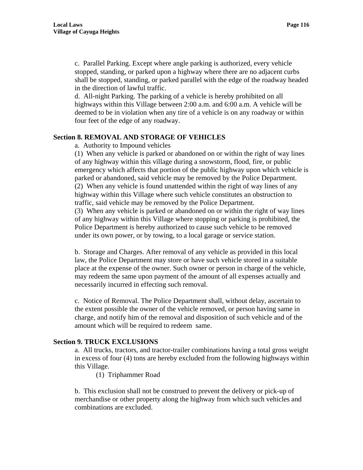d. All-night Parking. The parking of a vehicle is hereby prohibited on all highways within this Village between 2:00 a.m. and 6:00 a.m. A vehicle will be deemed to be in violation when any tire of a vehicle is on any roadway or within four feet of the edge of any roadway.

#### **Section 8. REMOVAL AND STORAGE OF VEHICLES**

#### a. Authority to Impound vehicles

(1) When any vehicle is parked or abandoned on or within the right of way lines of any highway within this village during a snowstorm, flood, fire, or public emergency which affects that portion of the public highway upon which vehicle is parked or abandoned, said vehicle may be removed by the Police Department. (2) When any vehicle is found unattended within the right of way lines of any highway within this Village where such vehicle constitutes an obstruction to traffic, said vehicle may be removed by the Police Department.

(3) When any vehicle is parked or abandoned on or within the right of way lines of any highway within this Village where stopping or parking is prohibited, the Police Department is hereby authorized to cause such vehicle to be removed under its own power, or by towing, to a local garage or service station.

b. Storage and Charges. After removal of any vehicle as provided in this local law, the Police Department may store or have such vehicle stored in a suitable place at the expense of the owner. Such owner or person in charge of the vehicle, may redeem the same upon payment of the amount of all expenses actually and necessarily incurred in effecting such removal.

c. Notice of Removal. The Police Department shall, without delay, ascertain to the extent possible the owner of the vehicle removed, or person having same in charge, and notify him of the removal and disposition of such vehicle and of the amount which will be required to redeem same.

#### **Section 9. TRUCK EXCLUSIONS**

a. All trucks, tractors, and tractor-trailer combinations having a total gross weight in excess of four (4) tons are hereby excluded from the following highways within this Village.

(1) Triphammer Road

b. This exclusion shall not be construed to prevent the delivery or pick-up of merchandise or other property along the highway from which such vehicles and combinations are excluded.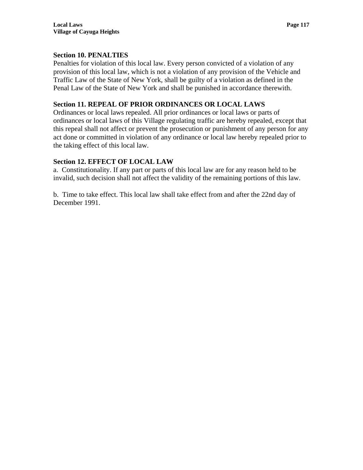### **Section 10. PENALTIES**

Penalties for violation of this local law. Every person convicted of a violation of any provision of this local law, which is not a violation of any provision of the Vehicle and Traffic Law of the State of New York, shall be guilty of a violation as defined in the Penal Law of the State of New York and shall be punished in accordance therewith.

### **Section 11. REPEAL OF PRIOR ORDINANCES OR LOCAL LAWS**

Ordinances or local laws repealed. All prior ordinances or local laws or parts of ordinances or local laws of this Village regulating traffic are hereby repealed, except that this repeal shall not affect or prevent the prosecution or punishment of any person for any act done or committed in violation of any ordinance or local law hereby repealed prior to the taking effect of this local law.

### **Section 12. EFFECT OF LOCAL LAW**

a. Constitutionality. If any part or parts of this local law are for any reason held to be invalid, such decision shall not affect the validity of the remaining portions of this law.

b. Time to take effect. This local law shall take effect from and after the 22nd day of December 1991.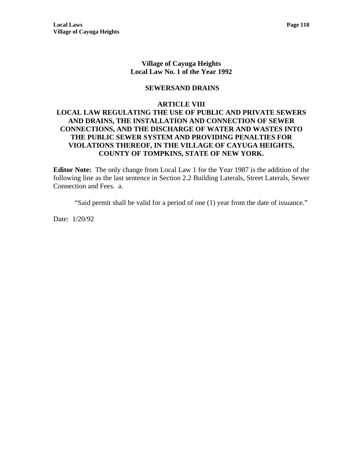### **Village of Cayuga Heights Local Law No. 1 of the Year 1992**

### **SEWERSAND DRAINS**

#### **ARTICLE VIII**

### **LOCAL LAW REGULATING THE USE OF PUBLIC AND PRIVATE SEWERS AND DRAINS, THE INSTALLATION AND CONNECTION OF SEWER CONNECTIONS, AND THE DISCHARGE OF WATER AND WASTES INTO THE PUBLIC SEWER SYSTEM AND PROVIDING PENALTIES FOR VIOLATIONS THEREOF, IN THE VILLAGE OF CAYUGA HEIGHTS, COUNTY OF TOMPKINS, STATE OF NEW YORK.**

**Editor Note:** The only change from Local Law 1 for the Year 1987 is the addition of the following line as the last sentence in Section 2.2 Building Laterals, Street Laterals, Sewer Connection and Fees. a.

"Said permit shall be valid for a period of one (1) year from the date of issuance."

Date: 1/20/92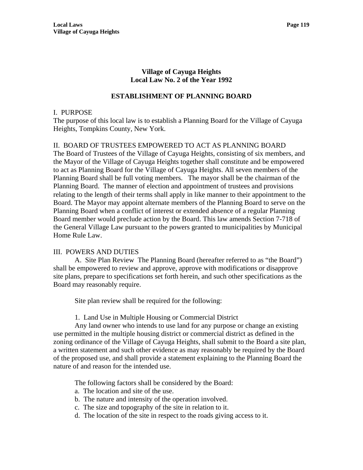### **Village of Cayuga Heights Local Law No. 2 of the Year 1992**

### **ESTABLISHMENT OF PLANNING BOARD**

#### I. PURPOSE

The purpose of this local law is to establish a Planning Board for the Village of Cayuga Heights, Tompkins County, New York.

# II. BOARD OF TRUSTEES EMPOWERED TO ACT AS PLANNING BOARD

The Board of Trustees of the Village of Cayuga Heights, consisting of six members, and the Mayor of the Village of Cayuga Heights together shall constitute and be empowered to act as Planning Board for the Village of Cayuga Heights. All seven members of the Planning Board shall be full voting members. The mayor shall be the chairman of the Planning Board. The manner of election and appointment of trustees and provisions relating to the length of their terms shall apply in like manner to their appointment to the Board. The Mayor may appoint alternate members of the Planning Board to serve on the Planning Board when a conflict of interest or extended absence of a regular Planning Board member would preclude action by the Board. This law amends Section 7-718 of the General Village Law pursuant to the powers granted to municipalities by Municipal Home Rule Law.

#### III. POWERS AND DUTIES

 A. Site Plan Review The Planning Board (hereafter referred to as "the Board") shall be empowered to review and approve, approve with modifications or disapprove site plans, prepare to specifications set forth herein, and such other specifications as the Board may reasonably require.

Site plan review shall be required for the following:

1. Land Use in Multiple Housing or Commercial District

 Any land owner who intends to use land for any purpose or change an existing use permitted in the multiple housing district or commercial district as defined in the zoning ordinance of the Village of Cayuga Heights, shall submit to the Board a site plan, a written statement and such other evidence as may reasonably be required by the Board of the proposed use, and shall provide a statement explaining to the Planning Board the nature of and reason for the intended use.

The following factors shall be considered by the Board:

- a. The location and site of the use.
- b. The nature and intensity of the operation involved.
- c. The size and topography of the site in relation to it.
- d. The location of the site in respect to the roads giving access to it.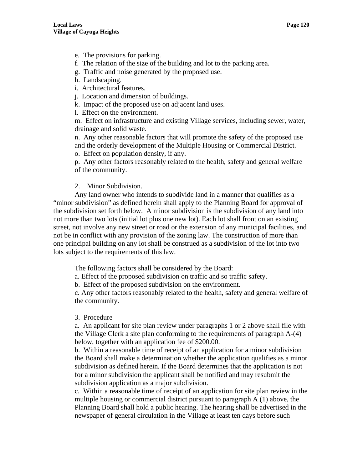- e. The provisions for parking.
- f. The relation of the size of the building and lot to the parking area.
- g. Traffic and noise generated by the proposed use.
- h. Landscaping.
- i. Architectural features.
- j. Location and dimension of buildings.
- k. Impact of the proposed use on adjacent land uses.

l. Effect on the environment.

m. Effect on infrastructure and existing Village services, including sewer, water, drainage and solid waste.

n. Any other reasonable factors that will promote the safety of the proposed use and the orderly development of the Multiple Housing or Commercial District. o. Effect on population density, if any.

p. Any other factors reasonably related to the health, safety and general welfare of the community.

#### 2. Minor Subdivision.

Any land owner who intends to subdivide land in a manner that qualifies as a "minor subdivision" as defined herein shall apply to the Planning Board for approval of the subdivision set forth below. A minor subdivision is the subdivision of any land into not more than two lots (initial lot plus one new lot). Each lot shall front on an existing street, not involve any new street or road or the extension of any municipal facilities, and not be in conflict with any provision of the zoning law. The construction of more than one principal building on any lot shall be construed as a subdivision of the lot into two lots subject to the requirements of this law.

The following factors shall be considered by the Board:

a. Effect of the proposed subdivision on traffic and so traffic safety.

b. Effect of the proposed subdivision on the environment.

c. Any other factors reasonably related to the health, safety and general welfare of the community.

#### 3. Procedure

a. An applicant for site plan review under paragraphs 1 or 2 above shall file with the Village Clerk a site plan conforming to the requirements of paragraph A-(4) below, together with an application fee of \$200.00.

b. Within a reasonable time of receipt of an application for a minor subdivision the Board shall make a determination whether the application qualifies as a minor subdivision as defined herein. If the Board determines that the application is not for a minor subdivision the applicant shall be notified and may resubmit the subdivision application as a major subdivision.

c. Within a reasonable time of receipt of an application for site plan review in the multiple housing or commercial district pursuant to paragraph A (1) above, the Planning Board shall hold a public hearing. The hearing shall be advertised in the newspaper of general circulation in the Village at least ten days before such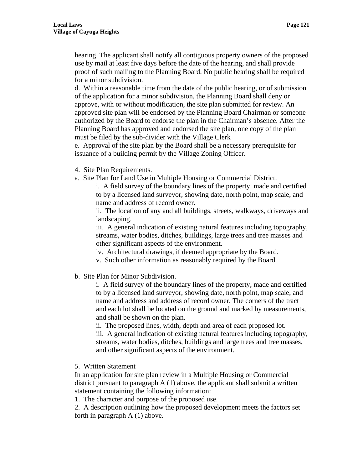hearing. The applicant shall notify all contiguous property owners of the proposed use by mail at least five days before the date of the hearing, and shall provide proof of such mailing to the Planning Board. No public hearing shall be required for a minor subdivision.

d. Within a reasonable time from the date of the public hearing, or of submission of the application for a minor subdivision, the Planning Board shall deny or approve, with or without modification, the site plan submitted for review. An approved site plan will be endorsed by the Planning Board Chairman or someone authorized by the Board to endorse the plan in the Chairman's absence. After the Planning Board has approved and endorsed the site plan, one copy of the plan must be filed by the sub-divider with the Village Clerk

e. Approval of the site plan by the Board shall be a necessary prerequisite for issuance of a building permit by the Village Zoning Officer.

- 4. Site Plan Requirements.
- a. Site Plan for Land Use in Multiple Housing or Commercial District.

i. A field survey of the boundary lines of the property. made and certified to by a licensed land surveyor, showing date, north point, map scale, and name and address of record owner.

ii. The location of any and all buildings, streets, walkways, driveways and landscaping.

iii. A general indication of existing natural features including topography, streams, water bodies, ditches, buildings, large trees and tree masses and other significant aspects of the environment.

iv. Architectural drawings, if deemed appropriate by the Board.

- v. Such other information as reasonably required by the Board.
- b. Site Plan for Minor Subdivision.

i. A field survey of the boundary lines of the property, made and certified to by a licensed land surveyor, showing date, north point, map scale, and name and address and address of record owner. The corners of the tract and each lot shall be located on the ground and marked by measurements, and shall be shown on the plan.

ii. The proposed lines, width, depth and area of each proposed lot. iii. A general indication of existing natural features including topography, streams, water bodies, ditches, buildings and large trees and tree masses, and other significant aspects of the environment.

5. Written Statement

In an application for site plan review in a Multiple Housing or Commercial district pursuant to paragraph A (1) above, the applicant shall submit a written statement containing the following information:

1. The character and purpose of the proposed use.

2. A description outlining how the proposed development meets the factors set forth in paragraph A (1) above.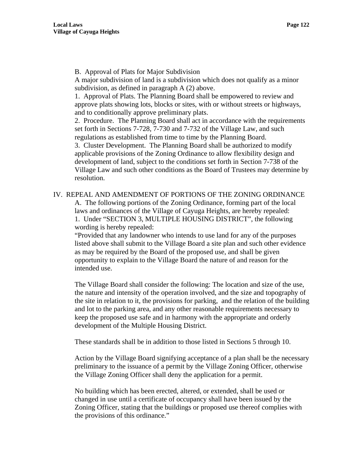B. Approval of Plats for Major Subdivision

A major subdivision of land is a subdivision which does not qualify as a minor subdivision, as defined in paragraph A (2) above.

1. Approval of Plats. The Planning Board shall be empowered to review and approve plats showing lots, blocks or sites, with or without streets or highways, and to conditionally approve preliminary plats.

2. Procedure. The Planning Board shall act in accordance with the requirements set forth in Sections 7-728, 7-730 and 7-732 of the Village Law, and such regulations as established from time to time by the Planning Board.

3. Cluster Development. The Planning Board shall be authorized to modify applicable provisions of the Zoning Ordinance to allow flexibility design and development of land, subject to the conditions set forth in Section 7-738 of the Village Law and such other conditions as the Board of Trustees may determine by resolution.

#### IV. REPEAL AND AMENDMENT OF PORTIONS OF THE ZONING ORDINANCE

A. The following portions of the Zoning Ordinance, forming part of the local laws and ordinances of the Village of Cayuga Heights, are hereby repealed: 1. Under "SECTION 3, MULTIPLE HOUSING DISTRICT", the following wording is hereby repealed:

"Provided that any landowner who intends to use land for any of the purposes listed above shall submit to the Village Board a site plan and such other evidence as may be required by the Board of the proposed use, and shall be given opportunity to explain to the Village Board the nature of and reason for the intended use.

The Village Board shall consider the following: The location and size of the use, the nature and intensity of the operation involved, and the size and topography of the site in relation to it, the provisions for parking, and the relation of the building and lot to the parking area, and any other reasonable requirements necessary to keep the proposed use safe and in harmony with the appropriate and orderly development of the Multiple Housing District.

These standards shall be in addition to those listed in Sections 5 through 10.

Action by the Village Board signifying acceptance of a plan shall be the necessary preliminary to the issuance of a permit by the Village Zoning Officer, otherwise the Village Zoning Officer shall deny the application for a permit.

No building which has been erected, altered, or extended, shall be used or changed in use until a certificate of occupancy shall have been issued by the Zoning Officer, stating that the buildings or proposed use thereof complies with the provisions of this ordinance."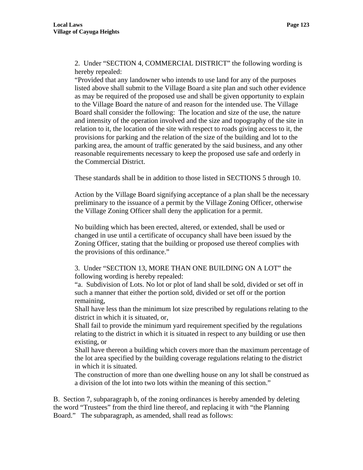2. Under "SECTION 4, COMMERCIAL DISTRICT" the following wording is hereby repealed:

"Provided that any landowner who intends to use land for any of the purposes listed above shall submit to the Village Board a site plan and such other evidence as may be required of the proposed use and shall be given opportunity to explain to the Village Board the nature of and reason for the intended use. The Village Board shall consider the following: The location and size of the use, the nature and intensity of the operation involved and the size and topography of the site in relation to it, the location of the site with respect to roads giving access to it, the provisions for parking and the relation of the size of the building and lot to the parking area, the amount of traffic generated by the said business, and any other reasonable requirements necessary to keep the proposed use safe and orderly in the Commercial District.

These standards shall be in addition to those listed in SECTIONS 5 through 10.

Action by the Village Board signifying acceptance of a plan shall be the necessary preliminary to the issuance of a permit by the Village Zoning Officer, otherwise the Village Zoning Officer shall deny the application for a permit.

No building which has been erected, altered, or extended, shall be used or changed in use until a certificate of occupancy shall have been issued by the Zoning Officer, stating that the building or proposed use thereof complies with the provisions of this ordinance."

3. Under "SECTION 13, MORE THAN ONE BUILDING ON A LOT" the following wording is hereby repealed:

"a. Subdivision of Lots. No lot or plot of land shall be sold, divided or set off in such a manner that either the portion sold, divided or set off or the portion remaining,

Shall have less than the minimum lot size prescribed by regulations relating to the district in which it is situated, or,

Shall fail to provide the minimum yard requirement specified by the regulations relating to the district in which it is situated in respect to any building or use then existing, or

Shall have thereon a building which covers more than the maximum percentage of the lot area specified by the building coverage regulations relating to the district in which it is situated.

The construction of more than one dwelling house on any lot shall be construed as a division of the lot into two lots within the meaning of this section."

B. Section 7, subparagraph b, of the zoning ordinances is hereby amended by deleting the word "Trustees" from the third line thereof, and replacing it with "the Planning Board." The subparagraph, as amended, shall read as follows: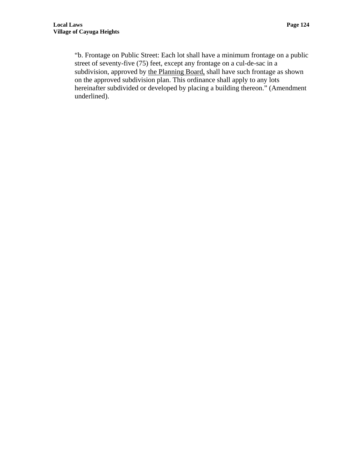"b. Frontage on Public Street: Each lot shall have a minimum frontage on a public street of seventy-five (75) feet, except any frontage on a cul-de-sac in a subdivision, approved by the Planning Board, shall have such frontage as shown on the approved subdivision plan. This ordinance shall apply to any lots hereinafter subdivided or developed by placing a building thereon." (Amendment underlined).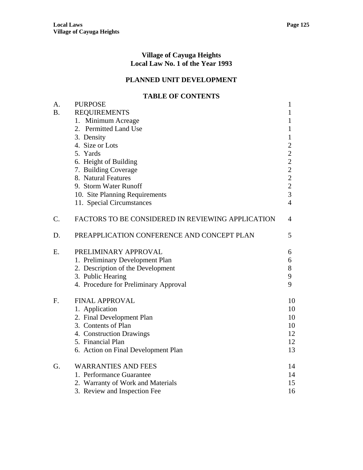#### **Village of Cayuga Heights Local Law No. 1 of the Year 1993**

# **PLANNED UNIT DEVELOPMENT**

# **TABLE OF CONTENTS**

| А.        | <b>PURPOSE</b>                                    | $\mathbf{1}$                               |
|-----------|---------------------------------------------------|--------------------------------------------|
| <b>B.</b> | <b>REQUIREMENTS</b>                               | 1                                          |
|           | 1. Minimum Acreage                                | 1                                          |
|           | 2. Permitted Land Use                             | 1                                          |
|           | 3. Density                                        | $\mathbf{1}$                               |
|           | 4. Size or Lots                                   | $\overline{c}$                             |
|           | 5. Yards                                          | $\frac{2}{2}$                              |
|           | 6. Height of Building                             |                                            |
|           | 7. Building Coverage                              | $\overline{c}$                             |
|           | 8. Natural Features                               |                                            |
|           | 9. Storm Water Runoff                             | $\begin{array}{c} 2 \\ 2 \\ 3 \end{array}$ |
|           | 10. Site Planning Requirements                    |                                            |
|           | 11. Special Circumstances                         | $\overline{4}$                             |
| C.        | FACTORS TO BE CONSIDERED IN REVIEWING APPLICATION | 4                                          |
| D.        | PREAPPLICATION CONFERENCE AND CONCEPT PLAN        | 5                                          |
| E.        | PRELIMINARY APPROVAL                              | 6                                          |
|           | 1. Preliminary Development Plan                   | 6                                          |
|           | 2. Description of the Development                 | $8\,$                                      |
|           | 3. Public Hearing                                 | 9                                          |
|           | 4. Procedure for Preliminary Approval             | 9                                          |
| F.        | <b>FINAL APPROVAL</b>                             | 10                                         |
|           | 1. Application                                    | 10                                         |
|           | 2. Final Development Plan                         | 10                                         |
|           | 3. Contents of Plan                               | 10                                         |
|           | 4. Construction Drawings                          | 12                                         |
|           | 5. Financial Plan                                 | 12                                         |
|           | 6. Action on Final Development Plan               | 13                                         |
| G.        | <b>WARRANTIES AND FEES</b>                        | 14                                         |
|           | 1. Performance Guarantee                          | 14                                         |
|           | 2. Warranty of Work and Materials                 | 15                                         |
|           | 3. Review and Inspection Fee                      | 16                                         |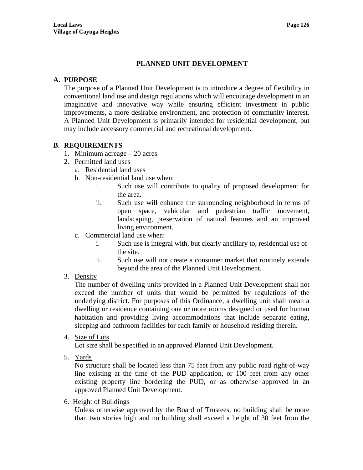# **PLANNED UNIT DEVELOPMENT**

# **A. PURPOSE**

The purpose of a Planned Unit Development is to introduce a degree of flexibility in conventional land use and design regulations which will encourage development in an imaginative and innovative way while ensuring efficient investment in public improvements, a more desirable environment, and protection of community interest. A Planned Unit Development is primarily intended for residential development, but may include accessory commercial and recreational development.

# **B. REQUIREMENTS**

- 1. Minimum acreage 20 acres
- 2. Permitted land uses
	- a. Residential land uses
	- b. Non-residential land use when:
		- i. Such use will contribute to quality of proposed development for the area.
		- ii. Such use will enhance the surrounding neighborhood in terms of open space, vehicular and pedestrian traffic movement, landscaping, preservation of natural features and an improved living environment.
	- c. Commercial land use when:
		- i. Such use is integral with, but clearly ancillary to, residential use of the site.
		- ii. Such use will not create a consumer market that routinely extends beyond the area of the Planned Unit Development.
- 3. Density

The number of dwelling units provided in a Planned Unit Development shall not exceed the number of units that would be permitted by regulations of the underlying district. For purposes of this Ordinance, a dwelling unit shall mean a dwelling or residence containing one or more rooms designed or used for human habitation and providing living accommodations that include separate eating, sleeping and bathroom facilities for each family or household residing therein.

4. Size of Lots

Lot size shall be specified in an approved Planned Unit Development.

5. Yards

No structure shall be located less than 75 feet from any public road right-of-way line existing at the time of the PUD application, or 100 feet from any other existing property line bordering the PUD, or as otherwise approved in an approved Planned Unit Development.

6. Height of Buildings

Unless otherwise approved by the Board of Trustees, no building shall be more than two stories high and no building shall exceed a height of 30 feet from the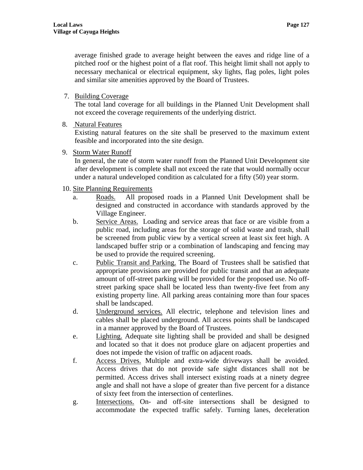# 7. Building Coverage

The total land coverage for all buildings in the Planned Unit Development shall not exceed the coverage requirements of the underlying district.

8. Natural Features

Existing natural features on the site shall be preserved to the maximum extent feasible and incorporated into the site design.

9. Storm Water Runoff

In general, the rate of storm water runoff from the Planned Unit Development site after development is complete shall not exceed the rate that would normally occur under a natural undeveloped condition as calculated for a fifty (50) year storm.

# 10. Site Planning Requirements

- a. Roads. All proposed roads in a Planned Unit Development shall be designed and constructed in accordance with standards approved by the Village Engineer.
- b. Service Areas. Loading and service areas that face or are visible from a public road, including areas for the storage of solid waste and trash, shall be screened from public view by a vertical screen at least six feet high. A landscaped buffer strip or a combination of landscaping and fencing may be used to provide the required screening.
- c. Public Transit and Parking. The Board of Trustees shall be satisfied that appropriate provisions are provided for public transit and that an adequate amount of off-street parking will be provided for the proposed use. No offstreet parking space shall be located less than twenty-five feet from any existing property line. All parking areas containing more than four spaces shall be landscaped.
- d. Underground services. All electric, telephone and television lines and cables shall be placed underground. All access points shall be landscaped in a manner approved by the Board of Trustees.
- e. Lighting. Adequate site lighting shall be provided and shall be designed and located so that it does not produce glare on adjacent properties and does not impede the vision of traffic on adjacent roads.
- f. Access Drives. Multiple and extra-wide driveways shall be avoided. Access drives that do not provide safe sight distances shall not be permitted. Access drives shall intersect existing roads at a ninety degree angle and shall not have a slope of greater than five percent for a distance of sixty feet from the intersection of centerlines.
- g. Intersections. On- and off-site intersections shall be designed to accommodate the expected traffic safely. Turning lanes, deceleration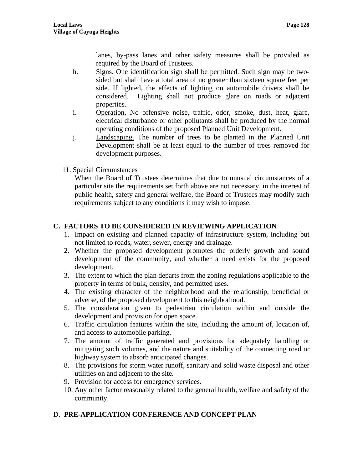lanes, by-pass lanes and other safety measures shall be provided as required by the Board of Trustees.

- h. Signs. One identification sign shall be permitted. Such sign may be twosided but shall have a total area of no greater than sixteen square feet per side. If lighted, the effects of lighting on automobile drivers shall be considered. Lighting shall not produce glare on roads or adjacent properties.
- i. Operation. No offensive noise, traffic, odor, smoke, dust, heat, glare, electrical disturbance or other pollutants shall be produced by the normal operating conditions of the proposed Planned Unit Development.
- j. Landscaping. The number of trees to be planted in the Planned Unit Development shall be at least equal to the number of trees removed for development purposes.
- 11. Special Circumstances

When the Board of Trustees determines that due to unusual circumstances of a particular site the requirements set forth above are not necessary, in the interest of public health, safety and general welfare, the Board of Trustees may modify such requirements subject to any conditions it may wish to impose.

# **C. FACTORS TO BE CONSIDERED IN REVIEWING APPLICATION**

- 1. Impact on existing and planned capacity of infrastructure system, including but not limited to roads, water, sewer, energy and drainage.
- 2. Whether the proposed development promotes the orderly growth and sound development of the community, and whether a need exists for the proposed development.
- 3. The extent to which the plan departs from the zoning regulations applicable to the property in terms of bulk, density, and permitted uses.
- 4. The existing character of the neighborhood and the relationship, beneficial or adverse, of the proposed development to this neighborhood.
- 5. The consideration given to pedestrian circulation within and outside the development and provision for open space.
- 6. Traffic circulation features within the site, including the amount of, location of, and access to automobile parking.
- 7. The amount of traffic generated and provisions for adequately handling or mitigating such volumes, and the nature and suitability of the connecting road or highway system to absorb anticipated changes.
- 8. The provisions for storm water runoff, sanitary and solid waste disposal and other utilities on and adjacent to the site.
- 9. Provision for access for emergency services.
- 10. Any other factor reasonably related to the general health, welfare and safety of the community.

# D. **PRE-APPLICATION CONFERENCE AND CONCEPT PLAN**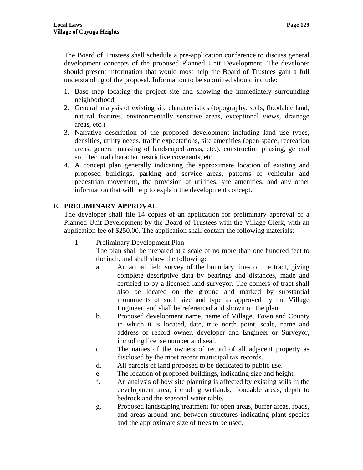The Board of Trustees shall schedule a pre-application conference to discuss general development concepts of the proposed Planned Unit Development. The developer should present information that would most help the Board of Trustees gain a full understanding of the proposal. Information to be submitted should include:

- 1. Base map locating the project site and showing the immediately surrounding neighborhood.
- 2. General analysis of existing site characteristics (topography, soils, floodable land, natural features, environmentally sensitive areas, exceptional views, drainage areas, etc.)
- 3. Narrative description of the proposed development including land use types, densities, utility needs, traffic expectations, site amenities (open space, recreation areas, general massing of landscaped areas, etc.), construction phasing, general architectural character, restrictive covenants, etc.
- 4. A concept plan generally indicating the approximate location of existing and proposed buildings, parking and service areas, patterns of vehicular and pedestrian movement, the provision of utilities, site amenities, and any other information that will help to explain the development concept.

# **E. PRELIMINARY APPROVAL**

The developer shall file 14 copies of an application for preliminary approval of a Planned Unit Development by the Board of Trustees with the Village Clerk, with an application fee of \$250.00. The application shall contain the following materials:

1. Preliminary Development Plan

The plan shall be prepared at a scale of no more than one hundred feet to the inch, and shall show the following:

- a. An actual field survey of the boundary lines of the tract, giving complete descriptive data by bearings and distances, made and certified to by a licensed land surveyor. The corners of tract shall also be located on the ground and marked by substantial monuments of such size and type as approved by the Village Engineer, and shall be referenced and shown on the plan.
- b. Proposed development name, name of Village, Town and County in which it is located, date, true north point, scale, name and address of record owner, developer and Engineer or Surveyor, including license number and seal.
- c. The names of the owners of record of all adjacent property as disclosed by the most recent municipal tax records.
- d. All parcels of land proposed to be dedicated to public use.
- e. The location of proposed buildings, indicating size and height.
- f. An analysis of how site planning is affected by existing soils in the development area, including wetlands, floodable areas, depth to bedrock and the seasonal water table.
- g. Proposed landscaping treatment for open areas, buffer areas, roads, and areas around and between structures indicating plant species and the approximate size of trees to be used.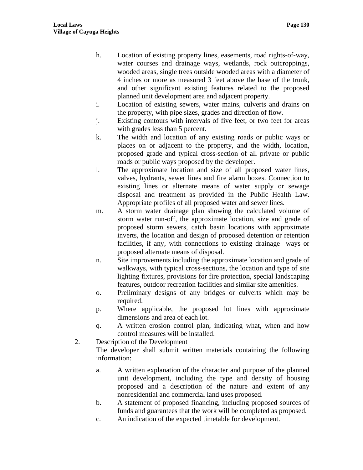- h. Location of existing property lines, easements, road rights-of-way, water courses and drainage ways, wetlands, rock outcroppings, wooded areas, single trees outside wooded areas with a diameter of 4 inches or more as measured 3 feet above the base of the trunk, and other significant existing features related to the proposed planned unit development area and adjacent property.
- i. Location of existing sewers, water mains, culverts and drains on the property, with pipe sizes, grades and direction of flow.
- j. Existing contours with intervals of five feet, or two feet for areas with grades less than 5 percent.
- k. The width and location of any existing roads or public ways or places on or adjacent to the property, and the width, location, proposed grade and typical cross-section of all private or public roads or public ways proposed by the developer.
- l. The approximate location and size of all proposed water lines, valves, hydrants, sewer lines and fire alarm boxes. Connection to existing lines or alternate means of water supply or sewage disposal and treatment as provided in the Public Health Law. Appropriate profiles of all proposed water and sewer lines.
- m. A storm water drainage plan showing the calculated volume of storm water run-off, the approximate location, size and grade of proposed storm sewers, catch basin locations with approximate inverts, the location and design of proposed detention or retention facilities, if any, with connections to existing drainage ways or proposed alternate means of disposal.
- n. Site improvements including the approximate location and grade of walkways, with typical cross-sections, the location and type of site lighting fixtures, provisions for fire protection, special landscaping features, outdoor recreation facilities and similar site amenities.
- o. Preliminary designs of any bridges or culverts which may be required.
- p. Where applicable, the proposed lot lines with approximate dimensions and area of each lot.
- q. A written erosion control plan, indicating what, when and how control measures will be installed.
- 2. Description of the Development

The developer shall submit written materials containing the following information:

- a. A written explanation of the character and purpose of the planned unit development, including the type and density of housing proposed and a description of the nature and extent of any nonresidential and commercial land uses proposed.
- b. A statement of proposed financing, including proposed sources of funds and guarantees that the work will be completed as proposed.
- c. An indication of the expected timetable for development.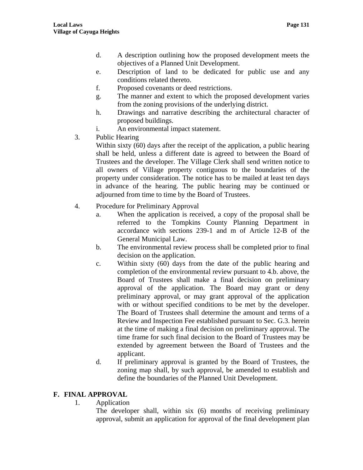- d. A description outlining how the proposed development meets the objectives of a Planned Unit Development.
- e. Description of land to be dedicated for public use and any conditions related thereto.
- f. Proposed covenants or deed restrictions.
- g. The manner and extent to which the proposed development varies from the zoning provisions of the underlying district.
- h. Drawings and narrative describing the architectural character of proposed buildings.
- i. An environmental impact statement.
- 3. Public Hearing

Within sixty (60) days after the receipt of the application, a public hearing shall be held, unless a different date is agreed to between the Board of Trustees and the developer. The Village Clerk shall send written notice to all owners of Village property contiguous to the boundaries of the property under consideration. The notice has to be mailed at least ten days in advance of the hearing. The public hearing may be continued or adjourned from time to time by the Board of Trustees.

- 4. Procedure for Preliminary Approval
	- a. When the application is received, a copy of the proposal shall be referred to the Tompkins County Planning Department in accordance with sections 239-1 and m of Article 12-B of the General Municipal Law.
	- b. The environmental review process shall be completed prior to final decision on the application.
	- c. Within sixty (60) days from the date of the public hearing and completion of the environmental review pursuant to 4.b. above, the Board of Trustees shall make a final decision on preliminary approval of the application. The Board may grant or deny preliminary approval, or may grant approval of the application with or without specified conditions to be met by the developer. The Board of Trustees shall determine the amount and terms of a Review and Inspection Fee established pursuant to Sec. G.3. herein at the time of making a final decision on preliminary approval. The time frame for such final decision to the Board of Trustees may be extended by agreement between the Board of Trustees and the applicant.
	- d. If preliminary approval is granted by the Board of Trustees, the zoning map shall, by such approval, be amended to establish and define the boundaries of the Planned Unit Development.

# **F. FINAL APPROVAL**

1. Application

The developer shall, within six (6) months of receiving preliminary approval, submit an application for approval of the final development plan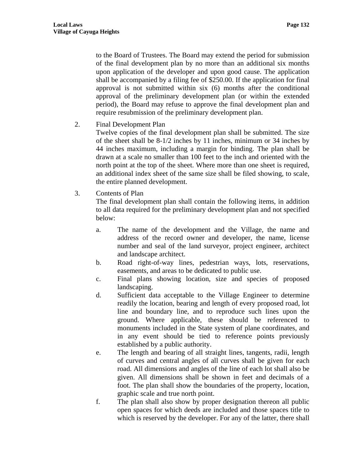to the Board of Trustees. The Board may extend the period for submission of the final development plan by no more than an additional six months upon application of the developer and upon good cause. The application shall be accompanied by a filing fee of \$250.00. If the application for final approval is not submitted within six (6) months after the conditional approval of the preliminary development plan (or within the extended period), the Board may refuse to approve the final development plan and require resubmission of the preliminary development plan.

2. Final Development Plan

Twelve copies of the final development plan shall be submitted. The size of the sheet shall be 8-1/2 inches by 11 inches, minimum or 34 inches by 44 inches maximum, including a margin for binding. The plan shall be drawn at a scale no smaller than 100 feet to the inch and oriented with the north point at the top of the sheet. Where more than one sheet is required, an additional index sheet of the same size shall be filed showing, to scale, the entire planned development.

3. Contents of Plan

The final development plan shall contain the following items, in addition to all data required for the preliminary development plan and not specified below:

- a. The name of the development and the Village, the name and address of the record owner and developer, the name, license number and seal of the land surveyor, project engineer, architect and landscape architect.
- b. Road right-of-way lines, pedestrian ways, lots, reservations, easements, and areas to be dedicated to public use.
- c. Final plans showing location, size and species of proposed landscaping.
- d. Sufficient data acceptable to the Village Engineer to determine readily the location, bearing and length of every proposed road, lot line and boundary line, and to reproduce such lines upon the ground. Where applicable, these should be referenced to monuments included in the State system of plane coordinates, and in any event should be tied to reference points previously established by a public authority.
- e. The length and bearing of all straight lines, tangents, radii, length of curves and central angles of all curves shall be given for each road. All dimensions and angles of the line of each lot shall also be given. All dimensions shall be shown in feet and decimals of a foot. The plan shall show the boundaries of the property, location, graphic scale and true north point.
- f. The plan shall also show by proper designation thereon all public open spaces for which deeds are included and those spaces title to which is reserved by the developer. For any of the latter, there shall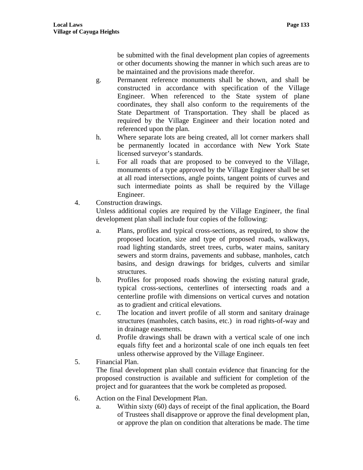be submitted with the final development plan copies of agreements or other documents showing the manner in which such areas are to be maintained and the provisions made therefor.

- g. Permanent reference monuments shall be shown, and shall be constructed in accordance with specification of the Village Engineer. When referenced to the State system of plane coordinates, they shall also conform to the requirements of the State Department of Transportation. They shall be placed as required by the Village Engineer and their location noted and referenced upon the plan.
- h. Where separate lots are being created, all lot corner markers shall be permanently located in accordance with New York State licensed surveyor's standards.
- i. For all roads that are proposed to be conveyed to the Village, monuments of a type approved by the Village Engineer shall be set at all road intersections, angle points, tangent points of curves and such intermediate points as shall be required by the Village Engineer.
- 4. Construction drawings.

Unless additional copies are required by the Village Engineer, the final development plan shall include four copies of the following:

- a. Plans, profiles and typical cross-sections, as required, to show the proposed location, size and type of proposed roads, walkways, road lighting standards, street trees, curbs, water mains, sanitary sewers and storm drains, pavements and subbase, manholes, catch basins, and design drawings for bridges, culverts and similar structures.
- b. Profiles for proposed roads showing the existing natural grade, typical cross-sections, centerlines of intersecting roads and a centerline profile with dimensions on vertical curves and notation as to gradient and critical elevations.
- c. The location and invert profile of all storm and sanitary drainage structures (manholes, catch basins, etc.) in road rights-of-way and in drainage easements.
- d. Profile drawings shall be drawn with a vertical scale of one inch equals fifty feet and a horizontal scale of one inch equals ten feet unless otherwise approved by the Village Engineer.
- 5. Financial Plan.

The final development plan shall contain evidence that financing for the proposed construction is available and sufficient for completion of the project and for guarantees that the work be completed as proposed.

- 6. Action on the Final Development Plan.
	- a. Within sixty (60) days of receipt of the final application, the Board of Trustees shall disapprove or approve the final development plan, or approve the plan on condition that alterations be made. The time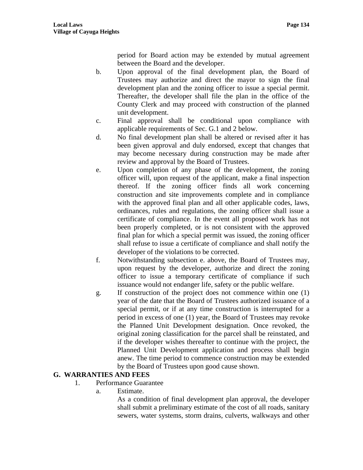period for Board action may be extended by mutual agreement between the Board and the developer.

- b. Upon approval of the final development plan, the Board of Trustees may authorize and direct the mayor to sign the final development plan and the zoning officer to issue a special permit. Thereafter, the developer shall file the plan in the office of the County Clerk and may proceed with construction of the planned unit development.
- c. Final approval shall be conditional upon compliance with applicable requirements of Sec. G.1 and 2 below.
- d. No final development plan shall be altered or revised after it has been given approval and duly endorsed, except that changes that may become necessary during construction may be made after review and approval by the Board of Trustees.
- e. Upon completion of any phase of the development, the zoning officer will, upon request of the applicant, make a final inspection thereof. If the zoning officer finds all work concerning construction and site improvements complete and in compliance with the approved final plan and all other applicable codes, laws, ordinances, rules and regulations, the zoning officer shall issue a certificate of compliance. In the event all proposed work has not been properly completed, or is not consistent with the approved final plan for which a special permit was issued, the zoning officer shall refuse to issue a certificate of compliance and shall notify the developer of the violations to be corrected.
- f. Notwithstanding subsection e. above, the Board of Trustees may, upon request by the developer, authorize and direct the zoning officer to issue a temporary certificate of compliance if such issuance would not endanger life, safety or the public welfare.
- g. If construction of the project does not commence within one (1) year of the date that the Board of Trustees authorized issuance of a special permit, or if at any time construction is interrupted for a period in excess of one (1) year, the Board of Trustees may revoke the Planned Unit Development designation. Once revoked, the original zoning classification for the parcel shall be reinstated, and if the developer wishes thereafter to continue with the project, the Planned Unit Development application and process shall begin anew. The time period to commence construction may be extended by the Board of Trustees upon good cause shown.

# **G. WARRANTIES AND FEES**

- 1. Performance Guarantee
	- a. Estimate.

As a condition of final development plan approval, the developer shall submit a preliminary estimate of the cost of all roads, sanitary sewers, water systems, storm drains, culverts, walkways and other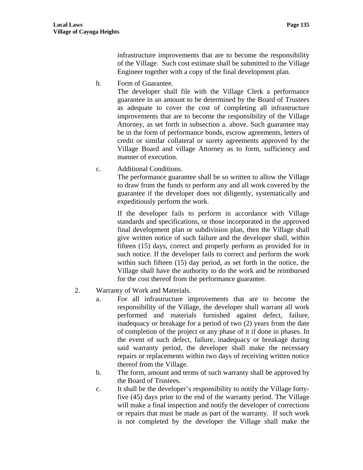infrastructure improvements that are to become the responsibility of the Village. Such cost estimate shall be submitted to the Village Engineer together with a copy of the final development plan.

b. Form of Guarantee.

The developer shall file with the Village Clerk a performance guarantee in an amount to be determined by the Board of Trustees as adequate to cover the cost of completing all infrastructure improvements that are to become the responsibility of the Village Attorney, as set forth in subsection a. above. Such guarantee may be in the form of performance bonds, escrow agreements, letters of credit or similar collateral or surety agreements approved by the Village Board and village Attorney as to form, sufficiency and manner of execution.

c. Additional Conditions.

The performance guarantee shall be so written to allow the Village to draw from the funds to perform any and all work covered by the guarantee if the developer does not diligently, systematically and expeditiously perform the work.

If the developer fails to perform in accordance with Village standards and specifications, or those incorporated in the approved final development plan or subdivision plan, then the Village shall give written notice of such failure and the developer shall, within fifteen (15) days, correct and properly perform as provided for in such notice. If the developer fails to correct and perform the work within such fifteen (15) day period, as set forth in the notice, the Village shall have the authority to do the work and be reimbursed for the cost thereof from the performance guarantee.

- 2. Warranty of Work and Materials.
	- a. For all infrastructure improvements that are to become the responsibility of the Village, the developer shall warrant all work performed and materials furnished against defect, failure, inadequacy or breakage for a period of two (2) years from the date of completion of the project or any phase of it if done in phases. In the event of such defect, failure, inadequacy or breakage during said warranty period, the developer shall make the necessary repairs or replacements within two days of receiving written notice thereof from the Village.
	- b. The form, amount and terms of such warranty shall be approved by the Board of Trustees.
	- c. It shall be the developer's responsibility to notify the Village fortyfive (45) days prior to the end of the warranty period. The Village will make a final inspection and notify the developer of corrections or repairs that must be made as part of the warranty. If such work is not completed by the developer the Village shall make the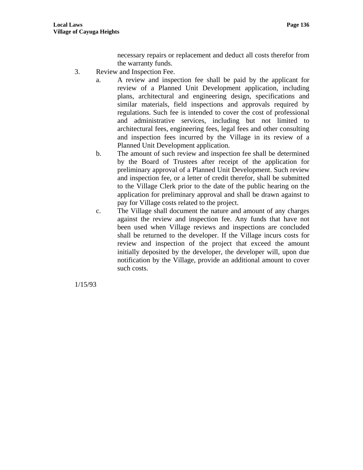necessary repairs or replacement and deduct all costs therefor from the warranty funds.

- 3. Review and Inspection Fee.
	- a. A review and inspection fee shall be paid by the applicant for review of a Planned Unit Development application, including plans, architectural and engineering design, specifications and similar materials, field inspections and approvals required by regulations. Such fee is intended to cover the cost of professional and administrative services, including but not limited to architectural fees, engineering fees, legal fees and other consulting and inspection fees incurred by the Village in its review of a Planned Unit Development application.
	- b. The amount of such review and inspection fee shall be determined by the Board of Trustees after receipt of the application for preliminary approval of a Planned Unit Development. Such review and inspection fee, or a letter of credit therefor, shall be submitted to the Village Clerk prior to the date of the public hearing on the application for preliminary approval and shall be drawn against to pay for Village costs related to the project.
	- c. The Village shall document the nature and amount of any charges against the review and inspection fee. Any funds that have not been used when Village reviews and inspections are concluded shall be returned to the developer. If the Village incurs costs for review and inspection of the project that exceed the amount initially deposited by the developer, the developer will, upon due notification by the Village, provide an additional amount to cover such costs.

1/15/93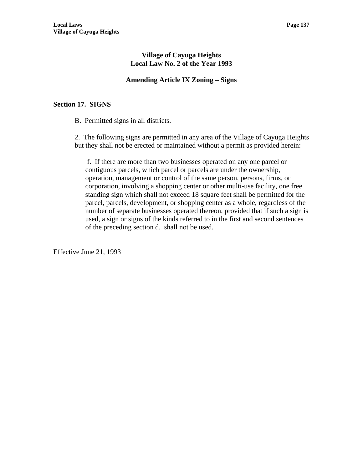# **Village of Cayuga Heights Local Law No. 2 of the Year 1993**

### **Amending Article IX Zoning – Signs**

### **Section 17. SIGNS**

B. Permitted signs in all districts.

2. The following signs are permitted in any area of the Village of Cayuga Heights but they shall not be erected or maintained without a permit as provided herein:

 f. If there are more than two businesses operated on any one parcel or contiguous parcels, which parcel or parcels are under the ownership, operation, management or control of the same person, persons, firms, or corporation, involving a shopping center or other multi-use facility, one free standing sign which shall not exceed 18 square feet shall be permitted for the parcel, parcels, development, or shopping center as a whole, regardless of the number of separate businesses operated thereon, provided that if such a sign is used, a sign or signs of the kinds referred to in the first and second sentences of the preceding section d. shall not be used.

Effective June 21, 1993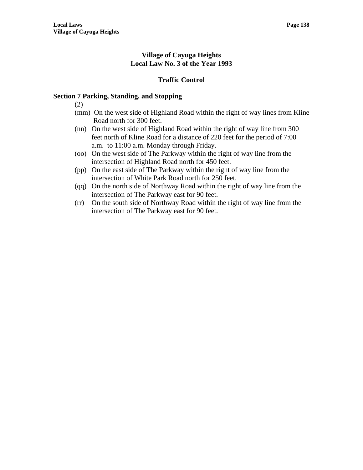# **Village of Cayuga Heights Local Law No. 3 of the Year 1993**

# **Traffic Control**

# **Section 7 Parking, Standing, and Stopping**

(2)

- (mm) On the west side of Highland Road within the right of way lines from Kline Road north for 300 feet.
- (nn) On the west side of Highland Road within the right of way line from 300 feet north of Kline Road for a distance of 220 feet for the period of 7:00 a.m. to 11:00 a.m. Monday through Friday.
- (oo) On the west side of The Parkway within the right of way line from the intersection of Highland Road north for 450 feet.
- (pp) On the east side of The Parkway within the right of way line from the intersection of White Park Road north for 250 feet.
- (qq) On the north side of Northway Road within the right of way line from the intersection of The Parkway east for 90 feet.
- (rr) On the south side of Northway Road within the right of way line from the intersection of The Parkway east for 90 feet.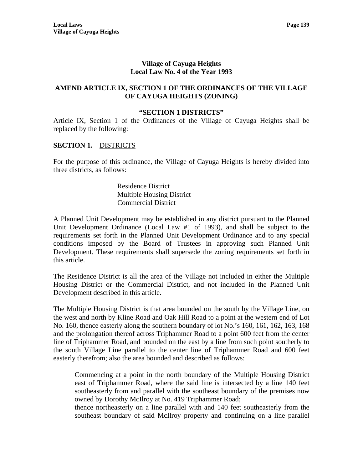### **Village of Cayuga Heights Local Law No. 4 of the Year 1993**

### **AMEND ARTICLE IX, SECTION 1 OF THE ORDINANCES OF THE VILLAGE OF CAYUGA HEIGHTS (ZONING)**

#### **"SECTION 1 DISTRICTS"**

Article IX, Section 1 of the Ordinances of the Village of Cayuga Heights shall be replaced by the following:

### **SECTION 1.** DISTRICTS

For the purpose of this ordinance, the Village of Cayuga Heights is hereby divided into three districts, as follows:

> Residence District Multiple Housing District Commercial District

A Planned Unit Development may be established in any district pursuant to the Planned Unit Development Ordinance (Local Law #1 of 1993), and shall be subject to the requirements set forth in the Planned Unit Development Ordinance and to any special conditions imposed by the Board of Trustees in approving such Planned Unit Development. These requirements shall supersede the zoning requirements set forth in this article.

The Residence District is all the area of the Village not included in either the Multiple Housing District or the Commercial District, and not included in the Planned Unit Development described in this article.

The Multiple Housing District is that area bounded on the south by the Village Line, on the west and north by Kline Road and Oak Hill Road to a point at the western end of Lot No. 160, thence easterly along the southern boundary of lot No.'s 160, 161, 162, 163, 168 and the prolongation thereof across Triphammer Road to a point 600 feet from the center line of Triphammer Road, and bounded on the east by a line from such point southerly to the south Village Line parallel to the center line of Triphammer Road and 600 feet easterly therefrom; also the area bounded and described as follows:

Commencing at a point in the north boundary of the Multiple Housing District east of Triphammer Road, where the said line is intersected by a line 140 feet southeasterly from and parallel with the southeast boundary of the premises now owned by Dorothy McIlroy at No. 419 Triphammer Road;

thence northeasterly on a line parallel with and 140 feet southeasterly from the southeast boundary of said McIlroy property and continuing on a line parallel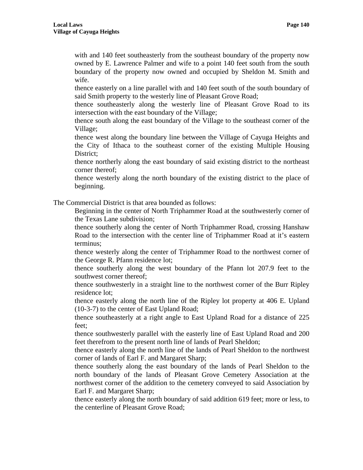with and 140 feet southeasterly from the southeast boundary of the property now owned by E. Lawrence Palmer and wife to a point 140 feet south from the south boundary of the property now owned and occupied by Sheldon M. Smith and wife.

thence easterly on a line parallel with and 140 feet south of the south boundary of said Smith property to the westerly line of Pleasant Grove Road;

thence southeasterly along the westerly line of Pleasant Grove Road to its intersection with the east boundary of the Village;

thence south along the east boundary of the Village to the southeast corner of the Village;

thence west along the boundary line between the Village of Cayuga Heights and the City of Ithaca to the southeast corner of the existing Multiple Housing District;

thence northerly along the east boundary of said existing district to the northeast corner thereof;

thence westerly along the north boundary of the existing district to the place of beginning.

The Commercial District is that area bounded as follows:

Beginning in the center of North Triphammer Road at the southwesterly corner of the Texas Lane subdivision;

thence southerly along the center of North Triphammer Road, crossing Hanshaw Road to the intersection with the center line of Triphammer Road at it's eastern terminus;

thence westerly along the center of Triphammer Road to the northwest corner of the George R. Pfann residence lot;

thence southerly along the west boundary of the Pfann lot 207.9 feet to the southwest corner thereof;

thence southwesterly in a straight line to the northwest corner of the Burr Ripley residence lot;

thence easterly along the north line of the Ripley lot property at 406 E. Upland (10-3-7) to the center of East Upland Road;

thence southeasterly at a right angle to East Upland Road for a distance of 225 feet;

thence southwesterly parallel with the easterly line of East Upland Road and 200 feet therefrom to the present north line of lands of Pearl Sheldon;

thence easterly along the north line of the lands of Pearl Sheldon to the northwest corner of lands of Earl F. and Margaret Sharp;

thence southerly along the east boundary of the lands of Pearl Sheldon to the north boundary of the lands of Pleasant Grove Cemetery Association at the northwest corner of the addition to the cemetery conveyed to said Association by Earl F. and Margaret Sharp;

thence easterly along the north boundary of said addition 619 feet; more or less, to the centerline of Pleasant Grove Road;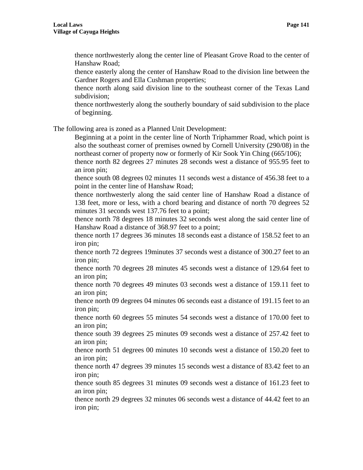thence northwesterly along the center line of Pleasant Grove Road to the center of Hanshaw Road;

thence easterly along the center of Hanshaw Road to the division line between the Gardner Rogers and Ella Cushman properties;

thence north along said division line to the southeast corner of the Texas Land subdivision;

thence northwesterly along the southerly boundary of said subdivision to the place of beginning.

The following area is zoned as a Planned Unit Development:

Beginning at a point in the center line of North Triphammer Road, which point is also the southeast corner of premises owned by Cornell University (290/08) in the northeast corner of property now or formerly of Kir Sook Yin Ching (665/106);

thence north 82 degrees 27 minutes 28 seconds west a distance of 955.95 feet to an iron pin;

thence south 08 degrees 02 minutes 11 seconds west a distance of 456.38 feet to a point in the center line of Hanshaw Road;

thence northwesterly along the said center line of Hanshaw Road a distance of 138 feet, more or less, with a chord bearing and distance of north 70 degrees 52 minutes 31 seconds west 137.76 feet to a point;

thence north 78 degrees 18 minutes 32 seconds west along the said center line of Hanshaw Road a distance of 368.97 feet to a point;

thence north 17 degrees 36 minutes 18 seconds east a distance of 158.52 feet to an iron pin;

thence north 72 degrees 19minutes 37 seconds west a distance of 300.27 feet to an iron pin;

thence north 70 degrees 28 minutes 45 seconds west a distance of 129.64 feet to an iron pin;

thence north 70 degrees 49 minutes 03 seconds west a distance of 159.11 feet to an iron pin;

thence north 09 degrees 04 minutes 06 seconds east a distance of 191.15 feet to an iron pin;

thence north 60 degrees 55 minutes 54 seconds west a distance of 170.00 feet to an iron pin;

thence south 39 degrees 25 minutes 09 seconds west a distance of 257.42 feet to an iron pin;

thence north 51 degrees 00 minutes 10 seconds west a distance of 150.20 feet to an iron pin;

thence north 47 degrees 39 minutes 15 seconds west a distance of 83.42 feet to an iron pin;

thence south 85 degrees 31 minutes 09 seconds west a distance of 161.23 feet to an iron pin;

thence north 29 degrees 32 minutes 06 seconds west a distance of 44.42 feet to an iron pin;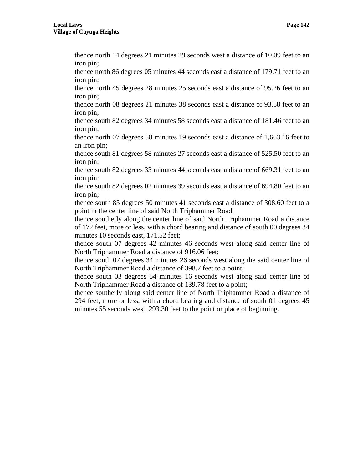thence north 14 degrees 21 minutes 29 seconds west a distance of 10.09 feet to an iron pin;

thence north 86 degrees 05 minutes 44 seconds east a distance of 179.71 feet to an iron pin;

thence north 45 degrees 28 minutes 25 seconds east a distance of 95.26 feet to an iron pin;

thence north 08 degrees 21 minutes 38 seconds east a distance of 93.58 feet to an iron pin;

thence south 82 degrees 34 minutes 58 seconds east a distance of 181.46 feet to an iron pin;

thence north 07 degrees 58 minutes 19 seconds east a distance of 1,663.16 feet to an iron pin;

thence south 81 degrees 58 minutes 27 seconds east a distance of 525.50 feet to an iron pin;

thence south 82 degrees 33 minutes 44 seconds east a distance of 669.31 feet to an iron pin;

thence south 82 degrees 02 minutes 39 seconds east a distance of 694.80 feet to an iron pin;

thence south 85 degrees 50 minutes 41 seconds east a distance of 308.60 feet to a point in the center line of said North Triphammer Road;

thence southerly along the center line of said North Triphammer Road a distance of 172 feet, more or less, with a chord bearing and distance of south 00 degrees 34 minutes 10 seconds east, 171.52 feet;

thence south 07 degrees 42 minutes 46 seconds west along said center line of North Triphammer Road a distance of 916.06 feet;

thence south 07 degrees 34 minutes 26 seconds west along the said center line of North Triphammer Road a distance of 398.7 feet to a point;

thence south 03 degrees 54 minutes 16 seconds west along said center line of North Triphammer Road a distance of 139.78 feet to a point;

thence southerly along said center line of North Triphammer Road a distance of 294 feet, more or less, with a chord bearing and distance of south 01 degrees 45 minutes 55 seconds west, 293.30 feet to the point or place of beginning.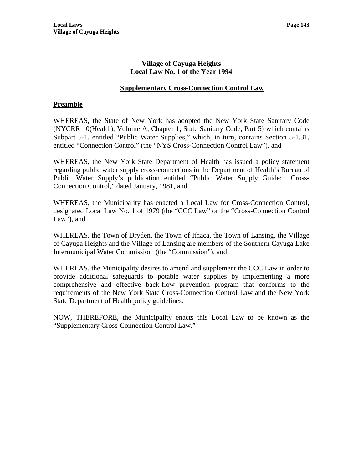## **Supplementary Cross-Connection Control Law**

## **Preamble**

WHEREAS, the State of New York has adopted the New York State Sanitary Code (NYCRR 10(Health), Volume A, Chapter 1, State Sanitary Code, Part 5) which contains Subpart 5-1, entitled "Public Water Supplies," which, in turn, contains Section 5-1.31, entitled "Connection Control" (the "NYS Cross-Connection Control Law"), and

WHEREAS, the New York State Department of Health has issued a policy statement regarding public water supply cross-connections in the Department of Health's Bureau of Public Water Supply's publication entitled "Public Water Supply Guide: Cross-Connection Control," dated January, 1981, and

WHEREAS, the Municipality has enacted a Local Law for Cross-Connection Control, designated Local Law No. 1 of 1979 (the "CCC Law" or the "Cross-Connection Control Law"), and

WHEREAS, the Town of Dryden, the Town of Ithaca, the Town of Lansing, the Village of Cayuga Heights and the Village of Lansing are members of the Southern Cayuga Lake Intermunicipal Water Commission (the "Commission"), and

WHEREAS, the Municipality desires to amend and supplement the CCC Law in order to provide additional safeguards to potable water supplies by implementing a more comprehensive and effective back-flow prevention program that conforms to the requirements of the New York State Cross-Connection Control Law and the New York State Department of Health policy guidelines:

NOW, THEREFORE, the Municipality enacts this Local Law to be known as the "Supplementary Cross-Connection Control Law."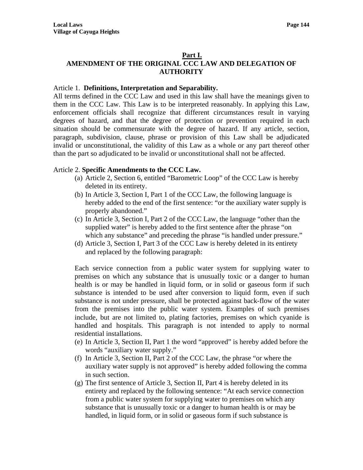## **Part I. AMENDMENT OF THE ORIGINAL CCC LAW AND DELEGATION OF AUTHORITY**

## Article 1. **Definitions, Interpretation and Separability.**

All terms defined in the CCC Law and used in this law shall have the meanings given to them in the CCC Law. This Law is to be interpreted reasonably. In applying this Law, enforcement officials shall recognize that different circumstances result in varying degrees of hazard, and that the degree of protection or prevention required in each situation should be commensurate with the degree of hazard. If any article, section, paragraph, subdivision, clause, phrase or provision of this Law shall be adjudicated invalid or unconstitutional, the validity of this Law as a whole or any part thereof other than the part so adjudicated to be invalid or unconstitutional shall not be affected.

## Article 2. **Specific Amendments to the CCC Law.**

- (a) Article 2, Section 6, entitled "Barometric Loop" of the CCC Law is hereby deleted in its entirety.
- (b) In Article 3, Section I, Part 1 of the CCC Law, the following language is hereby added to the end of the first sentence: "or the auxiliary water supply is properly abandoned."
- (c) In Article 3, Section I, Part 2 of the CCC Law, the language "other than the supplied water" is hereby added to the first sentence after the phrase "on which any substance" and preceding the phrase "is handled under pressure."
- (d) Article 3, Section I, Part 3 of the CCC Law is hereby deleted in its entirety and replaced by the following paragraph:

Each service connection from a public water system for supplying water to premises on which any substance that is unusually toxic or a danger to human health is or may be handled in liquid form, or in solid or gaseous form if such substance is intended to be used after conversion to liquid form, even if such substance is not under pressure, shall be protected against back-flow of the water from the premises into the public water system. Examples of such premises include, but are not limited to, plating factories, premises on which cyanide is handled and hospitals. This paragraph is not intended to apply to normal residential installations.

- (e) In Article 3, Section II, Part 1 the word "approved" is hereby added before the words "auxiliary water supply."
- (f) In Article 3, Section II, Part 2 of the CCC Law, the phrase "or where the auxiliary water supply is not approved" is hereby added following the comma in such section.
- (g) The first sentence of Article 3, Section II, Part 4 is hereby deleted in its entirety and replaced by the following sentence: "At each service connection from a public water system for supplying water to premises on which any substance that is unusually toxic or a danger to human health is or may be handled, in liquid form, or in solid or gaseous form if such substance is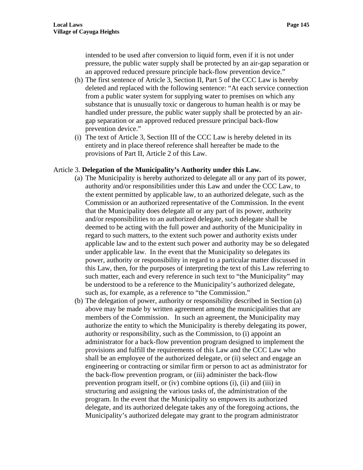intended to be used after conversion to liquid form, even if it is not under pressure, the public water supply shall be protected by an air-gap separation or an approved reduced pressure principle back-flow prevention device."

- (h) The first sentence of Article 3, Section II, Part 5 of the CCC Law is hereby deleted and replaced with the following sentence: "At each service connection from a public water system for supplying water to premises on which any substance that is unusually toxic or dangerous to human health is or may be handled under pressure, the public water supply shall be protected by an airgap separation or an approved reduced pressure principal back-flow prevention device."
- (i) The text of Article 3, Section III of the CCC Law is hereby deleted in its entirety and in place thereof reference shall hereafter be made to the provisions of Part II, Article 2 of this Law.

#### Article 3. **Delegation of the Municipality's Authority under this Law.**

- (a) The Municipality is hereby authorized to delegate all or any part of its power, authority and/or responsibilities under this Law and under the CCC Law, to the extent permitted by applicable law, to an authorized delegate, such as the Commission or an authorized representative of the Commission. In the event that the Municipality does delegate all or any part of its power, authority and/or responsibilities to an authorized delegate, such delegate shall be deemed to be acting with the full power and authority of the Municipality in regard to such matters, to the extent such power and authority exists under applicable law and to the extent such power and authority may be so delegated under applicable law. In the event that the Municipality so delegates its power, authority or responsibility in regard to a particular matter discussed in this Law, then, for the purposes of interpreting the text of this Law referring to such matter, each and every reference in such text to "the Municipality" may be understood to be a reference to the Municipality's authorized delegate, such as, for example, as a reference to "the Commission."
- (b) The delegation of power, authority or responsibility described in Section (a) above may be made by written agreement among the municipalities that are members of the Commission. In such an agreement, the Municipality may authorize the entity to which the Municipality is thereby delegating its power, authority or responsibility, such as the Commission, to (i) appoint an administrator for a back-flow prevention program designed to implement the provisions and fulfill the requirements of this Law and the CCC Law who shall be an employee of the authorized delegate, or (ii) select and engage an engineering or contracting or similar firm or person to act as administrator for the back-flow prevention program, or (iii) administer the back-flow prevention program itself, or (iv) combine options (i), (ii) and (iii) in structuring and assigning the various tasks of, the administration of the program. In the event that the Municipality so empowers its authorized delegate, and its authorized delegate takes any of the foregoing actions, the Municipality's authorized delegate may grant to the program administrator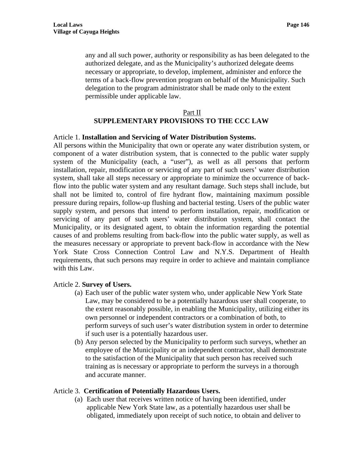any and all such power, authority or responsibility as has been delegated to the authorized delegate, and as the Municipality's authorized delegate deems necessary or appropriate, to develop, implement, administer and enforce the terms of a back-flow prevention program on behalf of the Municipality. Such delegation to the program administrator shall be made only to the extent permissible under applicable law.

# Part II **SUPPLEMENTARY PROVISIONS TO THE CCC LAW**

## Article 1. **Installation and Servicing of Water Distribution Systems.**

All persons within the Municipality that own or operate any water distribution system, or component of a water distribution system, that is connected to the public water supply system of the Municipality (each, a "user"), as well as all persons that perform installation, repair, modification or servicing of any part of such users' water distribution system, shall take all steps necessary or appropriate to minimize the occurrence of backflow into the public water system and any resultant damage. Such steps shall include, but shall not be limited to, control of fire hydrant flow, maintaining maximum possible pressure during repairs, follow-up flushing and bacterial testing. Users of the public water supply system, and persons that intend to perform installation, repair, modification or servicing of any part of such users' water distribution system, shall contact the Municipality, or its designated agent, to obtain the information regarding the potential causes of and problems resulting from back-flow into the public water supply, as well as the measures necessary or appropriate to prevent back-flow in accordance with the New York State Cross Connection Control Law and N.Y.S. Department of Health requirements, that such persons may require in order to achieve and maintain compliance with this Law.

#### Article 2. **Survey of Users.**

- (a) Each user of the public water system who, under applicable New York State Law, may be considered to be a potentially hazardous user shall cooperate, to the extent reasonably possible, in enabling the Municipality, utilizing either its own personnel or independent contractors or a combination of both, to perform surveys of such user's water distribution system in order to determine if such user is a potentially hazardous user.
- (b) Any person selected by the Municipality to perform such surveys, whether an employee of the Municipality or an independent contractor, shall demonstrate to the satisfaction of the Municipality that such person has received such training as is necessary or appropriate to perform the surveys in a thorough and accurate manner.

## Article 3. **Certification of Potentially Hazardous Users.**

(a) Each user that receives written notice of having been identified, under applicable New York State law, as a potentially hazardous user shall be obligated, immediately upon receipt of such notice, to obtain and deliver to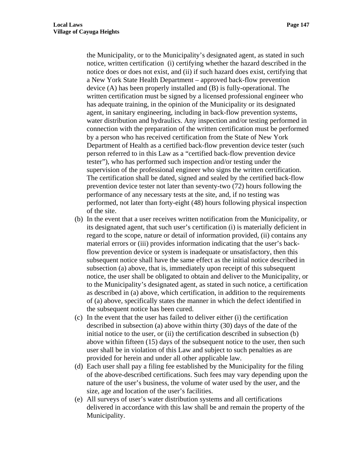the Municipality, or to the Municipality's designated agent, as stated in such notice, written certification (i) certifying whether the hazard described in the notice does or does not exist, and (ii) if such hazard does exist, certifying that a New York State Health Department – approved back-flow prevention device (A) has been properly installed and (B) is fully-operational. The written certification must be signed by a licensed professional engineer who has adequate training, in the opinion of the Municipality or its designated agent, in sanitary engineering, including in back-flow prevention systems, water distribution and hydraulics. Any inspection and/or testing performed in connection with the preparation of the written certification must be performed by a person who has received certification from the State of New York Department of Health as a certified back-flow prevention device tester (such person referred to in this Law as a "certified back-flow prevention device tester"), who has performed such inspection and/or testing under the supervision of the professional engineer who signs the written certification. The certification shall be dated, signed and sealed by the certified back-flow prevention device tester not later than seventy-two (72) hours following the performance of any necessary tests at the site, and, if no testing was performed, not later than forty-eight (48) hours following physical inspection of the site.

- (b) In the event that a user receives written notification from the Municipality, or its designated agent, that such user's certification (i) is materially deficient in regard to the scope, nature or detail of information provided, (ii) contains any material errors or (iii) provides information indicating that the user's backflow prevention device or system is inadequate or unsatisfactory, then this subsequent notice shall have the same effect as the initial notice described in subsection (a) above, that is, immediately upon receipt of this subsequent notice, the user shall be obligated to obtain and deliver to the Municipality, or to the Municipality's designated agent, as stated in such notice, a certification as described in (a) above, which certification, in addition to the requirements of (a) above, specifically states the manner in which the defect identified in the subsequent notice has been cured.
- (c) In the event that the user has failed to deliver either (i) the certification described in subsection (a) above within thirty (30) days of the date of the initial notice to the user, or (ii) the certification described in subsection (b) above within fifteen (15) days of the subsequent notice to the user, then such user shall be in violation of this Law and subject to such penalties as are provided for herein and under all other applicable law.
- (d) Each user shall pay a filing fee established by the Municipality for the filing of the above-described certifications. Such fees may vary depending upon the nature of the user's business, the volume of water used by the user, and the size, age and location of the user's facilities.
- (e) All surveys of user's water distribution systems and all certifications delivered in accordance with this law shall be and remain the property of the Municipality.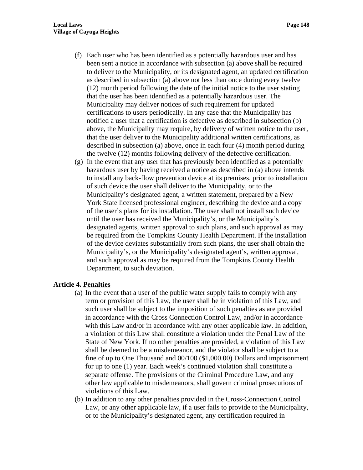- (f) Each user who has been identified as a potentially hazardous user and has been sent a notice in accordance with subsection (a) above shall be required to deliver to the Municipality, or its designated agent, an updated certification as described in subsection (a) above not less than once during every twelve (12) month period following the date of the initial notice to the user stating that the user has been identified as a potentially hazardous user. The Municipality may deliver notices of such requirement for updated certifications to users periodically. In any case that the Municipality has notified a user that a certification is defective as described in subsection (b) above, the Municipality may require, by delivery of written notice to the user, that the user deliver to the Municipality additional written certifications, as described in subsection (a) above, once in each four (4) month period during the twelve (12) months following delivery of the defective certification.
- (g) In the event that any user that has previously been identified as a potentially hazardous user by having received a notice as described in (a) above intends to install any back-flow prevention device at its premises, prior to installation of such device the user shall deliver to the Municipality, or to the Municipality's designated agent, a written statement, prepared by a New York State licensed professional engineer, describing the device and a copy of the user's plans for its installation. The user shall not install such device until the user has received the Municipality's, or the Municipality's designated agents, written approval to such plans, and such approval as may be required from the Tompkins County Health Department. If the installation of the device deviates substantially from such plans, the user shall obtain the Municipality's, or the Municipality's designated agent's, written approval, and such approval as may be required from the Tompkins County Health Department, to such deviation.

## **Article 4. Penalties**

- (a) In the event that a user of the public water supply fails to comply with any term or provision of this Law, the user shall be in violation of this Law, and such user shall be subject to the imposition of such penalties as are provided in accordance with the Cross Connection Control Law, and/or in accordance with this Law and/or in accordance with any other applicable law. In addition, a violation of this Law shall constitute a violation under the Penal Law of the State of New York. If no other penalties are provided, a violation of this Law shall be deemed to be a misdemeanor, and the violator shall be subject to a fine of up to One Thousand and 00/100 (\$1,000.00) Dollars and imprisonment for up to one (1) year. Each week's continued violation shall constitute a separate offense. The provisions of the Criminal Procedure Law, and any other law applicable to misdemeanors, shall govern criminal prosecutions of violations of this Law.
- (b) In addition to any other penalties provided in the Cross-Connection Control Law, or any other applicable law, if a user fails to provide to the Municipality, or to the Municipality's designated agent, any certification required in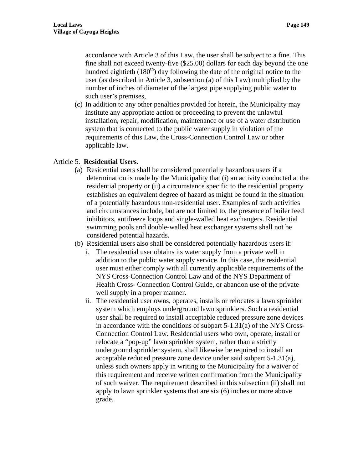accordance with Article 3 of this Law, the user shall be subject to a fine. This fine shall not exceed twenty-five (\$25.00) dollars for each day beyond the one hundred eightieth  $(180<sup>th</sup>)$  day following the date of the original notice to the user (as described in Article 3, subsection (a) of this Law) multiplied by the number of inches of diameter of the largest pipe supplying public water to such user's premises,

(c) In addition to any other penalties provided for herein, the Municipality may institute any appropriate action or proceeding to prevent the unlawful installation, repair, modification, maintenance or use of a water distribution system that is connected to the public water supply in violation of the requirements of this Law, the Cross-Connection Control Law or other applicable law.

## Article 5. **Residential Users.**

- (a) Residential users shall be considered potentially hazardous users if a determination is made by the Municipality that (i) an activity conducted at the residential property or (ii) a circumstance specific to the residential property establishes an equivalent degree of hazard as might be found in the situation of a potentially hazardous non-residential user. Examples of such activities and circumstances include, but are not limited to, the presence of boiler feed inhibitors, antifreeze loops and single-walled heat exchangers. Residential swimming pools and double-walled heat exchanger systems shall not be considered potential hazards.
- (b) Residential users also shall be considered potentially hazardous users if:
	- i. The residential user obtains its water supply from a private well in addition to the public water supply service. In this case, the residential user must either comply with all currently applicable requirements of the NYS Cross-Connection Control Law and of the NYS Department of Health Cross- Connection Control Guide, or abandon use of the private well supply in a proper manner.
	- ii. The residential user owns, operates, installs or relocates a lawn sprinkler system which employs underground lawn sprinklers. Such a residential user shall be required to install acceptable reduced pressure zone devices in accordance with the conditions of subpart 5-1.31(a) of the NYS Cross-Connection Control Law. Residential users who own, operate, install or relocate a "pop-up" lawn sprinkler system, rather than a strictly underground sprinkler system, shall likewise be required to install an acceptable reduced pressure zone device under said subpart 5-1.31(a), unless such owners apply in writing to the Municipality for a waiver of this requirement and receive written confirmation from the Municipality of such waiver. The requirement described in this subsection (ii) shall not apply to lawn sprinkler systems that are six (6) inches or more above grade.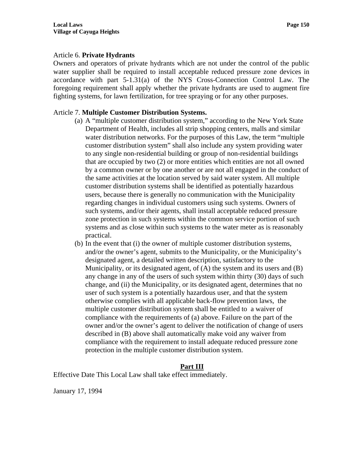#### Article 6. **Private Hydrants**

Owners and operators of private hydrants which are not under the control of the public water supplier shall be required to install acceptable reduced pressure zone devices in accordance with part 5-1.31(a) of the NYS Cross-Connection Control Law. The foregoing requirement shall apply whether the private hydrants are used to augment fire fighting systems, for lawn fertilization, for tree spraying or for any other purposes.

## Article 7. **Multiple Customer Distribution Systems.**

- (a) A "multiple customer distribution system," according to the New York State Department of Health, includes all strip shopping centers, malls and similar water distribution networks. For the purposes of this Law, the term "multiple customer distribution system" shall also include any system providing water to any single non-residential building or group of non-residential buildings that are occupied by two (2) or more entities which entities are not all owned by a common owner or by one another or are not all engaged in the conduct of the same activities at the location served by said water system. All multiple customer distribution systems shall be identified as potentially hazardous users, because there is generally no communication with the Municipality regarding changes in individual customers using such systems. Owners of such systems, and/or their agents, shall install acceptable reduced pressure zone protection in such systems within the common service portion of such systems and as close within such systems to the water meter as is reasonably practical.
- (b) In the event that (i) the owner of multiple customer distribution systems, and/or the owner's agent, submits to the Municipality, or the Municipality's designated agent, a detailed written description, satisfactory to the Municipality, or its designated agent, of (A) the system and its users and (B) any change in any of the users of such system within thirty (30) days of such change, and (ii) the Municipality, or its designated agent, determines that no user of such system is a potentially hazardous user, and that the system otherwise complies with all applicable back-flow prevention laws, the multiple customer distribution system shall be entitled to a waiver of compliance with the requirements of (a) above. Failure on the part of the owner and/or the owner's agent to deliver the notification of change of users described in (B) above shall automatically make void any waiver from compliance with the requirement to install adequate reduced pressure zone protection in the multiple customer distribution system.

#### **Part III**

Effective Date This Local Law shall take effect immediately.

January 17, 1994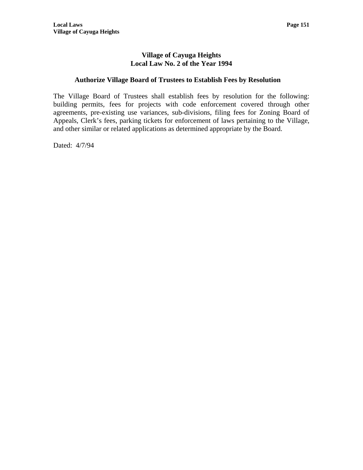# **Authorize Village Board of Trustees to Establish Fees by Resolution**

The Village Board of Trustees shall establish fees by resolution for the following: building permits, fees for projects with code enforcement covered through other agreements, pre-existing use variances, sub-divisions, filing fees for Zoning Board of Appeals, Clerk's fees, parking tickets for enforcement of laws pertaining to the Village, and other similar or related applications as determined appropriate by the Board.

Dated: 4/7/94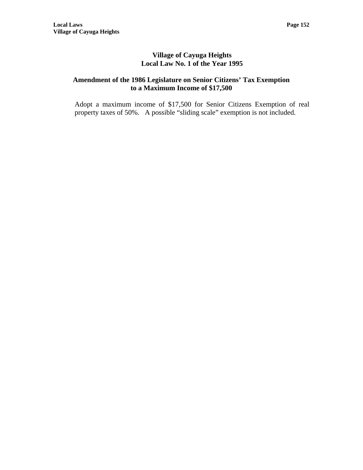# **Amendment of the 1986 Legislature on Senior Citizens' Tax Exemption to a Maximum Income of \$17,500**

Adopt a maximum income of \$17,500 for Senior Citizens Exemption of real property taxes of 50%. A possible "sliding scale" exemption is not included.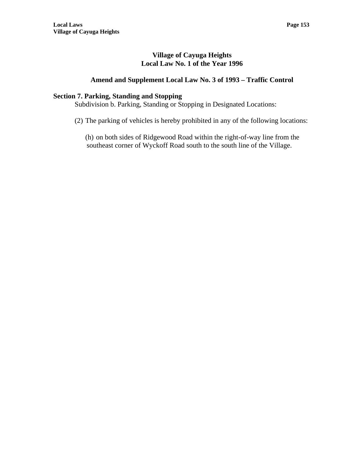# **Amend and Supplement Local Law No. 3 of 1993 – Traffic Control**

## **Section 7. Parking, Standing and Stopping**

Subdivision b. Parking, Standing or Stopping in Designated Locations:

(2) The parking of vehicles is hereby prohibited in any of the following locations:

(h) on both sides of Ridgewood Road within the right-of-way line from the southeast corner of Wyckoff Road south to the south line of the Village.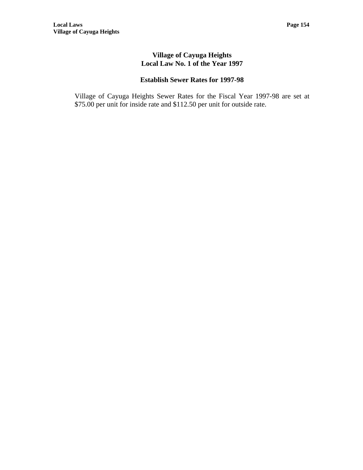# **Establish Sewer Rates for 1997-98**

Village of Cayuga Heights Sewer Rates for the Fiscal Year 1997-98 are set at \$75.00 per unit for inside rate and \$112.50 per unit for outside rate.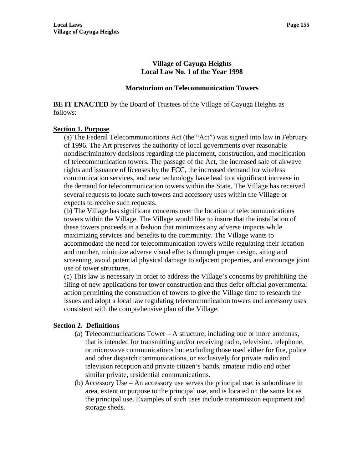#### **Moratorium on Telecommunication Towers**

**BE IT ENACTED** by the Board of Trustees of the Village of Cayuga Heights as follows:

#### **Section 1. Purpose**

(a) The Federal Telecommunications Act (the "Act") was signed into law in February of 1996. The Art preserves the authority of local governments over reasonable nondiscriminatory decisions regarding the placement, construction, and modification of telecommunication towers. The passage of the Act, the increased sale of airwave rights and issuance of licenses by the FCC, the increased demand for wireless communication services, and new technology have lead to a significant increase in the demand for telecommunication towers within the State. The Village has received several requests to locate such towers and accessory uses within the Village or expects to receive such requests.

(b) The Village has significant concerns over the location of telecommunications towers within the Village. The Village would like to insure that the installation of these towers proceeds in a fashion that minimizes any adverse impacts while maximizing services and benefits to the community. The Village wants to accommodate the need for telecommunication towers while regulating their location and number, minimize adverse visual effects through proper design, siting and screening, avoid potential physical damage to adjacent properties, and encourage joint use of tower structures.

(c) This law is necessary in order to address the Village's concerns by prohibiting the filing of new applications for tower construction and thus defer official governmental action permitting the construction of towers to give the Village time to research the issues and adopt a local law regulating telecommunication towers and accessory uses consistent with the comprehensive plan of the Village.

## **Section 2. Definitions**

- (a) Telecommunications Tower A structure, including one or more antennas, that is intended for transmitting and/or receiving radio, television, telephone, or microwave communications but excluding those used either for fire, police and other dispatch communications, or exclusively for private radio and television reception and private citizen's bands, amateur radio and other similar private, residential communications.
- (b) Accessory Use An accessory use serves the principal use, is subordinate in area, extent or purpose to the principal use, and is located on the same lot as the principal use. Examples of such uses include transmission equipment and storage sheds.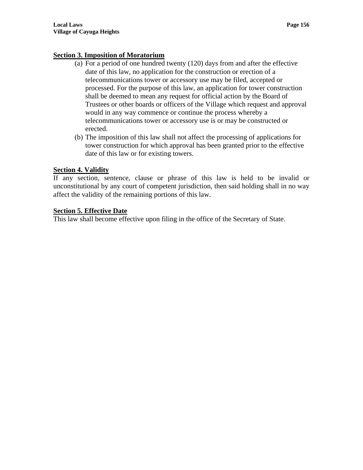# **Section 3. Imposition of Moratorium**

- (a) For a period of one hundred twenty (120) days from and after the effective date of this law, no application for the construction or erection of a telecommunications tower or accessory use may be filed, accepted or processed. For the purpose of this law, an application for tower construction shall be deemed to mean any request for official action by the Board of Trustees or other boards or officers of the Village which request and approval would in any way commence or continue the process whereby a telecommunications tower or accessory use is or may be constructed or erected.
- (b) The imposition of this law shall not affect the processing of applications for tower construction for which approval has been granted prior to the effective date of this law or for existing towers.

# **Section 4. Validity**

If any section, sentence, clause or phrase of this law is held to be invalid or unconstitutional by any court of competent jurisdiction, then said holding shall in no way affect the validity of the remaining portions of this law.

# **Section 5. Effective Date**

This law shall become effective upon filing in the office of the Secretary of State.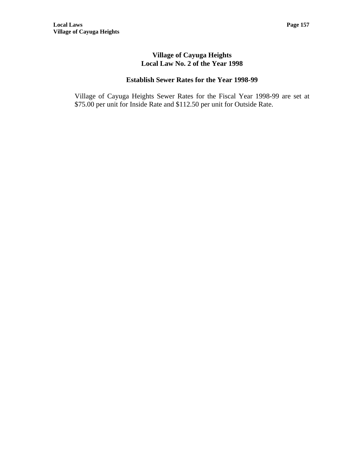# **Establish Sewer Rates for the Year 1998-99**

Village of Cayuga Heights Sewer Rates for the Fiscal Year 1998-99 are set at \$75.00 per unit for Inside Rate and \$112.50 per unit for Outside Rate.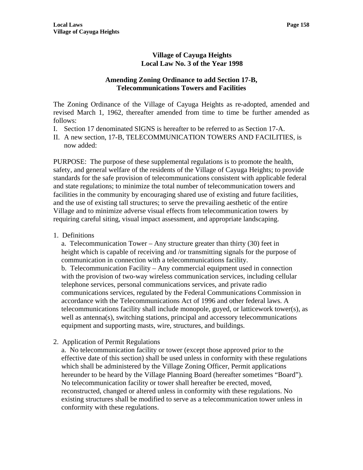## **Amending Zoning Ordinance to add Section 17-B, Telecommunications Towers and Facilities**

The Zoning Ordinance of the Village of Cayuga Heights as re-adopted, amended and revised March 1, 1962, thereafter amended from time to time be further amended as follows:

- I. Section 17 denominated SIGNS is hereafter to be referred to as Section 17-A.
- II. A new section, 17-B, TELECOMMUNICATION TOWERS AND FACILITIES, is now added:

PURPOSE: The purpose of these supplemental regulations is to promote the health, safety, and general welfare of the residents of the Village of Cayuga Heights; to provide standards for the safe provision of telecommunications consistent with applicable federal and state regulations; to minimize the total number of telecommunication towers and facilities in the community by encouraging shared use of existing and future facilities, and the use of existing tall structures; to serve the prevailing aesthetic of the entire Village and to minimize adverse visual effects from telecommunication towers by requiring careful siting, visual impact assessment, and appropriate landscaping.

1. Definitions

a. Telecommunication Tower – Any structure greater than thirty (30) feet in height which is capable of receiving and /or transmitting signals for the purpose of communication in connection with a telecommunications facility.

b. Telecommunication Facility – Any commercial equipment used in connection with the provision of two-way wireless communication services, including cellular telephone services, personal communications services, and private radio communications services, regulated by the Federal Communications Commission in accordance with the Telecommunications Act of 1996 and other federal laws. A telecommunications facility shall include monopole, guyed, or latticework tower(s), as well as antenna(s), switching stations, principal and accessory telecommunications equipment and supporting masts, wire, structures, and buildings.

2. Application of Permit Regulations

a. No telecommunication facility or tower (except those approved prior to the effective date of this section) shall be used unless in conformity with these regulations which shall be administered by the Village Zoning Officer, Permit applications hereunder to be heard by the Village Planning Board (hereafter sometimes "Board"). No telecommunication facility or tower shall hereafter be erected, moved, reconstructed, changed or altered unless in conformity with these regulations. No existing structures shall be modified to serve as a telecommunication tower unless in conformity with these regulations.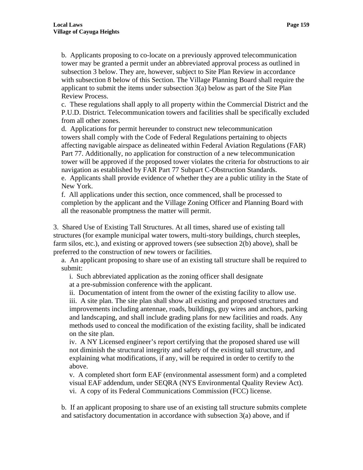b. Applicants proposing to co-locate on a previously approved telecommunication tower may be granted a permit under an abbreviated approval process as outlined in subsection 3 below. They are, however, subject to Site Plan Review in accordance with subsection 8 below of this Section. The Village Planning Board shall require the applicant to submit the items under subsection  $3(a)$  below as part of the Site Plan Review Process.

c. These regulations shall apply to all property within the Commercial District and the P.U.D. District. Telecommunication towers and facilities shall be specifically excluded from all other zones.

d. Applications for permit hereunder to construct new telecommunication towers shall comply with the Code of Federal Regulations pertaining to objects affecting navigable airspace as delineated within Federal Aviation Regulations (FAR) Part 77. Additionally, no application for construction of a new telecommunication tower will be approved if the proposed tower violates the criteria for obstructions to air navigation as established by FAR Part 77 Subpart C-Obstruction Standards. e. Applicants shall provide evidence of whether they are a public utility in the State of New York.

f. All applications under this section, once commenced, shall be processed to completion by the applicant and the Village Zoning Officer and Planning Board with all the reasonable promptness the matter will permit.

3. Shared Use of Existing Tall Structures. At all times, shared use of existing tall structures (for example municipal water towers, multi-story buildings, church steeples, farm silos, etc.), and existing or approved towers (see subsection 2(b) above), shall be preferred to the construction of new towers or facilities.

a. An applicant proposing to share use of an existing tall structure shall be required to submit:

i. Such abbreviated application as the zoning officer shall designate

at a pre-submission conference with the applicant.

ii. Documentation of intent from the owner of the existing facility to allow use. iii. A site plan. The site plan shall show all existing and proposed structures and improvements including antennae, roads, buildings, guy wires and anchors, parking and landscaping, and shall include grading plans for new facilities and roads. Any methods used to conceal the modification of the existing facility, shall be indicated on the site plan.

iv. A NY Licensed engineer's report certifying that the proposed shared use will not diminish the structural integrity and safety of the existing tall structure, and explaining what modifications, if any, will be required in order to certify to the above.

v. A completed short form EAF (environmental assessment form) and a completed visual EAF addendum, under SEQRA (NYS Environmental Quality Review Act). vi. A copy of its Federal Communications Commission (FCC) license.

b. If an applicant proposing to share use of an existing tall structure submits complete and satisfactory documentation in accordance with subsection  $3(a)$  above, and if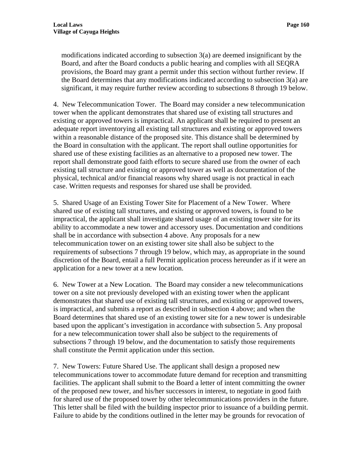modifications indicated according to subsection 3(a) are deemed insignificant by the Board, and after the Board conducts a public hearing and complies with all SEQRA provisions, the Board may grant a permit under this section without further review. If the Board determines that any modifications indicated according to subsection 3(a) are significant, it may require further review according to subsections 8 through 19 below.

4. New Telecommunication Tower. The Board may consider a new telecommunication tower when the applicant demonstrates that shared use of existing tall structures and existing or approved towers is impractical. An applicant shall be required to present an adequate report inventorying all existing tall structures and existing or approved towers within a reasonable distance of the proposed site. This distance shall be determined by the Board in consultation with the applicant. The report shall outline opportunities for shared use of these existing facilities as an alternative to a proposed new tower. The report shall demonstrate good faith efforts to secure shared use from the owner of each existing tall structure and existing or approved tower as well as documentation of the physical, technical and/or financial reasons why shared usage is not practical in each case. Written requests and responses for shared use shall be provided.

5. Shared Usage of an Existing Tower Site for Placement of a New Tower. Where shared use of existing tall structures, and existing or approved towers, is found to be impractical, the applicant shall investigate shared usage of an existing tower site for its ability to accommodate a new tower and accessory uses. Documentation and conditions shall be in accordance with subsection 4 above. Any proposals for a new telecommunication tower on an existing tower site shall also be subject to the requirements of subsections 7 through 19 below, which may, as appropriate in the sound discretion of the Board, entail a full Permit application process hereunder as if it were an application for a new tower at a new location.

6. New Tower at a New Location. The Board may consider a new telecommunications tower on a site not previously developed with an existing tower when the applicant demonstrates that shared use of existing tall structures, and existing or approved towers, is impractical, and submits a report as described in subsection 4 above; and when the Board determines that shared use of an existing tower site for a new tower is undesirable based upon the applicant's investigation in accordance with subsection 5. Any proposal for a new telecommunication tower shall also be subject to the requirements of subsections 7 through 19 below, and the documentation to satisfy those requirements shall constitute the Permit application under this section.

7. New Towers: Future Shared Use. The applicant shall design a proposed new telecommunications tower to accommodate future demand for reception and transmitting facilities. The applicant shall submit to the Board a letter of intent committing the owner of the proposed new tower, and his/her successors in interest, to negotiate in good faith for shared use of the proposed tower by other telecommunications providers in the future. This letter shall be filed with the building inspector prior to issuance of a building permit. Failure to abide by the conditions outlined in the letter may be grounds for revocation of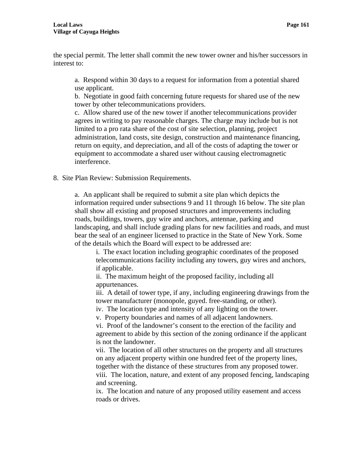the special permit. The letter shall commit the new tower owner and his/her successors in interest to:

a. Respond within 30 days to a request for information from a potential shared use applicant.

b. Negotiate in good faith concerning future requests for shared use of the new tower by other telecommunications providers.

c. Allow shared use of the new tower if another telecommunications provider agrees in writing to pay reasonable charges. The charge may include but is not limited to a pro rata share of the cost of site selection, planning, project administration, land costs, site design, construction and maintenance financing, return on equity, and depreciation, and all of the costs of adapting the tower or equipment to accommodate a shared user without causing electromagnetic interference.

8. Site Plan Review: Submission Requirements.

a. An applicant shall be required to submit a site plan which depicts the information required under subsections 9 and 11 through 16 below. The site plan shall show all existing and proposed structures and improvements including roads, buildings, towers, guy wire and anchors, antennae, parking and landscaping, and shall include grading plans for new facilities and roads, and must bear the seal of an engineer licensed to practice in the State of New York. Some of the details which the Board will expect to be addressed are:

i. The exact location including geographic coordinates of the proposed telecommunications facility including any towers, guy wires and anchors, if applicable.

ii. The maximum height of the proposed facility, including all appurtenances.

iii. A detail of tower type, if any, including engineering drawings from the tower manufacturer (monopole, guyed. free-standing, or other).

iv. The location type and intensity of any lighting on the tower.

v. Property boundaries and names of all adjacent landowners.

vi. Proof of the landowner's consent to the erection of the facility and agreement to abide by this section of the zoning ordinance if the applicant is not the landowner.

vii. The location of all other structures on the property and all structures on any adjacent property within one hundred feet of the property lines, together with the distance of these structures from any proposed tower. viii. The location, nature, and extent of any proposed fencing, landscaping and screening.

ix. The location and nature of any proposed utility easement and access roads or drives.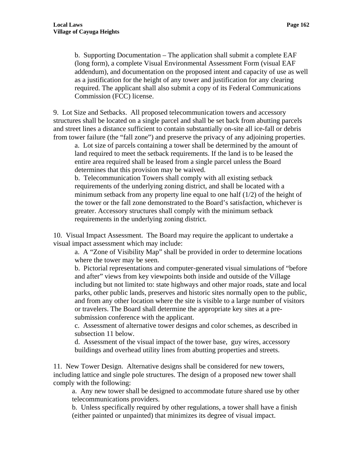b. Supporting Documentation – The application shall submit a complete EAF (long form), a complete Visual Environmental Assessment Form (visual EAF addendum), and documentation on the proposed intent and capacity of use as well as a justification for the height of any tower and justification for any clearing required. The applicant shall also submit a copy of its Federal Communications Commission (FCC) license.

9. Lot Size and Setbacks. All proposed telecommunication towers and accessory structures shall be located on a single parcel and shall be set back from abutting parcels and street lines a distance sufficient to contain substantially on-site all ice-fall or debris from tower failure (the "fall zone") and preserve the privacy of any adjoining properties.

a. Lot size of parcels containing a tower shall be determined by the amount of land required to meet the setback requirements. If the land is to be leased the entire area required shall be leased from a single parcel unless the Board determines that this provision may be waived.

b. Telecommunication Towers shall comply with all existing setback requirements of the underlying zoning district, and shall be located with a minimum setback from any property line equal to one half (1/2) of the height of the tower or the fall zone demonstrated to the Board's satisfaction, whichever is greater. Accessory structures shall comply with the minimum setback requirements in the underlying zoning district.

10. Visual Impact Assessment. The Board may require the applicant to undertake a visual impact assessment which may include:

a. A "Zone of Visibility Map" shall be provided in order to determine locations where the tower may be seen.

b. Pictorial representations and computer-generated visual simulations of "before and after" views from key viewpoints both inside and outside of the Village including but not limited to: state highways and other major roads, state and local parks, other public lands, preserves and historic sites normally open to the public, and from any other location where the site is visible to a large number of visitors or travelers. The Board shall determine the appropriate key sites at a presubmission conference with the applicant.

c. Assessment of alternative tower designs and color schemes, as described in subsection 11 below.

d. Assessment of the visual impact of the tower base, guy wires, accessory buildings and overhead utility lines from abutting properties and streets.

11. New Tower Design. Alternative designs shall be considered for new towers, including lattice and single pole structures. The design of a proposed new tower shall comply with the following:

a. Any new tower shall be designed to accommodate future shared use by other telecommunications providers.

b. Unless specifically required by other regulations, a tower shall have a finish (either painted or unpainted) that minimizes its degree of visual impact.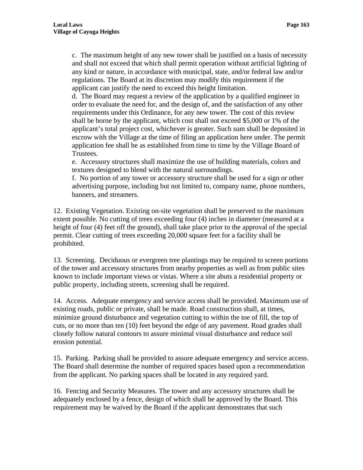c. The maximum height of any new tower shall be justified on a basis of necessity and shall not exceed that which shall permit operation without artificial lighting of any kind or nature, in accordance with municipal, state, and/or federal law and/or regulations. The Board at its discretion may modify this requirement if the applicant can justify the need to exceed this height limitation.

d. The Board may request a review of the application by a qualified engineer in order to evaluate the need for, and the design of, and the satisfaction of any other requirements under this Ordinance, for any new tower. The cost of this review shall be borne by the applicant, which cost shall not exceed \$5,000 or 1% of the applicant's total project cost, whichever is greater. Such sum shall be deposited in escrow with the Village at the time of filing an application here under. The permit application fee shall be as established from time to time by the Village Board of Trustees.

e. Accessory structures shall maximize the use of building materials, colors and textures designed to blend with the natural surroundings.

f. No portion of any tower or accessory structure shall be used for a sign or other advertising purpose, including but not limited to, company name, phone numbers, banners, and streamers.

12. Existing Vegetation. Existing on-site vegetation shall be preserved to the maximum extent possible. No cutting of trees exceeding four (4) inches in diameter (measured at a height of four (4) feet off the ground), shall take place prior to the approval of the special permit. Clear cutting of trees exceeding 20,000 square feet for a facility shall be prohibited.

13. Screening. Deciduous or evergreen tree plantings may be required to screen portions of the tower and accessory structures from nearby properties as well as from public sites known to include important views or vistas. Where a site abuts a residential property or public property, including streets, screening shall be required.

14. Access. Adequate emergency and service access shall be provided. Maximum use of existing roads, public or private, shall be made. Road construction shall, at times, minimize ground disturbance and vegetation cutting to within the toe of fill, the top of cuts, or no more than ten (10) feet beyond the edge of any pavement. Road grades shall closely follow natural contours to assure minimal visual disturbance and reduce soil erosion potential.

15. Parking. Parking shall be provided to assure adequate emergency and service access. The Board shall determine the number of required spaces based upon a recommendation from the applicant. No parking spaces shall be located in any required yard.

16. Fencing and Security Measures. The tower and any accessory structures shall be adequately enclosed by a fence, design of which shall be approved by the Board. This requirement may be waived by the Board if the applicant demonstrates that such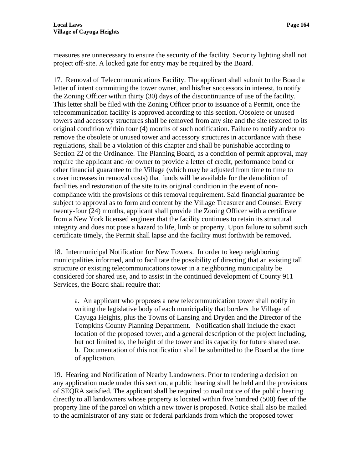measures are unnecessary to ensure the security of the facility. Security lighting shall not project off-site. A locked gate for entry may be required by the Board.

17. Removal of Telecommunications Facility. The applicant shall submit to the Board a letter of intent committing the tower owner, and his/her successors in interest, to notify the Zoning Officer within thirty (30) days of the discontinuance of use of the facility. This letter shall be filed with the Zoning Officer prior to issuance of a Permit, once the telecommunication facility is approved according to this section. Obsolete or unused towers and accessory structures shall be removed from any site and the site restored to its original condition within four (4) months of such notification. Failure to notify and/or to remove the obsolete or unused tower and accessory structures in accordance with these regulations, shall be a violation of this chapter and shall be punishable according to Section 22 of the Ordinance. The Planning Board, as a condition of permit approval, may require the applicant and /or owner to provide a letter of credit, performance bond or other financial guarantee to the Village (which may be adjusted from time to time to cover increases in removal costs) that funds will be available for the demolition of facilities and restoration of the site to its original condition in the event of noncompliance with the provisions of this removal requirement. Said financial guarantee be subject to approval as to form and content by the Village Treasurer and Counsel. Every twenty-four (24) months, applicant shall provide the Zoning Officer with a certificate from a New York licensed engineer that the facility continues to retain its structural integrity and does not pose a hazard to life, limb or property. Upon failure to submit such certificate timely, the Permit shall lapse and the facility must forthwith be removed.

18. Intermunicipal Notification for New Towers. In order to keep neighboring municipalities informed, and to facilitate the possibility of directing that an existing tall structure or existing telecommunications tower in a neighboring municipality be considered for shared use, and to assist in the continued development of County 911 Services, the Board shall require that:

a. An applicant who proposes a new telecommunication tower shall notify in writing the legislative body of each municipality that borders the Village of Cayuga Heights, plus the Towns of Lansing and Dryden and the Director of the Tompkins County Planning Department. Notification shall include the exact location of the proposed tower, and a general description of the project including, but not limited to, the height of the tower and its capacity for future shared use. b. Documentation of this notification shall be submitted to the Board at the time of application.

19. Hearing and Notification of Nearby Landowners. Prior to rendering a decision on any application made under this section, a public hearing shall be held and the provisions of SEQRA satisfied. The applicant shall be required to mail notice of the public hearing directly to all landowners whose property is located within five hundred (500) feet of the property line of the parcel on which a new tower is proposed. Notice shall also be mailed to the administrator of any state or federal parklands from which the proposed tower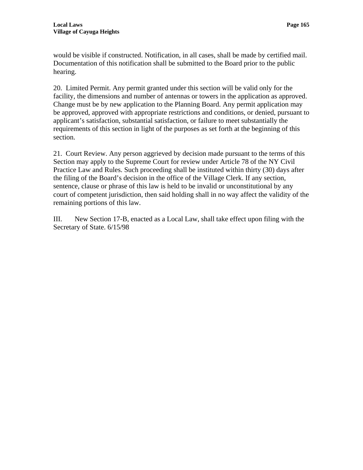would be visible if constructed. Notification, in all cases, shall be made by certified mail. Documentation of this notification shall be submitted to the Board prior to the public hearing.

20. Limited Permit. Any permit granted under this section will be valid only for the facility, the dimensions and number of antennas or towers in the application as approved. Change must be by new application to the Planning Board. Any permit application may be approved, approved with appropriate restrictions and conditions, or denied, pursuant to applicant's satisfaction, substantial satisfaction, or failure to meet substantially the requirements of this section in light of the purposes as set forth at the beginning of this section.

21. Court Review. Any person aggrieved by decision made pursuant to the terms of this Section may apply to the Supreme Court for review under Article 78 of the NY Civil Practice Law and Rules. Such proceeding shall be instituted within thirty (30) days after the filing of the Board's decision in the office of the Village Clerk. If any section, sentence, clause or phrase of this law is held to be invalid or unconstitutional by any court of competent jurisdiction, then said holding shall in no way affect the validity of the remaining portions of this law.

III. New Section 17-B, enacted as a Local Law, shall take effect upon filing with the Secretary of State. 6/15/98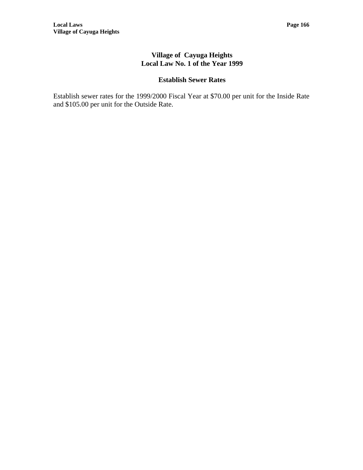# **Establish Sewer Rates**

Establish sewer rates for the 1999/2000 Fiscal Year at \$70.00 per unit for the Inside Rate and \$105.00 per unit for the Outside Rate.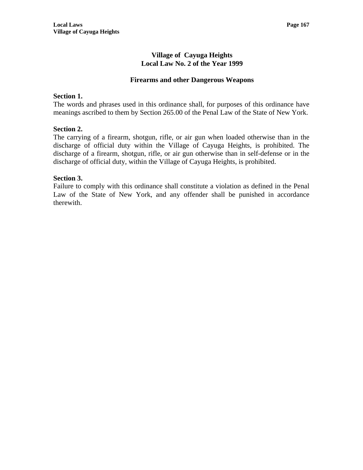#### **Firearms and other Dangerous Weapons**

#### **Section 1.**

The words and phrases used in this ordinance shall, for purposes of this ordinance have meanings ascribed to them by Section 265.00 of the Penal Law of the State of New York.

#### **Section 2.**

The carrying of a firearm, shotgun, rifle, or air gun when loaded otherwise than in the discharge of official duty within the Village of Cayuga Heights, is prohibited. The discharge of a firearm, shotgun, rifle, or air gun otherwise than in self-defense or in the discharge of official duty, within the Village of Cayuga Heights, is prohibited.

#### **Section 3.**

Failure to comply with this ordinance shall constitute a violation as defined in the Penal Law of the State of New York, and any offender shall be punished in accordance therewith.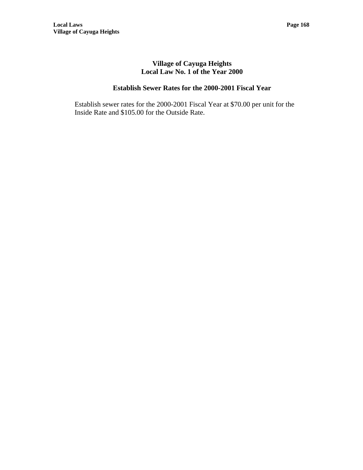# **Establish Sewer Rates for the 2000-2001 Fiscal Year**

Establish sewer rates for the 2000-2001 Fiscal Year at \$70.00 per unit for the Inside Rate and \$105.00 for the Outside Rate.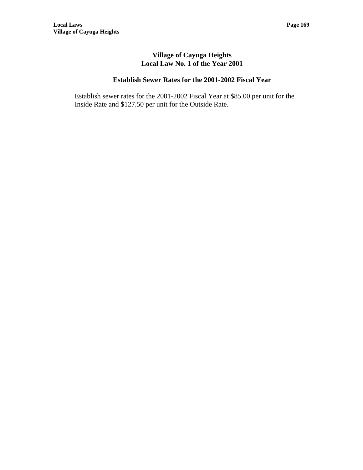# **Establish Sewer Rates for the 2001-2002 Fiscal Year**

Establish sewer rates for the 2001-2002 Fiscal Year at \$85.00 per unit for the Inside Rate and \$127.50 per unit for the Outside Rate.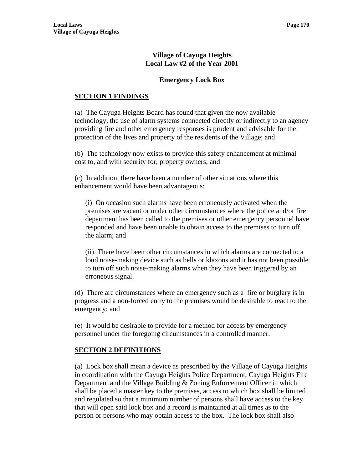# **Emergency Lock Box**

## **SECTION 1 FINDINGS**

(a) The Cayuga Heights Board has found that given the now available technology, the use of alarm systems connected directly or indirectly to an agency providing fire and other emergency responses is prudent and advisable for the protection of the lives and property of the residents of the Village; and

(b) The technology now exists to provide this safety enhancement at minimal cost to, and with security for, property owners; and

(c) In addition, there have been a number of other situations where this enhancement would have been advantageous:

(i) On occasion such alarms have been erroneously activated when the premises are vacant or under other circumstances where the police and/or fire department has been called to the premises or other emergency personnel have responded and have been unable to obtain access to the premises to turn off the alarm; and

(ii) There have been other circumstances in which alarms are connected to a loud noise-making device such as bells or klaxons and it has not been possible to turn off such noise-making alarms when they have been triggered by an erroneous signal.

(d) There are circumstances where an emergency such as a fire or burglary is in progress and a non-forced entry to the premises would be desirable to react to the emergency; and

(e) It would be desirable to provide for a method for access by emergency personnel under the foregoing circumstances in a controlled manner.

## **SECTION 2 DEFINITIONS**

(a) Lock box shall mean a device as prescribed by the Village of Cayuga Heights in coordination with the Cayuga Heights Police Department, Cayuga Heights Fire Department and the Village Building & Zoning Enforcement Officer in which shall be placed a master key to the premises, access to which box shall be limited and regulated so that a minimum number of persons shall have access to the key that will open said lock box and a record is maintained at all times as to the person or persons who may obtain access to the box. The lock box shall also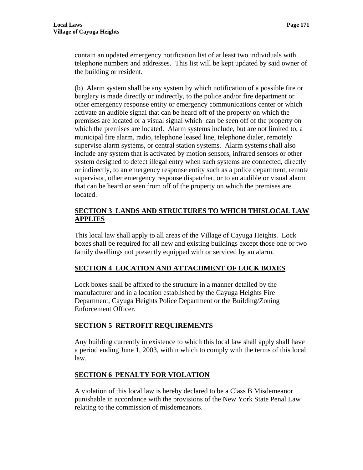contain an updated emergency notification list of at least two individuals with telephone numbers and addresses. This list will be kept updated by said owner of the building or resident.

(b) Alarm system shall be any system by which notification of a possible fire or burglary is made directly or indirectly, to the police and/or fire department or other emergency response entity or emergency communications center or which activate an audible signal that can be heard off of the property on which the premises are located or a visual signal which can be seen off of the property on which the premises are located. Alarm systems include, but are not limited to, a municipal fire alarm, radio, telephone leased line, telephone dialer, remotely supervise alarm systems, or central station systems. Alarm systems shall also include any system that is activated by motion sensors, infrared sensors or other system designed to detect illegal entry when such systems are connected, directly or indirectly, to an emergency response entity such as a police department, remote supervisor, other emergency response dispatcher, or to an audible or visual alarm that can be heard or seen from off of the property on which the premises are located.

# **SECTION 3 LANDS AND STRUCTURES TO WHICH THISLOCAL LAW APPLIES**

This local law shall apply to all areas of the Village of Cayuga Heights. Lock boxes shall be required for all new and existing buildings except those one or two family dwellings not presently equipped with or serviced by an alarm.

# **SECTION 4 LOCATION AND ATTACHMENT OF LOCK BOXES**

Lock boxes shall be affixed to the structure in a manner detailed by the manufacturer and in a location established by the Cayuga Heights Fire Department, Cayuga Heights Police Department or the Building/Zoning Enforcement Officer.

# **SECTION 5 RETROFIT REQUIREMENTS**

Any building currently in existence to which this local law shall apply shall have a period ending June 1, 2003, within which to comply with the terms of this local law.

# **SECTION 6 PENALTY FOR VIOLATION**

A violation of this local law is hereby declared to be a Class B Misdemeanor punishable in accordance with the provisions of the New York State Penal Law relating to the commission of misdemeanors.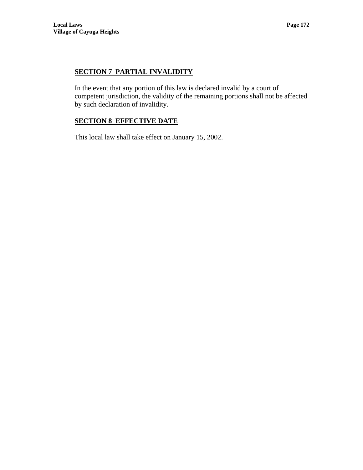# **SECTION 7 PARTIAL INVALIDITY**

In the event that any portion of this law is declared invalid by a court of competent jurisdiction, the validity of the remaining portions shall not be affected by such declaration of invalidity.

# **SECTION 8 EFFECTIVE DATE**

This local law shall take effect on January 15, 2002.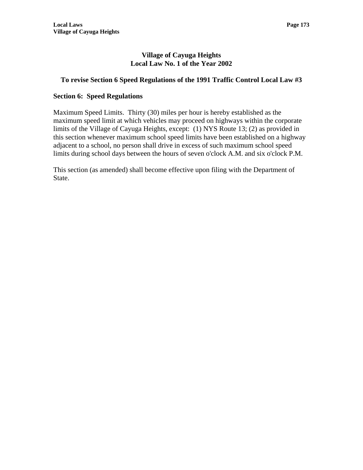# **To revise Section 6 Speed Regulations of the 1991 Traffic Control Local Law #3**

## **Section 6: Speed Regulations**

Maximum Speed Limits. Thirty (30) miles per hour is hereby established as the maximum speed limit at which vehicles may proceed on highways within the corporate limits of the Village of Cayuga Heights, except: (1) NYS Route 13; (2) as provided in this section whenever maximum school speed limits have been established on a highway adjacent to a school, no person shall drive in excess of such maximum school speed limits during school days between the hours of seven o'clock A.M. and six o'clock P.M.

This section (as amended) shall become effective upon filing with the Department of State.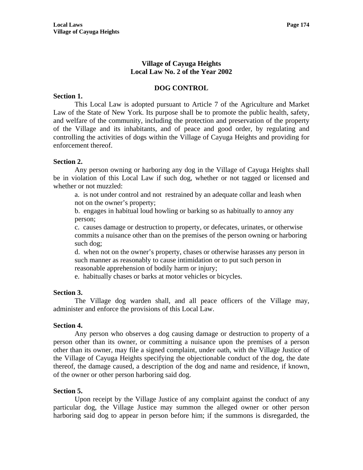## **DOG CONTROL**

#### **Section 1.**

 This Local Law is adopted pursuant to Article 7 of the Agriculture and Market Law of the State of New York. Its purpose shall be to promote the public health, safety, and welfare of the community, including the protection and preservation of the property of the Village and its inhabitants, and of peace and good order, by regulating and controlling the activities of dogs within the Village of Cayuga Heights and providing for enforcement thereof.

#### **Section 2.**

 Any person owning or harboring any dog in the Village of Cayuga Heights shall be in violation of this Local Law if such dog, whether or not tagged or licensed and whether or not muzzled:

a. is not under control and not restrained by an adequate collar and leash when not on the owner's property;

b. engages in habitual loud howling or barking so as habitually to annoy any person;

c. causes damage or destruction to property, or defecates, urinates, or otherwise commits a nuisance other than on the premises of the person owning or harboring such dog;

d. when not on the owner's property, chases or otherwise harasses any person in such manner as reasonably to cause intimidation or to put such person in reasonable apprehension of bodily harm or injury;

e. habitually chases or barks at motor vehicles or bicycles.

## **Section 3.**

 The Village dog warden shall, and all peace officers of the Village may, administer and enforce the provisions of this Local Law.

#### **Section 4.**

 Any person who observes a dog causing damage or destruction to property of a person other than its owner, or committing a nuisance upon the premises of a person other than its owner, may file a signed complaint, under oath, with the Village Justice of the Village of Cayuga Heights specifying the objectionable conduct of the dog, the date thereof, the damage caused, a description of the dog and name and residence, if known, of the owner or other person harboring said dog.

#### **Section 5.**

 Upon receipt by the Village Justice of any complaint against the conduct of any particular dog, the Village Justice may summon the alleged owner or other person harboring said dog to appear in person before him; if the summons is disregarded, the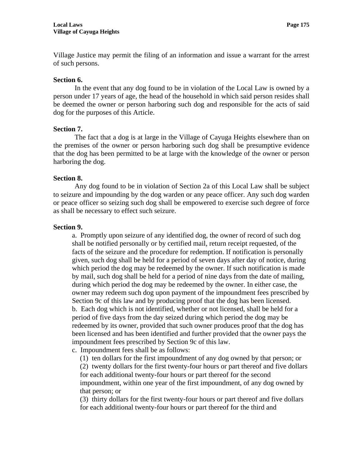Village Justice may permit the filing of an information and issue a warrant for the arrest of such persons.

#### **Section 6.**

 In the event that any dog found to be in violation of the Local Law is owned by a person under 17 years of age, the head of the household in which said person resides shall be deemed the owner or person harboring such dog and responsible for the acts of said dog for the purposes of this Article.

#### **Section 7.**

 The fact that a dog is at large in the Village of Cayuga Heights elsewhere than on the premises of the owner or person harboring such dog shall be presumptive evidence that the dog has been permitted to be at large with the knowledge of the owner or person harboring the dog.

#### **Section 8.**

 Any dog found to be in violation of Section 2a of this Local Law shall be subject to seizure and impounding by the dog warden or any peace officer. Any such dog warden or peace officer so seizing such dog shall be empowered to exercise such degree of force as shall be necessary to effect such seizure.

#### **Section 9.**

a. Promptly upon seizure of any identified dog, the owner of record of such dog shall be notified personally or by certified mail, return receipt requested, of the facts of the seizure and the procedure for redemption. If notification is personally given, such dog shall be held for a period of seven days after day of notice, during which period the dog may be redeemed by the owner. If such notification is made by mail, such dog shall be held for a period of nine days from the date of mailing, during which period the dog may be redeemed by the owner. In either case, the owner may redeem such dog upon payment of the impoundment fees prescribed by Section 9c of this law and by producing proof that the dog has been licensed. b. Each dog which is not identified, whether or not licensed, shall be held for a period of five days from the day seized during which period the dog may be redeemed by its owner, provided that such owner produces proof that the dog has been licensed and has been identified and further provided that the owner pays the impoundment fees prescribed by Section 9c of this law.

c. Impoundment fees shall be as follows:

(1) ten dollars for the first impoundment of any dog owned by that person; or (2) twenty dollars for the first twenty-four hours or part thereof and five dollars for each additional twenty-four hours or part thereof for the second impoundment, within one year of the first impoundment, of any dog owned by that person; or

(3) thirty dollars for the first twenty-four hours or part thereof and five dollars for each additional twenty-four hours or part thereof for the third and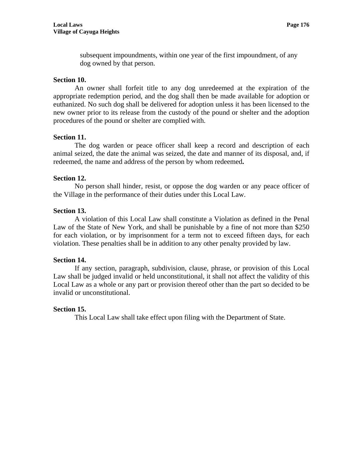subsequent impoundments, within one year of the first impoundment, of any dog owned by that person.

## **Section 10.**

 An owner shall forfeit title to any dog unredeemed at the expiration of the appropriate redemption period, and the dog shall then be made available for adoption or euthanized. No such dog shall be delivered for adoption unless it has been licensed to the new owner prior to its release from the custody of the pound or shelter and the adoption procedures of the pound or shelter are complied with.

## **Section 11.**

 The dog warden or peace officer shall keep a record and description of each animal seized, the date the animal was seized, the date and manner of its disposal, and, if redeemed, the name and address of the person by whom redeemed**.** 

#### **Section 12.**

 No person shall hinder, resist, or oppose the dog warden or any peace officer of the Village in the performance of their duties under this Local Law.

#### **Section 13.**

 A violation of this Local Law shall constitute a Violation as defined in the Penal Law of the State of New York, and shall be punishable by a fine of not more than \$250 for each violation, or by imprisonment for a term not to exceed fifteen days, for each violation. These penalties shall be in addition to any other penalty provided by law.

## **Section 14.**

 If any section, paragraph, subdivision, clause, phrase, or provision of this Local Law shall be judged invalid or held unconstitutional, it shall not affect the validity of this Local Law as a whole or any part or provision thereof other than the part so decided to be invalid or unconstitutional.

## **Section 15.**

This Local Law shall take effect upon filing with the Department of State.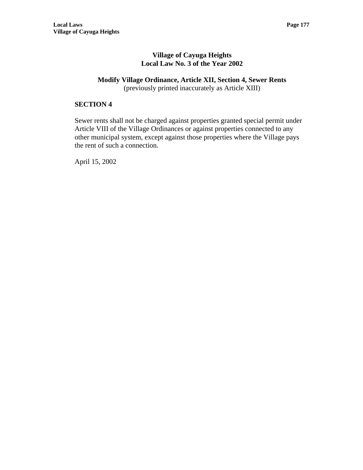# **Modify Village Ordinance, Article XII, Section 4, Sewer Rents**

(previously printed inaccurately as Article XIII)

## **SECTION 4**

Sewer rents shall not be charged against properties granted special permit under Article VIII of the Village Ordinances or against properties connected to any other municipal system, except against those properties where the Village pays the rent of such a connection.

April 15, 2002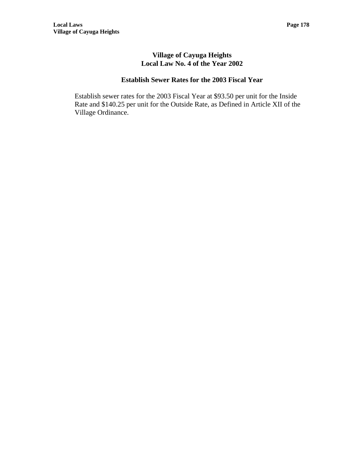### **Village of Cayuga Heights Local Law No. 4 of the Year 2002**

### **Establish Sewer Rates for the 2003 Fiscal Year**

Establish sewer rates for the 2003 Fiscal Year at \$93.50 per unit for the Inside Rate and \$140.25 per unit for the Outside Rate, as Defined in Article XII of the Village Ordinance.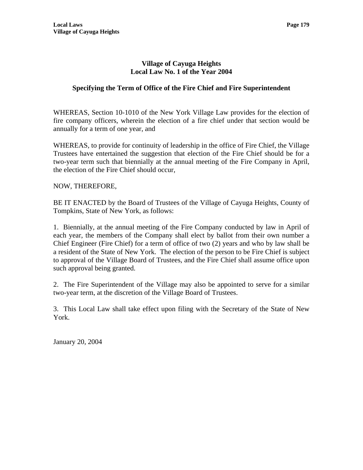### **Village of Cayuga Heights Local Law No. 1 of the Year 2004**

# **Specifying the Term of Office of the Fire Chief and Fire Superintendent**

WHEREAS, Section 10-1010 of the New York Village Law provides for the election of fire company officers, wherein the election of a fire chief under that section would be annually for a term of one year, and

WHEREAS, to provide for continuity of leadership in the office of Fire Chief, the Village Trustees have entertained the suggestion that election of the Fire Chief should be for a two-year term such that biennially at the annual meeting of the Fire Company in April, the election of the Fire Chief should occur,

NOW, THEREFORE,

BE IT ENACTED by the Board of Trustees of the Village of Cayuga Heights, County of Tompkins, State of New York, as follows:

1. Biennially, at the annual meeting of the Fire Company conducted by law in April of each year, the members of the Company shall elect by ballot from their own number a Chief Engineer (Fire Chief) for a term of office of two (2) years and who by law shall be a resident of the State of New York. The election of the person to be Fire Chief is subject to approval of the Village Board of Trustees, and the Fire Chief shall assume office upon such approval being granted.

2. The Fire Superintendent of the Village may also be appointed to serve for a similar two-year term, at the discretion of the Village Board of Trustees.

3. This Local Law shall take effect upon filing with the Secretary of the State of New York.

January 20, 2004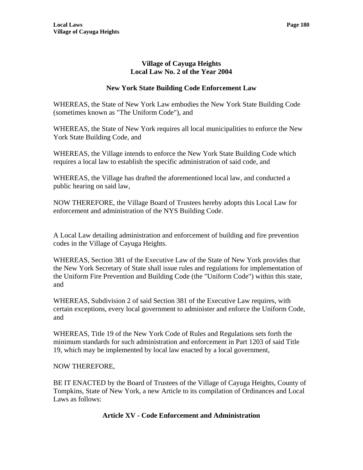### **Village of Cayuga Heights Local Law No. 2 of the Year 2004**

### **New York State Building Code Enforcement Law**

WHEREAS, the State of New York Law embodies the New York State Building Code (sometimes known as "The Uniform Code"), and

WHEREAS, the State of New York requires all local municipalities to enforce the New York State Building Code, and

WHEREAS, the Village intends to enforce the New York State Building Code which requires a local law to establish the specific administration of said code, and

WHEREAS, the Village has drafted the aforementioned local law, and conducted a public hearing on said law,

NOW THEREFORE, the Village Board of Trustees hereby adopts this Local Law for enforcement and administration of the NYS Building Code.

A Local Law detailing administration and enforcement of building and fire prevention codes in the Village of Cayuga Heights.

WHEREAS, Section 381 of the Executive Law of the State of New York provides that the New York Secretary of State shall issue rules and regulations for implementation of the Uniform Fire Prevention and Building Code (the "Uniform Code") within this state, and

WHEREAS, Subdivision 2 of said Section 381 of the Executive Law requires, with certain exceptions, every local government to administer and enforce the Uniform Code, and

WHEREAS, Title 19 of the New York Code of Rules and Regulations sets forth the minimum standards for such administration and enforcement in Part 1203 of said Title 19, which may be implemented by local law enacted by a local government,

#### NOW THEREFORE,

BE IT ENACTED by the Board of Trustees of the Village of Cayuga Heights, County of Tompkins, State of New York, a new Article to its compilation of Ordinances and Local Laws as follows:

#### **Article XV - Code Enforcement and Administration**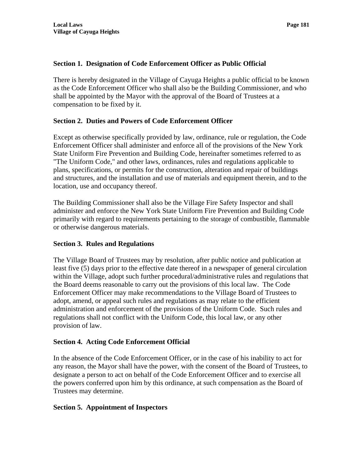### **Section 1. Designation of Code Enforcement Officer as Public Official**

There is hereby designated in the Village of Cayuga Heights a public official to be known as the Code Enforcement Officer who shall also be the Building Commissioner, and who shall be appointed by the Mayor with the approval of the Board of Trustees at a compensation to be fixed by it.

### **Section 2. Duties and Powers of Code Enforcement Officer**

Except as otherwise specifically provided by law, ordinance, rule or regulation, the Code Enforcement Officer shall administer and enforce all of the provisions of the New York State Uniform Fire Prevention and Building Code, hereinafter sometimes referred to as "The Uniform Code," and other laws, ordinances, rules and regulations applicable to plans, specifications, or permits for the construction, alteration and repair of buildings and structures, and the installation and use of materials and equipment therein, and to the location, use and occupancy thereof.

The Building Commissioner shall also be the Village Fire Safety Inspector and shall administer and enforce the New York State Uniform Fire Prevention and Building Code primarily with regard to requirements pertaining to the storage of combustible, flammable or otherwise dangerous materials.

#### **Section 3. Rules and Regulations**

The Village Board of Trustees may by resolution, after public notice and publication at least five (5) days prior to the effective date thereof in a newspaper of general circulation within the Village, adopt such further procedural/administrative rules and regulations that the Board deems reasonable to carry out the provisions of this local law. The Code Enforcement Officer may make recommendations to the Village Board of Trustees to adopt, amend, or appeal such rules and regulations as may relate to the efficient administration and enforcement of the provisions of the Uniform Code. Such rules and regulations shall not conflict with the Uniform Code, this local law, or any other provision of law.

#### **Section 4. Acting Code Enforcement Official**

In the absence of the Code Enforcement Officer, or in the case of his inability to act for any reason, the Mayor shall have the power, with the consent of the Board of Trustees, to designate a person to act on behalf of the Code Enforcement Officer and to exercise all the powers conferred upon him by this ordinance, at such compensation as the Board of Trustees may determine.

# **Section 5. Appointment of Inspectors**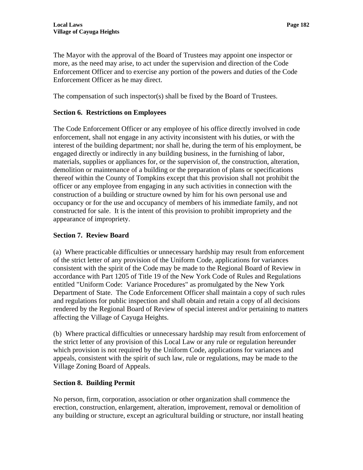The Mayor with the approval of the Board of Trustees may appoint one inspector or more, as the need may arise, to act under the supervision and direction of the Code Enforcement Officer and to exercise any portion of the powers and duties of the Code Enforcement Officer as he may direct.

The compensation of such inspector(s) shall be fixed by the Board of Trustees.

### **Section 6. Restrictions on Employees**

The Code Enforcement Officer or any employee of his office directly involved in code enforcement, shall not engage in any activity inconsistent with his duties, or with the interest of the building department; nor shall he, during the term of his employment, be engaged directly or indirectly in any building business, in the furnishing of labor, materials, supplies or appliances for, or the supervision of, the construction, alteration, demolition or maintenance of a building or the preparation of plans or specifications thereof within the County of Tompkins except that this provision shall not prohibit the officer or any employee from engaging in any such activities in connection with the construction of a building or structure owned by him for his own personal use and occupancy or for the use and occupancy of members of his immediate family, and not constructed for sale. It is the intent of this provision to prohibit impropriety and the appearance of impropriety.

#### **Section 7. Review Board**

(a) Where practicable difficulties or unnecessary hardship may result from enforcement of the strict letter of any provision of the Uniform Code, applications for variances consistent with the spirit of the Code may be made to the Regional Board of Review in accordance with Part 1205 of Title 19 of the New York Code of Rules and Regulations entitled "Uniform Code: Variance Procedures" as promulgated by the New York Department of State. The Code Enforcement Officer shall maintain a copy of such rules and regulations for public inspection and shall obtain and retain a copy of all decisions rendered by the Regional Board of Review of special interest and/or pertaining to matters affecting the Village of Cayuga Heights.

(b) Where practical difficulties or unnecessary hardship may result from enforcement of the strict letter of any provision of this Local Law or any rule or regulation hereunder which provision is not required by the Uniform Code, applications for variances and appeals, consistent with the spirit of such law, rule or regulations, may be made to the Village Zoning Board of Appeals.

#### **Section 8. Building Permit**

No person, firm, corporation, association or other organization shall commence the erection, construction, enlargement, alteration, improvement, removal or demolition of any building or structure, except an agricultural building or structure, nor install heating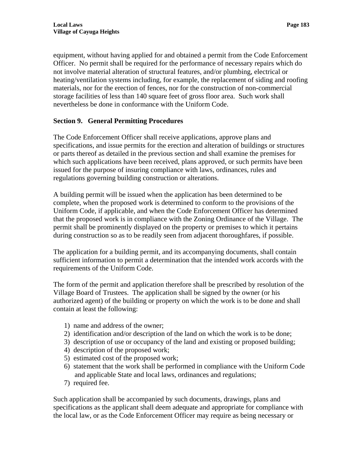equipment, without having applied for and obtained a permit from the Code Enforcement Officer. No permit shall be required for the performance of necessary repairs which do not involve material alteration of structural features, and/or plumbing, electrical or heating/ventilation systems including, for example, the replacement of siding and roofing materials, nor for the erection of fences, nor for the construction of non-commercial storage facilities of less than 140 square feet of gross floor area. Such work shall nevertheless be done in conformance with the Uniform Code.

# **Section 9. General Permitting Procedures**

The Code Enforcement Officer shall receive applications, approve plans and specifications, and issue permits for the erection and alteration of buildings or structures or parts thereof as detailed in the previous section and shall examine the premises for which such applications have been received, plans approved, or such permits have been issued for the purpose of insuring compliance with laws, ordinances, rules and regulations governing building construction or alterations.

A building permit will be issued when the application has been determined to be complete, when the proposed work is determined to conform to the provisions of the Uniform Code, if applicable, and when the Code Enforcement Officer has determined that the proposed work is in compliance with the Zoning Ordinance of the Village. The permit shall be prominently displayed on the property or premises to which it pertains during construction so as to be readily seen from adjacent thoroughfares, if possible.

The application for a building permit, and its accompanying documents, shall contain sufficient information to permit a determination that the intended work accords with the requirements of the Uniform Code.

The form of the permit and application therefore shall be prescribed by resolution of the Village Board of Trustees. The application shall be signed by the owner (or his authorized agent) of the building or property on which the work is to be done and shall contain at least the following:

- 1) name and address of the owner;
- 2) identification and/or description of the land on which the work is to be done;
- 3) description of use or occupancy of the land and existing or proposed building;
- 4) description of the proposed work;
- 5) estimated cost of the proposed work;
- 6) statement that the work shall be performed in compliance with the Uniform Code and applicable State and local laws, ordinances and regulations;
- 7) required fee.

Such application shall be accompanied by such documents, drawings, plans and specifications as the applicant shall deem adequate and appropriate for compliance with the local law, or as the Code Enforcement Officer may require as being necessary or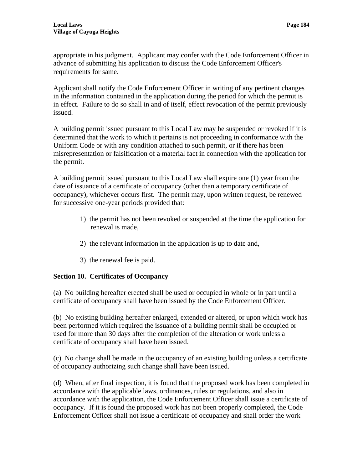appropriate in his judgment. Applicant may confer with the Code Enforcement Officer in advance of submitting his application to discuss the Code Enforcement Officer's requirements for same.

Applicant shall notify the Code Enforcement Officer in writing of any pertinent changes in the information contained in the application during the period for which the permit is in effect. Failure to do so shall in and of itself, effect revocation of the permit previously issued.

A building permit issued pursuant to this Local Law may be suspended or revoked if it is determined that the work to which it pertains is not proceeding in conformance with the Uniform Code or with any condition attached to such permit, or if there has been misrepresentation or falsification of a material fact in connection with the application for the permit.

A building permit issued pursuant to this Local Law shall expire one (1) year from the date of issuance of a certificate of occupancy (other than a temporary certificate of occupancy), whichever occurs first. The permit may, upon written request, be renewed for successive one-year periods provided that:

- 1) the permit has not been revoked or suspended at the time the application for renewal is made,
- 2) the relevant information in the application is up to date and,
- 3) the renewal fee is paid.

# **Section 10. Certificates of Occupancy**

(a) No building hereafter erected shall be used or occupied in whole or in part until a certificate of occupancy shall have been issued by the Code Enforcement Officer.

(b) No existing building hereafter enlarged, extended or altered, or upon which work has been performed which required the issuance of a building permit shall be occupied or used for more than 30 days after the completion of the alteration or work unless a certificate of occupancy shall have been issued.

(c) No change shall be made in the occupancy of an existing building unless a certificate of occupancy authorizing such change shall have been issued.

(d) When, after final inspection, it is found that the proposed work has been completed in accordance with the applicable laws, ordinances, rules or regulations, and also in accordance with the application, the Code Enforcement Officer shall issue a certificate of occupancy. If it is found the proposed work has not been properly completed, the Code Enforcement Officer shall not issue a certificate of occupancy and shall order the work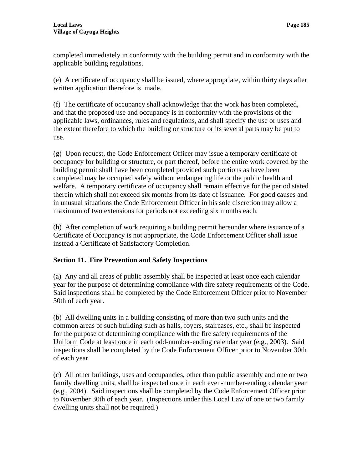completed immediately in conformity with the building permit and in conformity with the applicable building regulations.

(e) A certificate of occupancy shall be issued, where appropriate, within thirty days after written application therefore is made.

(f) The certificate of occupancy shall acknowledge that the work has been completed, and that the proposed use and occupancy is in conformity with the provisions of the applicable laws, ordinances, rules and regulations, and shall specify the use or uses and the extent therefore to which the building or structure or its several parts may be put to use.

(g) Upon request, the Code Enforcement Officer may issue a temporary certificate of occupancy for building or structure, or part thereof, before the entire work covered by the building permit shall have been completed provided such portions as have been completed may be occupied safely without endangering life or the public health and welfare. A temporary certificate of occupancy shall remain effective for the period stated therein which shall not exceed six months from its date of issuance. For good causes and in unusual situations the Code Enforcement Officer in his sole discretion may allow a maximum of two extensions for periods not exceeding six months each.

(h) After completion of work requiring a building permit hereunder where issuance of a Certificate of Occupancy is not appropriate, the Code Enforcement Officer shall issue instead a Certificate of Satisfactory Completion.

# **Section 11. Fire Prevention and Safety Inspections**

(a) Any and all areas of public assembly shall be inspected at least once each calendar year for the purpose of determining compliance with fire safety requirements of the Code. Said inspections shall be completed by the Code Enforcement Officer prior to November 30th of each year.

(b) All dwelling units in a building consisting of more than two such units and the common areas of such building such as halls, foyers, staircases, etc., shall be inspected for the purpose of determining compliance with the fire safety requirements of the Uniform Code at least once in each odd-number-ending calendar year (e.g., 2003). Said inspections shall be completed by the Code Enforcement Officer prior to November 30th of each year.

(c) All other buildings, uses and occupancies, other than public assembly and one or two family dwelling units, shall be inspected once in each even-number-ending calendar year (e.g., 2004). Said inspections shall be completed by the Code Enforcement Officer prior to November 30th of each year. (Inspections under this Local Law of one or two family dwelling units shall not be required.)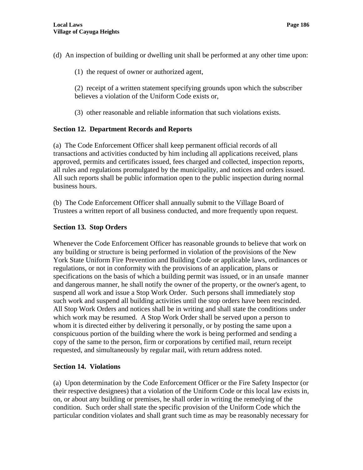(d) An inspection of building or dwelling unit shall be performed at any other time upon:

(1) the request of owner or authorized agent,

(2) receipt of a written statement specifying grounds upon which the subscriber believes a violation of the Uniform Code exists or,

(3) other reasonable and reliable information that such violations exists.

# **Section 12. Department Records and Reports**

(a) The Code Enforcement Officer shall keep permanent official records of all transactions and activities conducted by him including all applications received, plans approved, permits and certificates issued, fees charged and collected, inspection reports, all rules and regulations promulgated by the municipality, and notices and orders issued. All such reports shall be public information open to the public inspection during normal business hours.

(b) The Code Enforcement Officer shall annually submit to the Village Board of Trustees a written report of all business conducted, and more frequently upon request.

# **Section 13. Stop Orders**

Whenever the Code Enforcement Officer has reasonable grounds to believe that work on any building or structure is being performed in violation of the provisions of the New York State Uniform Fire Prevention and Building Code or applicable laws, ordinances or regulations, or not in conformity with the provisions of an application, plans or specifications on the basis of which a building permit was issued, or in an unsafe manner and dangerous manner, he shall notify the owner of the property, or the owner's agent, to suspend all work and issue a Stop Work Order. Such persons shall immediately stop such work and suspend all building activities until the stop orders have been rescinded. All Stop Work Orders and notices shall be in writing and shall state the conditions under which work may be resumed. A Stop Work Order shall be served upon a person to whom it is directed either by delivering it personally, or by posting the same upon a conspicuous portion of the building where the work is being performed and sending a copy of the same to the person, firm or corporations by certified mail, return receipt requested, and simultaneously by regular mail, with return address noted.

#### **Section 14. Violations**

(a) Upon determination by the Code Enforcement Officer or the Fire Safety Inspector (or their respective designees) that a violation of the Uniform Code or this local law exists in, on, or about any building or premises, he shall order in writing the remedying of the condition. Such order shall state the specific provision of the Uniform Code which the particular condition violates and shall grant such time as may be reasonably necessary for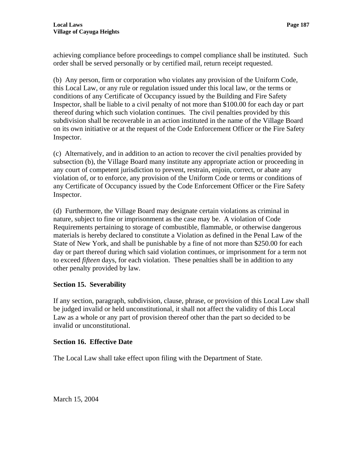achieving compliance before proceedings to compel compliance shall be instituted. Such order shall be served personally or by certified mail, return receipt requested.

(b) Any person, firm or corporation who violates any provision of the Uniform Code, this Local Law, or any rule or regulation issued under this local law, or the terms or conditions of any Certificate of Occupancy issued by the Building and Fire Safety Inspector, shall be liable to a civil penalty of not more than \$100.00 for each day or part thereof during which such violation continues. The civil penalties provided by this subdivision shall be recoverable in an action instituted in the name of the Village Board on its own initiative or at the request of the Code Enforcement Officer or the Fire Safety Inspector.

(c) Alternatively, and in addition to an action to recover the civil penalties provided by subsection (b), the Village Board many institute any appropriate action or proceeding in any court of competent jurisdiction to prevent, restrain, enjoin, correct, or abate any violation of, or to enforce, any provision of the Uniform Code or terms or conditions of any Certificate of Occupancy issued by the Code Enforcement Officer or the Fire Safety Inspector.

(d) Furthermore, the Village Board may designate certain violations as criminal in nature, subject to fine or imprisonment as the case may be. A violation of Code Requirements pertaining to storage of combustible, flammable, or otherwise dangerous materials is hereby declared to constitute a Violation as defined in the Penal Law of the State of New York, and shall be punishable by a fine of not more than \$250.00 for each day or part thereof during which said violation continues, or imprisonment for a term not to exceed *fifteen* days, for each violation. These penalties shall be in addition to any other penalty provided by law.

# **Section 15. Severability**

If any section, paragraph, subdivision, clause, phrase, or provision of this Local Law shall be judged invalid or held unconstitutional, it shall not affect the validity of this Local Law as a whole or any part of provision thereof other than the part so decided to be invalid or unconstitutional.

# **Section 16. Effective Date**

The Local Law shall take effect upon filing with the Department of State.

March 15, 2004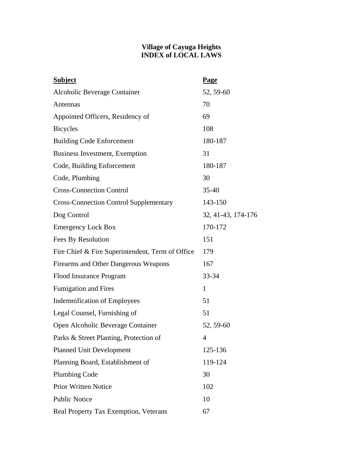### **Village of Cayuga Heights INDEX of LOCAL LAWS**

| <b>Subject</b>                                   | <b>Page</b>        |
|--------------------------------------------------|--------------------|
| Alcoholic Beverage Container                     | 52, 59-60          |
| Antennas                                         | 70                 |
| Appointed Officers, Residency of                 | 69                 |
| <b>Bicycles</b>                                  | 108                |
| <b>Building Code Enforcement</b>                 | 180-187            |
| Business Investment, Exemption                   | 31                 |
| Code, Building Enforcement                       | 180-187            |
| Code, Plumbing                                   | 30                 |
| <b>Cross-Connection Control</b>                  | $35 - 40$          |
| <b>Cross-Connection Control Supplementary</b>    | 143-150            |
| Dog Control                                      | 32, 41-43, 174-176 |
| <b>Emergency Lock Box</b>                        | 170-172            |
| Fees By Resolution                               | 151                |
| Fire Chief & Fire Superintendent, Term of Office | 179                |
| Firearms and Other Dangerous Weapons             | 167                |
| Flood Insurance Program                          | 33-34              |
| <b>Fumigation and Fires</b>                      | $\mathbf{1}$       |
| <b>Indemnification of Employees</b>              | 51                 |
| Legal Counsel, Furnishing of                     | 51                 |
| Open Alcoholic Beverage Container                | 52, 59-60          |
| Parks & Street Planting, Protection of           | 4                  |
| <b>Planned Unit Development</b>                  | 125-136            |
| Planning Board, Establishment of                 | 119-124            |
| <b>Plumbing Code</b>                             | 30                 |
| <b>Prior Written Notice</b>                      | 102                |
| <b>Public Notice</b>                             | 10                 |
| Real Property Tax Exemption, Veterans            | 67                 |